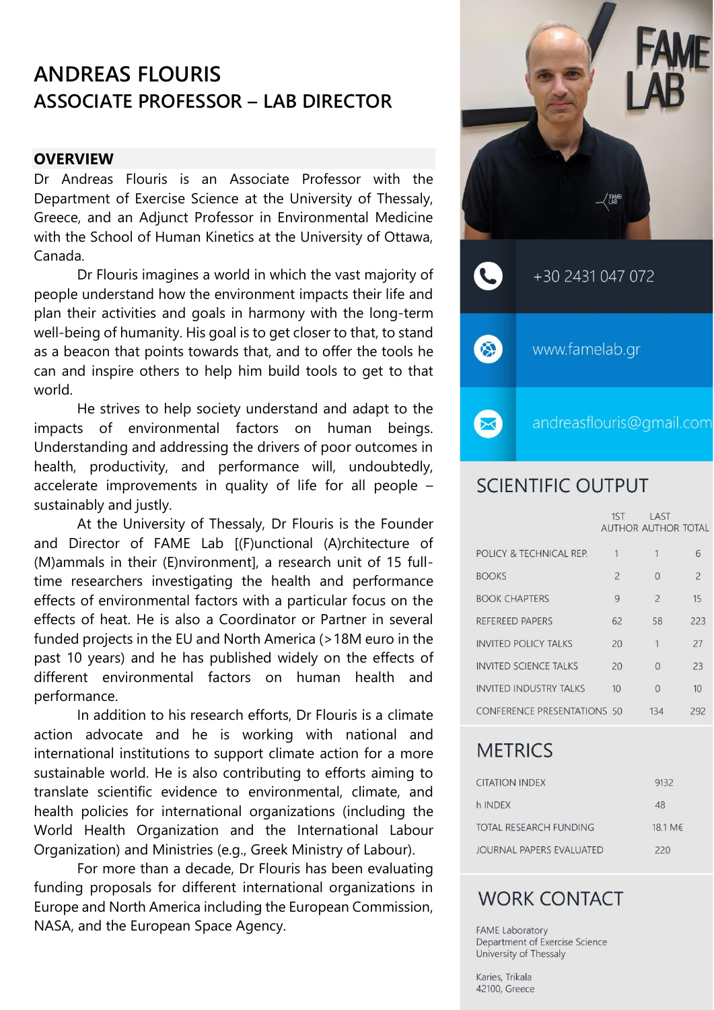# **ANDREAS FLOURIS ASSOCIATE PROFESSOR – LAB DIRECTOR**

### **OVERVIEW**

Dr Andreas Flouris is an Associate Professor with the Department of Exercise Science at the University of Thessaly, Greece, and an Adjunct Professor in Environmental Medicine with the School of Human Kinetics at the University of Ottawa, Canada.

Dr Flouris imagines a world in which the vast majority of people understand how the environment impacts their life and plan their activities and goals in harmony with the long-term well-being of humanity. His goal is to get closer to that, to stand as a beacon that points towards that, and to offer the tools he can and inspire others to help him build tools to get to that world.

He strives to help society understand and adapt to the impacts of environmental factors on human beings. Understanding and addressing the drivers of poor outcomes in health, productivity, and performance will, undoubtedly, accelerate improvements in quality of life for all people – sustainably and justly.

At the University of Thessaly, Dr Flouris is the Founder and Director of FAME Lab [(F)unctional (A)rchitecture of (M)ammals in their (E)nvironment], a research unit of 15 fulltime researchers investigating the health and performance effects of environmental factors with a particular focus on the effects of heat. He is also a Coordinator or Partner in several funded projects in the EU and North America (>18M euro in the past 10 years) and he has published widely on the effects of different environmental factors on human health and performance.

In addition to his research efforts, Dr Flouris is a climate action advocate and he is working with national and international institutions to support climate action for a more sustainable world. He is also contributing to efforts aiming to translate scientific evidence to environmental, climate, and health policies for international organizations (including the World Health Organization and the International Labour Organization) and Ministries (e.g., Greek Ministry of Labour).

For more than a decade, Dr Flouris has been evaluating funding proposals for different international organizations in Europe and North America including the European Commission, NASA, and the European Space Agency.



# **SCIENTIFIC OUTPUT**

|                                    | 1ST            | LAST<br><b>AUTHOR AUTHOR TOTAL</b> |                |
|------------------------------------|----------------|------------------------------------|----------------|
| POLICY & TECHNICAL REP.            | 1              | 1                                  | 6              |
| <b>BOOKS</b>                       | $\overline{c}$ | $\Omega$                           | $\overline{c}$ |
| <b>BOOK CHAPTERS</b>               | 9              | $\overline{c}$                     | 15             |
| REFEREED PAPERS                    | 62             | 58                                 | 223            |
| <b>INVITED POLICY TALKS</b>        | 20             | 1                                  | 27             |
| <b>INVITED SCIENCE TALKS</b>       | 20             | $\Omega$                           | 23             |
| <b>INVITED INDUSTRY TALKS</b>      | 10             | $\Omega$                           | 10             |
| <b>CONFERENCE PRESENTATIONS 50</b> |                | 134                                | 292            |

# **METRICS**

| <b>CITATION INDEX</b>    | 9132    |
|--------------------------|---------|
| h INDEX                  | 48      |
| TOTAL RESEARCH FUNDING   | 18.1 M€ |
| JOURNAL PAPERS EVALUATED | 220     |

# **WORK CONTACT**

FAME Laboratory Department of Exercise Science University of Thessaly

Karies, Trikala 42100, Greece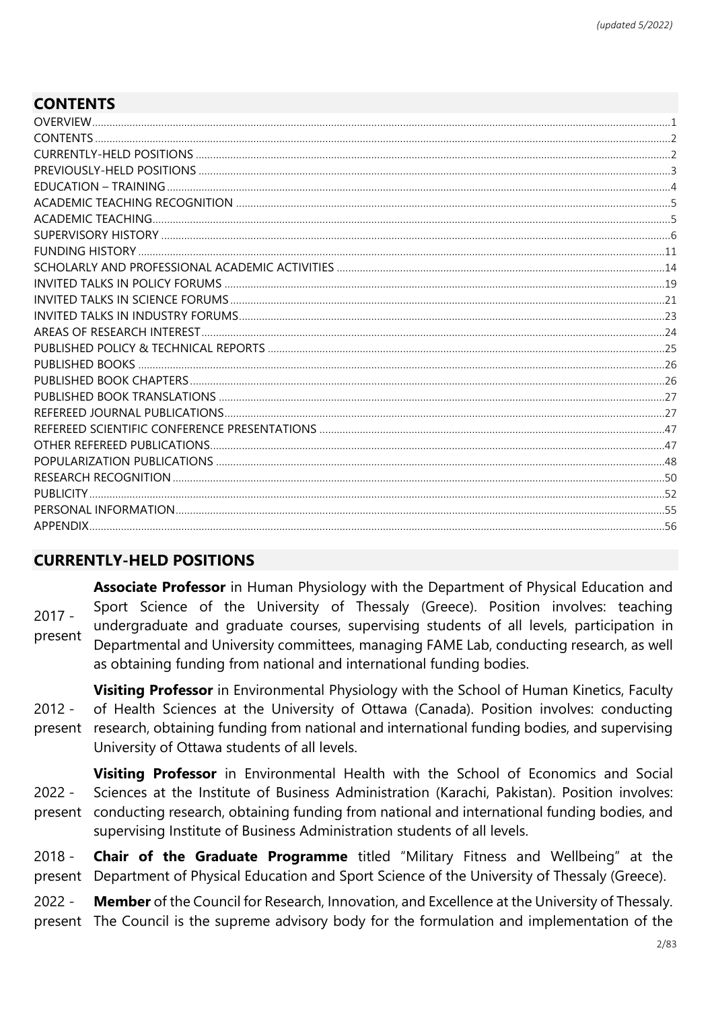# **CONTENTS**

# **CURRENTLY-HELD POSITIONS**

2017 present **Associate Professor** in Human Physiology with the Department of Physical Education and Sport Science of the University of Thessaly (Greece). Position involves: teaching undergraduate and graduate courses, supervising students of all levels, participation in Departmental and University committees, managing FAME Lab, conducting research, as well as obtaining funding from national and international funding bodies.

2012 present research, obtaining funding from national and international funding bodies, and supervising **Visiting Professor** in Environmental Physiology with the School of Human Kinetics, Faculty of Health Sciences at the University of Ottawa (Canada). Position involves: conducting University of Ottawa students of all levels.

2022 present conducting research, obtaining funding from national and international funding bodies, and **Visiting Professor** in Environmental Health with the School of Economics and Social Sciences at the Institute of Business Administration (Karachi, Pakistan). Position involves: supervising Institute of Business Administration students of all levels.

2018 present Department of Physical Education and Sport Science of the University of Thessaly (Greece). **Chair of the Graduate Programme** titled "Military Fitness and Wellbeing" at the

2022 present The Council is the supreme advisory body for the formulation and implementation of the **Member** of the Council for Research, Innovation, and Excellence at the University of Thessaly.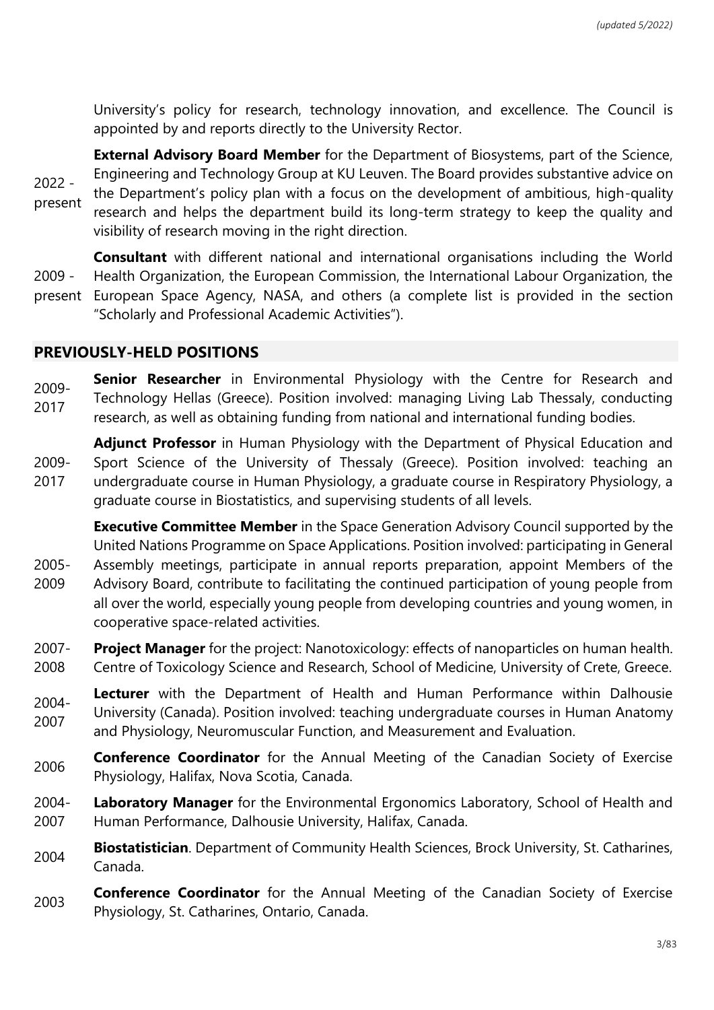University's policy for research, technology innovation, and excellence. The Council is appointed by and reports directly to the University Rector.

2022 present **External Advisory Board Member** for the Department of Biosystems, part of the Science, Engineering and Technology Group at KU Leuven. The Board provides substantive advice on the Department's policy plan with a focus on the development of ambitious, high-quality research and helps the department build its long-term strategy to keep the quality and visibility of research moving in the right direction.

2009 present **Consultant** with different national and international organisations including the World Health Organization, the European Commission, the International Labour Organization, the European Space Agency, NASA, and others (a complete list is provided in the section "Scholarly and Professional Academic Activities").

### **PREVIOUSLY-HELD POSITIONS**

2005-

2009- 2017 **Senior Researcher** in Environmental Physiology with the Centre for Research and Technology Hellas (Greece). Position involved: managing Living Lab Thessaly, conducting research, as well as obtaining funding from national and international funding bodies.

2009- 2017 **Adjunct Professor** in Human Physiology with the Department of Physical Education and Sport Science of the University of Thessaly (Greece). Position involved: teaching an undergraduate course in Human Physiology, a graduate course in Respiratory Physiology, a graduate course in Biostatistics, and supervising students of all levels.

**Executive Committee Member** in the Space Generation Advisory Council supported by the United Nations Programme on Space Applications. Position involved: participating in General Assembly meetings, participate in annual reports preparation, appoint Members of the

- 2009 Advisory Board, contribute to facilitating the continued participation of young people from all over the world, especially young people from developing countries and young women, in cooperative space-related activities.
- 2007- 2008 **Project Manager** for the project: Nanotoxicology: effects of nanoparticles on human health. Centre of Toxicology Science and Research, School of Medicine, University of Crete, Greece.
- 2004- 2007 **Lecturer** with the Department of Health and Human Performance within Dalhousie University (Canada). Position involved: teaching undergraduate courses in Human Anatomy and Physiology, Neuromuscular Function, and Measurement and Evaluation.
- **2006 Conference Coordinator** for the Annual Meeting of the Canadian Society of Exercise Physiology, Halifax, Nova Scotia, Canada.
- 2004- 2007 **Laboratory Manager** for the Environmental Ergonomics Laboratory, School of Health and Human Performance, Dalhousie University, Halifax, Canada.
- <sup>2004</sup> **Biostatistician**. Department of Community Health Sciences, Brock University, St. Catharines, Canada.
- **Conference Coordinator** for the Annual Meeting of the Canadian Society of Exercise Physiology, St. Catharines, Ontario, Canada.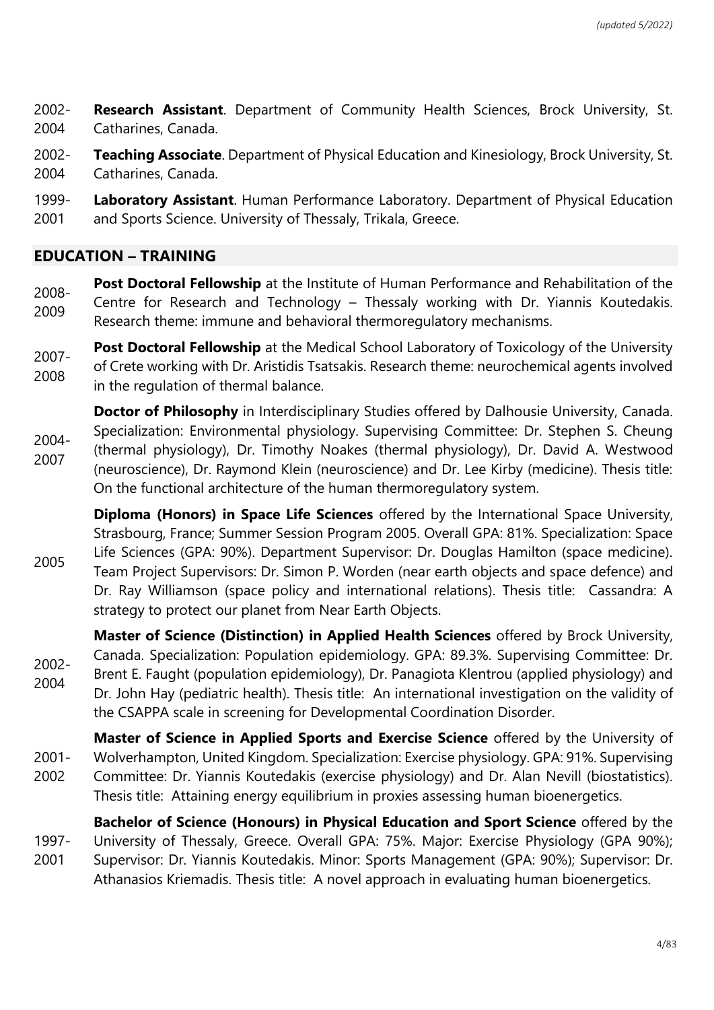2002- 2004 **Research Assistant**. Department of Community Health Sciences, Brock University, St. Catharines, Canada.

2002- 2004 **Teaching Associate**. Department of Physical Education and Kinesiology, Brock University, St. Catharines, Canada.

1999- 2001 **Laboratory Assistant**. Human Performance Laboratory. Department of Physical Education and Sports Science. University of Thessaly, Trikala, Greece.

### **EDUCATION – TRAINING**

2008- 2009 **Post Doctoral Fellowship** at the Institute of Human Performance and Rehabilitation of the Centre for Research and Technology – Thessaly working with Dr. Yiannis Koutedakis. Research theme: immune and behavioral thermoregulatory mechanisms.

2007- 2008 **Post Doctoral Fellowship** at the Medical School Laboratory of Toxicology of the University of Crete working with Dr. Aristidis Tsatsakis. Research theme: neurochemical agents involved in the regulation of thermal balance.

2004- 2007 **Doctor of Philosophy** in Interdisciplinary Studies offered by Dalhousie University, Canada. Specialization: Environmental physiology. Supervising Committee: Dr. Stephen S. Cheung (thermal physiology), Dr. Timothy Noakes (thermal physiology), Dr. David A. Westwood (neuroscience), Dr. Raymond Klein (neuroscience) and Dr. Lee Kirby (medicine). Thesis title: On the functional architecture of the human thermoregulatory system.

2005 **Diploma (Honors) in Space Life Sciences** offered by the International Space University, Strasbourg, France; Summer Session Program 2005. Overall GPA: 81%. Specialization: Space Life Sciences (GPA: 90%). Department Supervisor: Dr. Douglas Hamilton (space medicine). Team Project Supervisors: Dr. Simon P. Worden (near earth objects and space defence) and Dr. Ray Williamson (space policy and international relations). Thesis title: Cassandra: A strategy to protect our planet from Near Earth Objects.

2002- 2004 **Master of Science (Distinction) in Applied Health Sciences** offered by Brock University, Canada. Specialization: Population epidemiology. GPA: 89.3%. Supervising Committee: Dr. Brent E. Faught (population epidemiology), Dr. Panagiota Klentrou (applied physiology) and Dr. John Hay (pediatric health). Thesis title: An international investigation on the validity of the CSAPPA scale in screening for Developmental Coordination Disorder.

2001- 2002 **Master of Science in Applied Sports and Exercise Science** offered by the University of Wolverhampton, United Kingdom. Specialization: Exercise physiology. GPA: 91%. Supervising Committee: Dr. Yiannis Koutedakis (exercise physiology) and Dr. Alan Nevill (biostatistics). Thesis title: Attaining energy equilibrium in proxies assessing human bioenergetics.

1997- 2001 **Bachelor of Science (Honours) in Physical Education and Sport Science** offered by the University of Thessaly, Greece. Overall GPA: 75%. Major: Exercise Physiology (GPA 90%); Supervisor: Dr. Yiannis Koutedakis. Minor: Sports Management (GPA: 90%); Supervisor: Dr. Athanasios Kriemadis. Thesis title: A novel approach in evaluating human bioenergetics.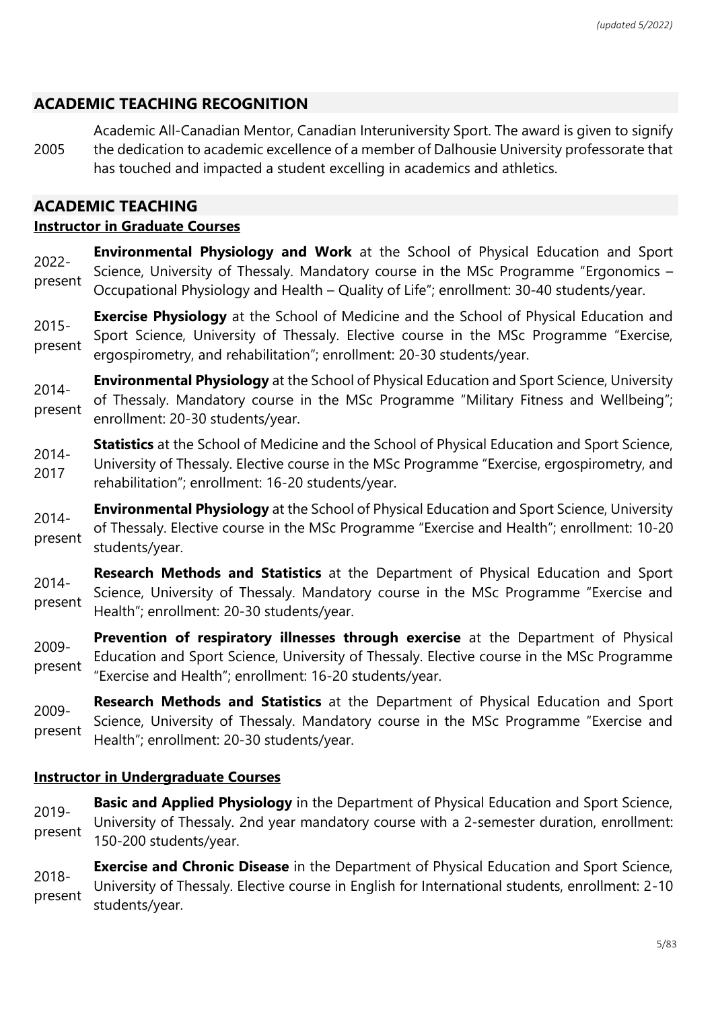# **ACADEMIC TEACHING RECOGNITION**

2005 Academic All-Canadian Mentor, Canadian Interuniversity Sport. The award is given to signify the dedication to academic excellence of a member of Dalhousie University professorate that has touched and impacted a student excelling in academics and athletics.

## **ACADEMIC TEACHING**

### **Instructor in Graduate Courses**

- 2022 present **Environmental Physiology and Work** at the School of Physical Education and Sport Science, University of Thessaly. Mandatory course in the MSc Programme "Ergonomics – Occupational Physiology and Health – Quality of Life"; enrollment: 30-40 students/year.
- 2015 present **Exercise Physiology** at the School of Medicine and the School of Physical Education and Sport Science, University of Thessaly. Elective course in the MSc Programme "Exercise, ergospirometry, and rehabilitation"; enrollment: 20-30 students/year.
- 2014 present **Environmental Physiology** at the School of Physical Education and Sport Science, University of Thessaly. Mandatory course in the MSc Programme "Military Fitness and Wellbeing"; enrollment: 20-30 students/year.
- 2014- 2017 **Statistics** at the School of Medicine and the School of Physical Education and Sport Science, University of Thessaly. Elective course in the MSc Programme "Exercise, ergospirometry, and rehabilitation"; enrollment: 16-20 students/year.
- 2014 present **Environmental Physiology** at the School of Physical Education and Sport Science, University of Thessaly. Elective course in the MSc Programme "Exercise and Health"; enrollment: 10-20 students/year.
- 2014 present **Research Methods and Statistics** at the Department of Physical Education and Sport Science, University of Thessaly. Mandatory course in the MSc Programme "Exercise and Health"; enrollment: 20-30 students/year.
- 2009 present **Prevention of respiratory illnesses through exercise** at the Department of Physical Education and Sport Science, University of Thessaly. Elective course in the MSc Programme "Exercise and Health"; enrollment: 16-20 students/year.
- 2009 present **Research Methods and Statistics** at the Department of Physical Education and Sport Science, University of Thessaly. Mandatory course in the MSc Programme "Exercise and Health"; enrollment: 20-30 students/year.

### **Instructor in Undergraduate Courses**

- 2019 present **Basic and Applied Physiology** in the Department of Physical Education and Sport Science, University of Thessaly. 2nd year mandatory course with a 2-semester duration, enrollment: 150-200 students/year.
- 2018 present **Exercise and Chronic Disease** in the Department of Physical Education and Sport Science, University of Thessaly. Elective course in English for International students, enrollment: 2-10 students/year.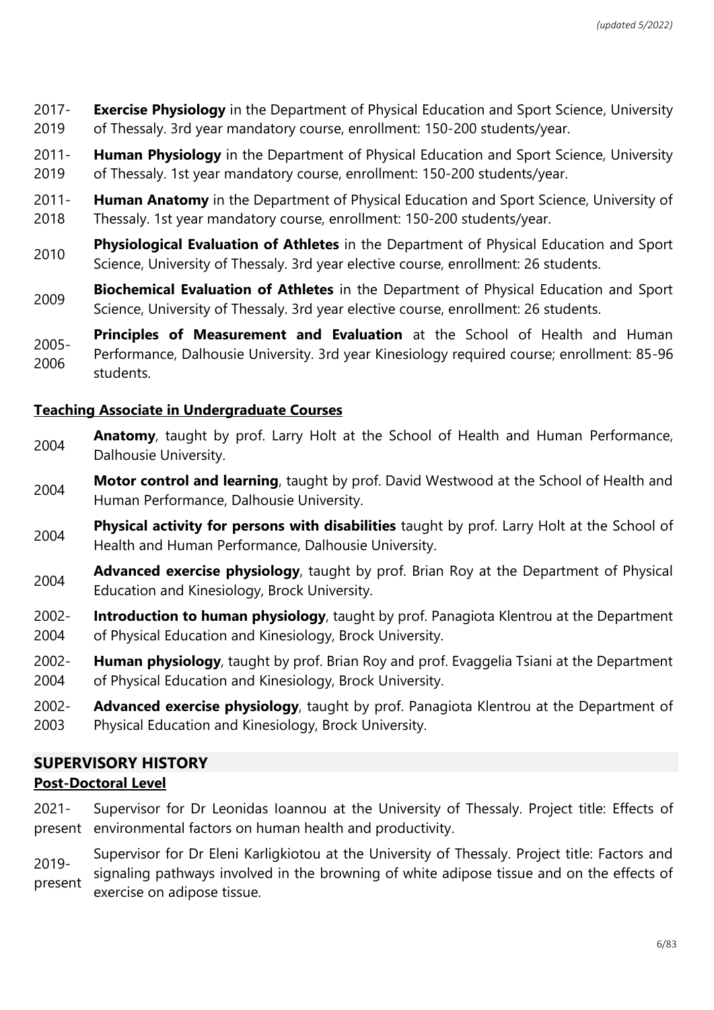2017- 2019 **Exercise Physiology** in the Department of Physical Education and Sport Science, University of Thessaly. 3rd year mandatory course, enrollment: 150-200 students/year.

- 2011- 2019 **Human Physiology** in the Department of Physical Education and Sport Science, University of Thessaly. 1st year mandatory course, enrollment: 150-200 students/year.
- 2011- 2018 **Human Anatomy** in the Department of Physical Education and Sport Science, University of Thessaly. 1st year mandatory course, enrollment: 150-200 students/year.
- <sup>2010</sup> **Physiological Evaluation of Athletes** in the Department of Physical Education and Sport Science, University of Thessaly. 3rd year elective course, enrollment: 26 students.
- **Biochemical Evaluation of Athletes** in the Department of Physical Education and Sport Science, University of Thessaly. 3rd year elective course, enrollment: 26 students.
- 2005- 2006 **Principles of Measurement and Evaluation** at the School of Health and Human Performance, Dalhousie University. 3rd year Kinesiology required course; enrollment: 85-96 students.

### **Teaching Associate in Undergraduate Courses**

- **Anatomy**, taught by prof. Larry Holt at the School of Health and Human Performance, Dalhousie University.
- **Motor control and learning**, taught by prof. David Westwood at the School of Health and Human Performance, Dalhousie University.
- **Physical activity for persons with disabilities** taught by prof. Larry Holt at the School of Health and Human Performance, Dalhousie University.
- **Advanced exercise physiology**, taught by prof. Brian Roy at the Department of Physical Education and Kinesiology, Brock University.
- 2002- 2004 **Introduction to human physiology**, taught by prof. Panagiota Klentrou at the Department of Physical Education and Kinesiology, Brock University.
- 2002- 2004 **Human physiology**, taught by prof. Brian Roy and prof. Evaggelia Tsiani at the Department of Physical Education and Kinesiology, Brock University.
- 2002- 2003 **Advanced exercise physiology**, taught by prof. Panagiota Klentrou at the Department of Physical Education and Kinesiology, Brock University.

# **SUPERVISORY HISTORY Post-Doctoral Level**

- 2021 present environmental factors on human health and productivity. Supervisor for Dr Leonidas Ioannou at the University of Thessaly. Project title: Effects of
- 2019 present Supervisor for Dr Eleni Karligkiotou at the University of Thessaly. Project title: Factors and signaling pathways involved in the browning of white adipose tissue and on the effects of exercise on adipose tissue.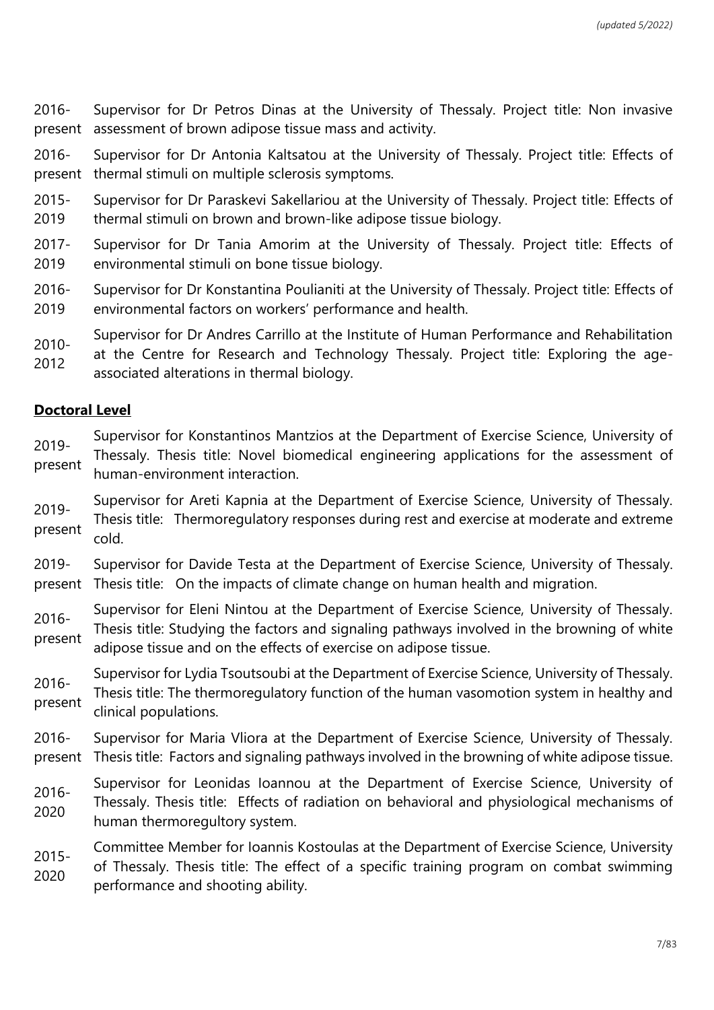2016 present Supervisor for Dr Petros Dinas at the University of Thessaly. Project title: Non invasive assessment of brown adipose tissue mass and activity.

2016 present thermal stimuli on multiple sclerosis symptoms. Supervisor for Dr Antonia Kaltsatou at the University of Thessaly. Project title: Effects of

- 2015- 2019 Supervisor for Dr Paraskevi Sakellariou at the University of Thessaly. Project title: Effects of thermal stimuli on brown and brown-like adipose tissue biology.
- 2017- 2019 Supervisor for Dr Tania Amorim at the University of Thessaly. Project title: Effects of environmental stimuli on bone tissue biology.
- 2016- 2019 Supervisor for Dr Konstantina Poulianiti at the University of Thessaly. Project title: Effects of environmental factors on workers' performance and health.
- 2010- Supervisor for Dr Andres Carrillo at the Institute of Human Performance and Rehabilitation
- 2012 at the Centre for Research and Technology Thessaly. Project title: Exploring the ageassociated alterations in thermal biology.

### **Doctoral Level**

- 2019 present Supervisor for Konstantinos Mantzios at the Department of Exercise Science, University of Thessaly. Thesis title: Novel biomedical engineering applications for the assessment of human-environment interaction.
- 2019 present Supervisor for Areti Kapnia at the Department of Exercise Science, University of Thessaly. Thesis title: Thermoregulatory responses during rest and exercise at moderate and extreme cold.
- 2019 present Thesis title: On the impacts of climate change on human health and migration. Supervisor for Davide Testa at the Department of Exercise Science, University of Thessaly.
- 2016 present Supervisor for Eleni Nintou at the Department of Exercise Science, University of Thessaly. Thesis title: Studying the factors and signaling pathways involved in the browning of white adipose tissue and on the effects of exercise on adipose tissue.
- 2016 present Supervisor for Lydia Tsoutsoubi at the Department of Exercise Science, University of Thessaly. Thesis title: The thermoregulatory function of the human vasomotion system in healthy and clinical populations.
- 2016 present Thesis title: Factors and signaling pathways involved in the browning of white adipose tissue. Supervisor for Maria Vliora at the Department of Exercise Science, University of Thessaly.
- 2016- 2020 Supervisor for Leonidas Ioannou at the Department of Exercise Science, University of Thessaly. Thesis title: Effects of radiation on behavioral and physiological mechanisms of human thermoregultory system.
- 2015- 2020 Committee Member for Ioannis Kostoulas at the Department of Exercise Science, University of Thessaly. Thesis title: The effect of a specific training program on combat swimming performance and shooting ability.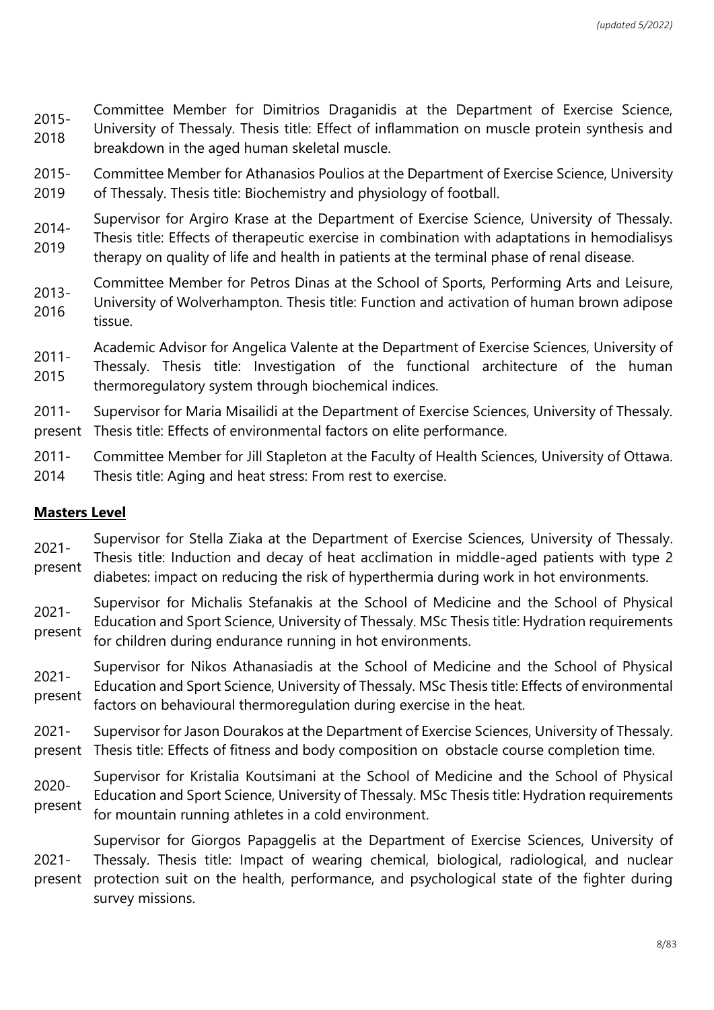2015- 2018 Committee Member for Dimitrios Draganidis at the Department of Exercise Science, University of Thessaly. Thesis title: Effect of inflammation on muscle protein synthesis and breakdown in the aged human skeletal muscle.

- 2015- 2019 Committee Member for Athanasios Poulios at the Department of Exercise Science, University of Thessaly. Thesis title: Biochemistry and physiology of football.
- 2014- 2019 Supervisor for Argiro Krase at the Department of Exercise Science, University of Thessaly. Thesis title: Effects of therapeutic exercise in combination with adaptations in hemodialisys therapy on quality of life and health in patients at the terminal phase of renal disease.
- 2013- 2016 Committee Member for Petros Dinas at the School of Sports, Performing Arts and Leisure, University of Wolverhampton. Thesis title: Function and activation of human brown adipose tissue.
- Academic Advisor for Angelica Valente at the Department of Exercise Sciences, University of
- 2011- 2015 Thessaly. Thesis title: Investigation of the functional architecture of the human thermoregulatory system through biochemical indices.

2011 present Thesis title: Effects of environmental factors on elite performance. Supervisor for Maria Misailidi at the Department of Exercise Sciences, University of Thessaly.

- 2011- Committee Member for Jill Stapleton at the Faculty of Health Sciences, University of Ottawa.
- 2014 Thesis title: Aging and heat stress: From rest to exercise.

### **Masters Level**

- 2021 present Supervisor for Stella Ziaka at the Department of Exercise Sciences, University of Thessaly. Thesis title: Induction and decay of heat acclimation in middle-aged patients with type 2 diabetes: impact on reducing the risk of hyperthermia during work in hot environments.
- 2021 present Supervisor for Michalis Stefanakis at the School of Medicine and the School of Physical Education and Sport Science, University of Thessaly. MSc Thesis title: Hydration requirements for children during endurance running in hot environments.
- 2021 present Supervisor for Nikos Athanasiadis at the School of Medicine and the School of Physical Education and Sport Science, University of Thessaly. MSc Thesis title: Effects of environmental factors on behavioural thermoregulation during exercise in the heat.
- 2021 present Thesis title: Effects of fitness and body composition on obstacle course completion time. Supervisor for Jason Dourakos at the Department of Exercise Sciences, University of Thessaly.
- 2020 present Supervisor for Kristalia Koutsimani at the School of Medicine and the School of Physical Education and Sport Science, University of Thessaly. MSc Thesis title: Hydration requirements for mountain running athletes in a cold environment.
- 2021 present Supervisor for Giorgos Papaggelis at the Department of Exercise Sciences, University of Thessaly. Thesis title: Impact of wearing chemical, biological, radiological, and nuclear protection suit on the health, performance, and psychological state of the fighter during survey missions.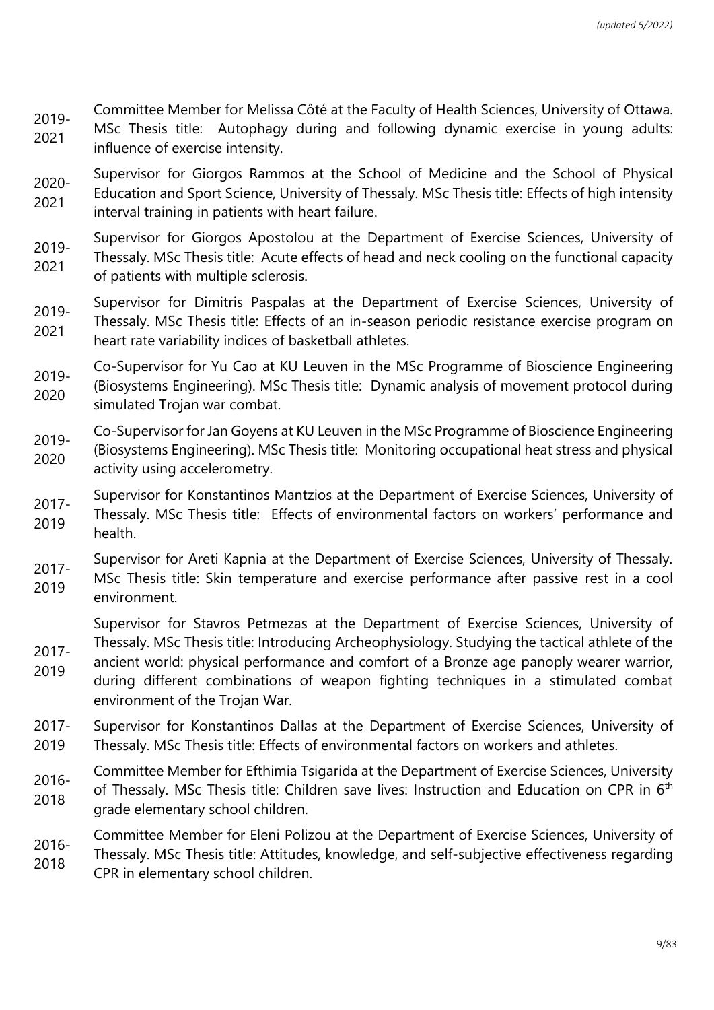- 2019- Committee Member for Melissa Côté at the Faculty of Health Sciences, University of Ottawa.
- 2021 MSc Thesis title: Autophagy during and following dynamic exercise in young adults: influence of exercise intensity.

2020- 2021 Supervisor for Giorgos Rammos at the School of Medicine and the School of Physical Education and Sport Science, University of Thessaly. MSc Thesis title: Effects of high intensity interval training in patients with heart failure.

2019- 2021 Supervisor for Giorgos Apostolou at the Department of Exercise Sciences, University of Thessaly. MSc Thesis title: Acute effects of head and neck cooling on the functional capacity of patients with multiple sclerosis.

2019- 2021 Supervisor for Dimitris Paspalas at the Department of Exercise Sciences, University of Thessaly. MSc Thesis title: Effects of an in-season periodic resistance exercise program on heart rate variability indices of basketball athletes.

2019- 2020 Co-Supervisor for Yu Cao at KU Leuven in the MSc Programme of Bioscience Engineering (Biosystems Engineering). MSc Thesis title: Dynamic analysis of movement protocol during simulated Trojan war combat.

- 2019- 2020 Co-Supervisor for Jan Goyens at KU Leuven in the MSc Programme of Bioscience Engineering (Biosystems Engineering). MSc Thesis title: Monitoring occupational heat stress and physical activity using accelerometry.
- 2017- 2019 Supervisor for Konstantinos Mantzios at the Department of Exercise Sciences, University of Thessaly. MSc Thesis title: Effects of environmental factors on workers' performance and health.
- 2017- Supervisor for Areti Kapnia at the Department of Exercise Sciences, University of Thessaly.
- 2019 MSc Thesis title: Skin temperature and exercise performance after passive rest in a cool environment.

Supervisor for Stavros Petmezas at the Department of Exercise Sciences, University of Thessaly. MSc Thesis title: Introducing Archeophysiology. Studying the tactical athlete of the

2019 ancient world: physical performance and comfort of a Bronze age panoply wearer warrior, during different combinations of weapon fighting techniques in a stimulated combat environment of the Trojan War.

2017-

- 2017- 2019 Supervisor for Konstantinos Dallas at the Department of Exercise Sciences, University of Thessaly. MSc Thesis title: Effects of environmental factors on workers and athletes.
- 2016- 2018 Committee Member for Efthimia Tsigarida at the Department of Exercise Sciences, University of Thessaly. MSc Thesis title: Children save lives: Instruction and Education on CPR in 6<sup>th</sup> grade elementary school children.
- 2016- Committee Member for Eleni Polizou at the Department of Exercise Sciences, University of
- 2018 Thessaly. MSc Thesis title: Attitudes, knowledge, and self-subjective effectiveness regarding CPR in elementary school children.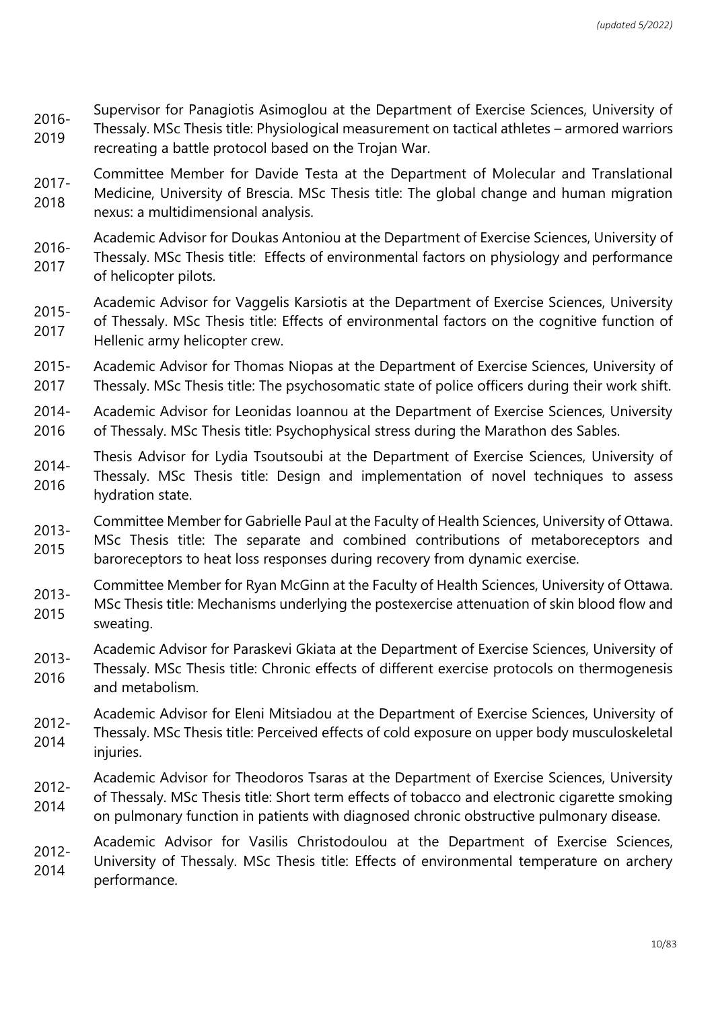- 2016- 2019 Supervisor for Panagiotis Asimoglou at the Department of Exercise Sciences, University of Thessaly. MSc Thesis title: Physiological measurement on tactical athletes – armored warriors recreating a battle protocol based on the Trojan War.
- 2017- 2018 Committee Member for Davide Testa at the Department of Molecular and Translational Medicine, University of Brescia. MSc Thesis title: The global change and human migration nexus: a multidimensional analysis.
- 2016- Academic Advisor for Doukas Antoniou at the Department of Exercise Sciences, University of
- 2017 Thessaly. MSc Thesis title: Effects of environmental factors on physiology and performance of helicopter pilots.
- 2015- Academic Advisor for Vaggelis Karsiotis at the Department of Exercise Sciences, University
- 2017 of Thessaly. MSc Thesis title: Effects of environmental factors on the cognitive function of Hellenic army helicopter crew.
- 2015- 2017 Academic Advisor for Thomas Niopas at the Department of Exercise Sciences, University of Thessaly. MSc Thesis title: The psychosomatic state of police officers during their work shift.
- 2014- 2016 Academic Advisor for Leonidas Ioannou at the Department of Exercise Sciences, University of Thessaly. MSc Thesis title: Psychophysical stress during the Marathon des Sables.
- 2014- 2016 Thesis Advisor for Lydia Tsoutsoubi at the Department of Exercise Sciences, University of Thessaly. MSc Thesis title: Design and implementation of novel techniques to assess hydration state.
- 2013- Committee Member for Gabrielle Paul at the Faculty of Health Sciences, University of Ottawa.
- 2015 MSc Thesis title: The separate and combined contributions of metaboreceptors and baroreceptors to heat loss responses during recovery from dynamic exercise.
- 2013- Committee Member for Ryan McGinn at the Faculty of Health Sciences, University of Ottawa.
- 2015 MSc Thesis title: Mechanisms underlying the postexercise attenuation of skin blood flow and sweating.
- 2013- Academic Advisor for Paraskevi Gkiata at the Department of Exercise Sciences, University of
- 2016 Thessaly. MSc Thesis title: Chronic effects of different exercise protocols on thermogenesis and metabolism.
- Academic Advisor for Eleni Mitsiadou at the Department of Exercise Sciences, University of
- 2012- 2014 Thessaly. MSc Thesis title: Perceived effects of cold exposure on upper body musculoskeletal injuries.
- 2012- Academic Advisor for Theodoros Tsaras at the Department of Exercise Sciences, University
- 2014 of Thessaly. MSc Thesis title: Short term effects of tobacco and electronic cigarette smoking on pulmonary function in patients with diagnosed chronic obstructive pulmonary disease.
- 2012- 2014 Academic Advisor for Vasilis Christodoulou at the Department of Exercise Sciences, University of Thessaly. MSc Thesis title: Effects of environmental temperature on archery performance.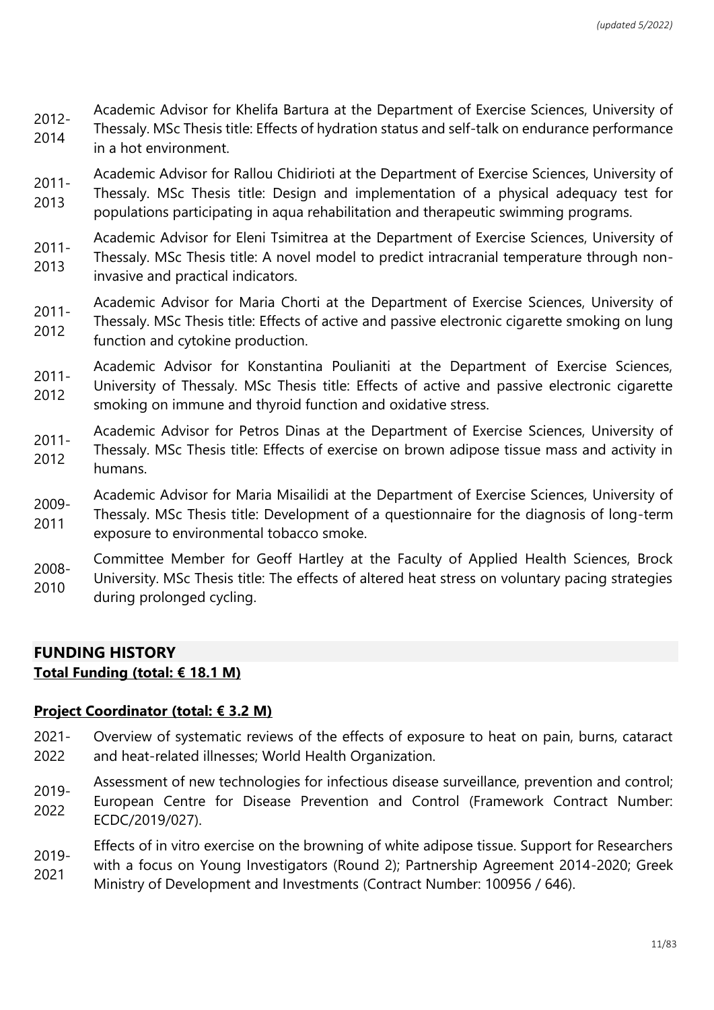- 2012- Academic Advisor for Khelifa Bartura at the Department of Exercise Sciences, University of
- 2014 Thessaly. MSc Thesis title: Effects of hydration status and self-talk on endurance performance in a hot environment.

Academic Advisor for Rallou Chidirioti at the Department of Exercise Sciences, University of

- 2011- 2013 Thessaly. MSc Thesis title: Design and implementation of a physical adequacy test for populations participating in aqua rehabilitation and therapeutic swimming programs.
- 2011- Academic Advisor for Eleni Tsimitrea at the Department of Exercise Sciences, University of
- 2013 Thessaly. MSc Thesis title: A novel model to predict intracranial temperature through noninvasive and practical indicators.
- 2011- Academic Advisor for Maria Chorti at the Department of Exercise Sciences, University of
- 2012 Thessaly. MSc Thesis title: Effects of active and passive electronic cigarette smoking on lung function and cytokine production.
- 2011- Academic Advisor for Konstantina Poulianiti at the Department of Exercise Sciences,
- 2012 University of Thessaly. MSc Thesis title: Effects of active and passive electronic cigarette smoking on immune and thyroid function and oxidative stress.
- 2011- 2012 Academic Advisor for Petros Dinas at the Department of Exercise Sciences, University of Thessaly. MSc Thesis title: Effects of exercise on brown adipose tissue mass and activity in humans.
- Academic Advisor for Maria Misailidi at the Department of Exercise Sciences, University of
- 2009- 2011 Thessaly. MSc Thesis title: Development of a questionnaire for the diagnosis of long-term exposure to environmental tobacco smoke.
- 2008- 2010 Committee Member for Geoff Hartley at the Faculty of Applied Health Sciences, Brock University. MSc Thesis title: The effects of altered heat stress on voluntary pacing strategies during prolonged cycling.

# **FUNDING HISTORY Total Funding (total: € 18.1 M)**

### **Project Coordinator (total: € 3.2 M)**

- 2021- 2022 Overview of systematic reviews of the effects of exposure to heat on pain, burns, cataract and heat-related illnesses; World Health Organization.
- 2019- 2022 Assessment of new technologies for infectious disease surveillance, prevention and control; European Centre for Disease Prevention and Control (Framework Contract Number: ECDC/2019/027).
- Effects of in vitro exercise on the browning of white adipose tissue. Support for Researchers
- 2019- 2021 with a focus on Young Investigators (Round 2); Partnership Agreement 2014-2020; Greek Ministry of Development and Investments (Contract Number: 100956 / 646).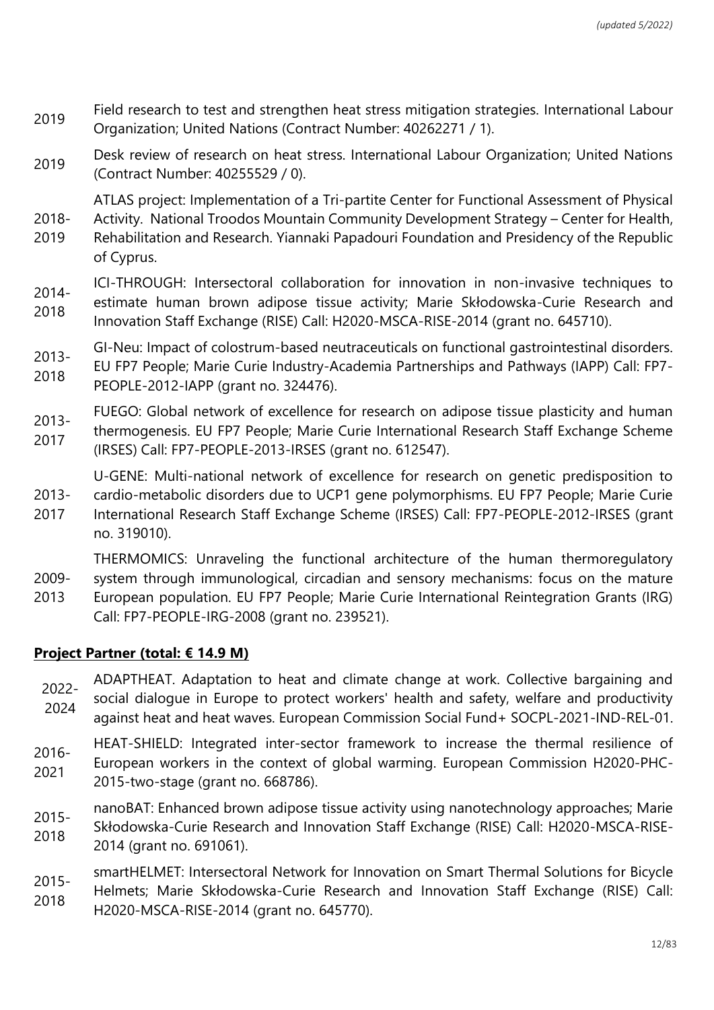- <sup>2019</sup> Field research to test and strengthen heat stress mitigation strategies. International Labour Organization; United Nations (Contract Number: 40262271 / 1).
- <sup>2019</sup> Desk review of research on heat stress. International Labour Organization; United Nations (Contract Number: 40255529 / 0).

ATLAS project: Implementation of a Tri-partite Center for Functional Assessment of Physical

- 2018- 2019 Activity. National Troodos Mountain Community Development Strategy – Center for Health, Rehabilitation and Research. Yiannaki Papadouri Foundation and Presidency of the Republic of Cyprus.
- 2014- ICI-THROUGH: Intersectoral collaboration for innovation in non-invasive techniques to
- 2018 estimate human brown adipose tissue activity; Marie Skłodowska-Curie Research and Innovation Staff Exchange (RISE) Call: H2020-MSCA-RISE-2014 (grant no. 645710).
- 2013- GI-Neu: Impact of colostrum-based neutraceuticals on functional gastrointestinal disorders.
- 2018 EU FP7 People; Marie Curie Industry-Academia Partnerships and Pathways (IAPP) Call: FP7- PEOPLE-2012-IAPP (grant no. 324476).
- 2013- FUEGO: Global network of excellence for research on adipose tissue plasticity and human
- 2017 thermogenesis. EU FP7 People; Marie Curie International Research Staff Exchange Scheme (IRSES) Call: FP7-PEOPLE-2013-IRSES (grant no. 612547).

U-GENE: Multi-national network of excellence for research on genetic predisposition to

- 2013 cardio-metabolic disorders due to UCP1 gene polymorphisms. EU FP7 People; Marie Curie
- 2017 International Research Staff Exchange Scheme (IRSES) Call: FP7-PEOPLE-2012-IRSES (grant no. 319010).

THERMOMICS: Unraveling the functional architecture of the human thermoregulatory

- 2009 system through immunological, circadian and sensory mechanisms: focus on the mature
- 2013 European population. EU FP7 People; Marie Curie International Reintegration Grants (IRG) Call: FP7-PEOPLE-IRG-2008 (grant no. 239521).

### **Project Partner (total: € 14.9 M)**

2022- 2024 ADAPTHEAT. Adaptation to heat and climate change at work. Collective bargaining and social dialogue in Europe to protect workers' health and safety, welfare and productivity against heat and heat waves. European Commission Social Fund+ SOCPL-2021-IND-REL-01.

- 2016- 2021 HEAT-SHIELD: Integrated inter-sector framework to increase the thermal resilience of European workers in the context of global warming. European Commission H2020-PHC-2015-two-stage (grant no. 668786).
- 2015 nanoBAT: Enhanced brown adipose tissue activity using nanotechnology approaches; Marie
- 2018 Skłodowska-Curie Research and Innovation Staff Exchange (RISE) Call: H2020-MSCA-RISE-2014 (grant no. 691061).
- 2015- 2018 smartHELMET: Intersectoral Network for Innovation on Smart Thermal Solutions for Bicycle Helmets; Marie Skłodowska-Curie Research and Innovation Staff Exchange (RISE) Call: H2020-MSCA-RISE-2014 (grant no. 645770).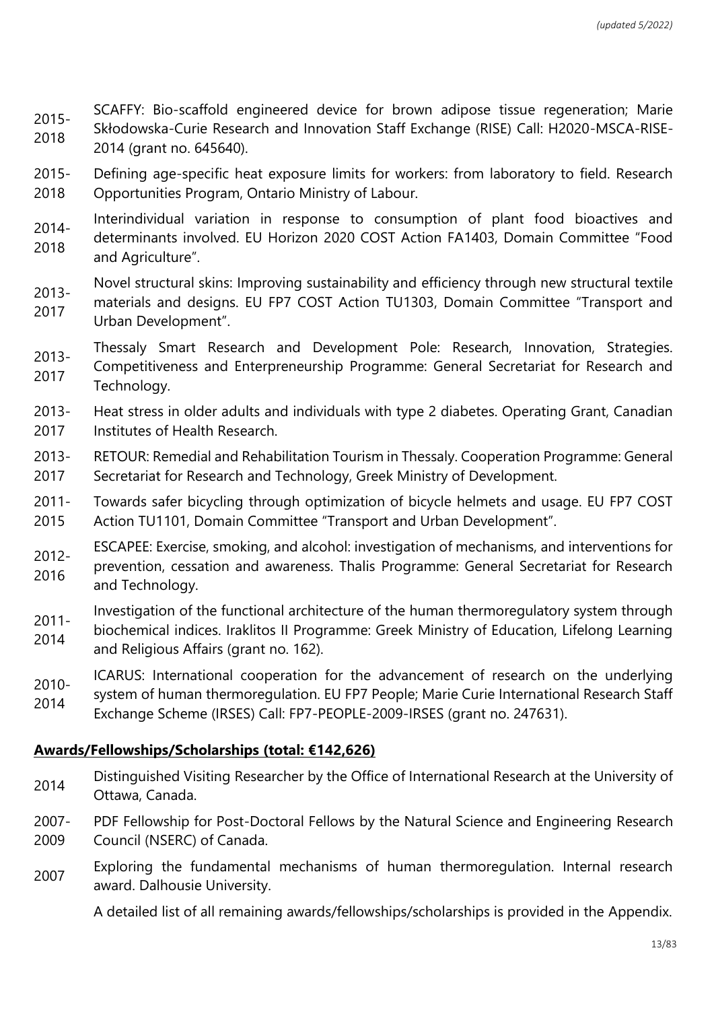2015- 2018 SCAFFY: Bio-scaffold engineered device for brown adipose tissue regeneration; Marie Skłodowska-Curie Research and Innovation Staff Exchange (RISE) Call: H2020-MSCA-RISE-2014 (grant no. 645640).

- 2015- 2018 Defining age-specific heat exposure limits for workers: from laboratory to field. Research Opportunities Program, Ontario Ministry of Labour.
- 2014- 2018 Interindividual variation in response to consumption of plant food bioactives and determinants involved. EU Horizon 2020 COST Action FA1403, Domain Committee "Food and Agriculture".
- Novel structural skins: Improving sustainability and efficiency through new structural textile
- 2013- 2017 materials and designs. EU FP7 COST Action TU1303, Domain Committee "Transport and Urban Development".
- 2013- Thessaly Smart Research and Development Pole: Research, Innovation, Strategies.
- 2017 Competitiveness and Enterpreneurship Programme: General Secretariat for Research and Technology.
- 2013- 2017 Heat stress in older adults and individuals with type 2 diabetes. Operating Grant, Canadian Institutes of Health Research.
- 2013- 2017 RETOUR: Remedial and Rehabilitation Tourism in Thessaly. Cooperation Programme: General Secretariat for Research and Technology, Greek Ministry of Development.
- 2011- Towards safer bicycling through optimization of bicycle helmets and usage. EU FP7 COST
- 2015 Action TU1101, Domain Committee "Transport and Urban Development".
- 2012- ESCAPEE: Exercise, smoking, and alcohol: investigation of mechanisms, and interventions for
- 2016 prevention, cessation and awareness. Thalis Programme: General Secretariat for Research and Technology.
- 2011- Investigation of the functional architecture of the human thermoregulatory system through
- 2014 biochemical indices. Iraklitos II Programme: Greek Ministry of Education, Lifelong Learning and Religious Affairs (grant no. 162).
- ICARUS: International cooperation for the advancement of research on the underlying
- 2010- 2014 system of human thermoregulation. EU FP7 People; Marie Curie International Research Staff
- Exchange Scheme (IRSES) Call: FP7-PEOPLE-2009-IRSES (grant no. 247631).

### **Awards/Fellowships/Scholarships (total: €142,626)**

- 2014 Distinguished Visiting Researcher by the Office of International Research at the University of Ottawa, Canada.
- 2007- 2009 PDF Fellowship for Post-Doctoral Fellows by the Natural Science and Engineering Research Council (NSERC) of Canada.
- 2007 Exploring the fundamental mechanisms of human thermoregulation. Internal research award. Dalhousie University.

A detailed list of all remaining awards/fellowships/scholarships is provided in the Appendix.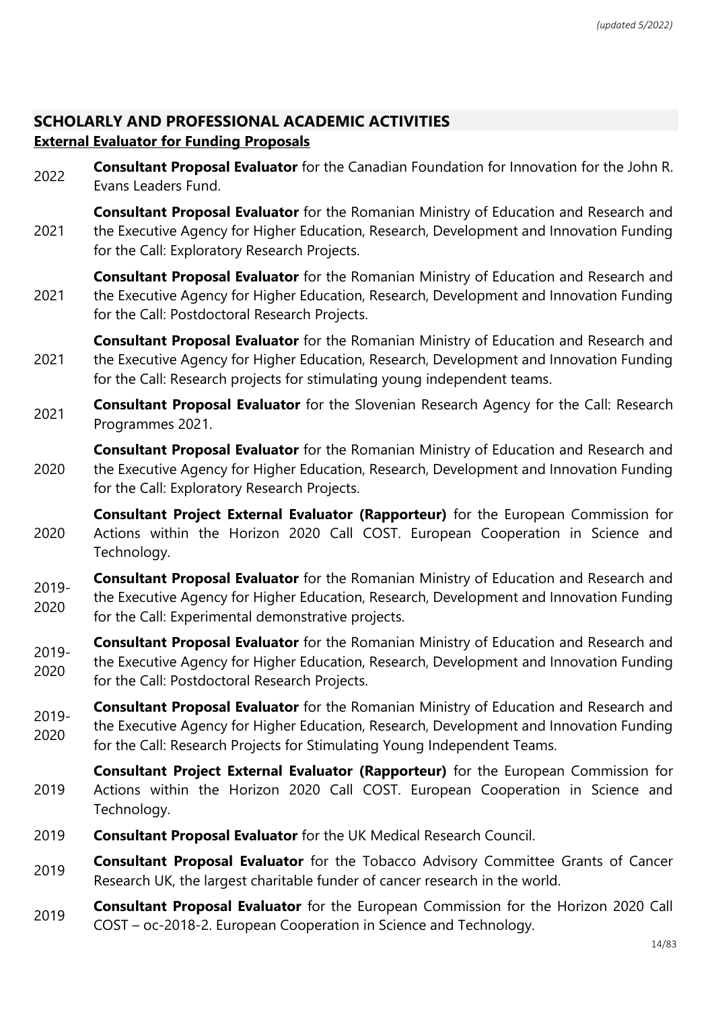# **SCHOLARLY AND PROFESSIONAL ACADEMIC ACTIVITIES External Evaluator for Funding Proposals**

2022 **Consultant Proposal Evaluator** for the Canadian Foundation for Innovation for the John R. Evans Leaders Fund.

2021 **Consultant Proposal Evaluator** for the Romanian Ministry of Education and Research and the Executive Agency for Higher Education, Research, Development and Innovation Funding for the Call: Exploratory Research Projects.

- 2021 **Consultant Proposal Evaluator** for the Romanian Ministry of Education and Research and the Executive Agency for Higher Education, Research, Development and Innovation Funding for the Call: Postdoctoral Research Projects.
- 2021 **Consultant Proposal Evaluator** for the Romanian Ministry of Education and Research and the Executive Agency for Higher Education, Research, Development and Innovation Funding for the Call: Research projects for stimulating young independent teams.
- 2021 **Consultant Proposal Evaluator** for the Slovenian Research Agency for the Call: Research Programmes 2021.
- 2020 **Consultant Proposal Evaluator** for the Romanian Ministry of Education and Research and the Executive Agency for Higher Education, Research, Development and Innovation Funding for the Call: Exploratory Research Projects.
- 2020 **Consultant Project External Evaluator (Rapporteur)** for the European Commission for Actions within the Horizon 2020 Call COST. European Cooperation in Science and Technology.
- 2019- 2020 **Consultant Proposal Evaluator** for the Romanian Ministry of Education and Research and the Executive Agency for Higher Education, Research, Development and Innovation Funding for the Call: Experimental demonstrative projects.
- 2019- 2020 **Consultant Proposal Evaluator** for the Romanian Ministry of Education and Research and the Executive Agency for Higher Education, Research, Development and Innovation Funding for the Call: Postdoctoral Research Projects.
- 2019- 2020 **Consultant Proposal Evaluator** for the Romanian Ministry of Education and Research and the Executive Agency for Higher Education, Research, Development and Innovation Funding for the Call: Research Projects for Stimulating Young Independent Teams.
- 2019 **Consultant Project External Evaluator (Rapporteur)** for the European Commission for Actions within the Horizon 2020 Call COST. European Cooperation in Science and Technology.
- 2019 **Consultant Proposal Evaluator** for the UK Medical Research Council.
- <sup>2019</sup> **Consultant Proposal Evaluator** for the Tobacco Advisory Committee Grants of Cancer Research UK, the largest charitable funder of cancer research in the world.
- <sup>2019</sup> **Consultant Proposal Evaluator** for the European Commission for the Horizon 2020 Call COST – oc-2018-2. European Cooperation in Science and Technology.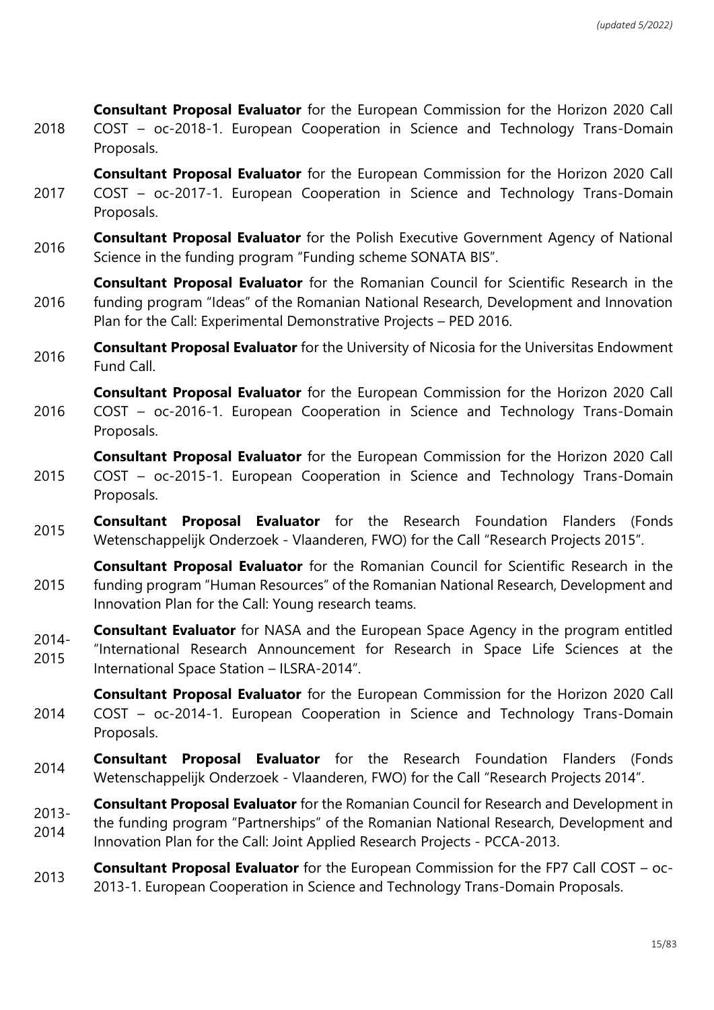2018 **Consultant Proposal Evaluator** for the European Commission for the Horizon 2020 Call COST – oc-2018-1. European Cooperation in Science and Technology Trans-Domain Proposals.

2017 **Consultant Proposal Evaluator** for the European Commission for the Horizon 2020 Call COST – oc-2017-1. European Cooperation in Science and Technology Trans-Domain Proposals.

- <sup>2016</sup> **Consultant Proposal Evaluator** for the Polish Executive Government Agency of National Science in the funding program "Funding scheme SONATA BIS".
- 2016 **Consultant Proposal Evaluator** for the Romanian Council for Scientific Research in the funding program "Ideas" of the Romanian National Research, Development and Innovation Plan for the Call: Experimental Demonstrative Projects – PED 2016.
- **Consultant Proposal Evaluator** for the University of Nicosia for the Universitas Endowment Fund Call.

2016 **Consultant Proposal Evaluator** for the European Commission for the Horizon 2020 Call COST – oc-2016-1. European Cooperation in Science and Technology Trans-Domain Proposals.

- 2015 **Consultant Proposal Evaluator** for the European Commission for the Horizon 2020 Call COST – oc-2015-1. European Cooperation in Science and Technology Trans-Domain Proposals.
- <sup>2015</sup> **Consultant Proposal Evaluator** for the Research Foundation Flanders (Fonds Wetenschappelijk Onderzoek - Vlaanderen, FWO) for the Call "Research Projects 2015".
- 2015 **Consultant Proposal Evaluator** for the Romanian Council for Scientific Research in the funding program "Human Resources" of the Romanian National Research, Development and Innovation Plan for the Call: Young research teams.
- 2014- 2015 **Consultant Evaluator** for NASA and the European Space Agency in the program entitled "International Research Announcement for Research in Space Life Sciences at the International Space Station – ILSRA-2014".
- 2014 **Consultant Proposal Evaluator** for the European Commission for the Horizon 2020 Call COST – oc-2014-1. European Cooperation in Science and Technology Trans-Domain Proposals.
- <sup>2014</sup> **Consultant Proposal Evaluator** for the Research Foundation Flanders (Fonds Wetenschappelijk Onderzoek - Vlaanderen, FWO) for the Call "Research Projects 2014".

2013- 2014 **Consultant Proposal Evaluator** for the Romanian Council for Research and Development in the funding program "Partnerships" of the Romanian National Research, Development and Innovation Plan for the Call: Joint Applied Research Projects - PCCA-2013.

<sup>2013</sup> **Consultant Proposal Evaluator** for the European Commission for the FP7 Call COST – oc-2013-1. European Cooperation in Science and Technology Trans-Domain Proposals.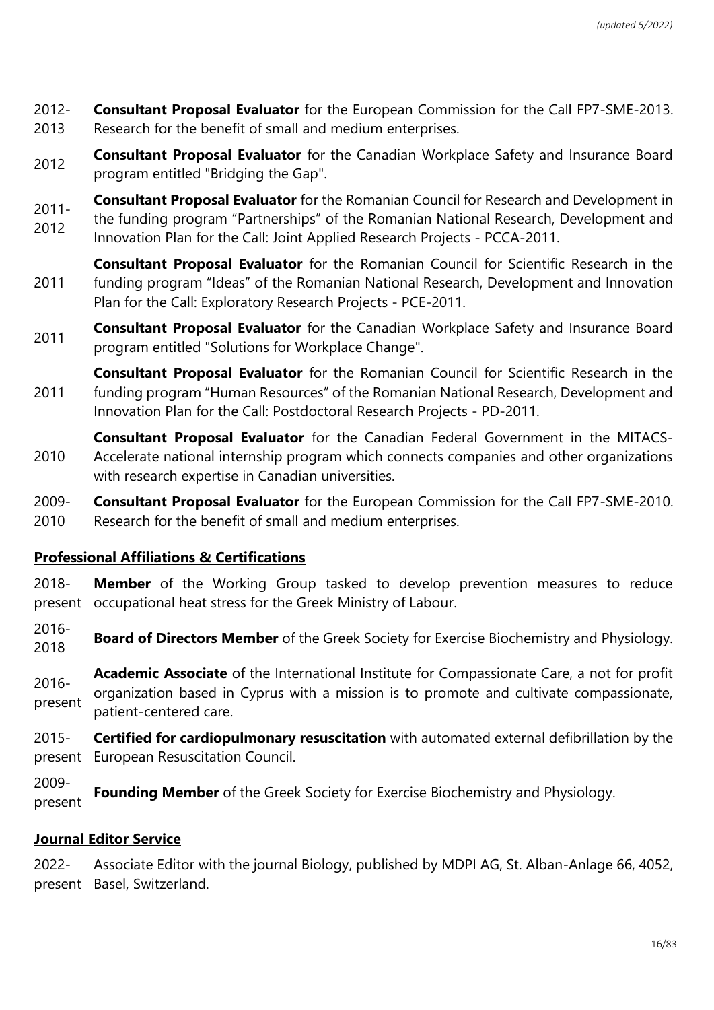2012- 2013 **Consultant Proposal Evaluator** for the European Commission for the Call FP7-SME-2013. Research for the benefit of small and medium enterprises.

**Consultant Proposal Evaluator** for the Canadian Workplace Safety and Insurance Board program entitled "Bridging the Gap".

2011- **Consultant Proposal Evaluator** for the Romanian Council for Research and Development in

2012 the funding program "Partnerships" of the Romanian National Research, Development and Innovation Plan for the Call: Joint Applied Research Projects - PCCA-2011.

2011 **Consultant Proposal Evaluator** for the Romanian Council for Scientific Research in the funding program "Ideas" of the Romanian National Research, Development and Innovation Plan for the Call: Exploratory Research Projects - PCE-2011.

2011 **Consultant Proposal Evaluator** for the Canadian Workplace Safety and Insurance Board program entitled "Solutions for Workplace Change".

2011 **Consultant Proposal Evaluator** for the Romanian Council for Scientific Research in the funding program "Human Resources" of the Romanian National Research, Development and Innovation Plan for the Call: Postdoctoral Research Projects - PD-2011.

2010 **Consultant Proposal Evaluator** for the Canadian Federal Government in the MITACS-Accelerate national internship program which connects companies and other organizations with research expertise in Canadian universities.

2009- 2010 **Consultant Proposal Evaluator** for the European Commission for the Call FP7-SME-2010. Research for the benefit of small and medium enterprises.

### **Professional Affiliations & Certifications**

2018 present occupational heat stress for the Greek Ministry of Labour. **Member** of the Working Group tasked to develop prevention measures to reduce

2016- **Board of Directors Member** of the Greek Society for Exercise Biochemistry and Physiology.

2016 present **Academic Associate** of the International Institute for Compassionate Care, a not for profit organization based in Cyprus with a mission is to promote and cultivate compassionate, patient-centered care.

2015 present European Resuscitation Council. **Certified for cardiopulmonary resuscitation** with automated external defibrillation by the

2009 present **Founding Member** of the Greek Society for Exercise Biochemistry and Physiology.

# **Journal Editor Service**

2022 present Basel, Switzerland.Associate Editor with the journal Biology, published by MDPI AG, St. Alban-Anlage 66, 4052,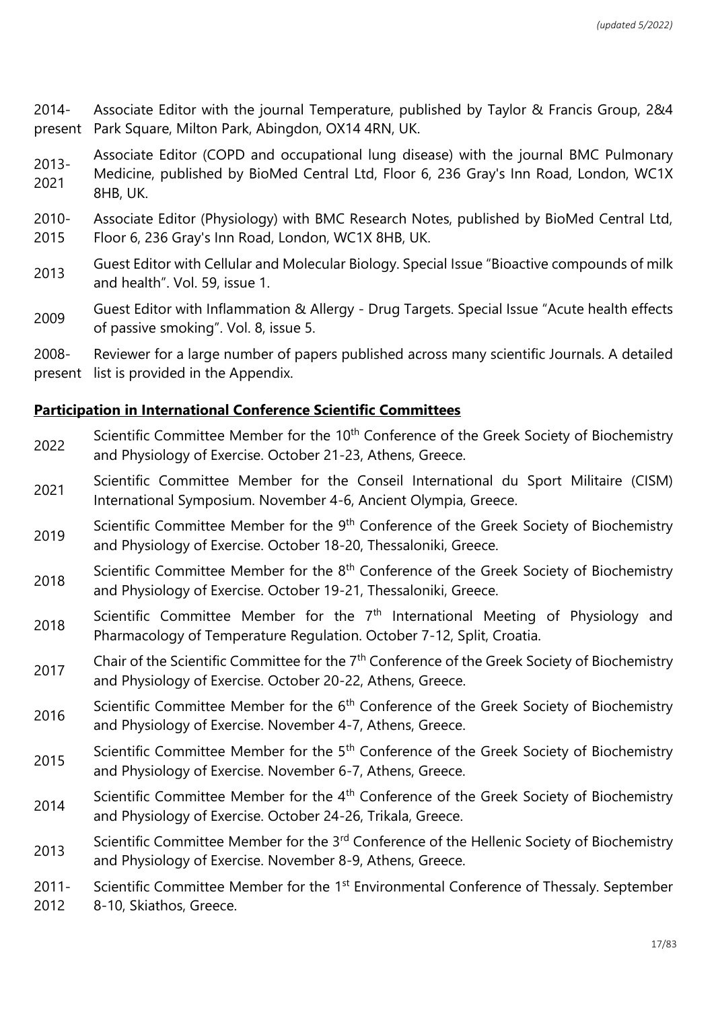2014 present Associate Editor with the journal Temperature, published by Taylor & Francis Group, 2&4 Park Square, Milton Park, Abingdon, OX14 4RN, UK.

2013- 2021 Associate Editor (COPD and occupational lung disease) with the journal BMC Pulmonary Medicine, published by BioMed Central Ltd, Floor 6, 236 Gray's Inn Road, London, WC1X 8HB, UK.

- 2010- 2015 Associate Editor (Physiology) with BMC Research Notes, published by BioMed Central Ltd, Floor 6, 236 Gray's Inn Road, London, WC1X 8HB, UK.
- <sup>2013</sup> Guest Editor with Cellular and Molecular Biology. Special Issue "Bioactive compounds of milk and health". Vol. 59, issue 1.
- <sup>2009</sup> Guest Editor with Inflammation & Allergy Drug Targets. Special Issue "Acute health effects of passive smoking". Vol. 8, issue 5.

2008 present list is provided in the Appendix. Reviewer for a large number of papers published across many scientific Journals. A detailed

## **Participation in International Conference Scientific Committees**

- 2022 Scientific Committee Member for the 10<sup>th</sup> Conference of the Greek Society of Biochemistry and Physiology of Exercise. October 21-23, Athens, Greece.
- <sup>2021</sup> Scientific Committee Member for the Conseil International du Sport Militaire (CISM) International Symposium. November 4-6, Ancient Olympia, Greece.
- 2019 Scientific Committee Member for the 9<sup>th</sup> Conference of the Greek Society of Biochemistry and Physiology of Exercise. October 18-20, Thessaloniki, Greece.
- 2018 Scientific Committee Member for the 8<sup>th</sup> Conference of the Greek Society of Biochemistry and Physiology of Exercise. October 19-21, Thessaloniki, Greece.
- $2018$  Scientific Committee Member for the  $7<sup>th</sup>$  International Meeting of Physiology and Pharmacology of Temperature Regulation. October 7-12, Split, Croatia.
- 2017 Chair of the Scientific Committee for the 7<sup>th</sup> Conference of the Greek Society of Biochemistry and Physiology of Exercise. October 20-22, Athens, Greece.
- 2016 Scientific Committee Member for the 6<sup>th</sup> Conference of the Greek Society of Biochemistry and Physiology of Exercise. November 4-7, Athens, Greece.
- 2015 Scientific Committee Member for the 5<sup>th</sup> Conference of the Greek Society of Biochemistry and Physiology of Exercise. November 6-7, Athens, Greece.
- 2014 Scientific Committee Member for the 4<sup>th</sup> Conference of the Greek Society of Biochemistry and Physiology of Exercise. October 24-26, Trikala, Greece.
- 2013 Scientific Committee Member for the 3<sup>rd</sup> Conference of the Hellenic Society of Biochemistry and Physiology of Exercise. November 8-9, Athens, Greece.
- 2011- Scientific Committee Member for the 1<sup>st</sup> Environmental Conference of Thessaly. September
- 2012 8-10, Skiathos, Greece.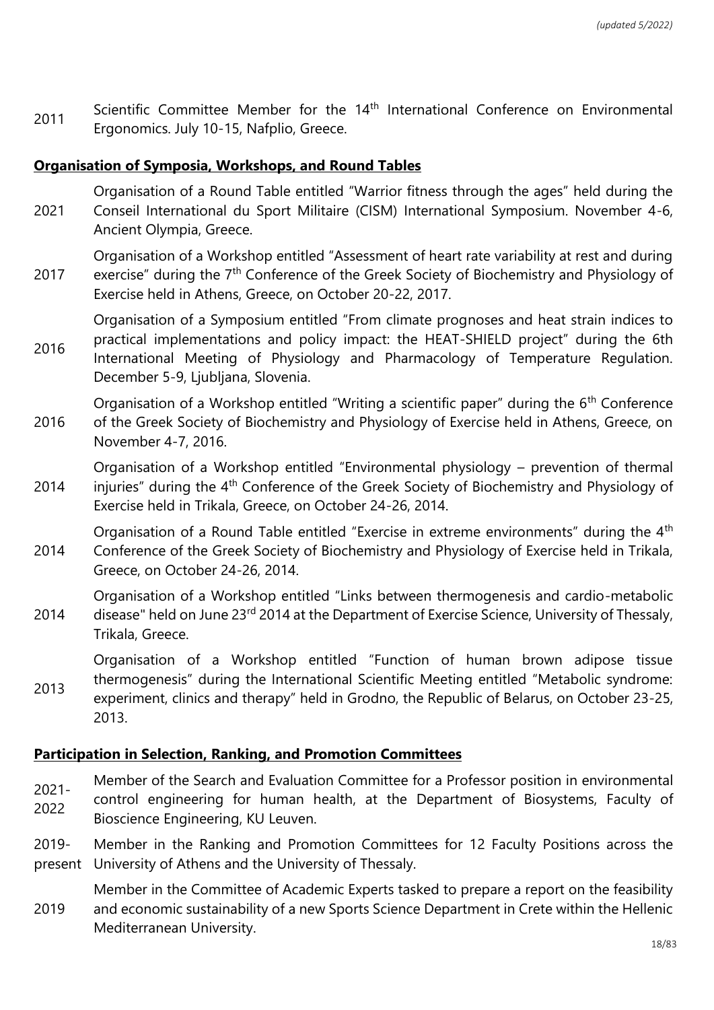$2011$  Scientific Committee Member for the  $14<sup>th</sup>$  International Conference on Environmental Ergonomics. July 10-15, Nafplio, Greece.

#### **Organisation of Symposia, Workshops, and Round Tables**

2021 Organisation of a Round Table entitled "Warrior fitness through the ages" held during the Conseil International du Sport Militaire (CISM) International Symposium. November 4-6, Ancient Olympia, Greece.

2017 Organisation of a Workshop entitled "Assessment of heart rate variability at rest and during exercise" during the 7<sup>th</sup> Conference of the Greek Society of Biochemistry and Physiology of Exercise held in Athens, Greece, on October 20-22, 2017.

2016 Organisation of a Symposium entitled "From climate prognoses and heat strain indices to practical implementations and policy impact: the HEAT-SHIELD project" during the 6th International Meeting of Physiology and Pharmacology of Temperature Regulation. December 5-9, Ljubljana, Slovenia.

2016 Organisation of a Workshop entitled "Writing a scientific paper" during the 6<sup>th</sup> Conference of the Greek Society of Biochemistry and Physiology of Exercise held in Athens, Greece, on November 4-7, 2016.

2014 Organisation of a Workshop entitled "Environmental physiology – prevention of thermal injuries" during the 4<sup>th</sup> Conference of the Greek Society of Biochemistry and Physiology of Exercise held in Trikala, Greece, on October 24-26, 2014.

2014 Organisation of a Round Table entitled "Exercise in extreme environments" during the 4<sup>th</sup> Conference of the Greek Society of Biochemistry and Physiology of Exercise held in Trikala, Greece, on October 24-26, 2014.

2014 Organisation of a Workshop entitled "Links between thermogenesis and cardio-metabolic disease" held on June 23<sup>rd</sup> 2014 at the Department of Exercise Science, University of Thessaly, Trikala, Greece.

2013 Organisation of a Workshop entitled "Function of human brown adipose tissue thermogenesis" during the International Scientific Meeting entitled "Metabolic syndrome: experiment, clinics and therapy" held in Grodno, the Republic of Belarus, on October 23-25, 2013.

#### **Participation in Selection, Ranking, and Promotion Committees**

- Member of the Search and Evaluation Committee for a Professor position in environmental
- 2021- 2022 control engineering for human health, at the Department of Biosystems, Faculty of Bioscience Engineering, KU Leuven.
- 2019 present Member in the Ranking and Promotion Committees for 12 Faculty Positions across the University of Athens and the University of Thessaly.
- 2019 Member in the Committee of Academic Experts tasked to prepare a report on the feasibility and economic sustainability of a new Sports Science Department in Crete within the Hellenic Mediterranean University.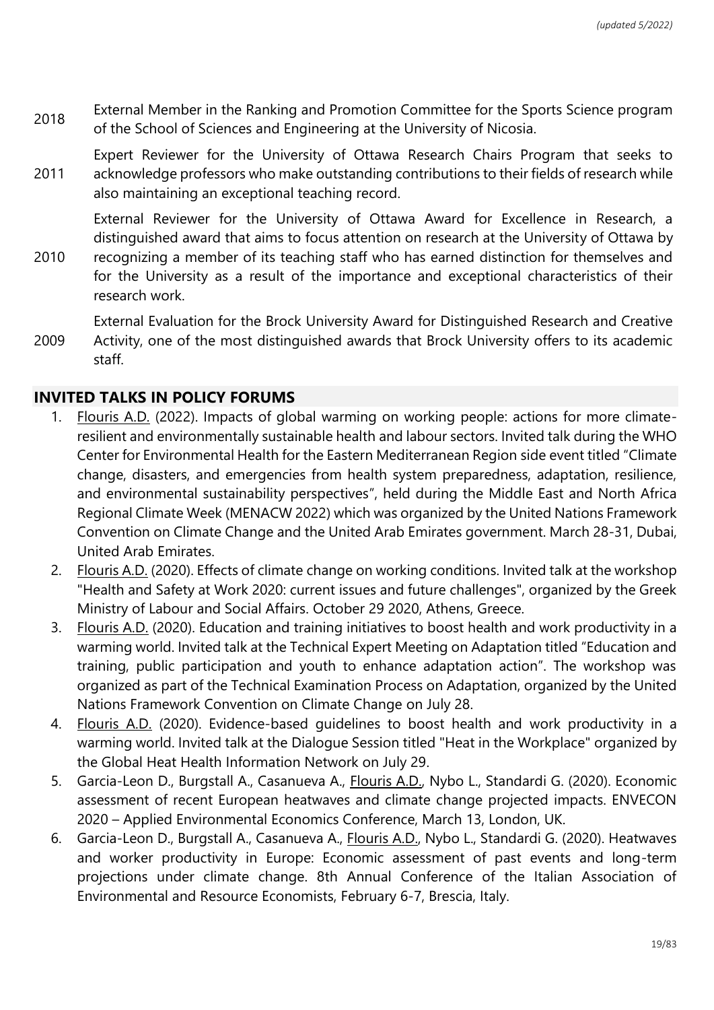- <sup>2018</sup> External Member in the Ranking and Promotion Committee for the Sports Science program of the School of Sciences and Engineering at the University of Nicosia.
- 2011 Expert Reviewer for the University of Ottawa Research Chairs Program that seeks to acknowledge professors who make outstanding contributions to their fields of research while also maintaining an exceptional teaching record.

External Reviewer for the University of Ottawa Award for Excellence in Research, a distinguished award that aims to focus attention on research at the University of Ottawa by

- 2010 recognizing a member of its teaching staff who has earned distinction for themselves and for the University as a result of the importance and exceptional characteristics of their research work.
- 2009 External Evaluation for the Brock University Award for Distinguished Research and Creative Activity, one of the most distinguished awards that Brock University offers to its academic staff.

### **INVITED TALKS IN POLICY FORUMS**

- 1. Flouris A.D. (2022). Impacts of global warming on working people: actions for more climateresilient and environmentally sustainable health and labour sectors. Invited talk during the WHO Center for Environmental Health for the Eastern Mediterranean Region side event titled "Climate change, disasters, and emergencies from health system preparedness, adaptation, resilience, and environmental sustainability perspectives", held during the Middle East and North Africa Regional Climate Week (MENACW 2022) which was organized by the United Nations Framework Convention on Climate Change and the United Arab Emirates government. March 28-31, Dubai, United Arab Emirates.
- 2. Flouris A.D. (2020). Effects of climate change on working conditions. Invited talk at the workshop "Health and Safety at Work 2020: current issues and future challenges", organized by the Greek Ministry of Labour and Social Affairs. October 29 2020, Athens, Greece.
- 3. Flouris A.D. (2020). Education and training initiatives to boost health and work productivity in a warming world. Invited talk at the Technical Expert Meeting on Adaptation titled "Education and training, public participation and youth to enhance adaptation action". The workshop was organized as part of the Technical Examination Process on Adaptation, organized by the United Nations Framework Convention on Climate Change on July 28.
- 4. Flouris A.D. (2020). Evidence-based guidelines to boost health and work productivity in a warming world. Invited talk at the Dialogue Session titled "Heat in the Workplace" organized by the Global Heat Health Information Network on July 29.
- 5. Garcia-Leon D., Burgstall A., Casanueva A., Flouris A.D., Nybo L., Standardi G. (2020). Economic assessment of recent European heatwaves and climate change projected impacts. ENVECON 2020 – Applied Environmental Economics Conference, March 13, London, UK.
- 6. Garcia-Leon D., Burgstall A., Casanueva A., Flouris A.D., Nybo L., Standardi G. (2020). Heatwaves and worker productivity in Europe: Economic assessment of past events and long-term projections under climate change. 8th Annual Conference of the Italian Association of Environmental and Resource Economists, February 6-7, Brescia, Italy.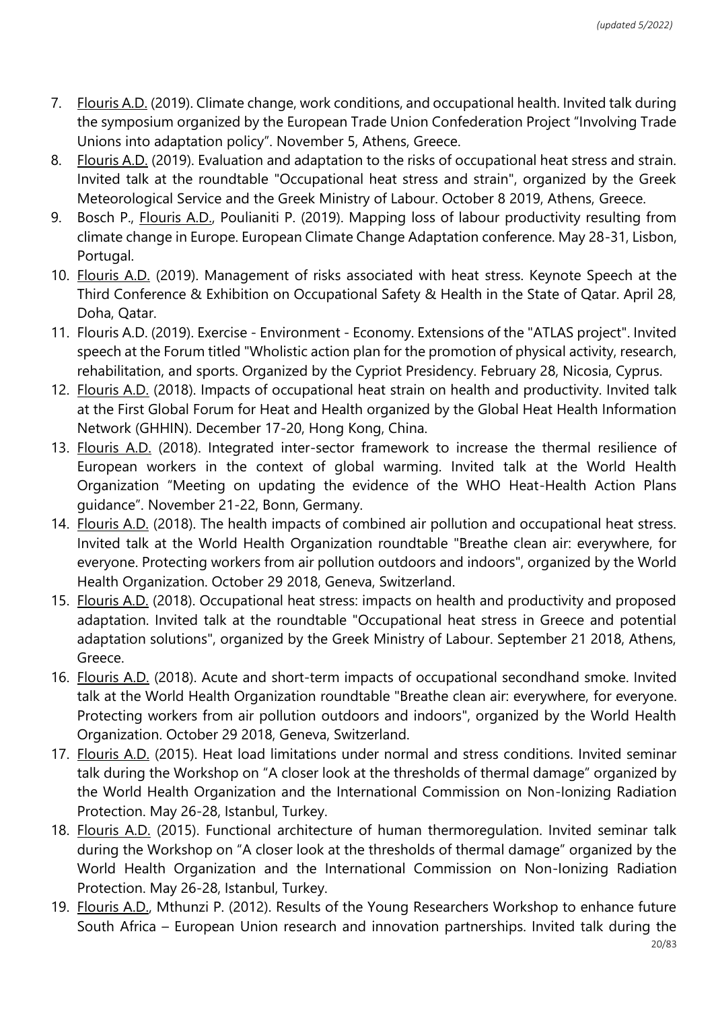- 7. Flouris A.D. (2019). Climate change, work conditions, and occupational health. Invited talk during the symposium organized by the European Trade Union Confederation Project "Involving Trade Unions into adaptation policy". November 5, Athens, Greece.
- 8. Flouris A.D. (2019). Evaluation and adaptation to the risks of occupational heat stress and strain. Invited talk at the roundtable "Occupational heat stress and strain", organized by the Greek Meteorological Service and the Greek Ministry of Labour. October 8 2019, Athens, Greece.
- 9. Bosch P., Flouris A.D., Poulianiti P. (2019). Mapping loss of labour productivity resulting from climate change in Europe. European Climate Change Adaptation conference. May 28-31, Lisbon, Portugal.
- 10. Flouris A.D. (2019). Management of risks associated with heat stress. Keynote Speech at the Third Conference & Exhibition on Occupational Safety & Health in the State of Qatar. April 28, Doha, Qatar.
- 11. Flouris A.D. (2019). Exercise Environment Economy. Extensions of the "ATLAS project". Invited speech at the Forum titled "Wholistic action plan for the promotion of physical activity, research, rehabilitation, and sports. Organized by the Cypriot Presidency. February 28, Nicosia, Cyprus.
- 12. Flouris A.D. (2018). Impacts of occupational heat strain on health and productivity. Invited talk at the First Global Forum for Heat and Health organized by the Global Heat Health Information Network (GHHIN). December 17-20, Hong Kong, China.
- 13. Flouris A.D. (2018). Integrated inter-sector framework to increase the thermal resilience of European workers in the context of global warming. Invited talk at the World Health Organization "Meeting on updating the evidence of the WHO Heat-Health Action Plans guidance". November 21-22, Bonn, Germany.
- 14. Flouris A.D. (2018). The health impacts of combined air pollution and occupational heat stress. Invited talk at the World Health Organization roundtable "Breathe clean air: everywhere, for everyone. Protecting workers from air pollution outdoors and indoors", organized by the World Health Organization. October 29 2018, Geneva, Switzerland.
- 15. Flouris A.D. (2018). Occupational heat stress: impacts on health and productivity and proposed adaptation. Invited talk at the roundtable "Occupational heat stress in Greece and potential adaptation solutions", organized by the Greek Ministry of Labour. September 21 2018, Athens, Greece.
- 16. Flouris A.D. (2018). Acute and short-term impacts of occupational secondhand smoke. Invited talk at the World Health Organization roundtable "Breathe clean air: everywhere, for everyone. Protecting workers from air pollution outdoors and indoors", organized by the World Health Organization. October 29 2018, Geneva, Switzerland.
- 17. Flouris A.D. (2015). Heat load limitations under normal and stress conditions. Invited seminar talk during the Workshop on "A closer look at the thresholds of thermal damage" organized by the World Health Organization and the International Commission on Non-Ionizing Radiation Protection. May 26-28, Istanbul, Turkey.
- 18. Flouris A.D. (2015). Functional architecture of human thermoregulation. Invited seminar talk during the Workshop on "A closer look at the thresholds of thermal damage" organized by the World Health Organization and the International Commission on Non-Ionizing Radiation Protection. May 26-28, Istanbul, Turkey.
- 19. Flouris A.D., Mthunzi P. (2012). Results of the Young Researchers Workshop to enhance future South Africa – European Union research and innovation partnerships. Invited talk during the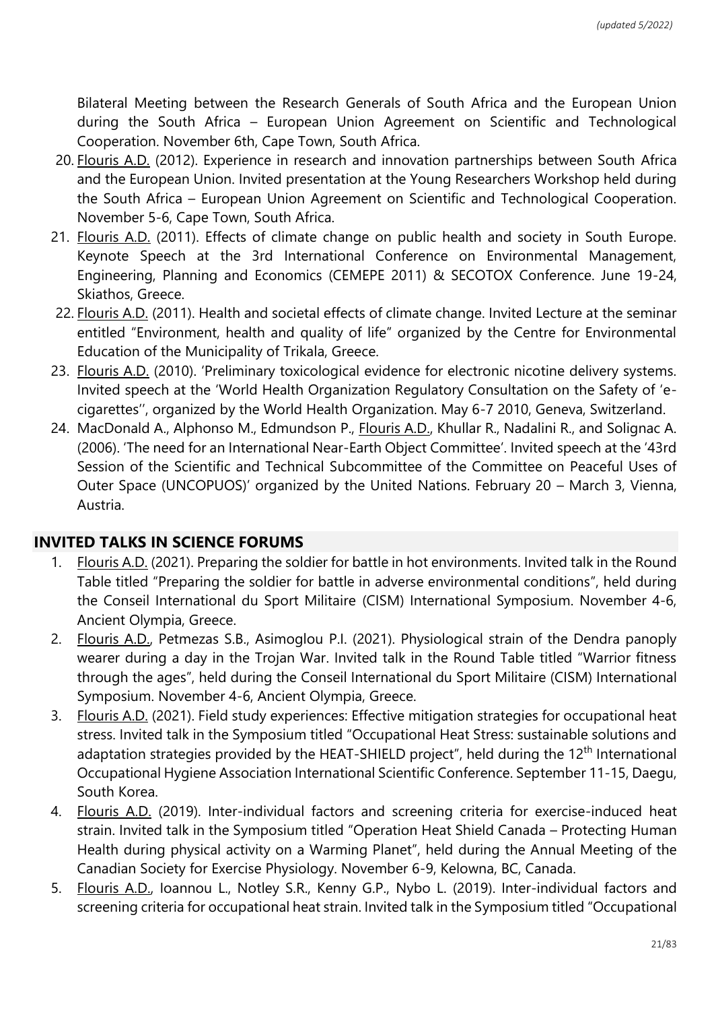Bilateral Meeting between the Research Generals of South Africa and the European Union during the South Africa – European Union Agreement on Scientific and Technological Cooperation. November 6th, Cape Town, South Africa.

- 20. Flouris A.D. (2012). Experience in research and innovation partnerships between South Africa and the European Union. Invited presentation at the Young Researchers Workshop held during the South Africa – European Union Agreement on Scientific and Technological Cooperation. November 5-6, Cape Town, South Africa.
- 21. Flouris A.D. (2011). Effects of climate change on public health and society in South Europe. Keynote Speech at the 3rd International Conference on Environmental Management, Engineering, Planning and Economics (CEMEPE 2011) & SECOTOX Conference. June 19-24, Skiathos, Greece.
- 22. Flouris A.D. (2011). Health and societal effects of climate change. Invited Lecture at the seminar entitled "Environment, health and quality of life" organized by the Centre for Environmental Education of the Municipality of Trikala, Greece.
- 23. Flouris A.D. (2010). 'Preliminary toxicological evidence for electronic nicotine delivery systems. Invited speech at the 'World Health Organization Regulatory Consultation on the Safety of 'ecigarettes'', organized by the World Health Organization. May 6-7 2010, Geneva, Switzerland.
- 24. MacDonald A., Alphonso M., Edmundson P., Flouris A.D., Khullar R., Nadalini R., and Solignac A. (2006). 'The need for an International Near-Earth Object Committee'. Invited speech at the '43rd Session of the Scientific and Technical Subcommittee of the Committee on Peaceful Uses of Outer Space (UNCOPUOS)' organized by the United Nations. February 20 – March 3, Vienna, Austria.

# **INVITED TALKS IN SCIENCE FORUMS**

- 1. Flouris A.D. (2021). Preparing the soldier for battle in hot environments. Invited talk in the Round Table titled "Preparing the soldier for battle in adverse environmental conditions", held during the Conseil International du Sport Militaire (CISM) International Symposium. November 4-6, Ancient Olympia, Greece.
- 2. Flouris A.D., Petmezas S.B., Asimoglou P.I. (2021). Physiological strain of the Dendra panoply wearer during a day in the Trojan War. Invited talk in the Round Table titled "Warrior fitness through the ages", held during the Conseil International du Sport Militaire (CISM) International Symposium. November 4-6, Ancient Olympia, Greece.
- 3. Flouris A.D. (2021). Field study experiences: Effective mitigation strategies for occupational heat stress. Invited talk in the Symposium titled "Occupational Heat Stress: sustainable solutions and adaptation strategies provided by the HEAT-SHIELD project", held during the 12<sup>th</sup> International Occupational Hygiene Association International Scientific Conference. September 11-15, Daegu, South Korea.
- 4. Flouris A.D. (2019). Inter-individual factors and screening criteria for exercise-induced heat strain. Invited talk in the Symposium titled "Operation Heat Shield Canada – Protecting Human Health during physical activity on a Warming Planet", held during the Annual Meeting of the Canadian Society for Exercise Physiology. November 6-9, Kelowna, BC, Canada.
- 5. Flouris A.D., Ioannou L., Notley S.R., Kenny G.P., Nybo L. (2019). Inter-individual factors and screening criteria for occupational heat strain. Invited talk in the Symposium titled "Occupational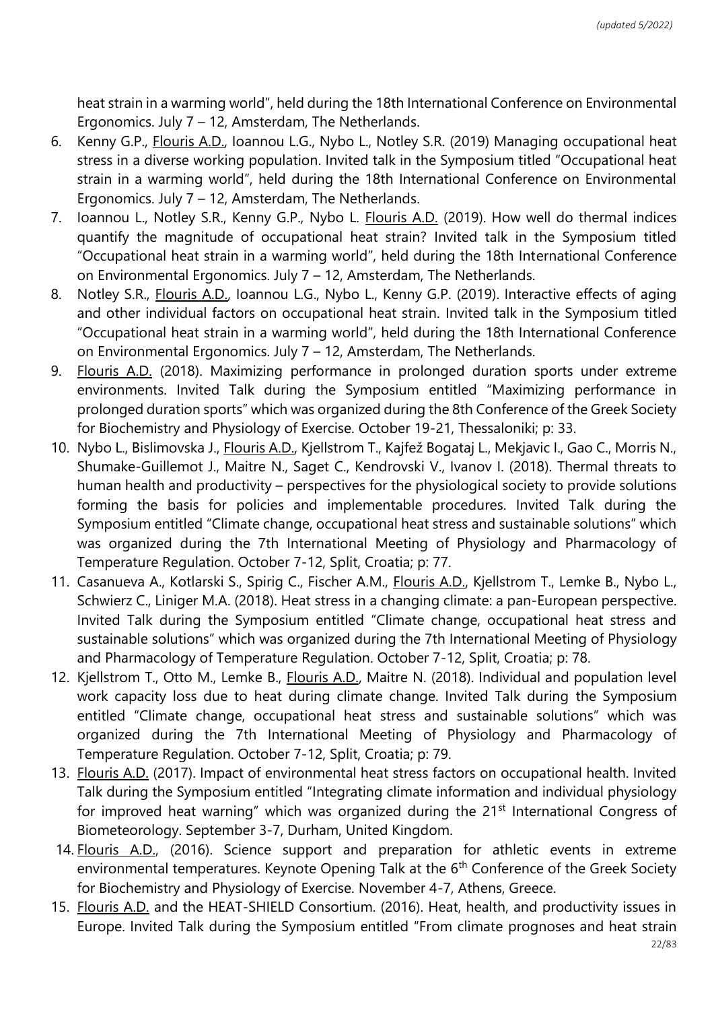heat strain in a warming world", held during the 18th International Conference on Environmental Ergonomics. July 7 – 12, Amsterdam, The Netherlands.

- 6. Kenny G.P., Flouris A.D., Ioannou L.G., Nybo L., Notley S.R. (2019) Managing occupational heat stress in a diverse working population. Invited talk in the Symposium titled "Occupational heat strain in a warming world", held during the 18th International Conference on Environmental Ergonomics. July 7 – 12, Amsterdam, The Netherlands.
- 7. Ioannou L., Notley S.R., Kenny G.P., Nybo L. Flouris A.D. (2019). How well do thermal indices quantify the magnitude of occupational heat strain? Invited talk in the Symposium titled "Occupational heat strain in a warming world", held during the 18th International Conference on Environmental Ergonomics. July 7 – 12, Amsterdam, The Netherlands.
- 8. Notley S.R., Flouris A.D., Ioannou L.G., Nybo L., Kenny G.P. (2019). Interactive effects of aging and other individual factors on occupational heat strain. Invited talk in the Symposium titled "Occupational heat strain in a warming world", held during the 18th International Conference on Environmental Ergonomics. July 7 – 12, Amsterdam, The Netherlands.
- 9. Flouris A.D. (2018). Maximizing performance in prolonged duration sports under extreme environments. Invited Talk during the Symposium entitled "Maximizing performance in prolonged duration sports" which was organized during the 8th Conference of the Greek Society for Biochemistry and Physiology of Exercise. October 19-21, Thessaloniki; p: 33.
- 10. Nybo L., Bislimovska J., Flouris A.D., Kjellstrom T., Kajfež Bogataj L., Mekjavic I., Gao C., Morris N., Shumake-Guillemot J., Maitre N., Saget C., Kendrovski V., Ivanov I. (2018). Thermal threats to human health and productivity – perspectives for the physiological society to provide solutions forming the basis for policies and implementable procedures. Invited Talk during the Symposium entitled "Climate change, occupational heat stress and sustainable solutions" which was organized during the 7th International Meeting of Physiology and Pharmacology of Temperature Regulation. October 7-12, Split, Croatia; p: 77.
- 11. Casanueva A., Kotlarski S., Spirig C., Fischer A.M., Flouris A.D., Kjellstrom T., Lemke B., Nybo L., Schwierz C., Liniger M.A. (2018). Heat stress in a changing climate: a pan-European perspective. Invited Talk during the Symposium entitled "Climate change, occupational heat stress and sustainable solutions" which was organized during the 7th International Meeting of Physiology and Pharmacology of Temperature Regulation. October 7-12, Split, Croatia; p: 78.
- 12. Kjellstrom T., Otto M., Lemke B., Flouris A.D., Maitre N. (2018). Individual and population level work capacity loss due to heat during climate change. Invited Talk during the Symposium entitled "Climate change, occupational heat stress and sustainable solutions" which was organized during the 7th International Meeting of Physiology and Pharmacology of Temperature Regulation. October 7-12, Split, Croatia; p: 79.
- 13. Flouris A.D. (2017). Impact of environmental heat stress factors on occupational health. Invited Talk during the Symposium entitled "Integrating climate information and individual physiology for improved heat warning" which was organized during the 21<sup>st</sup> International Congress of Biometeorology. September 3-7, Durham, United Kingdom.
- 14. Flouris A.D., (2016). Science support and preparation for athletic events in extreme environmental temperatures. Keynote Opening Talk at the 6<sup>th</sup> Conference of the Greek Society for Biochemistry and Physiology of Exercise. November 4-7, Athens, Greece.
- 15. Flouris A.D. and the HEAT-SHIELD Consortium. (2016). Heat, health, and productivity issues in Europe. Invited Talk during the Symposium entitled "From climate prognoses and heat strain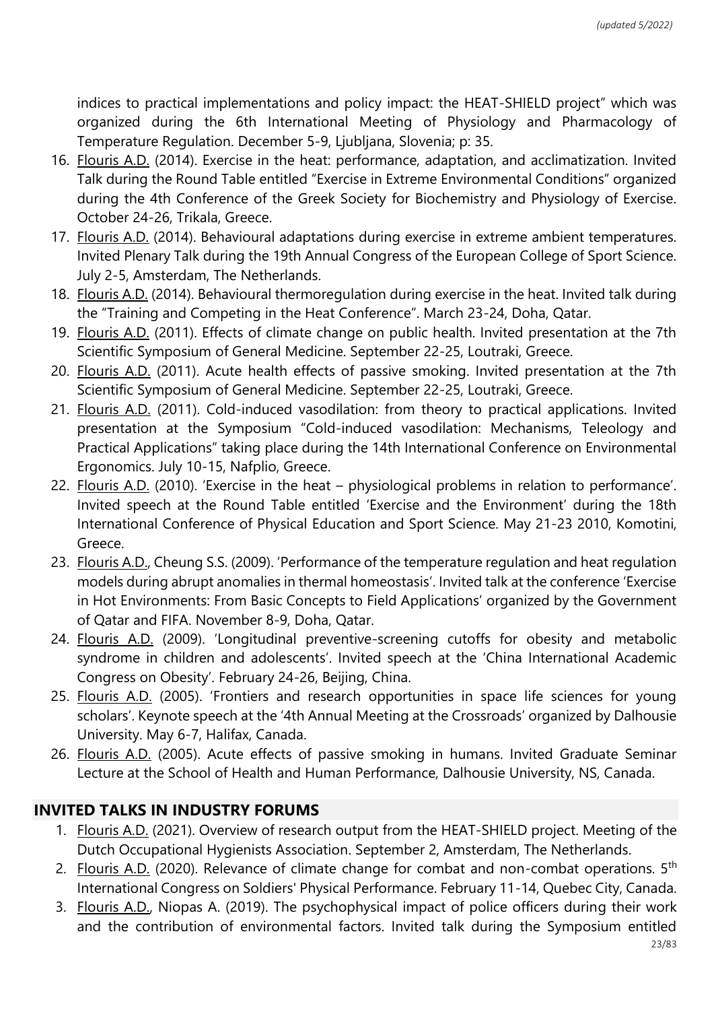indices to practical implementations and policy impact: the HEAT-SHIELD project" which was organized during the 6th International Meeting of Physiology and Pharmacology of Temperature Regulation. December 5-9, Ljubljana, Slovenia; p: 35.

- 16. Flouris A.D. (2014). Exercise in the heat: performance, adaptation, and acclimatization. Invited Talk during the Round Table entitled "Exercise in Extreme Environmental Conditions" organized during the 4th Conference of the Greek Society for Biochemistry and Physiology of Exercise. October 24-26, Trikala, Greece.
- 17. Flouris A.D. (2014). Behavioural adaptations during exercise in extreme ambient temperatures. Invited Plenary Talk during the 19th Annual Congress of the European College of Sport Science. July 2-5, Amsterdam, The Netherlands.
- 18. Flouris A.D. (2014). Behavioural thermoregulation during exercise in the heat. Invited talk during the "Training and Competing in the Heat Conference". March 23-24, Doha, Qatar.
- 19. Flouris A.D. (2011). Effects of climate change on public health. Invited presentation at the 7th Scientific Symposium of General Medicine. September 22-25, Loutraki, Greece.
- 20. Flouris A.D. (2011). Acute health effects of passive smoking. Invited presentation at the 7th Scientific Symposium of General Medicine. September 22-25, Loutraki, Greece.
- 21. Flouris A.D. (2011). Cold-induced vasodilation: from theory to practical applications. Invited presentation at the Symposium "Cold-induced vasodilation: Mechanisms, Teleology and Practical Applications" taking place during the 14th International Conference on Environmental Ergonomics. July 10-15, Nafplio, Greece.
- 22. Flouris A.D. (2010). 'Exercise in the heat physiological problems in relation to performance'. Invited speech at the Round Table entitled 'Exercise and the Environment' during the 18th International Conference of Physical Education and Sport Science. May 21-23 2010, Komotini, Greece.
- 23. Flouris A.D., Cheung S.S. (2009). 'Performance of the temperature regulation and heat regulation models during abrupt anomalies in thermal homeostasis'. Invited talk at the conference 'Exercise in Hot Environments: From Basic Concepts to Field Applications' organized by the Government of Qatar and FIFA. November 8-9, Doha, Qatar.
- 24. Flouris A.D. (2009). 'Longitudinal preventive-screening cutoffs for obesity and metabolic syndrome in children and adolescents'. Invited speech at the 'China International Academic Congress on Obesity'. February 24-26, Beijing, China.
- 25. Flouris A.D. (2005). 'Frontiers and research opportunities in space life sciences for young scholars'. Keynote speech at the '4th Annual Meeting at the Crossroads' organized by Dalhousie University. May 6-7, Halifax, Canada.
- 26. Flouris A.D. (2005). Acute effects of passive smoking in humans. Invited Graduate Seminar Lecture at the School of Health and Human Performance, Dalhousie University, NS, Canada.

# **INVITED TALKS IN INDUSTRY FORUMS**

- 1. Flouris A.D. (2021). Overview of research output from the HEAT-SHIELD project. Meeting of the Dutch Occupational Hygienists Association. September 2, Amsterdam, The Netherlands.
- 2. Flouris A.D. (2020). Relevance of climate change for combat and non-combat operations. 5<sup>th</sup> International Congress on Soldiers' Physical Performance. February 11-14, Quebec City, Canada.
- 3. Flouris A.D., Niopas A. (2019). The psychophysical impact of police officers during their work and the contribution of environmental factors. Invited talk during the Symposium entitled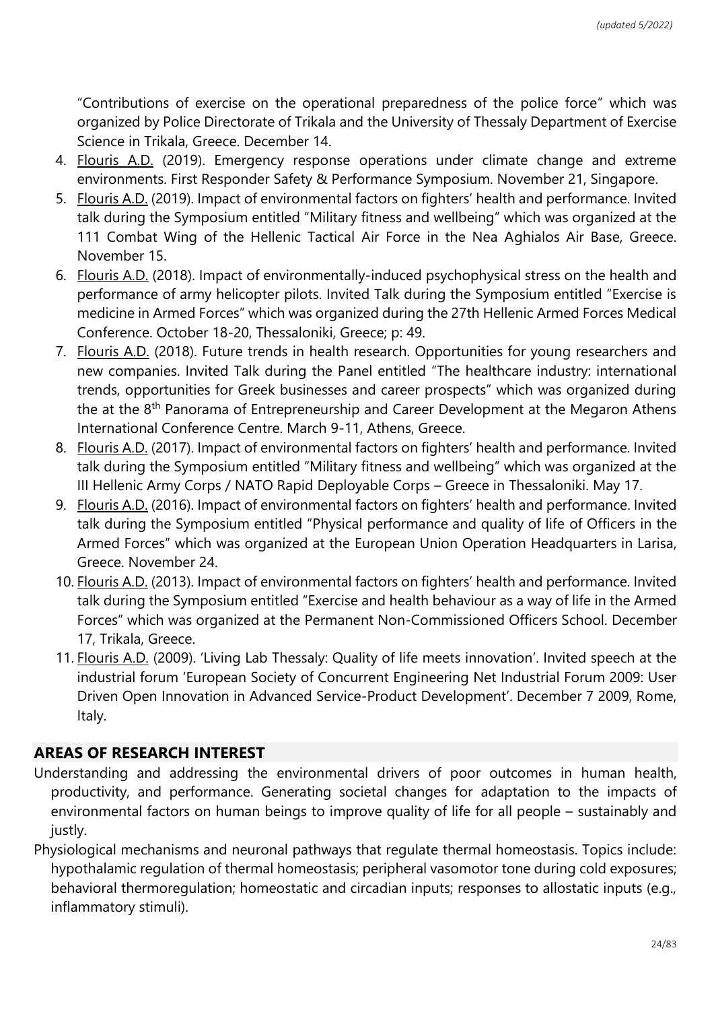"Contributions of exercise on the operational preparedness of the police force" which was organized by Police Directorate of Trikala and the University of Thessaly Department of Exercise Science in Trikala, Greece. December 14.

- 4. Flouris A.D. (2019). Emergency response operations under climate change and extreme environments. First Responder Safety & Performance Symposium. November 21, Singapore.
- 5. Flouris A.D. (2019). Impact of environmental factors on fighters' health and performance. Invited talk during the Symposium entitled "Military fitness and wellbeing" which was organized at the 111 Combat Wing of the Hellenic Tactical Air Force in the Nea Aghialos Air Base, Greece. November 15.
- 6. Flouris A.D. (2018). Impact of environmentally-induced psychophysical stress on the health and performance of army helicopter pilots. Invited Talk during the Symposium entitled "Exercise is medicine in Armed Forces" which was organized during the 27th Hellenic Armed Forces Medical Conference. October 18-20, Thessaloniki, Greece; p: 49.
- 7. Flouris A.D. (2018). Future trends in health research. Opportunities for young researchers and new companies. Invited Talk during the Panel entitled "The healthcare industry: international trends, opportunities for Greek businesses and career prospects" which was organized during the at the 8<sup>th</sup> Panorama of Entrepreneurship and Career Development at the Megaron Athens International Conference Centre. March 9-11, Athens, Greece.
- 8. Flouris A.D. (2017). Impact of environmental factors on fighters' health and performance. Invited talk during the Symposium entitled "Military fitness and wellbeing" which was organized at the III Hellenic Army Corps / NATO Rapid Deployable Corps – Greece in Thessaloniki. May 17.
- 9. Flouris A.D. (2016). Impact of environmental factors on fighters' health and performance. Invited talk during the Symposium entitled "Physical performance and quality of life of Officers in the Armed Forces" which was organized at the European Union Operation Headquarters in Larisa, Greece. November 24.
- 10. Flouris A.D. (2013). Impact of environmental factors on fighters' health and performance. Invited talk during the Symposium entitled "Exercise and health behaviour as a way of life in the Armed Forces" which was organized at the Permanent Non-Commissioned Officers School. December 17, Trikala, Greece.
- 11. Flouris A.D. (2009). 'Living Lab Thessaly: Quality of life meets innovation'. Invited speech at the industrial forum 'European Society of Concurrent Engineering Net Industrial Forum 2009: User Driven Open Innovation in Advanced Service-Product Development'. December 7 2009, Rome, Italy.

# **AREAS OF RESEARCH INTEREST**

- Understanding and addressing the environmental drivers of poor outcomes in human health, productivity, and performance. Generating societal changes for adaptation to the impacts of environmental factors on human beings to improve quality of life for all people – sustainably and justly.
- Physiological mechanisms and neuronal pathways that regulate thermal homeostasis. Topics include: hypothalamic regulation of thermal homeostasis; peripheral vasomotor tone during cold exposures; behavioral thermoregulation; homeostatic and circadian inputs; responses to allostatic inputs (e.g., inflammatory stimuli).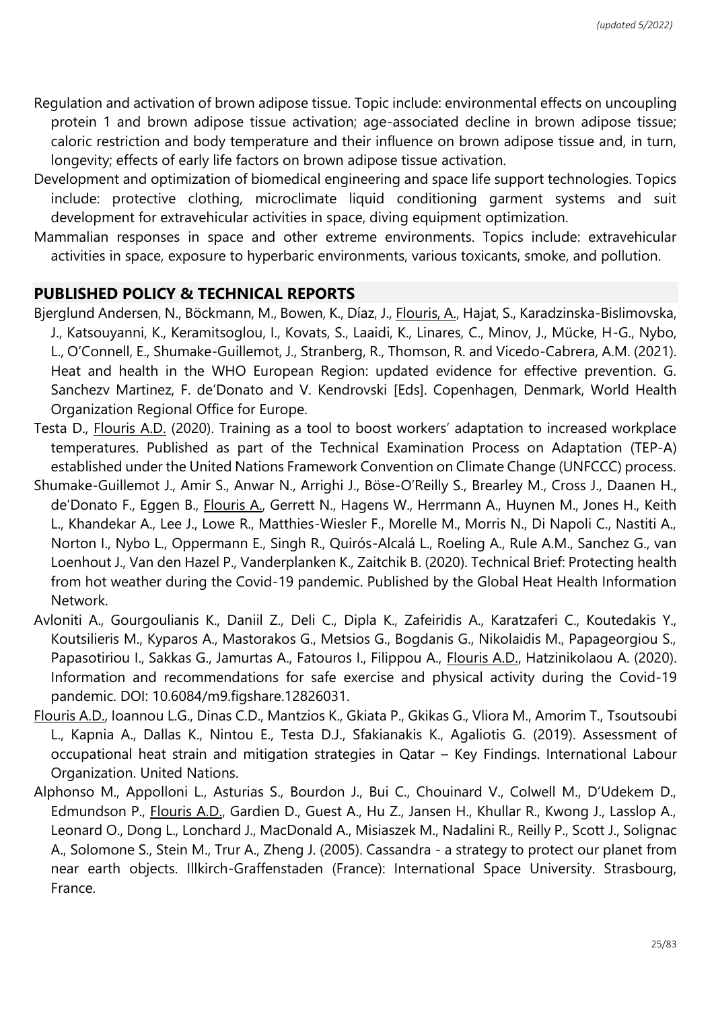- Regulation and activation of brown adipose tissue. Topic include: environmental effects on uncoupling protein 1 and brown adipose tissue activation; age-associated decline in brown adipose tissue; caloric restriction and body temperature and their influence on brown adipose tissue and, in turn, longevity; effects of early life factors on brown adipose tissue activation.
- Development and optimization of biomedical engineering and space life support technologies. Topics include: protective clothing, microclimate liquid conditioning garment systems and suit development for extravehicular activities in space, diving equipment optimization.
- Mammalian responses in space and other extreme environments. Topics include: extravehicular activities in space, exposure to hyperbaric environments, various toxicants, smoke, and pollution.

### **PUBLISHED POLICY & TECHNICAL REPORTS**

- Bjerglund Andersen, N., Böckmann, M., Bowen, K., Díaz, J., Flouris, A., Hajat, S., Karadzinska-Bislimovska, J., Katsouyanni, K., Keramitsoglou, I., Kovats, S., Laaidi, K., Linares, C., Minov, J., Mücke, H-G., Nybo, L., O'Connell, E., Shumake-Guillemot, J., Stranberg, R., Thomson, R. and Vicedo-Cabrera, A.M. (2021). Heat and health in the WHO European Region: updated evidence for effective prevention. G. Sanchezv Martinez, F. de'Donato and V. Kendrovski [Eds]. Copenhagen, Denmark, World Health Organization Regional Office for Europe.
- Testa D., Flouris A.D. (2020). Training as a tool to boost workers' adaptation to increased workplace temperatures. Published as part of the Technical Examination Process on Adaptation (TEP-A) established under the United Nations Framework Convention on Climate Change (UNFCCC) process.
- Shumake-Guillemot J., Amir S., Anwar N., Arrighi J., Böse-O'Reilly S., Brearley M., Cross J., Daanen H., de'Donato F., Eggen B., Flouris A., Gerrett N., Hagens W., Herrmann A., Huynen M., Jones H., Keith L., Khandekar A., Lee J., Lowe R., Matthies-Wiesler F., Morelle M., Morris N., Di Napoli C., Nastiti A., Norton I., Nybo L., Oppermann E., Singh R., Quirós-Alcalá L., Roeling A., Rule A.M., Sanchez G., van Loenhout J., Van den Hazel P., Vanderplanken K., Zaitchik B. (2020). Technical Brief: Protecting health from hot weather during the Covid-19 pandemic. Published by the Global Heat Health Information Network.
- Avloniti A., Gourgoulianis K., Daniil Z., Deli C., Dipla K., Zafeiridis A., Karatzaferi C., Koutedakis Y., Koutsilieris M., Kyparos A., Mastorakos G., Metsios G., Bogdanis G., Nikolaidis M., Papageorgiou S., Papasotiriou I., Sakkas G., Jamurtas A., Fatouros I., Filippou A., Flouris A.D., Hatzinikolaou A. (2020). Information and recommendations for safe exercise and physical activity during the Covid-19 pandemic. DOI: 10.6084/m9.figshare.12826031.
- Flouris A.D., Ioannou L.G., Dinas C.D., Mantzios K., Gkiata P., Gkikas G., Vliora M., Amorim T., Tsoutsoubi L., Kapnia A., Dallas K., Nintou E., Testa D.J., Sfakianakis K., Agaliotis G. (2019). Assessment of occupational heat strain and mitigation strategies in Qatar – Key Findings. International Labour Organization. United Nations.
- Alphonso M., Appolloni L., Asturias S., Bourdon J., Bui C., Chouinard V., Colwell M., D'Udekem D., Edmundson P., Flouris A.D., Gardien D., Guest A., Hu Z., Jansen H., Khullar R., Kwong J., Lasslop A., Leonard O., Dong L., Lonchard J., MacDonald A., Misiaszek M., Nadalini R., Reilly P., Scott J., Solignac A., Solomone S., Stein M., Trur A., Zheng J. (2005). Cassandra - a strategy to protect our planet from near earth objects. Illkirch-Graffenstaden (France): International Space University. Strasbourg, France.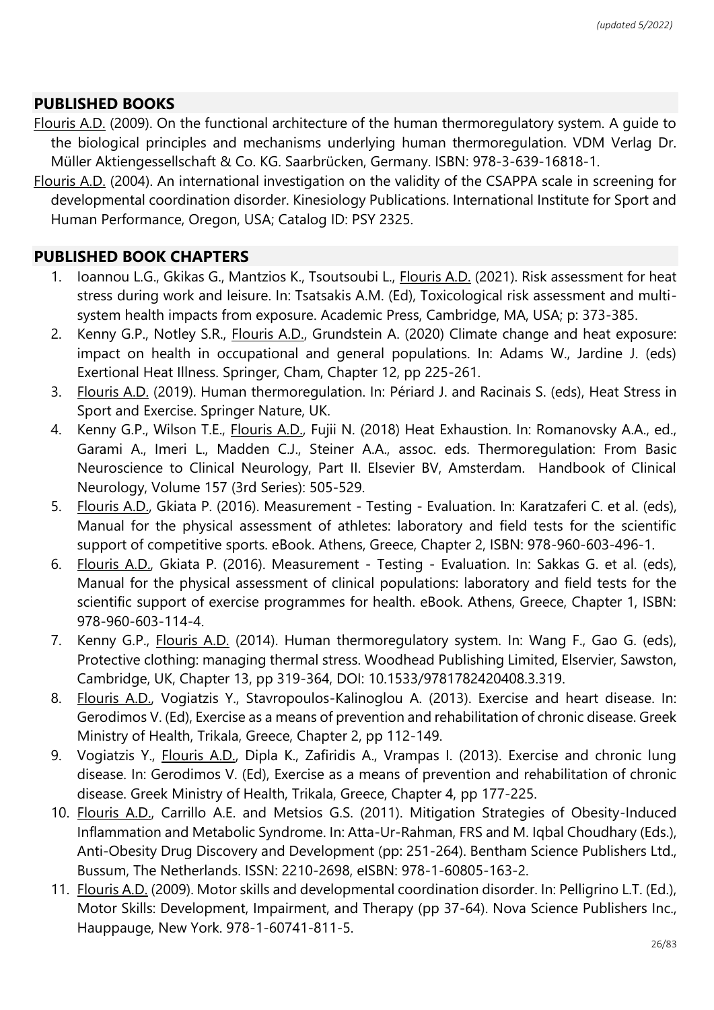# **PUBLISHED BOOKS**

- Flouris A.D. (2009). On the functional architecture of the human thermoregulatory system. A guide to the biological principles and mechanisms underlying human thermoregulation. VDM Verlag Dr. Müller Aktiengessellschaft & Co. KG. Saarbrücken, Germany. ISBN: 978-3-639-16818-1.
- Flouris A.D. (2004). An international investigation on the validity of the CSAPPA scale in screening for developmental coordination disorder. Kinesiology Publications. International Institute for Sport and Human Performance, Oregon, USA; Catalog ID: PSY 2325.

## **PUBLISHED BOOK CHAPTERS**

- 1. Ioannou L.G., Gkikas G., Mantzios K., Tsoutsoubi L., Flouris A.D. (2021). Risk assessment for heat stress during work and leisure. In: Tsatsakis A.M. (Ed), Toxicological risk assessment and multisystem health impacts from exposure. Academic Press, Cambridge, MA, USA; p: 373-385.
- 2. Kenny G.P., Notley S.R., Flouris A.D., Grundstein A. (2020) Climate change and heat exposure: impact on health in occupational and general populations. In: Adams W., Jardine J. (eds) Exertional Heat Illness. Springer, Cham, Chapter 12, pp 225-261.
- 3. Flouris A.D. (2019). Human thermoregulation. In: Périard J. and Racinais S. (eds), Heat Stress in Sport and Exercise. Springer Nature, UK.
- 4. Kenny G.P., Wilson T.E., *Flouris A.D.*, Fujii N. (2018) Heat Exhaustion. In: Romanovsky A.A., ed., Garami A., Imeri L., Madden C.J., Steiner A.A., assoc. eds. Thermoregulation: From Basic Neuroscience to Clinical Neurology, Part II. Elsevier BV, Amsterdam. Handbook of Clinical Neurology, Volume 157 (3rd Series): 505-529.
- 5. Flouris A.D., Gkiata P. (2016). Measurement Testing Evaluation. In: Karatzaferi C. et al. (eds), Manual for the physical assessment of athletes: laboratory and field tests for the scientific support of competitive sports. eBook. Athens, Greece, Chapter 2, ISBN: 978-960-603-496-1.
- 6. Flouris A.D., Gkiata P. (2016). Measurement Testing Evaluation. In: Sakkas G. et al. (eds), Manual for the physical assessment of clinical populations: laboratory and field tests for the scientific support of exercise programmes for health. eBook. Athens, Greece, Chapter 1, ISBN: 978-960-603-114-4.
- 7. Kenny G.P., Flouris A.D. (2014). Human thermoregulatory system. In: Wang F., Gao G. (eds), Protective clothing: managing thermal stress. Woodhead Publishing Limited, Elservier, Sawston, Cambridge, UK, Chapter 13, pp 319-364, DOI: 10.1533/9781782420408.3.319.
- 8. Flouris A.D., Vogiatzis Y., Stavropoulos-Kalinoglou A. (2013). Exercise and heart disease. In: Gerodimos V. (Ed), Exercise as a means of prevention and rehabilitation of chronic disease. Greek Ministry of Health, Trikala, Greece, Chapter 2, pp 112-149.
- 9. Vogiatzis Y., Flouris A.D., Dipla K., Zafiridis A., Vrampas I. (2013). Exercise and chronic lung disease. In: Gerodimos V. (Ed), Exercise as a means of prevention and rehabilitation of chronic disease. Greek Ministry of Health, Trikala, Greece, Chapter 4, pp 177-225.
- 10. Flouris A.D., Carrillo A.E. and Metsios G.S. (2011). Mitigation Strategies of Obesity-Induced Inflammation and Metabolic Syndrome. In: Atta-Ur-Rahman, FRS and M. Iqbal Choudhary (Eds.), Anti-Obesity Drug Discovery and Development (pp: 251-264). Bentham Science Publishers Ltd., Bussum, The Netherlands. ISSN: 2210-2698, eISBN: 978-1-60805-163-2.
- 11. Flouris A.D. (2009). Motor skills and developmental coordination disorder. In: Pelligrino L.T. (Ed.), Motor Skills: Development, Impairment, and Therapy (pp 37-64). Nova Science Publishers Inc., Hauppauge, New York. 978-1-60741-811-5.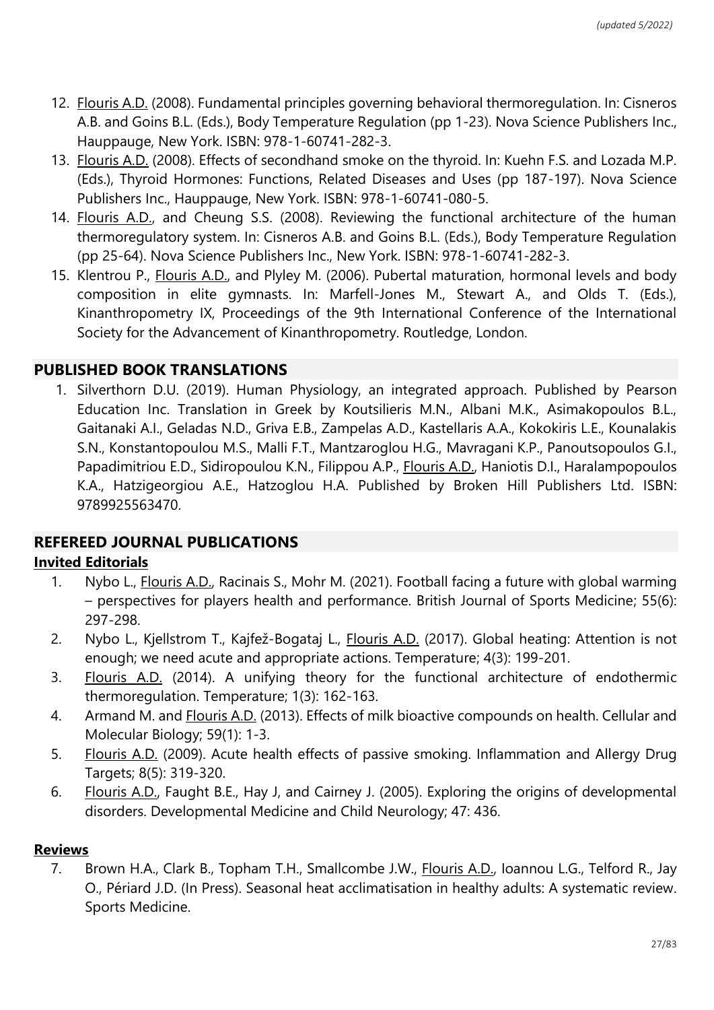- 12. Flouris A.D. (2008). Fundamental principles governing behavioral thermoregulation. In: Cisneros A.B. and Goins B.L. (Eds.), Body Temperature Regulation (pp 1-23). Nova Science Publishers Inc., Hauppauge, New York. ISBN: 978-1-60741-282-3.
- 13. Flouris A.D. (2008). Effects of secondhand smoke on the thyroid. In: Kuehn F.S. and Lozada M.P. (Eds.), Thyroid Hormones: Functions, Related Diseases and Uses (pp 187-197). Nova Science Publishers Inc., Hauppauge, New York. ISBN: 978-1-60741-080-5.
- 14. Flouris A.D., and Cheung S.S. (2008). Reviewing the functional architecture of the human thermoregulatory system. In: Cisneros A.B. and Goins B.L. (Eds.), Body Temperature Regulation (pp 25-64). Nova Science Publishers Inc., New York. ISBN: 978-1-60741-282-3.
- 15. Klentrou P., Flouris A.D., and Plyley M. (2006). Pubertal maturation, hormonal levels and body composition in elite gymnasts. In: Marfell-Jones M., Stewart A., and Olds T. (Eds.), Kinanthropometry IX, Proceedings of the 9th International Conference of the International Society for the Advancement of Kinanthropometry. Routledge, London.

## **PUBLISHED BOOK TRANSLATIONS**

1. Silverthorn D.U. (2019). Human Physiology, an integrated approach. Published by Pearson Education Inc. Translation in Greek by Koutsilieris M.N., Albani M.K., Asimakopoulos B.L., Gaitanaki A.I., Geladas N.D., Griva E.B., Zampelas A.D., Kastellaris A.A., Kokokiris L.E., Kounalakis S.N., Konstantopoulou M.S., Malli F.T., Mantzaroglou H.G., Mavragani K.P., Panoutsopoulos G.I., Papadimitriou E.D., Sidiropoulou K.N., Filippou A.P., Flouris A.D., Haniotis D.I., Haralampopoulos K.A., Hatzigeorgiou A.E., Hatzoglou H.A. Published by Broken Hill Publishers Ltd. ISBN: 9789925563470.

# **REFEREED JOURNAL PUBLICATIONS**

### **Invited Editorials**

- 1. Nybo L., Flouris A.D., Racinais S., Mohr M. (2021). Football facing a future with global warming – perspectives for players health and performance. British Journal of Sports Medicine; 55(6): 297-298.
- 2. Nybo L., Kjellstrom T., Kajfež-Bogataj L., Flouris A.D. (2017). Global heating: Attention is not enough; we need acute and appropriate actions. Temperature; 4(3): 199-201.
- 3. Flouris A.D. (2014). A unifying theory for the functional architecture of endothermic thermoregulation. Temperature; 1(3): 162-163.
- 4. Armand M. and Flouris A.D. (2013). Effects of milk bioactive compounds on health. Cellular and Molecular Biology; 59(1): 1-3.
- 5. Flouris A.D. (2009). Acute health effects of passive smoking. Inflammation and Allergy Drug Targets; 8(5): 319-320.
- 6. Flouris A.D., Faught B.E., Hay J, and Cairney J. (2005). Exploring the origins of developmental disorders. Developmental Medicine and Child Neurology; 47: 436.

### **Reviews**

7. Brown H.A., Clark B., Topham T.H., Smallcombe J.W., **Flouris A.D., Ioannou L.G., Telford R.**, Jay O., Périard J.D. (In Press). Seasonal heat acclimatisation in healthy adults: A systematic review. Sports Medicine.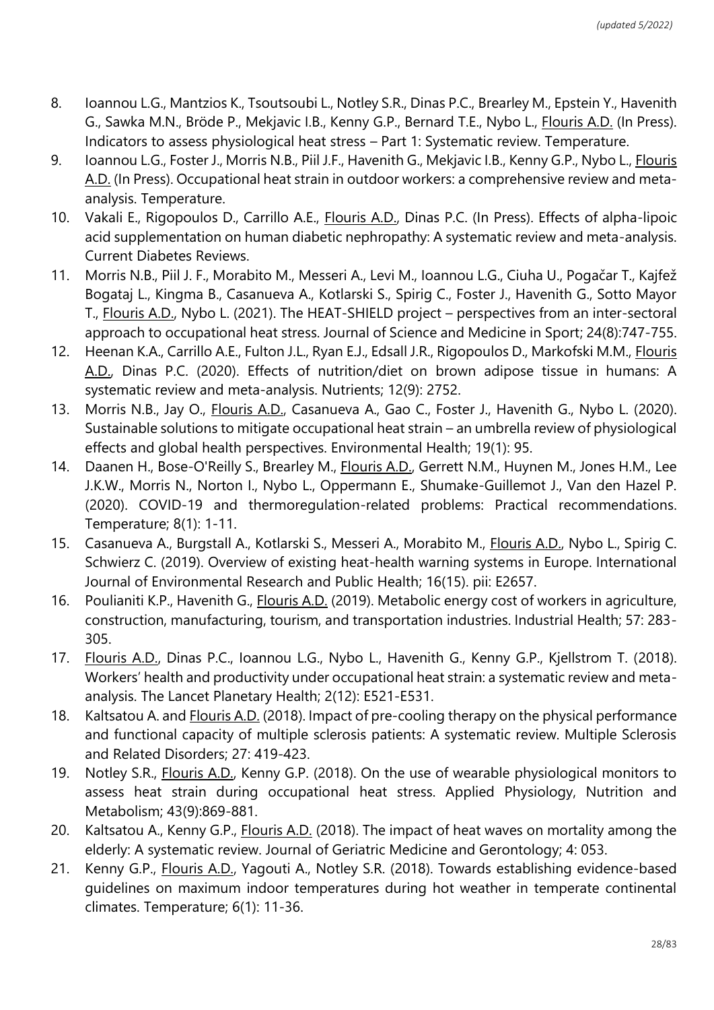- 8. Ioannou L.G., Mantzios K., Tsoutsoubi L., Notley S.R., Dinas P.C., Brearley M., Epstein Y., Havenith G., Sawka M.N., Bröde P., Mekjavic I.B., Kenny G.P., Bernard T.E., Nybo L., Flouris A.D. (In Press). Indicators to assess physiological heat stress – Part 1: Systematic review. Temperature.
- 9. Ioannou L.G., Foster J., Morris N.B., Piil J.F., Havenith G., Mekjavic I.B., Kenny G.P., Nybo L., Flouris A.D. (In Press). Occupational heat strain in outdoor workers: a comprehensive review and metaanalysis. Temperature.
- 10. Vakali E., Rigopoulos D., Carrillo A.E., Flouris A.D., Dinas P.C. (In Press). Effects of alpha-lipoic acid supplementation on human diabetic nephropathy: A systematic review and meta-analysis. Current Diabetes Reviews.
- 11. Morris N.B., Piil J. F., Morabito M., Messeri A., Levi M., Ioannou L.G., Ciuha U., Pogačar T., Kajfež Bogataj L., Kingma B., Casanueva A., Kotlarski S., Spirig C., Foster J., Havenith G., Sotto Mayor T., Flouris A.D., Nybo L. (2021). The HEAT-SHIELD project – perspectives from an inter-sectoral approach to occupational heat stress. Journal of Science and Medicine in Sport; 24(8):747-755.
- 12. Heenan K.A., Carrillo A.E., Fulton J.L., Ryan E.J., Edsall J.R., Rigopoulos D., Markofski M.M., Flouris A.D., Dinas P.C. (2020). Effects of nutrition/diet on brown adipose tissue in humans: A systematic review and meta-analysis. Nutrients; 12(9): 2752.
- 13. Morris N.B., Jay O., *Flouris A.D.*, Casanueva A., Gao C., Foster J., Havenith G., Nybo L. (2020). Sustainable solutions to mitigate occupational heat strain – an umbrella review of physiological effects and global health perspectives. Environmental Health; 19(1): 95.
- 14. Daanen H., Bose-O'Reilly S., Brearley M., Flouris A.D., Gerrett N.M., Huynen M., Jones H.M., Lee J.K.W., Morris N., Norton I., Nybo L., Oppermann E., Shumake-Guillemot J., Van den Hazel P. (2020). COVID-19 and thermoregulation-related problems: Practical recommendations. Temperature; 8(1): 1-11.
- 15. Casanueva A., Burgstall A., Kotlarski S., Messeri A., Morabito M., Flouris A.D., Nybo L., Spirig C. Schwierz C. (2019). Overview of existing heat-health warning systems in Europe. International Journal of Environmental Research and Public Health; 16(15). pii: E2657.
- 16. Poulianiti K.P., Havenith G., Flouris A.D. (2019). Metabolic energy cost of workers in agriculture, construction, manufacturing, tourism, and transportation industries. Industrial Health; 57: 283- 305.
- 17. Flouris A.D., Dinas P.C., Ioannou L.G., Nybo L., Havenith G., Kenny G.P., Kjellstrom T. (2018). Workers' health and productivity under occupational heat strain: a systematic review and metaanalysis. The Lancet Planetary Health; 2(12): E521-E531.
- 18. Kaltsatou A. and Flouris A.D. (2018). Impact of pre-cooling therapy on the physical performance and functional capacity of multiple sclerosis patients: A systematic review. Multiple Sclerosis and Related Disorders; 27: 419-423.
- 19. Notley S.R., Flouris A.D., Kenny G.P. (2018). On the use of wearable physiological monitors to assess heat strain during occupational heat stress. Applied Physiology, Nutrition and Metabolism; 43(9):869-881.
- 20. Kaltsatou A., Kenny G.P., Flouris A.D. (2018). The impact of heat waves on mortality among the elderly: A systematic review. Journal of Geriatric Medicine and Gerontology; 4: 053.
- 21. Kenny G.P., Flouris A.D., Yagouti A., Notley S.R. (2018). Towards establishing evidence-based guidelines on maximum indoor temperatures during hot weather in temperate continental climates. Temperature; 6(1): 11-36.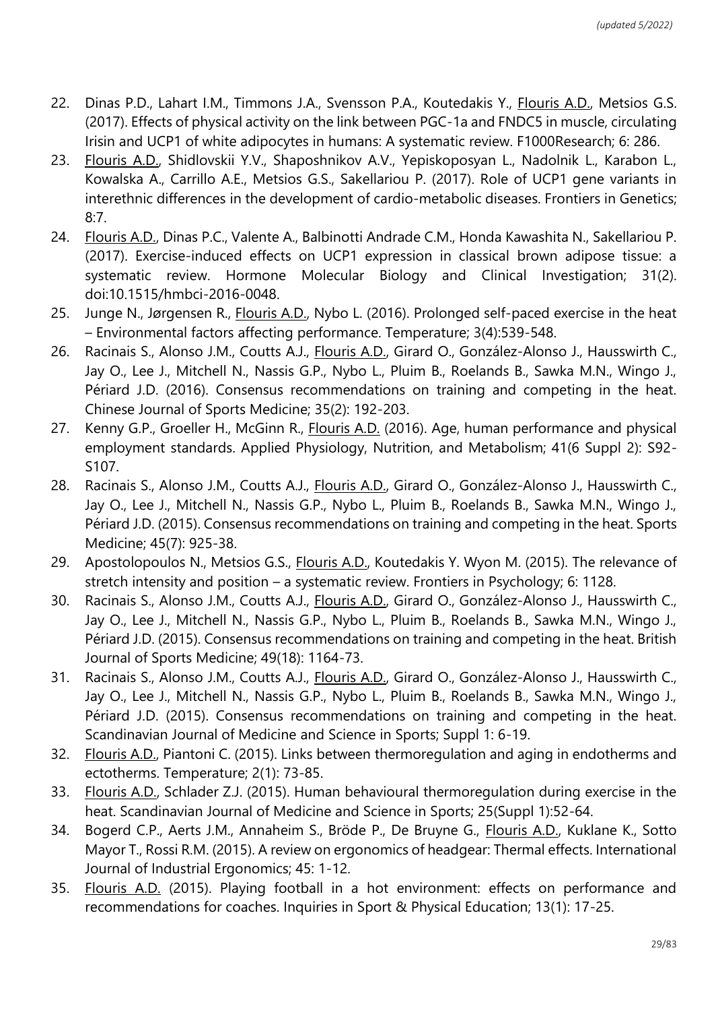- 22. Dinas P.D., Lahart I.M., Timmons J.A., Svensson P.A., Koutedakis Y., Flouris A.D., Metsios G.S. (2017). Effects of physical activity on the link between PGC-1a and FNDC5 in muscle, circulating Ιrisin and UCP1 of white adipocytes in humans: A systematic review. F1000Research; 6: 286.
- 23. Flouris A.D., Shidlovskii Y.V., Shaposhnikov A.V., Yepiskoposyan L., Nadolnik L., Karabon L., Kowalska A., Carrillo A.E., Metsios G.S., Sakellariou P. (2017). Role of UCP1 gene variants in interethnic differences in the development of cardio-metabolic diseases. Frontiers in Genetics; 8:7.
- 24. Flouris A.D., Dinas P.C., Valente A., Balbinotti Andrade C.M., Honda Kawashita N., Sakellariou P. (2017). Exercise-induced effects on UCP1 expression in classical brown adipose tissue: a systematic review. Hormone Molecular Biology and Clinical Investigation; 31(2). doi:10.1515/hmbci-2016-0048.
- 25. Junge N., Jørgensen R., Flouris A.D., Nybo L. (2016). Prolonged self-paced exercise in the heat – Environmental factors affecting performance. Temperature; 3(4):539-548.
- 26. Racinais S., Alonso J.M., Coutts A.J., Flouris A.D., Girard O., González-Alonso J., Hausswirth C., Jay O., Lee J., Mitchell N., Nassis G.P., Nybo L., Pluim B., Roelands B., Sawka M.N., Wingo J., Périard J.D. (2016). Consensus recommendations on training and competing in the heat. Chinese Journal of Sports Medicine; 35(2): 192-203.
- 27. Kenny G.P., Groeller H., McGinn R., Flouris A.D. (2016). Age, human performance and physical employment standards. Applied Physiology, Nutrition, and Metabolism; 41(6 Suppl 2): S92- S107.
- 28. Racinais S., Alonso J.M., Coutts A.J., Flouris A.D., Girard O., González-Alonso J., Hausswirth C., Jay O., Lee J., Mitchell N., Nassis G.P., Nybo L., Pluim B., Roelands B., Sawka M.N., Wingo J., Périard J.D. (2015). Consensus recommendations on training and competing in the heat. Sports Medicine; 45(7): 925-38.
- 29. Apostolopoulos N., Metsios G.S., Flouris A.D., Koutedakis Y. Wyon M. (2015). The relevance of stretch intensity and position – a systematic review. Frontiers in Psychology; 6: 1128.
- 30. Racinais S., Alonso J.M., Coutts A.J., Flouris A.D., Girard O., González-Alonso J., Hausswirth C., Jay O., Lee J., Mitchell N., Nassis G.P., Nybo L., Pluim B., Roelands B., Sawka M.N., Wingo J., Périard J.D. (2015). Consensus recommendations on training and competing in the heat. British Journal of Sports Medicine; 49(18): 1164-73.
- 31. Racinais S., Alonso J.M., Coutts A.J., Flouris A.D., Girard O., González-Alonso J., Hausswirth C., Jay O., Lee J., Mitchell N., Nassis G.P., Nybo L., Pluim B., Roelands B., Sawka M.N., Wingo J., Périard J.D. (2015). Consensus recommendations on training and competing in the heat. Scandinavian Journal of Medicine and Science in Sports; Suppl 1: 6-19.
- 32. Flouris A.D., Piantoni C. (2015). Links between thermoregulation and aging in endotherms and ectotherms. Temperature; 2(1): 73-85.
- 33. Flouris A.D., Schlader Z.J. (2015). Human behavioural thermoregulation during exercise in the heat. Scandinavian Journal of Medicine and Science in Sports; 25(Suppl 1):52-64.
- 34. Bogerd C.P., Aerts J.M., Annaheim S., Bröde P., De Bruyne G., Flouris A.D., Kuklane K., Sotto Mayor T., Rossi R.M. (2015). A review on ergonomics of headgear: Thermal effects. International Journal of Industrial Ergonomics; 45: 1-12.
- 35. Flouris A.D. (2015). Playing football in a hot environment: effects on performance and recommendations for coaches. Inquiries in Sport & Physical Education; 13(1): 17-25.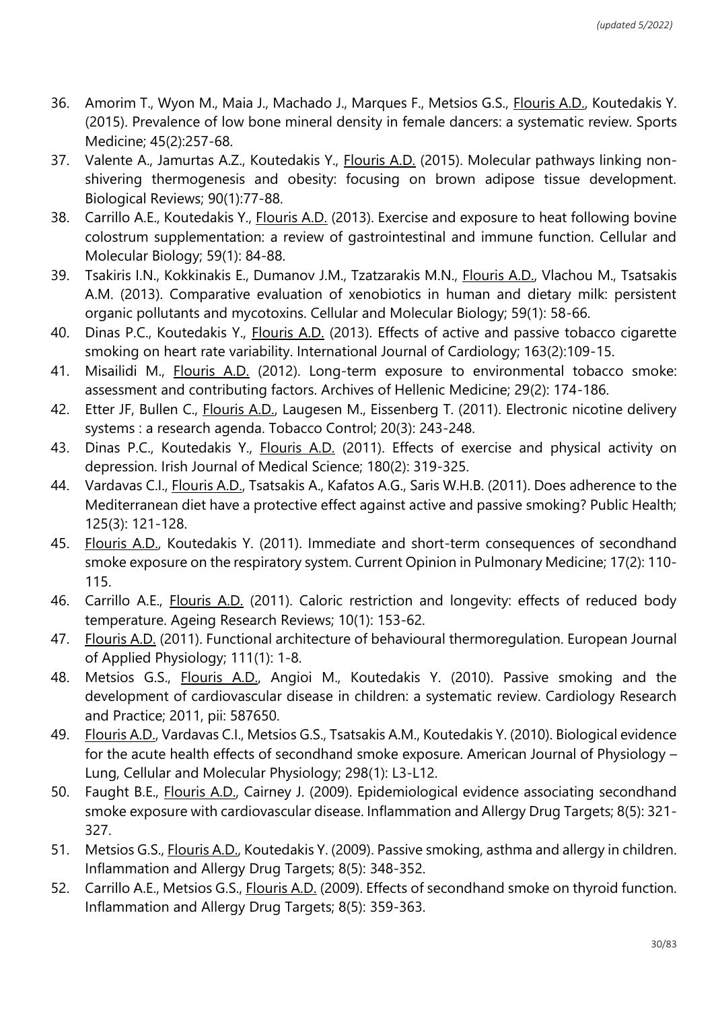- 36. Amorim T., Wyon M., Maia J., Machado J., Marques F., Metsios G.S., Flouris A.D., Koutedakis Y. (2015). Prevalence of low bone mineral density in female dancers: a systematic review. Sports Medicine; 45(2):257-68.
- 37. Valente A., Jamurtas A.Z., Koutedakis Y., Flouris A.D. (2015). Molecular pathways linking nonshivering thermogenesis and obesity: focusing on brown adipose tissue development. Biological Reviews; 90(1):77-88.
- 38. Carrillo A.E., Koutedakis Y., Flouris A.D. (2013). Exercise and exposure to heat following bovine colostrum supplementation: a review of gastrointestinal and immune function. Cellular and Molecular Biology; 59(1): 84-88.
- 39. Tsakiris I.N., Kokkinakis E., Dumanov J.M., Tzatzarakis M.N., Flouris A.D., Vlachou M., Tsatsakis A.M. (2013). Comparative evaluation of xenobiotics in human and dietary milk: persistent organic pollutants and mycotoxins. Cellular and Molecular Biology; 59(1): 58-66.
- 40. Dinas P.C., Koutedakis Y., Flouris A.D. (2013). Effects of active and passive tobacco cigarette smoking on heart rate variability. International Journal of Cardiology; 163(2):109-15.
- 41. Misailidi M., Flouris A.D. (2012). Long-term exposure to environmental tobacco smoke: assessment and contributing factors. Archives of Hellenic Medicine; 29(2): 174-186.
- 42. Etter JF, Bullen C., Flouris A.D., Laugesen M., Eissenberg T. (2011). Electronic nicotine delivery systems : a research agenda. Tobacco Control; 20(3): 243-248.
- 43. Dinas P.C., Koutedakis Y., Flouris A.D. (2011). Effects of exercise and physical activity on depression. Irish Journal of Medical Science; 180(2): 319-325.
- 44. Vardavas C.I., Flouris A.D., Tsatsakis A., Kafatos A.G., Saris W.H.B. (2011). Does adherence to the Mediterranean diet have a protective effect against active and passive smoking? Public Health; 125(3): 121-128.
- 45. Flouris A.D., Koutedakis Y. (2011). Immediate and short-term consequences of secondhand smoke exposure on the respiratory system. Current Opinion in Pulmonary Medicine; 17(2): 110- 115.
- 46. Carrillo A.E., Flouris A.D. (2011). Caloric restriction and longevity: effects of reduced body temperature. Ageing Research Reviews; 10(1): 153-62.
- 47. Flouris A.D. (2011). Functional architecture of behavioural thermoregulation. European Journal of Applied Physiology; 111(1): 1-8.
- 48. Metsios G.S., Flouris A.D., Angioi M., Koutedakis Y. (2010). Passive smoking and the development of cardiovascular disease in children: a systematic review. Cardiology Research and Practice; 2011, pii: 587650.
- 49. Flouris A.D., Vardavas C.I., Metsios G.S., Tsatsakis A.M., Koutedakis Y. (2010). Biological evidence for the acute health effects of secondhand smoke exposure. American Journal of Physiology – Lung, Cellular and Molecular Physiology; 298(1): L3-L12.
- 50. Faught B.E., Flouris A.D., Cairney J. (2009). Epidemiological evidence associating secondhand smoke exposure with cardiovascular disease. Inflammation and Allergy Drug Targets; 8(5): 321- 327.
- 51. Metsios G.S., Flouris A.D., Koutedakis Y. (2009). Passive smoking, asthma and allergy in children. Inflammation and Allergy Drug Targets; 8(5): 348-352.
- 52. Carrillo A.E., Metsios G.S., Flouris A.D. (2009). Effects of secondhand smoke on thyroid function. Inflammation and Allergy Drug Targets; 8(5): 359-363.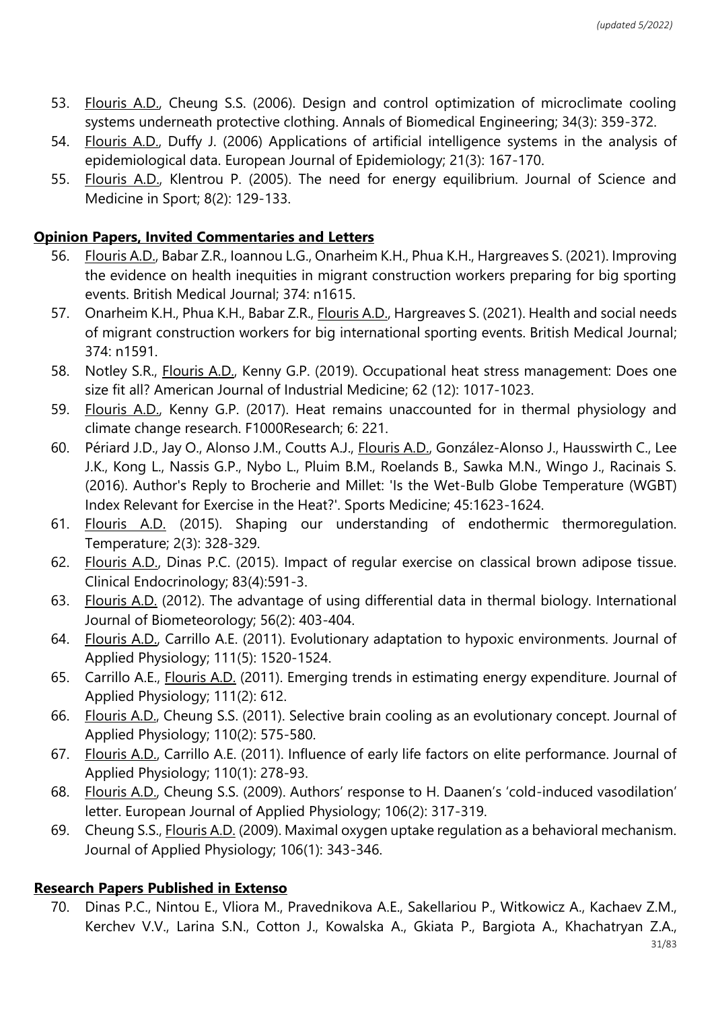- 53. Flouris A.D., Cheung S.S. (2006). Design and control optimization of microclimate cooling systems underneath protective clothing. Annals of Biomedical Engineering; 34(3): 359-372.
- 54. Flouris A.D., Duffy J. (2006) Applications of artificial intelligence systems in the analysis of epidemiological data. European Journal of Epidemiology; 21(3): 167-170.
- 55. Flouris A.D., Klentrou P. (2005). The need for energy equilibrium. Journal of Science and Medicine in Sport; 8(2): 129-133.

## **Opinion Papers, Invited Commentaries and Letters**

- 56. Flouris A.D., Babar Z.R., Ioannou L.G., Onarheim K.H., Phua K.H., Hargreaves S. (2021). Improving the evidence on health inequities in migrant construction workers preparing for big sporting events. British Medical Journal; 374: n1615.
- 57. Onarheim K.H., Phua K.H., Babar Z.R., Flouris A.D., Hargreaves S. (2021). Health and social needs of migrant construction workers for big international sporting events. British Medical Journal; 374: n1591.
- 58. Notley S.R., Flouris A.D., Kenny G.P. (2019). Occupational heat stress management: Does one size fit all? American Journal of Industrial Medicine; 62 (12): 1017-1023.
- 59. Flouris A.D., Kenny G.P. (2017). Heat remains unaccounted for in thermal physiology and climate change research. F1000Research; 6: 221.
- 60. Périard J.D., Jay O., Alonso J.M., Coutts A.J., Flouris A.D., González-Alonso J., Hausswirth C., Lee J.K., Kong L., Nassis G.P., Nybo L., Pluim B.M., Roelands B., Sawka M.N., Wingo J., Racinais S. (2016). Author's Reply to Brocherie and Millet: 'Is the Wet-Bulb Globe Temperature (WGBT) Index Relevant for Exercise in the Heat?'. Sports Medicine; 45:1623-1624.
- 61. Flouris A.D. (2015). Shaping our understanding of endothermic thermoregulation. Temperature; 2(3): 328-329.
- 62. Flouris A.D., Dinas P.C. (2015). Impact of regular exercise on classical brown adipose tissue. Clinical Endocrinology; 83(4):591-3.
- 63. Flouris A.D. (2012). The advantage of using differential data in thermal biology. International Journal of Biometeorology; 56(2): 403-404.
- 64. Flouris A.D., Carrillo A.E. (2011). Evolutionary adaptation to hypoxic environments. Journal of Applied Physiology; 111(5): 1520-1524.
- 65. Carrillo A.E., Flouris A.D. (2011). Emerging trends in estimating energy expenditure. Journal of Applied Physiology; 111(2): 612.
- 66. Flouris A.D., Cheung S.S. (2011). Selective brain cooling as an evolutionary concept. Journal of Applied Physiology; 110(2): 575-580.
- 67. Flouris A.D., Carrillo A.E. (2011). Influence of early life factors on elite performance. Journal of Applied Physiology; 110(1): 278-93.
- 68. Flouris A.D., Cheung S.S. (2009). Authors' response to H. Daanen's 'cold-induced vasodilation' letter. European Journal of Applied Physiology; 106(2): 317-319.
- 69. Cheung S.S., Flouris A.D. (2009). Maximal oxygen uptake regulation as a behavioral mechanism. Journal of Applied Physiology; 106(1): 343-346.

# **Research Papers Published in Extenso**

70. Dinas P.C., Nintou E., Vliora M., Pravednikova A.E., Sakellariou P., Witkowicz A., Kachaev Z.M., Kerchev V.V., Larina S.N., Cotton J., Kowalska A., Gkiata P., Bargiota A., Khachatryan Z.A.,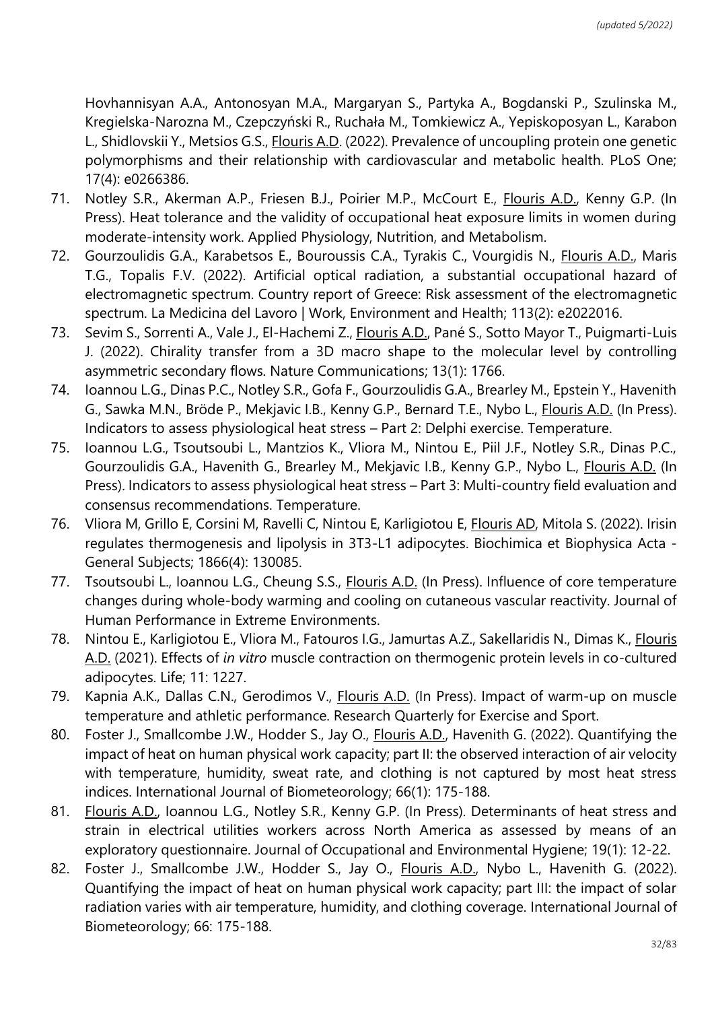Hovhannisyan A.A., Antonosyan M.A., Margaryan S., Partyka A., Bogdanski P., Szulinska M., Kregielska-Narozna M., Czepczyński R., Ruchała M., Tomkiewicz A., Yepiskoposyan L., Karabon L., Shidlovskii Y., Metsios G.S., Flouris A.D. (2022). Prevalence of uncoupling protein one genetic polymorphisms and their relationship with cardiovascular and metabolic health. PLoS One; 17(4): e0266386.

- 71. Notley S.R., Akerman A.P., Friesen B.J., Poirier M.P., McCourt E., Flouris A.D., Kenny G.P. (In Press). Heat tolerance and the validity of occupational heat exposure limits in women during moderate-intensity work. Applied Physiology, Nutrition, and Metabolism.
- 72. Gourzoulidis G.A., Karabetsos E., Bouroussis C.A., Tyrakis C., Vourgidis N., Flouris A.D., Maris T.G., Topalis F.V. (2022). Artificial optical radiation, a substantial occupational hazard of electromagnetic spectrum. Country report of Greece: Risk assessment of the electromagnetic spectrum. La Medicina del Lavoro | Work, Environment and Health; 113(2): e2022016.
- 73. Sevim S., Sorrenti A., Vale J., El-Hachemi Z., Flouris A.D., Pané S., Sotto Mayor T., Puigmarti-Luis J. (2022). Chirality transfer from a 3D macro shape to the molecular level by controlling asymmetric secondary flows. Nature Communications; 13(1): 1766.
- 74. Ioannou L.G., Dinas P.C., Notley S.R., Gofa F., Gourzoulidis G.A., Brearley M., Epstein Y., Havenith G., Sawka M.N., Bröde P., Mekjavic I.B., Kenny G.P., Bernard T.E., Nybo L., Flouris A.D. (In Press). Indicators to assess physiological heat stress – Part 2: Delphi exercise. Temperature.
- 75. Ioannou L.G., Tsoutsoubi L., Mantzios K., Vliora M., Nintou E., Piil J.F., Notley S.R., Dinas P.C., Gourzoulidis G.A., Havenith G., Brearley M., Mekjavic I.B., Kenny G.P., Nybo L., Flouris A.D. (In Press). Indicators to assess physiological heat stress – Part 3: Multi-country field evaluation and consensus recommendations. Temperature.
- 76. Vliora M, Grillo E, Corsini M, Ravelli C, Nintou E, Karligiotou E, Flouris AD, Mitola S. (2022). Irisin regulates thermogenesis and lipolysis in 3T3-L1 adipocytes. Biochimica et Biophysica Acta - General Subjects; 1866(4): 130085.
- 77. Tsoutsoubi L., Ioannou L.G., Cheung S.S., Flouris A.D. (In Press). Influence of core temperature changes during whole-body warming and cooling on cutaneous vascular reactivity. Journal of Human Performance in Extreme Environments.
- 78. Nintou E., Karligiotou E., Vliora M., Fatouros I.G., Jamurtas A.Z., Sakellaridis N., Dimas K., Flouris A.D. (2021). Effects of *in vitro* muscle contraction on thermogenic protein levels in co-cultured adipocytes. Life; 11: 1227.
- 79. Kapnia A.Κ., Dallas C.N., Gerodimos V., Flouris A.D. (In Press). Impact of warm-up on muscle temperature and athletic performance. Research Quarterly for Exercise and Sport.
- 80. Foster J., Smallcombe J.W., Hodder S., Jay O., *Flouris A.D.*, Havenith G. (2022). Quantifying the impact of heat on human physical work capacity; part II: the observed interaction of air velocity with temperature, humidity, sweat rate, and clothing is not captured by most heat stress indices. International Journal of Biometeorology; 66(1): 175-188.
- 81. Flouris A.D., Ioannou L.G., Notley S.R., Kenny G.P. (In Press). Determinants of heat stress and strain in electrical utilities workers across North America as assessed by means of an exploratory questionnaire. Journal of Occupational and Environmental Hygiene; 19(1): 12-22.
- 82. Foster J., Smallcombe J.W., Hodder S., Jay O., Flouris A.D., Nybo L., Havenith G. (2022). Quantifying the impact of heat on human physical work capacity; part III: the impact of solar radiation varies with air temperature, humidity, and clothing coverage. International Journal of Biometeorology; 66: 175-188.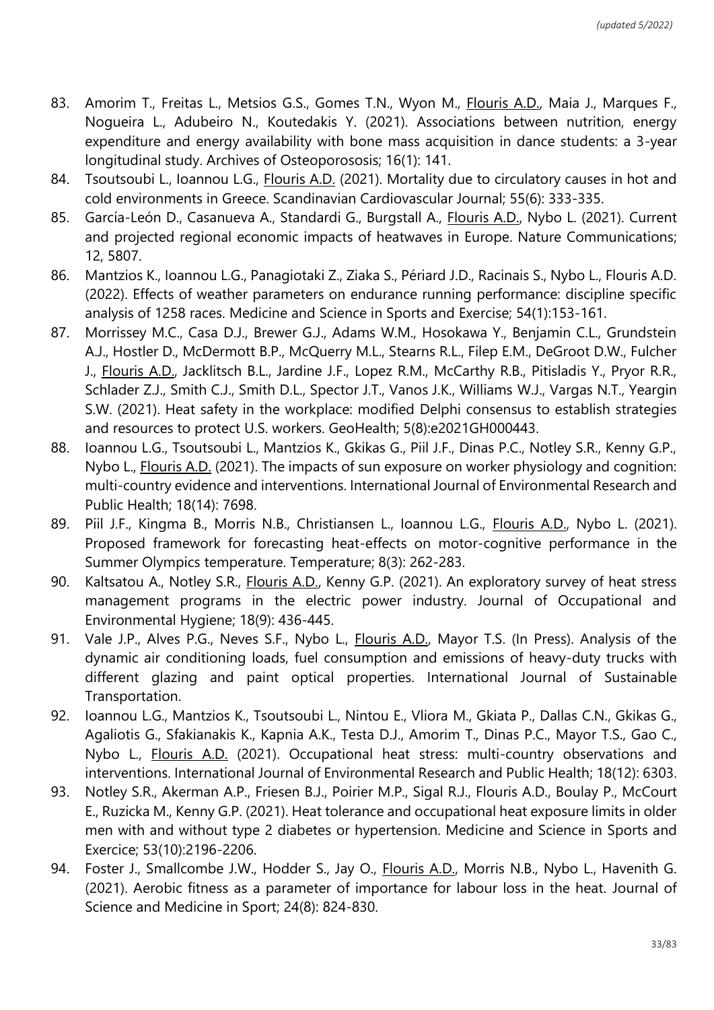- 83. Amorim T., Freitas L., Metsios G.S., Gomes T.N., Wyon M., Flouris A.D., Maia J., Marques F., Nogueira L., Adubeiro N., Koutedakis Y. (2021). Associations between nutrition, energy expenditure and energy availability with bone mass acquisition in dance students: a 3-year longitudinal study. Archives of Osteoporososis; 16(1): 141.
- 84. Tsoutsoubi L., Ioannou L.G., Flouris A.D. (2021). Mortality due to circulatory causes in hot and cold environments in Greece. Scandinavian Cardiovascular Journal; 55(6): 333-335.
- 85. García-León D., Casanueva A., Standardi G., Burgstall A., Flouris A.D., Nybo L. (2021). Current and projected regional economic impacts of heatwaves in Europe. Nature Communications; 12, 5807.
- 86. Mantzios K., Ioannou L.G., Panagiotaki Z., Ziaka S., Périard J.D., Racinais S., Nybo L., Flouris A.D. (2022). Effects of weather parameters on endurance running performance: discipline specific analysis of 1258 races. Medicine and Science in Sports and Exercise; 54(1):153-161.
- 87. Morrissey M.C., Casa D.J., Brewer G.J., Adams W.M., Hosokawa Y., Benjamin C.L., Grundstein A.J., Hostler D., McDermott B.P., McQuerry M.L., Stearns R.L., Filep E.M., DeGroot D.W., Fulcher J., Flouris A.D., Jacklitsch B.L., Jardine J.F., Lopez R.M., McCarthy R.B., Pitisladis Y., Pryor R.R., Schlader Z.J., Smith C.J., Smith D.L., Spector J.T., Vanos J.K., Williams W.J., Vargas N.T., Yeargin S.W. (2021). Heat safety in the workplace: modified Delphi consensus to establish strategies and resources to protect U.S. workers. GeoHealth; 5(8):e2021GH000443.
- 88. Ioannou L.G., Tsoutsoubi L., Mantzios K., Gkikas G., Piil J.F., Dinas P.C., Notley S.R., Kenny G.P., Nybo L., Flouris A.D. (2021). The impacts of sun exposure on worker physiology and cognition: multi-country evidence and interventions. International Journal of Environmental Research and Public Health; 18(14): 7698.
- 89. Piil J.F., Kingma B., Morris N.B., Christiansen L., Ioannou L.G., Flouris A.D., Nybo L. (2021). Proposed framework for forecasting heat-effects on motor-cognitive performance in the Summer Olympics temperature. Temperature; 8(3): 262-283.
- 90. Kaltsatou A., Notley S.R., Flouris A.D., Kenny G.P. (2021). An exploratory survey of heat stress management programs in the electric power industry. Journal of Occupational and Environmental Hygiene; 18(9): 436-445.
- 91. Vale J.P., Alves P.G., Neves S.F., Nybo L., Flouris A.D., Mayor T.S. (In Press). Analysis of the dynamic air conditioning loads, fuel consumption and emissions of heavy-duty trucks with different glazing and paint optical properties. International Journal of Sustainable Transportation.
- 92. Ioannou L.G., Mantzios K., Tsoutsoubi L., Nintou E., Vliora M., Gkiata P., Dallas C.N., Gkikas G., Agaliotis G., Sfakianakis K., Kapnia A.K., Testa D.J., Amorim T., Dinas P.C., Mayor T.S., Gao C., Nybo L., Flouris A.D. (2021). Occupational heat stress: multi-country observations and interventions. International Journal of Environmental Research and Public Health; 18(12): 6303.
- 93. Notley S.R., Akerman A.P., Friesen B.J., Poirier M.P., Sigal R.J., Flouris A.D., Boulay P., McCourt E., Ruzicka M., Kenny G.P. (2021). Heat tolerance and occupational heat exposure limits in older men with and without type 2 diabetes or hypertension. Medicine and Science in Sports and Exercice; 53(10):2196-2206.
- 94. Foster J., Smallcombe J.W., Hodder S., Jay O., *Flouris A.D.*, Morris N.B., Nybo L., Havenith G. (2021). Aerobic fitness as a parameter of importance for labour loss in the heat. Journal of Science and Medicine in Sport; 24(8): 824-830.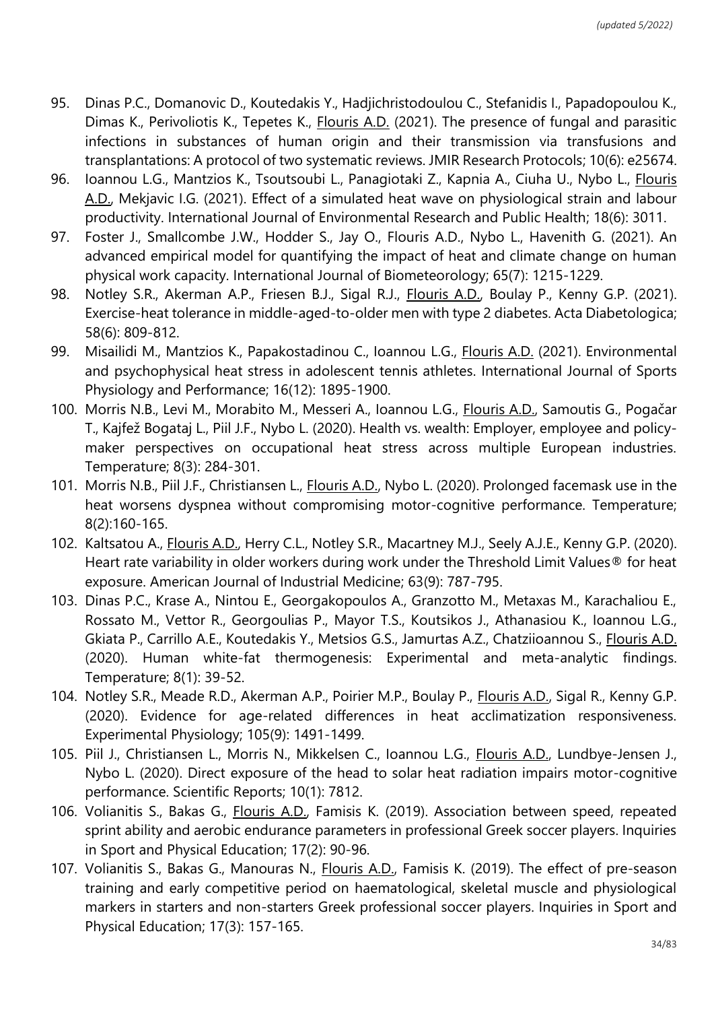- 95. Dinas P.C., Domanovic D., Koutedakis Y., Hadjichristodoulou C., Stefanidis I., Papadopoulou K., Dimas K., Perivoliotis K., Tepetes K., Flouris A.D. (2021). The presence of fungal and parasitic infections in substances of human origin and their transmission via transfusions and transplantations: A protocol of two systematic reviews. JMIR Research Protocols; 10(6): e25674.
- 96. Ioannou L.G., Mantzios K., Tsoutsoubi L., Panagiotaki Z., Kapnia A., Ciuha U., Nybo L., Flouris A.D., Mekjavic I.G. (2021). Effect of a simulated heat wave on physiological strain and labour productivity. International Journal of Environmental Research and Public Health; 18(6): 3011.
- 97. Foster J., Smallcombe J.W., Hodder S., Jay O., Flouris A.D., Nybo L., Havenith G. (2021). An advanced empirical model for quantifying the impact of heat and climate change on human physical work capacity. International Journal of Biometeorology; 65(7): 1215-1229.
- 98. Notley S.R., Akerman A.P., Friesen B.J., Sigal R.J., *Flouris A.D.*, Boulay P., Kenny G.P. (2021). Exercise-heat tolerance in middle-aged-to-older men with type 2 diabetes. Acta Diabetologica; 58(6): 809-812.
- 99. Misailidi M., Mantzios K., Papakostadinou C., Ioannou L.G., Flouris A.D. (2021). Environmental and psychophysical heat stress in adolescent tennis athletes. International Journal of Sports Physiology and Performance; 16(12): 1895-1900.
- 100. Morris N.B., Levi M., Morabito M., Messeri A., Ioannou L.G., Flouris A.D., Samoutis G., Pogačar T., Kajfež Bogataj L., Piil J.F., Nybo L. (2020). Health vs. wealth: Employer, employee and policymaker perspectives on occupational heat stress across multiple European industries. Temperature; 8(3): 284-301.
- 101. Morris N.B., Piil J.F., Christiansen L., Flouris A.D., Nybo L. (2020). Prolonged facemask use in the heat worsens dyspnea without compromising motor-cognitive performance. Temperature; 8(2):160-165.
- 102. Kaltsatou A., Flouris A.D., Herry C.L., Notley S.R., Macartney M.J., Seely A.J.E., Kenny G.P. (2020). Heart rate variability in older workers during work under the Threshold Limit Values® for heat exposure. American Journal of Industrial Medicine; 63(9): 787-795.
- 103. Dinas P.C., Krase A., Nintou E., Georgakopoulos A., Granzotto M., Metaxas M., Karachaliou E., Rossato M., Vettor R., Georgoulias P., Mayor T.S., Koutsikos J., Athanasiou K., Ioannou L.G., Gkiata P., Carrillo A.E., Koutedakis Y., Metsios G.S., Jamurtas A.Z., Chatziioannou S., Flouris A.D. (2020). Human white-fat thermogenesis: Experimental and meta-analytic findings. Temperature; 8(1): 39-52.
- 104. Notley S.R., Meade R.D., Akerman A.P., Poirier M.P., Boulay P., Flouris A.D., Sigal R., Kenny G.P. (2020). Evidence for age-related differences in heat acclimatization responsiveness. Experimental Physiology; 105(9): 1491-1499.
- 105. Piil J., Christiansen L., Morris N., Mikkelsen C., Ioannou L.G., Flouris A.D., Lundbye-Jensen J., Nybo L. (2020). Direct exposure of the head to solar heat radiation impairs motor-cognitive performance. Scientific Reports; 10(1): 7812.
- 106. Volianitis S., Bakas G., Flouris A.D., Famisis K. (2019). Association between speed, repeated sprint ability and aerobic endurance parameters in professional Greek soccer players. Inquiries in Sport and Physical Education; 17(2): 90-96.
- 107. Volianitis S., Bakas G., Manouras N., *Flouris A.D.*, Famisis K. (2019). The effect of pre-season training and early competitive period on haematological, skeletal muscle and physiological markers in starters and non-starters Greek professional soccer players. Inquiries in Sport and Physical Education; 17(3): 157-165.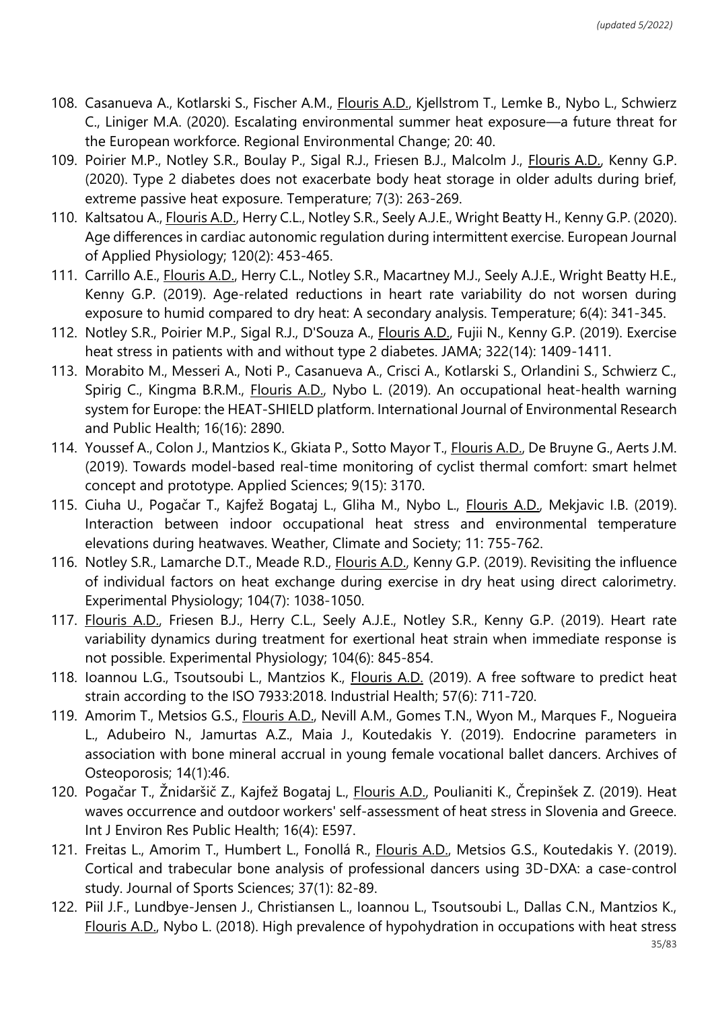- 108. Casanueva A., Kotlarski S., Fischer A.M., Flouris A.D., Kjellstrom T., Lemke B., Nybo L., Schwierz C., Liniger M.A. (2020). Escalating environmental summer heat exposure—a future threat for the European workforce. Regional Environmental Change; 20: 40.
- 109. Poirier M.P., Notley S.R., Boulay P., Sigal R.J., Friesen B.J., Malcolm J., *Flouris A.D., Kenny G.P.* (2020). Type 2 diabetes does not exacerbate body heat storage in older adults during brief, extreme passive heat exposure. Temperature; 7(3): 263-269.
- 110. Kaltsatou A., Flouris A.D., Herry C.L., Notley S.R., Seely A.J.E., Wright Beatty H., Kenny G.P. (2020). Age differences in cardiac autonomic regulation during intermittent exercise. European Journal of Applied Physiology; 120(2): 453-465.
- 111. Carrillo A.E., Flouris A.D., Herry C.L., Notley S.R., Macartney M.J., Seely A.J.E., Wright Beatty H.E., Kenny G.P. (2019). Age-related reductions in heart rate variability do not worsen during exposure to humid compared to dry heat: A secondary analysis. Temperature; 6(4): 341-345.
- 112. Notley S.R., Poirier M.P., Sigal R.J., D'Souza A., Flouris A.D., Fujii N., Kenny G.P. (2019). Exercise heat stress in patients with and without type 2 diabetes. JAMA; 322(14): 1409-1411.
- 113. Morabito M., Messeri A., Noti P., Casanueva A., Crisci A., Kotlarski S., Orlandini S., Schwierz C., Spirig C., Kingma B.R.M., *Flouris A.D.*, Nybo L. (2019). An occupational heat-health warning system for Europe: the HEAT-SHIELD platform. International Journal of Environmental Research and Public Health; 16(16): 2890.
- 114. Youssef A., Colon J., Mantzios K., Gkiata P., Sotto Mayor T., Flouris A.D., De Bruyne G., Aerts J.M. (2019). Towards model-based real-time monitoring of cyclist thermal comfort: smart helmet concept and prototype. Applied Sciences; 9(15): 3170.
- 115. Ciuha U., Pogačar T., Kajfež Bogataj L., Gliha M., Nybo L., Flouris A.D., Mekjavic I.B. (2019). Interaction between indoor occupational heat stress and environmental temperature elevations during heatwaves. Weather, Climate and Society; 11: 755-762.
- 116. Notley S.R., Lamarche D.T., Meade R.D., Flouris A.D., Kenny G.P. (2019). Revisiting the influence of individual factors on heat exchange during exercise in dry heat using direct calorimetry. Experimental Physiology; 104(7): 1038-1050.
- 117. Flouris A.D., Friesen B.J., Herry C.L., Seely A.J.E., Notley S.R., Kenny G.P. (2019). Heart rate variability dynamics during treatment for exertional heat strain when immediate response is not possible. Experimental Physiology; 104(6): 845-854.
- 118. Ioannou L.G., Tsoutsoubi L., Mantzios K., Flouris A.D. (2019). A free software to predict heat strain according to the ISO 7933:2018. Industrial Health; 57(6): 711-720.
- 119. Amorim T., Metsios G.S., Flouris A.D., Nevill A.M., Gomes T.N., Wyon M., Marques F., Nogueira L., Adubeiro N., Jamurtas A.Z., Maia J., Koutedakis Y. (2019). Endocrine parameters in association with bone mineral accrual in young female vocational ballet dancers. Archives of Osteoporosis; 14(1):46.
- 120. Pogačar T., Žnidaršič Z., Kajfež Bogataj L., Flouris A.D., Poulianiti K., Črepinšek Z. (2019). Heat waves occurrence and outdoor workers' self-assessment of heat stress in Slovenia and Greece. Int J Environ Res Public Health; 16(4): E597.
- 121. Freitas L., Amorim T., Humbert L., Fonollá R., Flouris A.D., Metsios G.S., Koutedakis Y. (2019). Cortical and trabecular bone analysis of professional dancers using 3D-DXA: a case-control study. Journal of Sports Sciences; 37(1): 82-89.
- 122. Piil J.F., Lundbye-Jensen J., Christiansen L., Ioannou L., Tsoutsoubi L., Dallas C.N., Mantzios K., Flouris A.D., Nybo L. (2018). High prevalence of hypohydration in occupations with heat stress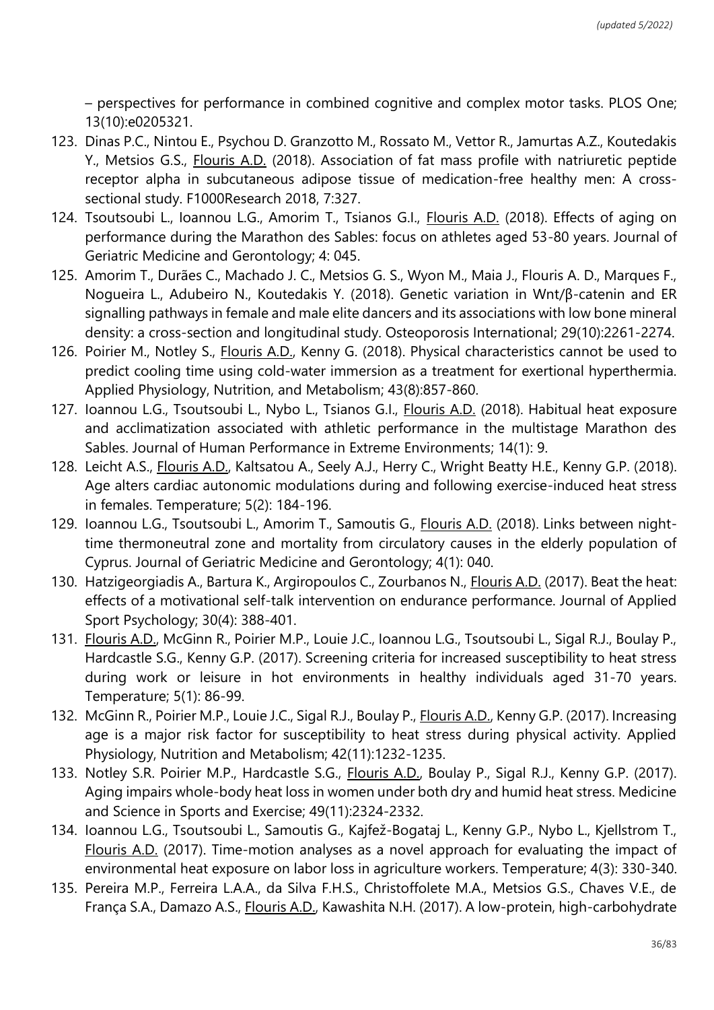– perspectives for performance in combined cognitive and complex motor tasks. PLOS One; 13(10):e0205321.

- 123. Dinas P.C., Nintou E., Psychou D. Granzotto M., Rossato M., Vettor R., Jamurtas A.Z., Koutedakis Y., Metsios G.S., Flouris A.D. (2018). Association of fat mass profile with natriuretic peptide receptor alpha in subcutaneous adipose tissue of medication-free healthy men: A crosssectional study. F1000Research 2018, 7:327.
- 124. Tsoutsoubi L., Ioannou L.G., Amorim T., Tsianos G.I., *Flouris A.D.* (2018). Effects of aging on performance during the Marathon des Sables: focus on athletes aged 53-80 years. Journal of Geriatric Medicine and Gerontology; 4: 045.
- 125. Amorim T., Durães C., Machado J. C., Metsios G. S., Wyon M., Maia J., Flouris A. D., Marques F., Nogueira L., Adubeiro N., Koutedakis Y. (2018). Genetic variation in Wnt/β-catenin and ER signalling pathways in female and male elite dancers and its associations with low bone mineral density: a cross-section and longitudinal study. Osteoporosis International; 29(10):2261-2274.
- 126. Poirier M., Notley S., Flouris A.D., Kenny G. (2018). Physical characteristics cannot be used to predict cooling time using cold-water immersion as a treatment for exertional hyperthermia. Applied Physiology, Nutrition, and Metabolism; 43(8):857-860.
- 127. Ioannou L.G., Tsoutsoubi L., Nybo L., Tsianos G.I., *Flouris A.D.* (2018). Habitual heat exposure and acclimatization associated with athletic performance in the multistage Marathon des Sables. Journal of Human Performance in Extreme Environments; 14(1): 9.
- 128. Leicht A.S., Flouris A.D., Kaltsatou A., Seely A.J., Herry C., Wright Beatty H.E., Kenny G.P. (2018). Age alters cardiac autonomic modulations during and following exercise-induced heat stress in females. Temperature; 5(2): 184-196.
- 129. Ioannou L.G., Tsoutsoubi L., Amorim T., Samoutis G., Flouris A.D. (2018). Links between nighttime thermoneutral zone and mortality from circulatory causes in the elderly population of Cyprus. Journal of Geriatric Medicine and Gerontology; 4(1): 040.
- 130. Hatzigeorgiadis A., Bartura K., Argiropoulos C., Zourbanos N., Flouris A.D. (2017). Beat the heat: effects of a motivational self-talk intervention on endurance performance. Journal of Applied Sport Psychology; 30(4): 388-401.
- 131. Flouris A.D., McGinn R., Poirier M.P., Louie J.C., Ioannou L.G., Tsoutsoubi L., Sigal R.J., Boulay P., Hardcastle S.G., Kenny G.P. (2017). Screening criteria for increased susceptibility to heat stress during work or leisure in hot environments in healthy individuals aged 31-70 years. Temperature; 5(1): 86-99.
- 132. McGinn R., Poirier M.P., Louie J.C., Sigal R.J., Boulay P., Flouris A.D., Kenny G.P. (2017). Increasing age is a major risk factor for susceptibility to heat stress during physical activity. Applied Physiology, Nutrition and Metabolism; 42(11):1232-1235.
- 133. Notley S.R. Poirier M.P., Hardcastle S.G., Flouris A.D., Boulay P., Sigal R.J., Kenny G.P. (2017). Aging impairs whole-body heat loss in women under both dry and humid heat stress. Medicine and Science in Sports and Exercise; 49(11):2324-2332.
- 134. Ioannou L.G., Tsoutsoubi L., Samoutis G., Kajfež-Bogataj L., Kenny G.P., Nybo L., Kjellstrom T., Flouris A.D. (2017). Time-motion analyses as a novel approach for evaluating the impact of environmental heat exposure on labor loss in agriculture workers. Temperature; 4(3): 330-340.
- 135. Pereira M.P., Ferreira L.A.A., da Silva F.H.S., Christoffolete M.A., Metsios G.S., Chaves V.E., de França S.A., Damazo A.S., Flouris A.D., Kawashita N.H. (2017). A low-protein, high-carbohydrate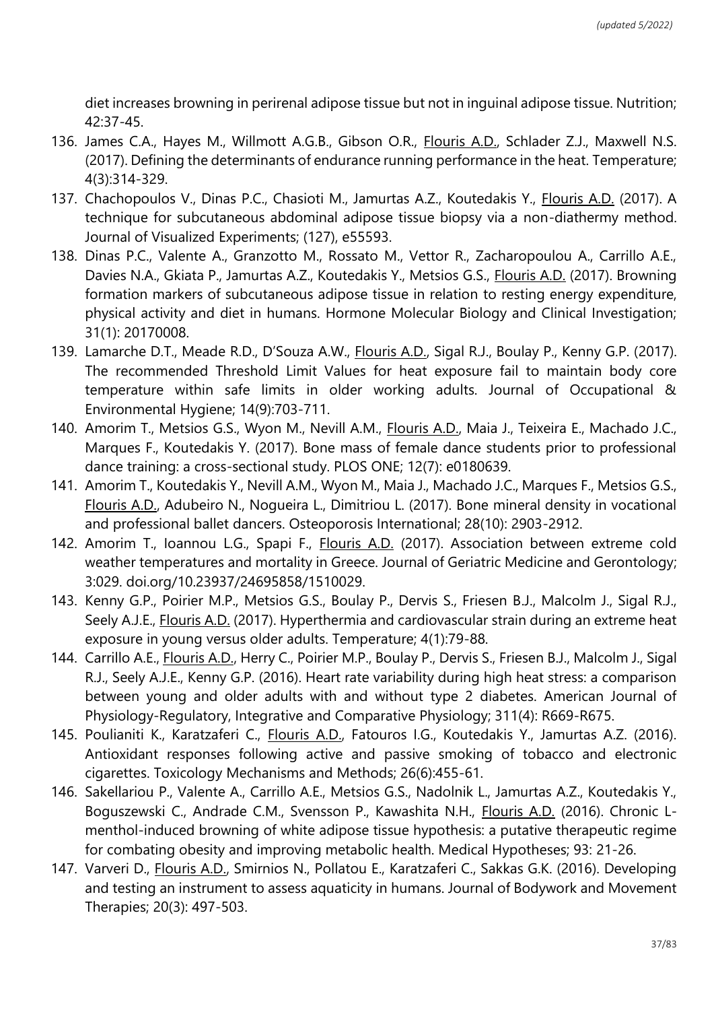diet increases browning in perirenal adipose tissue but not in inguinal adipose tissue. Nutrition; 42:37-45.

- 136. James C.A., Hayes M., Willmott A.G.B., Gibson O.R., Flouris A.D., Schlader Z.J., Maxwell N.S. (2017). Defining the determinants of endurance running performance in the heat. Temperature; 4(3):314-329.
- 137. Chachopoulos V., Dinas P.C., Chasioti M., Jamurtas A.Z., Koutedakis Y., Flouris A.D. (2017). A technique for subcutaneous abdominal adipose tissue biopsy via a non-diathermy method. Journal of Visualized Experiments; (127), e55593.
- 138. Dinas P.C., Valente A., Granzotto M., Rossato M., Vettor R., Zacharopoulou A., Carrillo A.E., Davies N.A., Gkiata P., Jamurtas A.Z., Koutedakis Y., Metsios G.S., Flouris A.D. (2017). Browning formation markers of subcutaneous adipose tissue in relation to resting energy expenditure, physical activity and diet in humans. Hormone Molecular Biology and Clinical Investigation; 31(1): 20170008.
- 139. Lamarche D.T., Meade R.D., D'Souza A.W., Flouris A.D., Sigal R.J., Boulay P., Kenny G.P. (2017). The recommended Threshold Limit Values for heat exposure fail to maintain body core temperature within safe limits in older working adults. Journal of Occupational & Environmental Hygiene; 14(9):703-711.
- 140. Amorim T., Metsios G.S., Wyon M., Nevill A.M., Flouris A.D., Maia J., Teixeira E., Machado J.C., Marques F., Koutedakis Y. (2017). Bone mass of female dance students prior to professional dance training: a cross-sectional study. PLOS ONE; 12(7): e0180639.
- 141. Amorim T., Koutedakis Y., Nevill A.M., Wyon M., Maia J., Machado J.C., Marques F., Metsios G.S., Flouris A.D., Adubeiro N., Nogueira L., Dimitriou L. (2017). Bone mineral density in vocational and professional ballet dancers. Osteoporosis International; 28(10): 2903-2912.
- 142. Amorim T., Ioannou L.G., Spapi F., Flouris A.D. (2017). Association between extreme cold weather temperatures and mortality in Greece. Journal of Geriatric Medicine and Gerontology; 3:029. doi.org/10.23937/24695858/1510029.
- 143. Kenny G.P., Poirier M.P., Metsios G.S., Boulay P., Dervis S., Friesen B.J., Malcolm J., Sigal R.J., Seely A.J.E., **Flouris A.D.** (2017). Hyperthermia and cardiovascular strain during an extreme heat exposure in young versus older adults. Temperature; 4(1):79-88.
- 144. Carrillo A.E., Flouris A.D., Herry C., Poirier M.P., Boulay P., Dervis S., Friesen B.J., Malcolm J., Sigal R.J., Seely A.J.E., Kenny G.P. (2016). Heart rate variability during high heat stress: a comparison between young and older adults with and without type 2 diabetes. American Journal of Physiology-Regulatory, Integrative and Comparative Physiology; 311(4): R669-R675.
- 145. Poulianiti K., Karatzaferi C., Flouris A.D., Fatouros I.G., Koutedakis Y., Jamurtas A.Z. (2016). Antioxidant responses following active and passive smoking of tobacco and electronic cigarettes. Toxicology Mechanisms and Methods; 26(6):455-61.
- 146. Sakellariou P., Valente A., Carrillo A.E., Metsios G.S., Nadolnik L., Jamurtas A.Z., Koutedakis Y., Boguszewski C., Andrade C.M., Svensson P., Kawashita N.H., Flouris A.D. (2016). Chronic Lmenthol-induced browning of white adipose tissue hypothesis: a putative therapeutic regime for combating obesity and improving metabolic health. Medical Hypotheses; 93: 21-26.
- 147. Varveri D., Flouris A.D., Smirnios N., Pollatou E., Karatzaferi C., Sakkas G.K. (2016). Developing and testing an instrument to assess aquaticity in humans. Journal of Bodywork and Movement Therapies; 20(3): 497-503.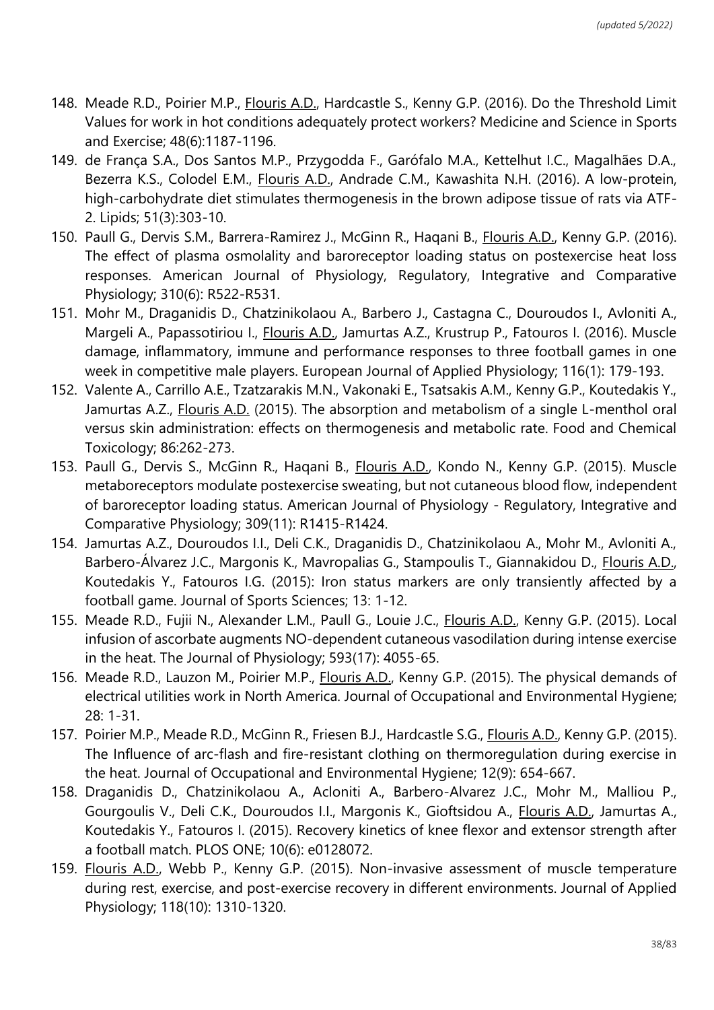- 148. Meade R.D., Poirier M.P., Flouris A.D., Hardcastle S., Kenny G.P. (2016). Do the Threshold Limit Values for work in hot conditions adequately protect workers? Medicine and Science in Sports and Exercise; 48(6):1187-1196.
- 149. de França S.A., Dos Santos M.P., Przygodda F., Garófalo M.A., Kettelhut I.C., Magalhães D.A., Bezerra K.S., Colodel E.M., Flouris A.D., Andrade C.M., Kawashita N.H. (2016). A low-protein, high-carbohydrate diet stimulates thermogenesis in the brown adipose tissue of rats via ATF-2. Lipids; 51(3):303-10.
- 150. Paull G., Dervis S.M., Barrera-Ramirez J., McGinn R., Haqani B., Flouris A.D., Kenny G.P. (2016). The effect of plasma osmolality and baroreceptor loading status on postexercise heat loss responses. American Journal of Physiology, Regulatory, Integrative and Comparative Physiology; 310(6): R522-R531.
- 151. Mohr M., Draganidis D., Chatzinikolaou A., Barbero J., Castagna C., Douroudos I., Avloniti A., Margeli A., Papassotiriou I., Flouris A.D., Jamurtas A.Z., Krustrup P., Fatouros I. (2016). Muscle damage, inflammatory, immune and performance responses to three football games in one week in competitive male players. European Journal of Applied Physiology; 116(1): 179-193.
- 152. Valente A., Carrillo A.E., Tzatzarakis M.N., Vakonaki E., Tsatsakis A.M., Kenny G.P., Koutedakis Y., Jamurtas A.Z., Flouris A.D. (2015). The absorption and metabolism of a single L-menthol oral versus skin administration: effects on thermogenesis and metabolic rate. Food and Chemical Toxicology; 86:262-273.
- 153. Paull G., Dervis S., McGinn R., Haqani B., Flouris A.D., Kondo N., Kenny G.P. (2015). Muscle metaboreceptors modulate postexercise sweating, but not cutaneous blood flow, independent of baroreceptor loading status. American Journal of Physiology - Regulatory, Integrative and Comparative Physiology; 309(11): R1415-R1424.
- 154. Jamurtas A.Z., Douroudos I.I., Deli C.K., Draganidis D., Chatzinikolaou A., Mohr M., Avloniti A., Barbero-Álvarez J.C., Margonis K., Mavropalias G., Stampoulis T., Giannakidou D., Flouris A.D., Koutedakis Y., Fatouros I.G. (2015): Iron status markers are only transiently affected by a football game. Journal of Sports Sciences; 13: 1-12.
- 155. Meade R.D., Fujii N., Alexander L.M., Paull G., Louie J.C., Flouris A.D., Kenny G.P. (2015). Local infusion of ascorbate augments NO-dependent cutaneous vasodilation during intense exercise in the heat. The Journal of Physiology; 593(17): 4055-65.
- 156. Meade R.D., Lauzon M., Poirier M.P., Flouris A.D., Kenny G.P. (2015). The physical demands of electrical utilities work in North America. Journal of Occupational and Environmental Hygiene; 28: 1-31.
- 157. Poirier M.P., Meade R.D., McGinn R., Friesen B.J., Hardcastle S.G., Flouris A.D., Kenny G.P. (2015). The Influence of arc-flash and fire-resistant clothing on thermoregulation during exercise in the heat. Journal of Occupational and Environmental Hygiene; 12(9): 654-667.
- 158. Draganidis D., Chatzinikolaou A., Acloniti A., Barbero-Alvarez J.C., Mohr M., Malliou P., Gourgoulis V., Deli C.K., Douroudos I.I., Margonis K., Gioftsidou A., Flouris A.D., Jamurtas A., Koutedakis Y., Fatouros I. (2015). Recovery kinetics of knee flexor and extensor strength after a football match. PLOS ONE; 10(6): e0128072.
- 159. Flouris A.D., Webb P., Kenny G.P. (2015). Non-invasive assessment of muscle temperature during rest, exercise, and post-exercise recovery in different environments. Journal of Applied Physiology; 118(10): 1310-1320.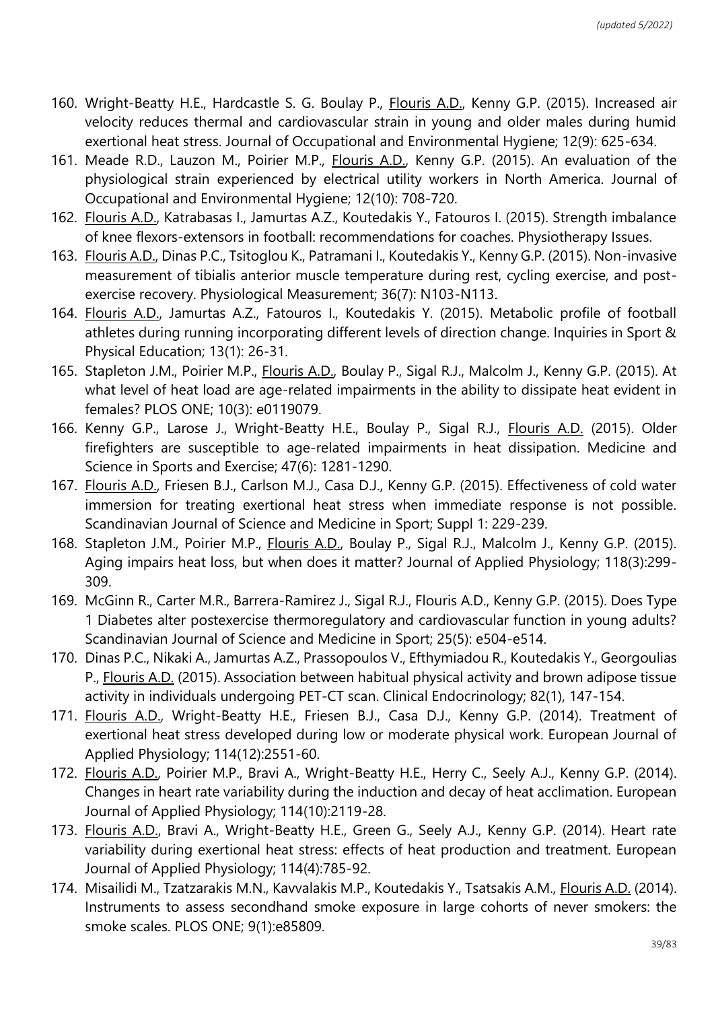- 160. Wright-Beatty H.E., Hardcastle S. G. Boulay P., Flouris A.D., Kenny G.P. (2015). Increased air velocity reduces thermal and cardiovascular strain in young and older males during humid exertional heat stress. Journal of Occupational and Environmental Hygiene; 12(9): 625-634.
- 161. Meade R.D., Lauzon M., Poirier M.P., Flouris A.D., Kenny G.P. (2015). An evaluation of the physiological strain experienced by electrical utility workers in North America. Journal of Occupational and Environmental Hygiene; 12(10): 708-720.
- 162. Flouris A.D., Katrabasas I., Jamurtas A.Z., Koutedakis Y., Fatouros I. (2015). Strength imbalance of knee flexors-extensors in football: recommendations for coaches. Physiotherapy Issues.
- 163. Flouris A.D., Dinas P.C., Tsitoglou K., Patramani I., Koutedakis Y., Kenny G.P. (2015). Non-invasive measurement of tibialis anterior muscle temperature during rest, cycling exercise, and postexercise recovery. Physiological Measurement; 36(7): N103-N113.
- 164. Flouris A.D., Jamurtas A.Z., Fatouros I., Koutedakis Y. (2015). Metabolic profile of football athletes during running incorporating different levels of direction change. Inquiries in Sport & Physical Education; 13(1): 26-31.
- 165. Stapleton J.M., Poirier M.P., *Flouris A.D.*, Boulay P., Sigal R.J., Malcolm J., Kenny G.P. (2015). At what level of heat load are age-related impairments in the ability to dissipate heat evident in females? PLOS ONE; 10(3): e0119079.
- 166. Kenny G.P., Larose J., Wright-Beatty H.E., Boulay P., Sigal R.J., Flouris A.D. (2015). Older firefighters are susceptible to age-related impairments in heat dissipation. Medicine and Science in Sports and Exercise; 47(6): 1281-1290.
- 167. Flouris A.D., Friesen B.J., Carlson M.J., Casa D.J., Kenny G.P. (2015). Effectiveness of cold water immersion for treating exertional heat stress when immediate response is not possible. Scandinavian Journal of Science and Medicine in Sport; Suppl 1: 229-239.
- 168. Stapleton J.M., Poirier M.P., *Flouris A.D., Boulay P.*, Sigal R.J., Malcolm J., Kenny G.P. (2015). Aging impairs heat loss, but when does it matter? Journal of Applied Physiology; 118(3):299- 309.
- 169. McGinn R., Carter M.R., Barrera-Ramirez J., Sigal R.J., Flouris A.D., Kenny G.P. (2015). Does Type 1 Diabetes alter postexercise thermoregulatory and cardiovascular function in young adults? Scandinavian Journal of Science and Medicine in Sport; 25(5): e504-e514.
- 170. Dinas P.C., Nikaki A., Jamurtas A.Z., Prassopoulos V., Efthymiadou R., Koutedakis Y., Georgoulias P., Flouris A.D. (2015). Association between habitual physical activity and brown adipose tissue activity in individuals undergoing PET-CT scan. Clinical Endocrinology; 82(1), 147-154.
- 171. Flouris A.D., Wright-Beatty H.E., Friesen B.J., Casa D.J., Kenny G.P. (2014). Treatment of exertional heat stress developed during low or moderate physical work. European Journal of Applied Physiology; 114(12):2551-60.
- 172. Flouris A.D., Poirier M.P., Bravi A., Wright-Beatty H.E., Herry C., Seely A.J., Kenny G.P. (2014). Changes in heart rate variability during the induction and decay of heat acclimation. European Journal of Applied Physiology; 114(10):2119-28.
- 173. Flouris A.D., Bravi A., Wright-Beatty H.E., Green G., Seely A.J., Kenny G.P. (2014). Heart rate variability during exertional heat stress: effects of heat production and treatment. European Journal of Applied Physiology; 114(4):785-92.
- 174. Misailidi M., Tzatzarakis M.N., Kavvalakis M.P., Koutedakis Y., Tsatsakis A.M., Flouris A.D. (2014). Instruments to assess secondhand smoke exposure in large cohorts of never smokers: the smoke scales. PLOS ONE; 9(1):e85809.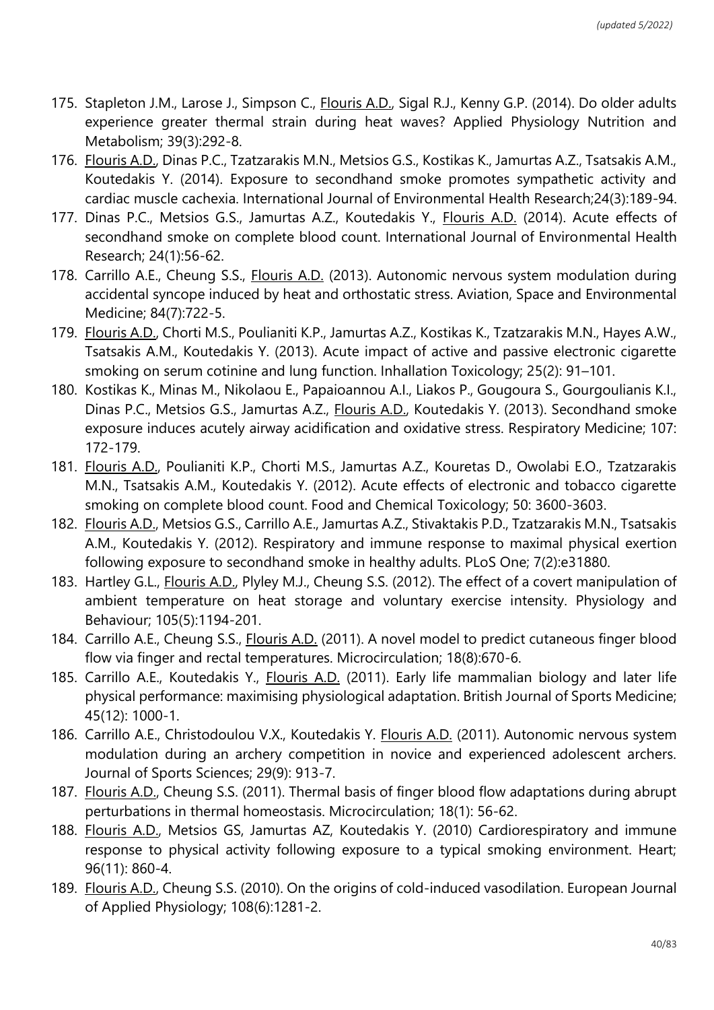- 175. Stapleton J.M., Larose J., Simpson C., Flouris A.D., Sigal R.J., Kenny G.P. (2014). Do older adults experience greater thermal strain during heat waves? Applied Physiology Nutrition and Metabolism; 39(3):292-8.
- 176. Flouris A.D., Dinas P.C., Tzatzarakis M.N., Metsios G.S., Kostikas K., Jamurtas A.Z., Tsatsakis A.M., Koutedakis Y. (2014). Exposure to secondhand smoke promotes sympathetic activity and cardiac muscle cachexia. International Journal of Environmental Health Research;24(3):189-94.
- 177. Dinas P.C., Metsios G.S., Jamurtas A.Z., Koutedakis Y., Flouris A.D. (2014). Acute effects of secondhand smoke on complete blood count. International Journal of Environmental Health Research; 24(1):56-62.
- 178. Carrillo A.E., Cheung S.S., Flouris A.D. (2013). Autonomic nervous system modulation during accidental syncope induced by heat and orthostatic stress. Aviation, Space and Environmental Medicine; 84(7):722-5.
- 179. Flouris A.D., Chorti M.S., Poulianiti K.P., Jamurtas A.Z., Kostikas K., Tzatzarakis M.N., Hayes A.W., Tsatsakis A.M., Koutedakis Y. (2013). Acute impact of active and passive electronic cigarette smoking on serum cotinine and lung function. Inhallation Toxicology; 25(2): 91–101.
- 180. Kostikas K., Minas M., Nikolaou E., Papaioannou A.I., Liakos P., Gougoura S., Gourgoulianis K.I., Dinas P.C., Metsios G.S., Jamurtas A.Z., *Flouris A.D.*, Koutedakis Y. (2013). Secondhand smoke exposure induces acutely airway acidification and oxidative stress. Respiratory Medicine; 107: 172-179.
- 181. Flouris A.D., Poulianiti K.P., Chorti M.S., Jamurtas A.Z., Kouretas D., Owolabi E.O., Tzatzarakis M.N., Tsatsakis A.M., Koutedakis Y. (2012). Acute effects of electronic and tobacco cigarette smoking on complete blood count. Food and Chemical Toxicology; 50: 3600-3603.
- 182. Flouris A.D., Metsios G.S., Carrillo A.E., Jamurtas A.Z., Stivaktakis P.D., Tzatzarakis M.N., Tsatsakis A.M., Koutedakis Y. (2012). Respiratory and immune response to maximal physical exertion following exposure to secondhand smoke in healthy adults. PLoS One; 7(2):e31880.
- 183. Hartley G.L., Flouris A.D., Plyley M.J., Cheung S.S. (2012). The effect of a covert manipulation of ambient temperature on heat storage and voluntary exercise intensity. Physiology and Behaviour; 105(5):1194-201.
- 184. Carrillo A.E., Cheung S.S., Flouris A.D. (2011). A novel model to predict cutaneous finger blood flow via finger and rectal temperatures. Microcirculation; 18(8):670-6.
- 185. Carrillo A.E., Koutedakis Y., Flouris A.D. (2011). Early life mammalian biology and later life physical performance: maximising physiological adaptation. British Journal of Sports Medicine; 45(12): 1000-1.
- 186. Carrillo A.E., Christodoulou V.X., Koutedakis Y. Flouris A.D. (2011). Autonomic nervous system modulation during an archery competition in novice and experienced adolescent archers. Journal of Sports Sciences; 29(9): 913-7.
- 187. Flouris A.D., Cheung S.S. (2011). Thermal basis of finger blood flow adaptations during abrupt perturbations in thermal homeostasis. Microcirculation; 18(1): 56-62.
- 188. Flouris A.D., Metsios GS, Jamurtas AZ, Koutedakis Y. (2010) Cardiorespiratory and immune response to physical activity following exposure to a typical smoking environment. Heart; 96(11): 860-4.
- 189. Flouris A.D., Cheung S.S. (2010). On the origins of cold-induced vasodilation. European Journal of Applied Physiology; 108(6):1281-2.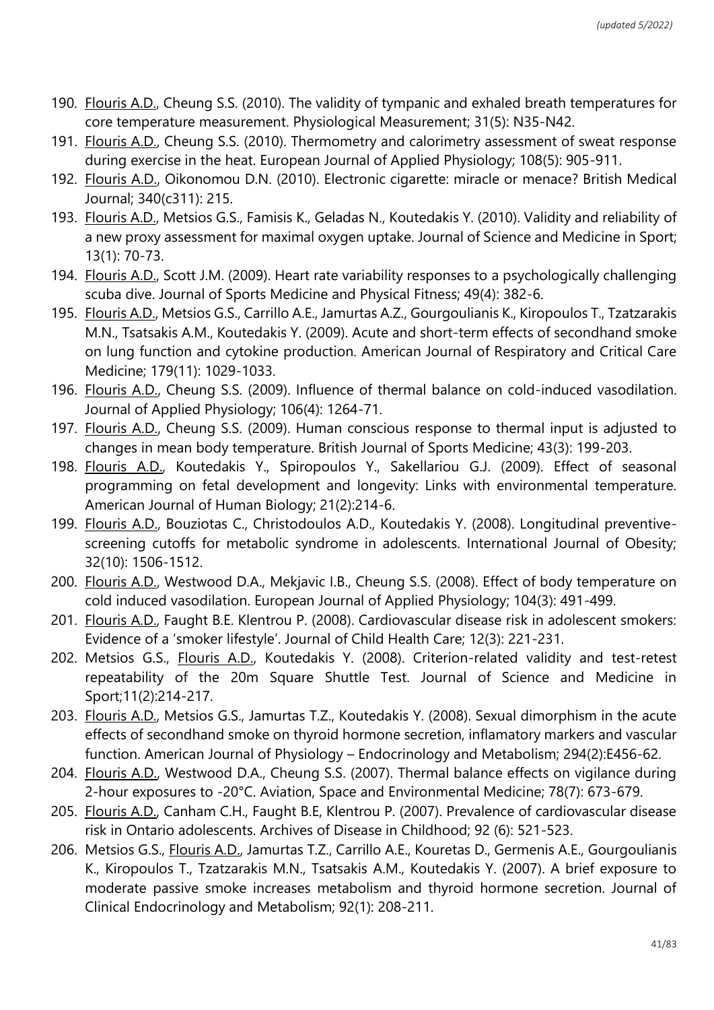- 190. Flouris A.D., Cheung S.S. (2010). The validity of tympanic and exhaled breath temperatures for core temperature measurement. Physiological Measurement; 31(5): N35-N42.
- 191. Flouris A.D., Cheung S.S. (2010). Thermometry and calorimetry assessment of sweat response during exercise in the heat. European Journal of Applied Physiology; 108(5): 905-911.
- 192. Flouris A.D., Oikonomou D.N. (2010). Electronic cigarette: miracle or menace? British Medical Journal; 340(c311): 215.
- 193. Flouris A.D., Metsios G.S., Famisis K., Geladas N., Koutedakis Y. (2010). Validity and reliability of a new proxy assessment for maximal oxygen uptake. Journal of Science and Medicine in Sport; 13(1): 70-73.
- 194. Flouris A.D., Scott J.M. (2009). Heart rate variability responses to a psychologically challenging scuba dive. Journal of Sports Medicine and Physical Fitness; 49(4): 382-6.
- 195. Flouris A.D., Metsios G.S., Carrillo A.E., Jamurtas A.Z., Gourgoulianis K., Kiropoulos T., Tzatzarakis M.N., Tsatsakis A.M., Koutedakis Y. (2009). Acute and short-term effects of secondhand smoke on lung function and cytokine production. American Journal of Respiratory and Critical Care Medicine; 179(11): 1029-1033.
- 196. Flouris A.D., Cheung S.S. (2009). Influence of thermal balance on cold-induced vasodilation. Journal of Applied Physiology; 106(4): 1264-71.
- 197. Flouris A.D., Cheung S.S. (2009). Human conscious response to thermal input is adjusted to changes in mean body temperature. British Journal of Sports Medicine; 43(3): 199-203.
- 198. Flouris A.D., Koutedakis Y., Spiropoulos Y., Sakellariou G.J. (2009). Effect of seasonal programming on fetal development and longevity: Links with environmental temperature. American Journal of Human Biology; 21(2):214-6.
- 199. Flouris A.D., Bouziotas C., Christodoulos A.D., Koutedakis Y. (2008). Longitudinal preventivescreening cutoffs for metabolic syndrome in adolescents. International Journal of Obesity; 32(10): 1506-1512.
- 200. Flouris A.D., Westwood D.A., Mekjavic I.B., Cheung S.S. (2008). Effect of body temperature on cold induced vasodilation. European Journal of Applied Physiology; 104(3): 491-499.
- 201. Flouris A.D., Faught B.E. Klentrou P. (2008). Cardiovascular disease risk in adolescent smokers: Evidence of a 'smoker lifestyle'. Journal of Child Health Care; 12(3): 221-231.
- 202. Metsios G.S., Flouris A.D., Koutedakis Y. (2008). Criterion-related validity and test-retest repeatability of the 20m Square Shuttle Test. Journal of Science and Medicine in Sport;11(2):214-217.
- 203. Flouris A.D., Metsios G.S., Jamurtas T.Z., Koutedakis Y. (2008). Sexual dimorphism in the acute effects of secondhand smoke on thyroid hormone secretion, inflamatory markers and vascular function. American Journal of Physiology – Endocrinology and Metabolism; 294(2):E456-62.
- 204. Flouris A.D., Westwood D.A., Cheung S.S. (2007). Thermal balance effects on vigilance during 2-hour exposures to -20°C. Aviation, Space and Environmental Medicine; 78(7): 673-679.
- 205. Flouris A.D., Canham C.H., Faught B.E, Klentrou P. (2007). Prevalence of cardiovascular disease risk in Ontario adolescents. Archives of Disease in Childhood; 92 (6): 521-523.
- 206. Metsios G.S., Flouris A.D., Jamurtas T.Z., Carrillo A.E., Kouretas D., Germenis A.E., Gourgoulianis K., Kiropoulos T., Tzatzarakis M.N., Tsatsakis A.M., Koutedakis Y. (2007). A brief exposure to moderate passive smoke increases metabolism and thyroid hormone secretion. Journal of Clinical Endocrinology and Metabolism; 92(1): 208-211.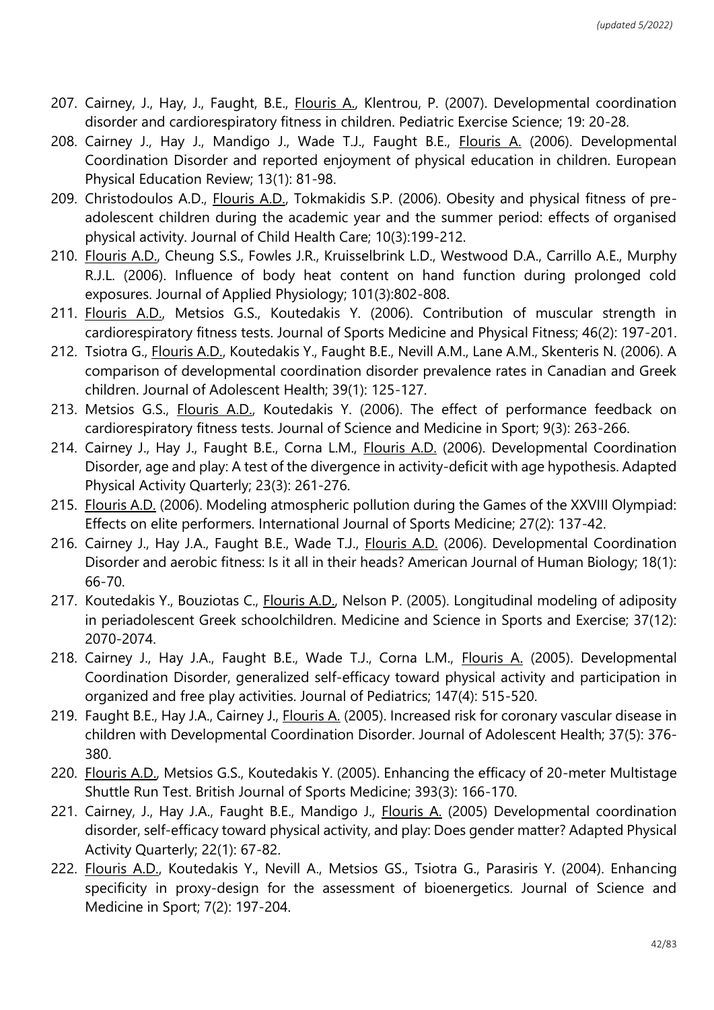- 207. Cairney, J., Hay, J., Faught, B.E., Flouris A., Klentrou, P. (2007). Developmental coordination disorder and cardiorespiratory fitness in children. Pediatric Exercise Science; 19: 20-28.
- 208. Cairney J., Hay J., Mandigo J., Wade T.J., Faught B.E., Flouris A. (2006). Developmental Coordination Disorder and reported enjoyment of physical education in children. European Physical Education Review; 13(1): 81-98.
- 209. Christodoulos A.D., Flouris A.D., Tokmakidis S.P. (2006). Obesity and physical fitness of preadolescent children during the academic year and the summer period: effects of organised physical activity. Journal of Child Health Care; 10(3):199-212.
- 210. Flouris A.D., Cheung S.S., Fowles J.R., Kruisselbrink L.D., Westwood D.A., Carrillo A.E., Murphy R.J.L. (2006). Influence of body heat content on hand function during prolonged cold exposures. Journal of Applied Physiology; 101(3):802-808.
- 211. Flouris A.D., Metsios G.S., Koutedakis Y. (2006). Contribution of muscular strength in cardiorespiratory fitness tests. Journal of Sports Medicine and Physical Fitness; 46(2): 197-201.
- 212. Tsiotra G., Flouris A.D., Koutedakis Y., Faught B.E., Nevill A.M., Lane A.M., Skenteris N. (2006). A comparison of developmental coordination disorder prevalence rates in Canadian and Greek children. Journal of Adolescent Health; 39(1): 125-127.
- 213. Metsios G.S., Flouris A.D., Koutedakis Y. (2006). The effect of performance feedback on cardiorespiratory fitness tests. Journal of Science and Medicine in Sport; 9(3): 263-266.
- 214. Cairney J., Hay J., Faught B.E., Corna L.M., Flouris A.D. (2006). Developmental Coordination Disorder, age and play: A test of the divergence in activity-deficit with age hypothesis. Adapted Physical Activity Quarterly; 23(3): 261-276.
- 215. Flouris A.D. (2006). Modeling atmospheric pollution during the Games of the XXVIII Olympiad: Effects on elite performers. International Journal of Sports Medicine; 27(2): 137-42.
- 216. Cairney J., Hay J.A., Faught B.E., Wade T.J., Flouris A.D. (2006). Developmental Coordination Disorder and aerobic fitness: Is it all in their heads? American Journal of Human Biology; 18(1): 66-70.
- 217. Koutedakis Y., Bouziotas C., Flouris A.D., Nelson P. (2005). Longitudinal modeling of adiposity in periadolescent Greek schoolchildren. Medicine and Science in Sports and Exercise; 37(12): 2070-2074.
- 218. Cairney J., Hay J.A., Faught B.E., Wade T.J., Corna L.M., Flouris A. (2005). Developmental Coordination Disorder, generalized self-efficacy toward physical activity and participation in organized and free play activities. Journal of Pediatrics; 147(4): 515-520.
- 219. Faught B.E., Hay J.A., Cairney J., Flouris A. (2005). Increased risk for coronary vascular disease in children with Developmental Coordination Disorder. Journal of Adolescent Health; 37(5): 376- 380.
- 220. Flouris A.D., Metsios G.S., Koutedakis Y. (2005). Enhancing the efficacy of 20-meter Multistage Shuttle Run Test. British Journal of Sports Medicine; 393(3): 166-170.
- 221. Cairney, J., Hay J.A., Faught B.E., Mandigo J., Flouris A. (2005) Developmental coordination disorder, self-efficacy toward physical activity, and play: Does gender matter? Adapted Physical Activity Quarterly; 22(1): 67-82.
- 222. Flouris A.D., Koutedakis Y., Nevill A., Metsios GS., Tsiotra G., Parasiris Y. (2004). Enhancing specificity in proxy-design for the assessment of bioenergetics. Journal of Science and Medicine in Sport; 7(2): 197-204.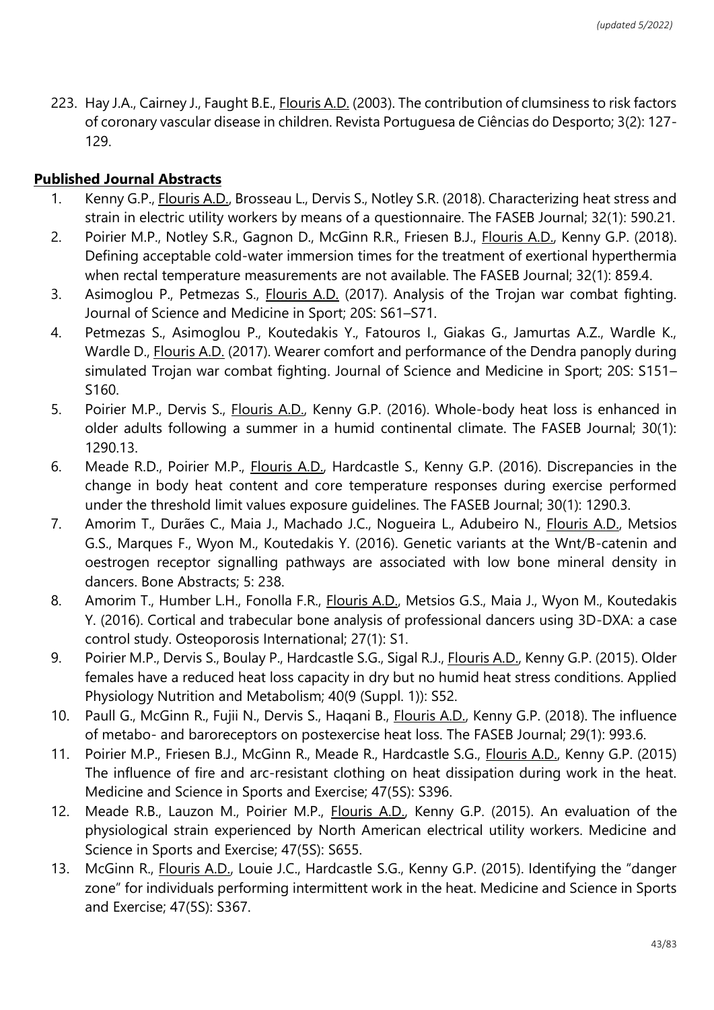223. Hay J.A., Cairney J., Faught B.E., Flouris A.D. (2003). The contribution of clumsiness to risk factors of coronary vascular disease in children. Revista Portuguesa de Ciências do Desporto; 3(2): 127- 129.

#### **Published Journal Abstracts**

- 1. Kenny G.P., Flouris A.D., Brosseau L., Dervis S., Notley S.R. (2018). Characterizing heat stress and strain in electric utility workers by means of a questionnaire. The FASEB Journal; 32(1): 590.21.
- 2. Poirier M.P., Notley S.R., Gagnon D., McGinn R.R., Friesen B.J., Flouris A.D., Kenny G.P. (2018). Defining acceptable cold-water immersion times for the treatment of exertional hyperthermia when rectal temperature measurements are not available. The FASEB Journal; 32(1): 859.4.
- 3. Asimoglou P., Petmezas S., Flouris A.D. (2017). Analysis of the Trojan war combat fighting. Journal of Science and Medicine in Sport; 20S: S61–S71.
- 4. Petmezas S., Asimoglou P., Koutedakis Y., Fatouros I., Giakas G., Jamurtas A.Z., Wardle K., Wardle D., Flouris A.D. (2017). Wearer comfort and performance of the Dendra panoply during simulated Trojan war combat fighting. Journal of Science and Medicine in Sport; 20S: S151– S160.
- 5. Poirier M.P., Dervis S., Flouris A.D., Kenny G.P. (2016). Whole-body heat loss is enhanced in older adults following a summer in a humid continental climate. The FASEB Journal; 30(1): 1290.13.
- 6. Meade R.D., Poirier M.P., Flouris A.D., Hardcastle S., Kenny G.P. (2016). Discrepancies in the change in body heat content and core temperature responses during exercise performed under the threshold limit values exposure guidelines. The FASEB Journal; 30(1): 1290.3.
- 7. Amorim T., Durães C., Maia J., Machado J.C., Nogueira L., Adubeiro N., Flouris A.D., Metsios G.S., Marques F., Wyon M., Koutedakis Y. (2016). Genetic variants at the Wnt/B-catenin and oestrogen receptor signalling pathways are associated with low bone mineral density in dancers. Bone Abstracts; 5: 238.
- 8. Amorim T., Humber L.H., Fonolla F.R., Flouris A.D., Metsios G.S., Maia J., Wyon M., Koutedakis Y. (2016). Cortical and trabecular bone analysis of professional dancers using 3D-DXA: a case control study. Osteoporosis International; 27(1): S1.
- 9. Poirier M.P., Dervis S., Boulay P., Hardcastle S.G., Sigal R.J., *Flouris A.D.*, Kenny G.P. (2015). Older females have a reduced heat loss capacity in dry but no humid heat stress conditions. Applied Physiology Nutrition and Metabolism; 40(9 (Suppl. 1)): S52.
- 10. Paull G., McGinn R., Fujii N., Dervis S., Haqani B., Flouris A.D., Kenny G.P. (2018). The influence of metabo- and baroreceptors on postexercise heat loss. The FASEB Journal; 29(1): 993.6.
- 11. Poirier M.P., Friesen B.J., McGinn R., Meade R., Hardcastle S.G., Flouris A.D., Kenny G.P. (2015) The influence of fire and arc-resistant clothing on heat dissipation during work in the heat. Medicine and Science in Sports and Exercise; 47(5S): S396.
- 12. Meade R.B., Lauzon M., Poirier M.P., Flouris A.D., Kenny G.P. (2015). An evaluation of the physiological strain experienced by North American electrical utility workers. Medicine and Science in Sports and Exercise; 47(5S): S655.
- 13. McGinn R., Flouris A.D., Louie J.C., Hardcastle S.G., Kenny G.P. (2015). Identifying the "danger zone" for individuals performing intermittent work in the heat. Medicine and Science in Sports and Exercise; 47(5S): S367.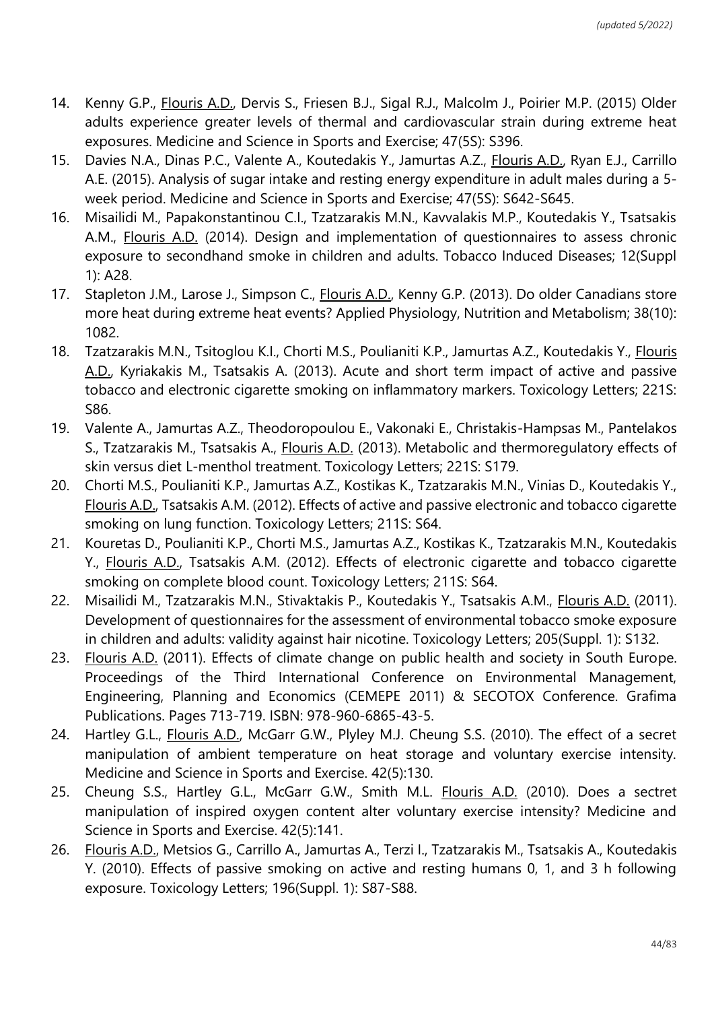- 14. Kenny G.P., Flouris A.D., Dervis S., Friesen B.J., Sigal R.J., Malcolm J., Poirier M.P. (2015) Older adults experience greater levels of thermal and cardiovascular strain during extreme heat exposures. Medicine and Science in Sports and Exercise; 47(5S): S396.
- 15. Davies N.A., Dinas P.C., Valente A., Koutedakis Y., Jamurtas A.Z., Flouris A.D., Ryan E.J., Carrillo A.E. (2015). Analysis of sugar intake and resting energy expenditure in adult males during a 5 week period. Medicine and Science in Sports and Exercise; 47(5S): S642-S645.
- 16. Misailidi M., Papakonstantinou C.I., Tzatzarakis M.N., Kavvalakis M.P., Koutedakis Y., Tsatsakis A.M., Flouris A.D. (2014). Design and implementation of questionnaires to assess chronic exposure to secondhand smoke in children and adults. Tobacco Induced Diseases; 12(Suppl 1): A28.
- 17. Stapleton J.M., Larose J., Simpson C., Flouris A.D., Kenny G.P. (2013). Do older Canadians store more heat during extreme heat events? Applied Physiology, Nutrition and Metabolism; 38(10): 1082.
- 18. Tzatzarakis M.N., Tsitoglou K.I., Chorti M.S., Poulianiti K.P., Jamurtas A.Z., Koutedakis Y., Flouris A.D., Kyriakakis M., Tsatsakis A. (2013). Acute and short term impact of active and passive tobacco and electronic cigarette smoking on inflammatory markers. Toxicology Letters; 221S: S86.
- 19. Valente A., Jamurtas A.Z., Theodoropoulou E., Vakonaki E., Christakis-Hampsas M., Pantelakos S., Tzatzarakis M., Tsatsakis A., Flouris A.D. (2013). Metabolic and thermoregulatory effects of skin versus diet L-menthol treatment. Toxicology Letters; 221S: S179.
- 20. Chorti M.S., Poulianiti K.P., Jamurtas A.Z., Kostikas K., Tzatzarakis M.N., Vinias D., Koutedakis Y., Flouris A.D., Tsatsakis A.M. (2012). Effects of active and passive electronic and tobacco cigarette smoking on lung function. Toxicology Letters; 211S: S64.
- 21. Kouretas D., Poulianiti K.P., Chorti M.S., Jamurtas A.Z., Kostikas K., Tzatzarakis M.N., Koutedakis Y., Flouris A.D., Tsatsakis A.M. (2012). Effects of electronic cigarette and tobacco cigarette smoking on complete blood count. Toxicology Letters; 211S: S64.
- 22. Misailidi M., Tzatzarakis M.N., Stivaktakis P., Koutedakis Y., Tsatsakis A.M., Flouris A.D. (2011). Development of questionnaires for the assessment of environmental tobacco smoke exposure in children and adults: validity against hair nicotine. Toxicology Letters; 205(Suppl. 1): S132.
- 23. Flouris A.D. (2011). Effects of climate change on public health and society in South Europe. Proceedings of the Third International Conference on Environmental Management, Engineering, Planning and Economics (CEMEPE 2011) & SECOTOX Conference. Grafima Publications. Pages 713-719. ISBN: 978-960-6865-43-5.
- 24. Hartley G.L., **Flouris A.D., McGarr G.W., Plyley M.J. Cheung S.S. (2010). The effect of a secret** manipulation of ambient temperature on heat storage and voluntary exercise intensity. Medicine and Science in Sports and Exercise. 42(5):130.
- 25. Cheung S.S., Hartley G.L., McGarr G.W., Smith M.L. Flouris A.D. (2010). Does a sectret manipulation of inspired oxygen content alter voluntary exercise intensity? Medicine and Science in Sports and Exercise. 42(5):141.
- 26. Flouris A.D., Metsios G., Carrillo A., Jamurtas A., Terzi I., Tzatzarakis M., Tsatsakis A., Koutedakis Y. (2010). Effects of passive smoking on active and resting humans 0, 1, and 3 h following exposure. Toxicology Letters; 196(Suppl. 1): S87-S88.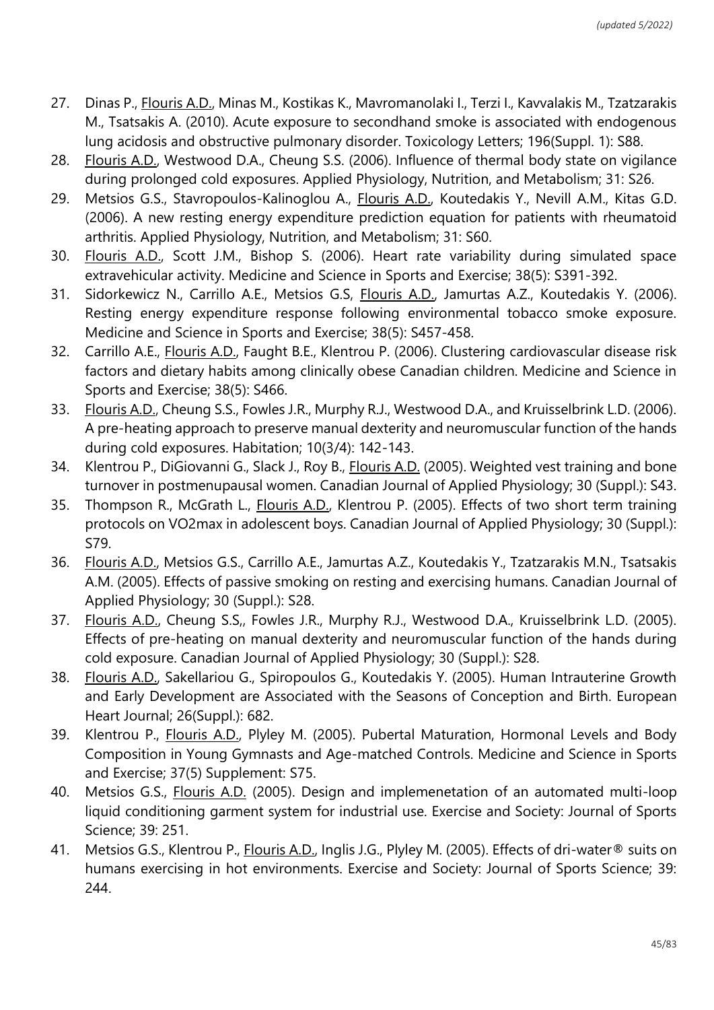- 27. Dinas P., Flouris A.D., Minas M., Kostikas K., Mavromanolaki I., Terzi I., Kavvalakis M., Tzatzarakis M., Tsatsakis A. (2010). Acute exposure to secondhand smoke is associated with endogenous lung acidosis and obstructive pulmonary disorder. Toxicology Letters; 196(Suppl. 1): S88.
- 28. Flouris A.D., Westwood D.A., Cheung S.S. (2006). Influence of thermal body state on vigilance during prolonged cold exposures. Applied Physiology, Nutrition, and Metabolism; 31: S26.
- 29. Metsios G.S., Stavropoulos-Kalinoglou A., Flouris A.D., Koutedakis Y., Nevill A.M., Kitas G.D. (2006). A new resting energy expenditure prediction equation for patients with rheumatoid arthritis. Applied Physiology, Nutrition, and Metabolism; 31: S60.
- 30. Flouris A.D., Scott J.M., Bishop S. (2006). Heart rate variability during simulated space extravehicular activity. Medicine and Science in Sports and Exercise; 38(5): S391-392.
- 31. Sidorkewicz N., Carrillo A.E., Metsios G.S, Flouris A.D., Jamurtas A.Z., Koutedakis Y. (2006). Resting energy expenditure response following environmental tobacco smoke exposure. Medicine and Science in Sports and Exercise; 38(5): S457-458.
- 32. Carrillo A.E., Flouris A.D., Faught B.E., Klentrou P. (2006). Clustering cardiovascular disease risk factors and dietary habits among clinically obese Canadian children. Medicine and Science in Sports and Exercise; 38(5): S466.
- 33. Flouris A.D., Cheung S.S., Fowles J.R., Murphy R.J., Westwood D.A., and Kruisselbrink L.D. (2006). A pre-heating approach to preserve manual dexterity and neuromuscular function of the hands during cold exposures. Habitation; 10(3/4): 142-143.
- 34. Klentrou P., DiGiovanni G., Slack J., Roy B., Flouris A.D. (2005). Weighted vest training and bone turnover in postmenupausal women. Canadian Journal of Applied Physiology; 30 (Suppl.): S43.
- 35. Thompson R., McGrath L., Flouris A.D., Klentrou P. (2005). Effects of two short term training protocols on VO2max in adolescent boys. Canadian Journal of Applied Physiology; 30 (Suppl.): S79.
- 36. Flouris A.D., Metsios G.S., Carrillo A.E., Jamurtas A.Z., Koutedakis Y., Tzatzarakis M.N., Tsatsakis A.M. (2005). Effects of passive smoking on resting and exercising humans. Canadian Journal of Applied Physiology; 30 (Suppl.): S28.
- 37. Flouris A.D., Cheung S.S,, Fowles J.R., Murphy R.J., Westwood D.A., Kruisselbrink L.D. (2005). Effects of pre-heating on manual dexterity and neuromuscular function of the hands during cold exposure. Canadian Journal of Applied Physiology; 30 (Suppl.): S28.
- 38. Flouris A.D., Sakellariou G., Spiropoulos G., Koutedakis Y. (2005). Human Intrauterine Growth and Early Development are Associated with the Seasons of Conception and Birth. European Heart Journal; 26(Suppl.): 682.
- 39. Klentrou P., Flouris A.D., Plyley M. (2005). Pubertal Maturation, Hormonal Levels and Body Composition in Young Gymnasts and Age-matched Controls. Medicine and Science in Sports and Exercise; 37(5) Supplement: S75.
- 40. Metsios G.S., Flouris A.D. (2005). Design and implemenetation of an automated multi-loop liquid conditioning garment system for industrial use. Exercise and Society: Journal of Sports Science; 39: 251.
- 41. Metsios G.S., Klentrou P., Flouris A.D., Inglis J.G., Plyley M. (2005). Effects of dri-water® suits on humans exercising in hot environments. Exercise and Society: Journal of Sports Science; 39: 244.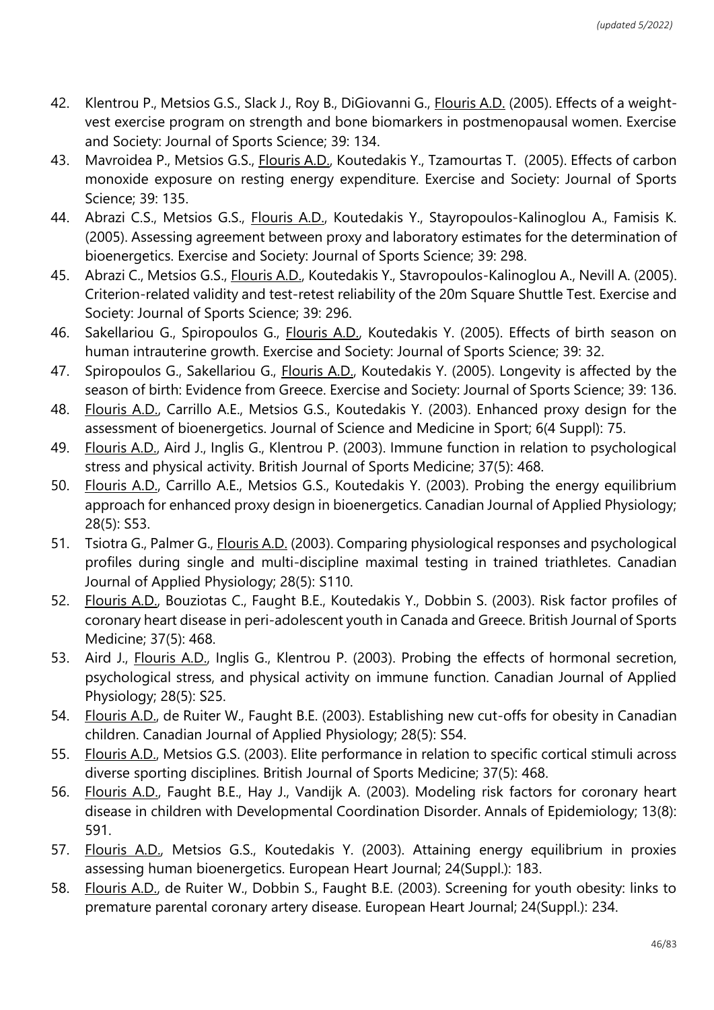- 42. Klentrou P., Metsios G.S., Slack J., Roy B., DiGiovanni G., *Flouris A.D.* (2005). Effects of a weightvest exercise program on strength and bone biomarkers in postmenopausal women. Exercise and Society: Journal of Sports Science; 39: 134.
- 43. Mavroidea P., Metsios G.S., Flouris A.D., Koutedakis Y., Tzamourtas T. (2005). Effects of carbon monoxide exposure on resting energy expenditure. Exercise and Society: Journal of Sports Science; 39: 135.
- 44. Abrazi C.S., Metsios G.S., Flouris A.D., Koutedakis Y., Stayropoulos-Kalinoglou A., Famisis K. (2005). Assessing agreement between proxy and laboratory estimates for the determination of bioenergetics. Exercise and Society: Journal of Sports Science; 39: 298.
- 45. Abrazi C., Metsios G.S., *Flouris A.D.*, Koutedakis Y., Stavropoulos-Kalinoglou A., Nevill A. (2005). Criterion-related validity and test-retest reliability of the 20m Square Shuttle Test. Exercise and Society: Journal of Sports Science; 39: 296.
- 46. Sakellariou G., Spiropoulos G., *Flouris A.D.*, Koutedakis Y. (2005). Effects of birth season on human intrauterine growth. Exercise and Society: Journal of Sports Science; 39: 32.
- 47. Spiropoulos G., Sakellariou G., *Flouris A.D., Koutedakis Y. (2005). Longevity is affected by the* season of birth: Evidence from Greece. Exercise and Society: Journal of Sports Science; 39: 136.
- 48. Flouris A.D., Carrillo A.E., Metsios G.S., Koutedakis Y. (2003). Enhanced proxy design for the assessment of bioenergetics. Journal of Science and Medicine in Sport; 6(4 Suppl): 75.
- 49. Flouris A.D., Aird J., Inglis G., Klentrou P. (2003). Immune function in relation to psychological stress and physical activity. British Journal of Sports Medicine; 37(5): 468.
- 50. Flouris A.D., Carrillo A.E., Metsios G.S., Koutedakis Y. (2003). Probing the energy equilibrium approach for enhanced proxy design in bioenergetics. Canadian Journal of Applied Physiology; 28(5): S53.
- 51. Tsiotra G., Palmer G., Flouris A.D. (2003). Comparing physiological responses and psychological profiles during single and multi-discipline maximal testing in trained triathletes. Canadian Journal of Applied Physiology; 28(5): S110.
- 52. Flouris A.D., Bouziotas C., Faught B.E., Koutedakis Y., Dobbin S. (2003). Risk factor profiles of coronary heart disease in peri-adolescent youth in Canada and Greece. British Journal of Sports Medicine; 37(5): 468.
- 53. Aird J., Flouris A.D., Inglis G., Klentrou P. (2003). Probing the effects of hormonal secretion, psychological stress, and physical activity on immune function. Canadian Journal of Applied Physiology; 28(5): S25.
- 54. Flouris A.D., de Ruiter W., Faught B.E. (2003). Establishing new cut-offs for obesity in Canadian children. Canadian Journal of Applied Physiology; 28(5): S54.
- 55. Flouris A.D., Metsios G.S. (2003). Elite performance in relation to specific cortical stimuli across diverse sporting disciplines. British Journal of Sports Medicine; 37(5): 468.
- 56. Flouris A.D., Faught B.E., Hay J., Vandijk A. (2003). Modeling risk factors for coronary heart disease in children with Developmental Coordination Disorder. Annals of Epidemiology; 13(8): 591.
- 57. Flouris A.D., Metsios G.S., Koutedakis Y. (2003). Attaining energy equilibrium in proxies assessing human bioenergetics. European Heart Journal; 24(Suppl.): 183.
- 58. Flouris A.D., de Ruiter W., Dobbin S., Faught B.E. (2003). Screening for youth obesity: links to premature parental coronary artery disease. European Heart Journal; 24(Suppl.): 234.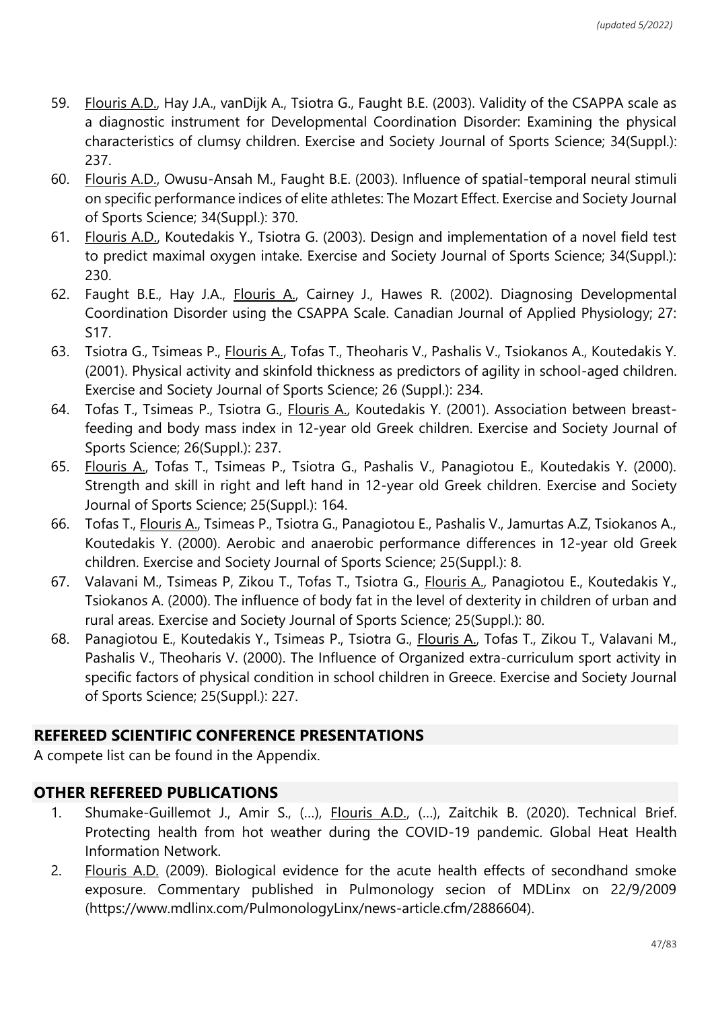- 59. Flouris A.D., Hay J.A., vanDijk A., Tsiotra G., Faught B.E. (2003). Validity of the CSAPPA scale as a diagnostic instrument for Developmental Coordination Disorder: Examining the physical characteristics of clumsy children. Exercise and Society Journal of Sports Science; 34(Suppl.): 237.
- 60. Flouris A.D., Owusu-Ansah M., Faught B.E. (2003). Influence of spatial-temporal neural stimuli on specific performance indices of elite athletes: The Mozart Effect. Exercise and Society Journal of Sports Science; 34(Suppl.): 370.
- 61. Flouris A.D., Koutedakis Y., Tsiotra G. (2003). Design and implementation of a novel field test to predict maximal oxygen intake. Exercise and Society Journal of Sports Science; 34(Suppl.): 230.
- 62. Faught B.E., Hay J.A., Flouris A., Cairney J., Hawes R. (2002). Diagnosing Developmental Coordination Disorder using the CSAPPA Scale. Canadian Journal of Applied Physiology; 27: S17.
- 63. Tsiotra G., Tsimeas P., Flouris A., Tofas T., Theoharis V., Pashalis V., Tsiokanos A., Koutedakis Y. (2001). Physical activity and skinfold thickness as predictors of agility in school-aged children. Exercise and Society Journal of Sports Science; 26 (Suppl.): 234.
- 64. Tofas T., Tsimeas P., Tsiotra G., *Flouris A., Koutedakis Y. (2001). Association between breast*feeding and body mass index in 12-year old Greek children. Exercise and Society Journal of Sports Science; 26(Suppl.): 237.
- 65. Flouris A., Tofas T., Tsimeas P., Tsiotra G., Pashalis V., Panagiotou E., Koutedakis Y. (2000). Strength and skill in right and left hand in 12-year old Greek children. Exercise and Society Journal of Sports Science; 25(Suppl.): 164.
- 66. Tofas T., Flouris A., Tsimeas P., Tsiotra G., Panagiotou E., Pashalis V., Jamurtas A.Z, Tsiokanos A., Koutedakis Y. (2000). Aerobic and anaerobic performance differences in 12-year old Greek children. Exercise and Society Journal of Sports Science; 25(Suppl.): 8.
- 67. Valavani M., Tsimeas P, Zikou T., Tofas T., Tsiotra G., Flouris A., Panagiotou E., Koutedakis Y., Tsiokanos A. (2000). The influence of body fat in the level of dexterity in children of urban and rural areas. Exercise and Society Journal of Sports Science; 25(Suppl.): 80.
- 68. Panagiotou E., Koutedakis Y., Tsimeas P., Tsiotra G., Flouris A., Tofas T., Zikou T., Valavani M., Pashalis V., Theoharis V. (2000). The Influence of Organized extra-curriculum sport activity in specific factors of physical condition in school children in Greece. Exercise and Society Journal of Sports Science; 25(Suppl.): 227.

## **REFEREED SCIENTIFIC CONFERENCE PRESENTATIONS**

A compete list can be found in the Appendix.

## **OTHER REFEREED PUBLICATIONS**

- 1. Shumake-Guillemot J., Amir S., (…), Flouris A.D., (…), Zaitchik B. (2020). Technical Brief. Protecting health from hot weather during the COVID-19 pandemic. Global Heat Health Information Network.
- 2. Flouris A.D. (2009). Biological evidence for the acute health effects of secondhand smoke exposure. Commentary published in Pulmonology secion of MDLinx on 22/9/2009 (https://www.mdlinx.com/PulmonologyLinx/news-article.cfm/2886604).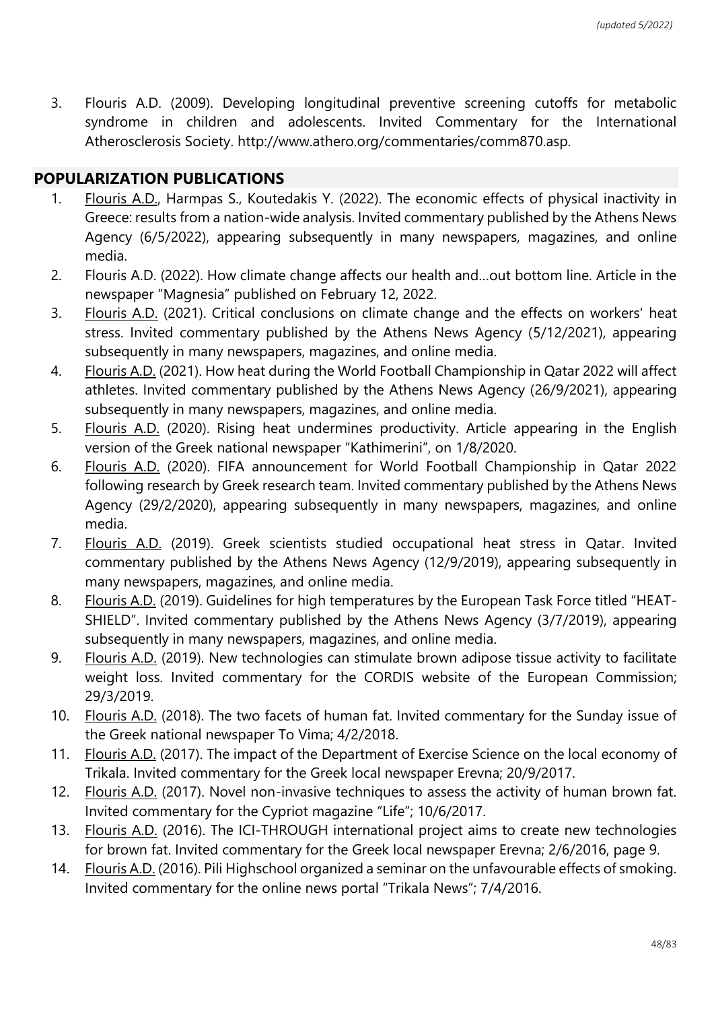3. Flouris A.D. (2009). Developing longitudinal preventive screening cutoffs for metabolic syndrome in children and adolescents. Invited Commentary for the International Atherosclerosis Society. http://www.athero.org/commentaries/comm870.asp.

### **POPULARIZATION PUBLICATIONS**

- 1. Flouris A.D., Harmpas S., Koutedakis Y. (2022). The economic effects of physical inactivity in Greece: results from a nation-wide analysis. Invited commentary published by the Athens News Agency (6/5/2022), appearing subsequently in many newspapers, magazines, and online media.
- 2. Flouris A.D. (2022). How climate change affects our health and…out bottom line. Article in the newspaper "Magnesia" published on February 12, 2022.
- 3. Flouris A.D. (2021). Critical conclusions on climate change and the effects on workers' heat stress. Invited commentary published by the Athens News Agency (5/12/2021), appearing subsequently in many newspapers, magazines, and online media.
- 4. Flouris A.D. (2021). How heat during the World Football Championship in Qatar 2022 will affect athletes. Invited commentary published by the Athens News Agency (26/9/2021), appearing subsequently in many newspapers, magazines, and online media.
- 5. Flouris A.D. (2020). Rising heat undermines productivity. Article appearing in the English version of the Greek national newspaper "Kathimerini", on 1/8/2020.
- 6. Flouris A.D. (2020). FIFA announcement for World Football Championship in Qatar 2022 following research by Greek research team. Invited commentary published by the Athens News Agency (29/2/2020), appearing subsequently in many newspapers, magazines, and online media.
- 7. Flouris A.D. (2019). Greek scientists studied occupational heat stress in Qatar. Invited commentary published by the Athens News Agency (12/9/2019), appearing subsequently in many newspapers, magazines, and online media.
- 8. Flouris A.D. (2019). Guidelines for high temperatures by the European Task Force titled "HEAT-SHIELD". Invited commentary published by the Athens News Agency (3/7/2019), appearing subsequently in many newspapers, magazines, and online media.
- 9. Flouris A.D. (2019). New technologies can stimulate brown adipose tissue activity to facilitate weight loss. Invited commentary for the CORDIS website of the European Commission; 29/3/2019.
- 10. Flouris A.D. (2018). The two facets of human fat. Invited commentary for the Sunday issue of the Greek national newspaper To Vima; 4/2/2018.
- 11. Flouris A.D. (2017). The impact of the Department of Exercise Science on the local economy of Trikala. Invited commentary for the Greek local newspaper Erevna; 20/9/2017.
- 12. Flouris A.D. (2017). Novel non-invasive techniques to assess the activity of human brown fat. Invited commentary for the Cypriot magazine "Life"; 10/6/2017.
- 13. Flouris A.D. (2016). The ICI-THROUGH international project aims to create new technologies for brown fat. Invited commentary for the Greek local newspaper Erevna; 2/6/2016, page 9.
- 14. Flouris A.D. (2016). Pili Highschool organized a seminar on the unfavourable effects of smoking. Invited commentary for the online news portal "Trikala News"; 7/4/2016.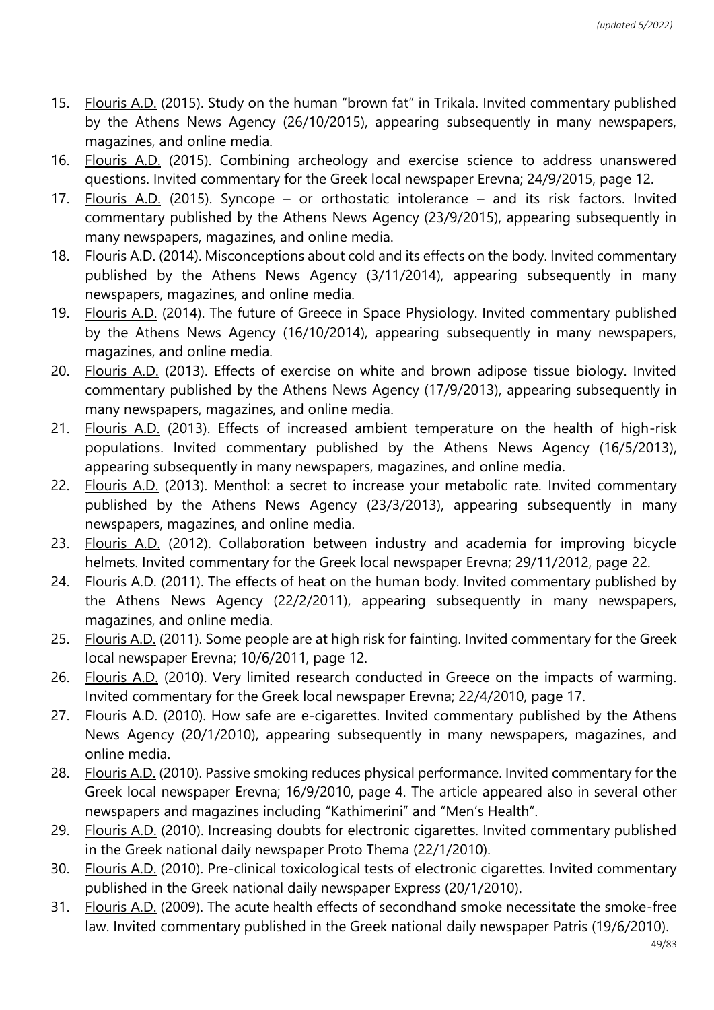- 15. Flouris A.D. (2015). Study on the human "brown fat" in Trikala. Invited commentary published by the Athens News Agency (26/10/2015), appearing subsequently in many newspapers, magazines, and online media.
- 16. Flouris A.D. (2015). Combining archeology and exercise science to address unanswered questions. Invited commentary for the Greek local newspaper Erevna; 24/9/2015, page 12.
- 17. Flouris A.D. (2015). Syncope or orthostatic intolerance and its risk factors. Invited commentary published by the Athens News Agency (23/9/2015), appearing subsequently in many newspapers, magazines, and online media.
- 18. Flouris A.D. (2014). Misconceptions about cold and its effects on the body. Invited commentary published by the Athens News Agency (3/11/2014), appearing subsequently in many newspapers, magazines, and online media.
- 19. Flouris A.D. (2014). The future of Greece in Space Physiology. Invited commentary published by the Athens News Agency (16/10/2014), appearing subsequently in many newspapers, magazines, and online media.
- 20. Flouris A.D. (2013). Effects of exercise on white and brown adipose tissue biology. Invited commentary published by the Athens News Agency (17/9/2013), appearing subsequently in many newspapers, magazines, and online media.
- 21. Flouris A.D. (2013). Effects of increased ambient temperature on the health of high-risk populations. Invited commentary published by the Athens News Agency (16/5/2013), appearing subsequently in many newspapers, magazines, and online media.
- 22. Flouris A.D. (2013). Menthol: a secret to increase your metabolic rate. Invited commentary published by the Athens News Agency (23/3/2013), appearing subsequently in many newspapers, magazines, and online media.
- 23. Flouris A.D. (2012). Collaboration between industry and academia for improving bicycle helmets. Invited commentary for the Greek local newspaper Erevna; 29/11/2012, page 22.
- 24. Flouris A.D. (2011). The effects of heat on the human body. Invited commentary published by the Athens News Agency (22/2/2011), appearing subsequently in many newspapers, magazines, and online media.
- 25. Flouris A.D. (2011). Some people are at high risk for fainting. Invited commentary for the Greek local newspaper Erevna; 10/6/2011, page 12.
- 26. Flouris A.D. (2010). Very limited research conducted in Greece on the impacts of warming. Invited commentary for the Greek local newspaper Erevna; 22/4/2010, page 17.
- 27. Flouris A.D. (2010). How safe are e-cigarettes. Invited commentary published by the Athens News Agency (20/1/2010), appearing subsequently in many newspapers, magazines, and online media.
- 28. Flouris A.D. (2010). Passive smoking reduces physical performance. Invited commentary for the Greek local newspaper Erevna; 16/9/2010, page 4. The article appeared also in several other newspapers and magazines including "Kathimerini" and "Men's Health".
- 29. Flouris A.D. (2010). Increasing doubts for electronic cigarettes. Invited commentary published in the Greek national daily newspaper Proto Thema (22/1/2010).
- 30. Flouris A.D. (2010). Pre-clinical toxicological tests of electronic cigarettes. Invited commentary published in the Greek national daily newspaper Express (20/1/2010).
- 31. Flouris A.D. (2009). The acute health effects of secondhand smoke necessitate the smoke-free law. Invited commentary published in the Greek national daily newspaper Patris (19/6/2010).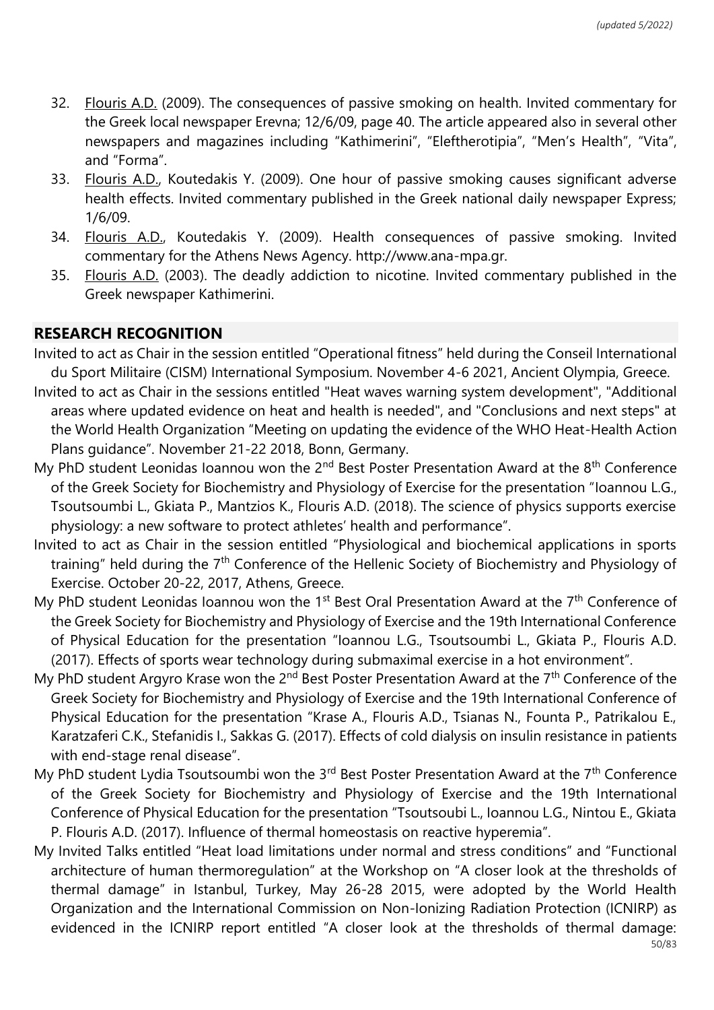- 32. Flouris A.D. (2009). The consequences of passive smoking on health. Invited commentary for the Greek local newspaper Erevna; 12/6/09, page 40. The article appeared also in several other newspapers and magazines including "Kathimerini", "Eleftherotipia", "Men's Health", "Vita", and "Forma".
- 33. Flouris A.D., Koutedakis Y. (2009). One hour of passive smoking causes significant adverse health effects. Invited commentary published in the Greek national daily newspaper Express; 1/6/09.
- 34. Flouris A.D., Koutedakis Y. (2009). Health consequences of passive smoking. Invited commentary for the Athens News Agency. http://www.ana-mpa.gr.
- 35. Flouris A.D. (2003). The deadly addiction to nicotine. Invited commentary published in the Greek newspaper Kathimerini.

#### **RESEARCH RECOGNITION**

- Invited to act as Chair in the session entitled "Operational fitness" held during the Conseil International du Sport Militaire (CISM) International Symposium. November 4-6 2021, Ancient Olympia, Greece.
- Invited to act as Chair in the sessions entitled "Heat waves warning system development", "Additional areas where updated evidence on heat and health is needed", and "Conclusions and next steps" at the World Health Organization "Meeting on updating the evidence of the WHO Heat-Health Action Plans guidance". November 21-22 2018, Bonn, Germany.
- My PhD student Leonidas Ioannou won the 2<sup>nd</sup> Best Poster Presentation Award at the 8<sup>th</sup> Conference of the Greek Society for Biochemistry and Physiology of Exercise for the presentation "Ioannou L.G., Tsoutsoumbi L., Gkiata P., Mantzios K., Flouris A.D. (2018). The science of physics supports exercise physiology: a new software to protect athletes' health and performance".
- Invited to act as Chair in the session entitled "Physiological and biochemical applications in sports training" held during the 7<sup>th</sup> Conference of the Hellenic Society of Biochemistry and Physiology of Exercise. October 20-22, 2017, Athens, Greece.
- My PhD student Leonidas Ioannou won the 1<sup>st</sup> Best Oral Presentation Award at the  $7<sup>th</sup>$  Conference of the Greek Society for Biochemistry and Physiology of Exercise and the 19th International Conference of Physical Education for the presentation "Ioannou L.G., Tsoutsoumbi L., Gkiata P., Flouris A.D. (2017). Effects of sports wear technology during submaximal exercise in a hot environment".
- My PhD student Argyro Krase won the 2<sup>nd</sup> Best Poster Presentation Award at the 7<sup>th</sup> Conference of the Greek Society for Biochemistry and Physiology of Exercise and the 19th International Conference of Physical Education for the presentation "Krase A., Flouris A.D., Tsianas N., Founta P., Patrikalou E., Karatzaferi C.K., Stefanidis I., Sakkas G. (2017). Effects of cold dialysis on insulin resistance in patients with end-stage renal disease".
- My PhD student Lydia Tsoutsoumbi won the 3<sup>rd</sup> Best Poster Presentation Award at the 7<sup>th</sup> Conference of the Greek Society for Biochemistry and Physiology of Exercise and the 19th International Conference of Physical Education for the presentation "Tsoutsoubi L., Ioannou L.G., Nintou E., Gkiata P. Flouris A.D. (2017). Influence of thermal homeostasis on reactive hyperemia".
- My Invited Talks entitled "Heat load limitations under normal and stress conditions" and "Functional architecture of human thermoregulation" at the Workshop on "A closer look at the thresholds of thermal damage" in Istanbul, Turkey, May 26-28 2015, were adopted by the World Health Organization and the International Commission on Non-Ionizing Radiation Protection (ICNIRP) as evidenced in the ICNIRP report entitled "A closer look at the thresholds of thermal damage: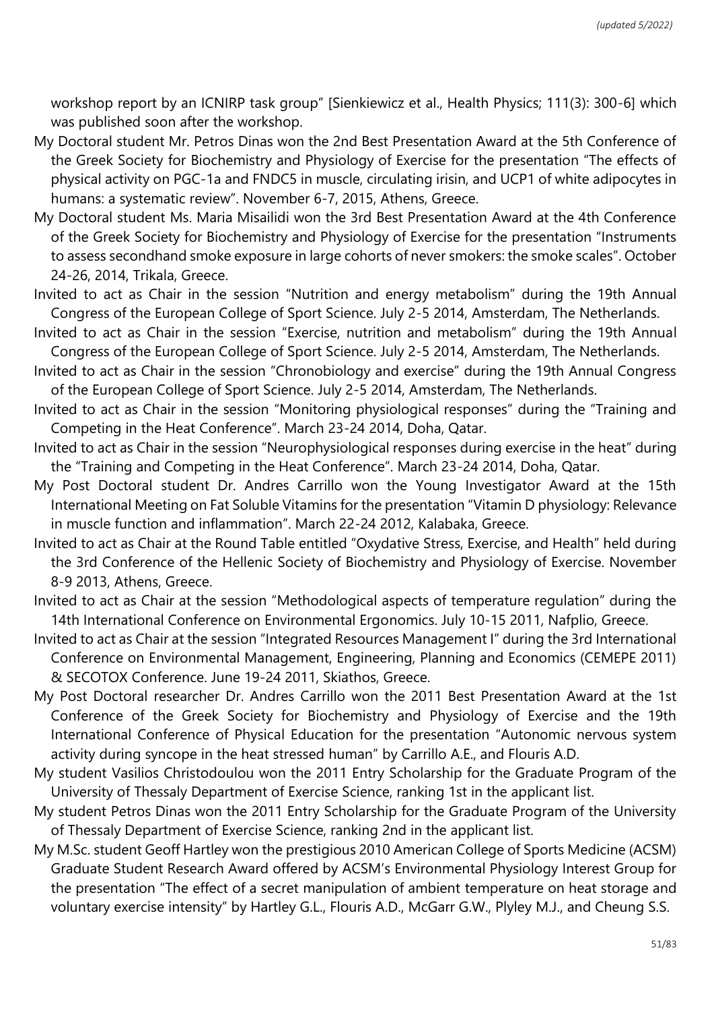workshop report by an ICNIRP task group" [Sienkiewicz et al., Health Physics; 111(3): 300-6] which was published soon after the workshop.

- My Doctoral student Mr. Petros Dinas won the 2nd Best Presentation Award at the 5th Conference of the Greek Society for Biochemistry and Physiology of Exercise for the presentation "The effects of physical activity on PGC-1a and FNDC5 in muscle, circulating irisin, and UCP1 of white adipocytes in humans: a systematic review". November 6-7, 2015, Athens, Greece.
- My Doctoral student Ms. Maria Misailidi won the 3rd Best Presentation Award at the 4th Conference of the Greek Society for Biochemistry and Physiology of Exercise for the presentation "Instruments to assess secondhand smoke exposure in large cohorts of never smokers: the smoke scales". October 24-26, 2014, Trikala, Greece.
- Invited to act as Chair in the session "Nutrition and energy metabolism" during the 19th Annual Congress of the European College of Sport Science. July 2-5 2014, Amsterdam, The Netherlands.
- Invited to act as Chair in the session "Exercise, nutrition and metabolism" during the 19th Annual Congress of the European College of Sport Science. July 2-5 2014, Amsterdam, The Netherlands.
- Invited to act as Chair in the session "Chronobiology and exercise" during the 19th Annual Congress of the European College of Sport Science. July 2-5 2014, Amsterdam, The Netherlands.
- Invited to act as Chair in the session "Monitoring physiological responses" during the "Training and Competing in the Heat Conference". March 23-24 2014, Doha, Qatar.
- Invited to act as Chair in the session "Neurophysiological responses during exercise in the heat" during the "Training and Competing in the Heat Conference". March 23-24 2014, Doha, Qatar.
- My Post Doctoral student Dr. Andres Carrillo won the Young Investigator Award at the 15th International Meeting on Fat Soluble Vitamins for the presentation "Vitamin D physiology: Relevance in muscle function and inflammation". March 22-24 2012, Kalabaka, Greece.
- Invited to act as Chair at the Round Table entitled "Oxydative Stress, Exercise, and Health" held during the 3rd Conference of the Hellenic Society of Biochemistry and Physiology of Exercise. November 8-9 2013, Athens, Greece.
- Invited to act as Chair at the session "Methodological aspects of temperature regulation" during the 14th International Conference on Environmental Ergonomics. July 10-15 2011, Nafplio, Greece.
- Invited to act as Chair at the session "Integrated Resources Management I" during the 3rd International Conference on Environmental Management, Engineering, Planning and Economics (CEMEPE 2011) & SECOTOX Conference. June 19-24 2011, Skiathos, Greece.
- My Post Doctoral researcher Dr. Andres Carrillo won the 2011 Best Presentation Award at the 1st Conference of the Greek Society for Biochemistry and Physiology of Exercise and the 19th International Conference of Physical Education for the presentation "Autonomic nervous system activity during syncope in the heat stressed human" by Carrillo A.E., and Flouris A.D.
- My student Vasilios Christodoulou won the 2011 Entry Scholarship for the Graduate Program of the University of Thessaly Department of Exercise Science, ranking 1st in the applicant list.
- My student Petros Dinas won the 2011 Entry Scholarship for the Graduate Program of the University of Thessaly Department of Exercise Science, ranking 2nd in the applicant list.
- My M.Sc. student Geoff Hartley won the prestigious 2010 American College of Sports Medicine (ACSM) Graduate Student Research Award offered by ACSM's Environmental Physiology Interest Group for the presentation "The effect of a secret manipulation of ambient temperature on heat storage and voluntary exercise intensity" by Hartley G.L., Flouris A.D., McGarr G.W., Plyley M.J., and Cheung S.S.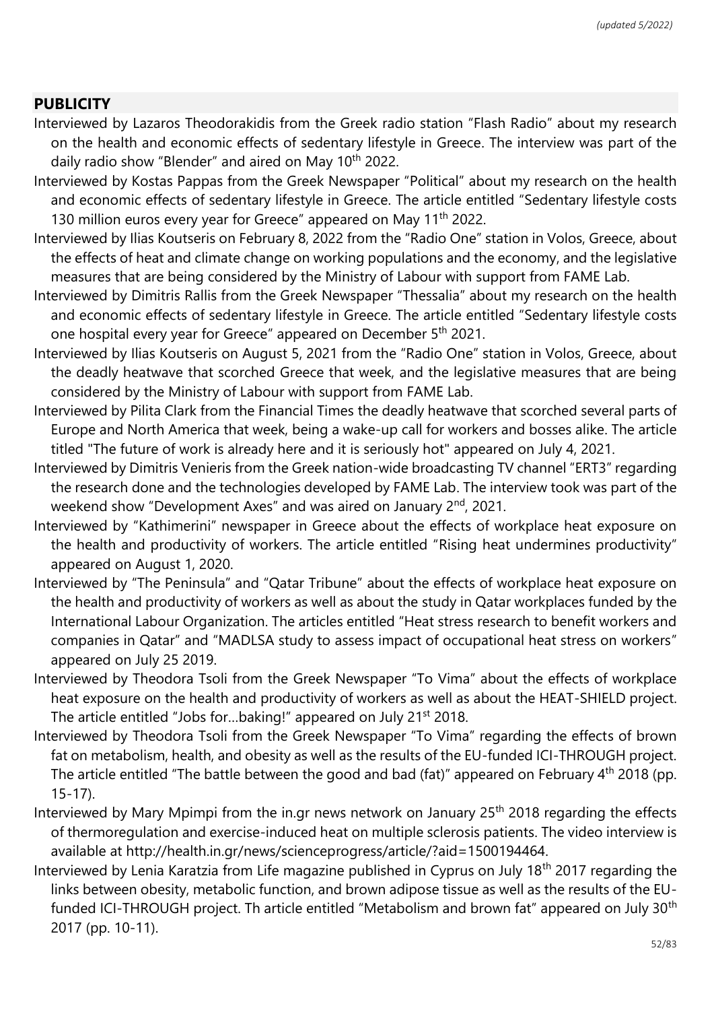#### **PUBLICITY**

- Interviewed by Lazaros Theodorakidis from the Greek radio station "Flash Radio" about my research on the health and economic effects of sedentary lifestyle in Greece. The interview was part of the daily radio show "Blender" and aired on May 10<sup>th</sup> 2022.
- Interviewed by Kostas Pappas from the Greek Newspaper "Political" about my research on the health and economic effects of sedentary lifestyle in Greece. The article entitled "Sedentary lifestyle costs 130 million euros every year for Greece" appeared on May 11<sup>th</sup> 2022.
- Interviewed by Ilias Koutseris on February 8, 2022 from the "Radio One" station in Volos, Greece, about the effects of heat and climate change on working populations and the economy, and the legislative measures that are being considered by the Ministry of Labour with support from FAME Lab.
- Interviewed by Dimitris Rallis from the Greek Newspaper "Thessalia" about my research on the health and economic effects of sedentary lifestyle in Greece. The article entitled "Sedentary lifestyle costs one hospital every year for Greece" appeared on December 5th 2021.
- Interviewed by Ilias Koutseris on August 5, 2021 from the "Radio One" station in Volos, Greece, about the deadly heatwave that scorched Greece that week, and the legislative measures that are being considered by the Ministry of Labour with support from FAME Lab.
- Interviewed by Pilita Clark from the Financial Times the deadly heatwave that scorched several parts of Europe and North America that week, being a wake-up call for workers and bosses alike. The article titled "The future of work is already here and it is seriously hot" appeared on July 4, 2021.
- Interviewed by Dimitris Venieris from the Greek nation-wide broadcasting TV channel "ERT3" regarding the research done and the technologies developed by FAME Lab. The interview took was part of the weekend show "Development Axes" and was aired on January 2<sup>nd</sup>, 2021.
- Interviewed by "Kathimerini" newspaper in Greece about the effects of workplace heat exposure on the health and productivity of workers. The article entitled "Rising heat undermines productivity" appeared on August 1, 2020.
- Interviewed by "The Peninsula" and "Qatar Tribune" about the effects of workplace heat exposure on the health and productivity of workers as well as about the study in Qatar workplaces funded by the International Labour Organization. The articles entitled "Heat stress research to benefit workers and companies in Qatar" and "MADLSA study to assess impact of occupational heat stress on workers" appeared on July 25 2019.
- Interviewed by Theodora Tsoli from the Greek Newspaper "To Vima" about the effects of workplace heat exposure on the health and productivity of workers as well as about the HEAT-SHIELD project. The article entitled "Jobs for...baking!" appeared on July 21<sup>st</sup> 2018.
- Interviewed by Theodora Tsoli from the Greek Newspaper "To Vima" regarding the effects of brown fat on metabolism, health, and obesity as well as the results of the EU-funded ICI-THROUGH project. The article entitled "The battle between the good and bad (fat)" appeared on February 4<sup>th</sup> 2018 (pp. 15-17).
- Interviewed by Mary Mpimpi from the in.gr news network on January 25<sup>th</sup> 2018 regarding the effects of thermoregulation and exercise-induced heat on multiple sclerosis patients. The video interview is available at http://health.in.gr/news/scienceprogress/article/?aid=1500194464.
- Interviewed by Lenia Karatzia from Life magazine published in Cyprus on July 18<sup>th</sup> 2017 regarding the links between obesity, metabolic function, and brown adipose tissue as well as the results of the EUfunded ICI-THROUGH project. Th article entitled "Metabolism and brown fat" appeared on July 30<sup>th</sup> 2017 (pp. 10-11).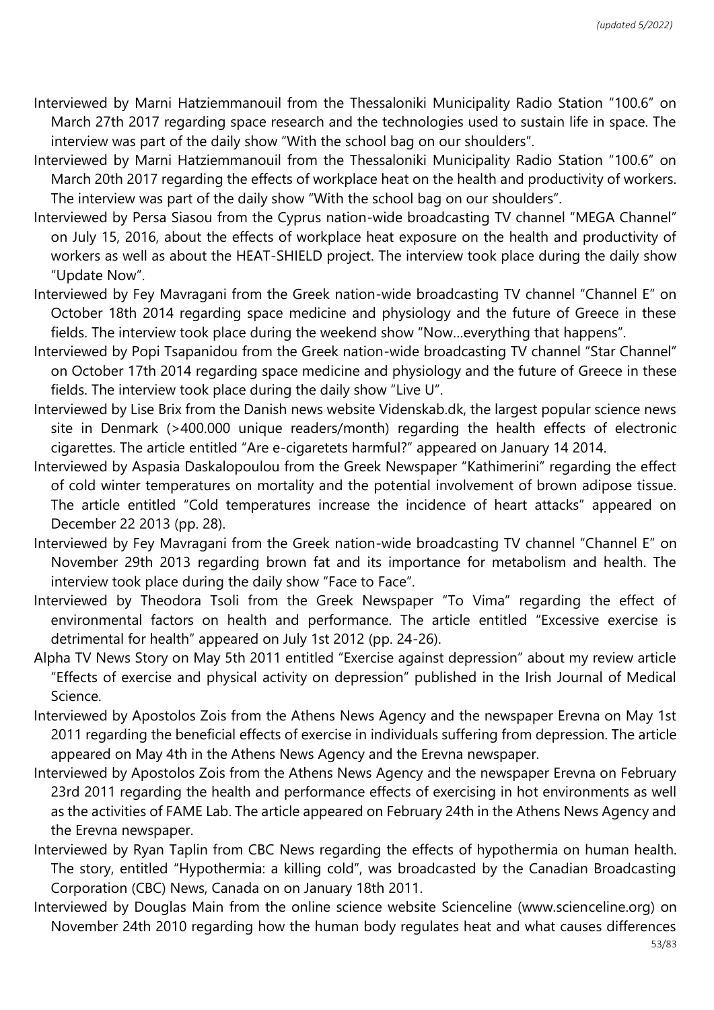- Interviewed by Marni Hatziemmanouil from the Thessaloniki Municipality Radio Station "100.6" on March 27th 2017 regarding space research and the technologies used to sustain life in space. The interview was part of the daily show "With the school bag on our shoulders".
- Interviewed by Marni Hatziemmanouil from the Thessaloniki Municipality Radio Station "100.6" on March 20th 2017 regarding the effects of workplace heat on the health and productivity of workers. The interview was part of the daily show "With the school bag on our shoulders".
- Interviewed by Persa Siasou from the Cyprus nation-wide broadcasting TV channel "MEGA Channel" on July 15, 2016, about the effects of workplace heat exposure on the health and productivity of workers as well as about the HEAT-SHIELD project. The interview took place during the daily show "Update Now".
- Interviewed by Fey Mavragani from the Greek nation-wide broadcasting TV channel "Channel E" on October 18th 2014 regarding space medicine and physiology and the future of Greece in these fields. The interview took place during the weekend show "Now…everything that happens".
- Interviewed by Popi Tsapanidou from the Greek nation-wide broadcasting TV channel "Star Channel" on October 17th 2014 regarding space medicine and physiology and the future of Greece in these fields. The interview took place during the daily show "Live U".
- Interviewed by Lise Brix from the Danish news website Videnskab.dk, the largest popular science news site in Denmark (>400.000 unique readers/month) regarding the health effects of electronic cigarettes. The article entitled "Are e-cigaretets harmful?" appeared on January 14 2014.
- Interviewed by Aspasia Daskalopoulou from the Greek Newspaper "Kathimerini" regarding the effect of cold winter temperatures on mortality and the potential involvement of brown adipose tissue. The article entitled "Cold temperatures increase the incidence of heart attacks" appeared on December 22 2013 (pp. 28).
- Interviewed by Fey Mavragani from the Greek nation-wide broadcasting TV channel "Channel E" on November 29th 2013 regarding brown fat and its importance for metabolism and health. The interview took place during the daily show "Face to Face".
- Interviewed by Theodora Tsoli from the Greek Newspaper "To Vima" regarding the effect of environmental factors on health and performance. The article entitled "Excessive exercise is detrimental for health" appeared on July 1st 2012 (pp. 24-26).
- Alpha TV News Story on May 5th 2011 entitled "Exercise against depression" about my review article "Effects of exercise and physical activity on depression" published in the Irish Journal of Medical Science.
- Interviewed by Apostolos Zois from the Athens News Agency and the newspaper Erevna on May 1st 2011 regarding the beneficial effects of exercise in individuals suffering from depression. The article appeared on May 4th in the Athens News Agency and the Erevna newspaper.
- Interviewed by Apostolos Zois from the Athens News Agency and the newspaper Erevna on February 23rd 2011 regarding the health and performance effects of exercising in hot environments as well as the activities of FAME Lab. The article appeared on February 24th in the Athens News Agency and the Erevna newspaper.
- Interviewed by Ryan Taplin from CBC News regarding the effects of hypothermia on human health. The story, entitled "Hypothermia: a killing cold", was broadcasted by the Canadian Broadcasting Corporation (CBC) News, Canada on on January 18th 2011.
- Interviewed by Douglas Main from the online science website Scienceline (www.scienceline.org) on November 24th 2010 regarding how the human body regulates heat and what causes differences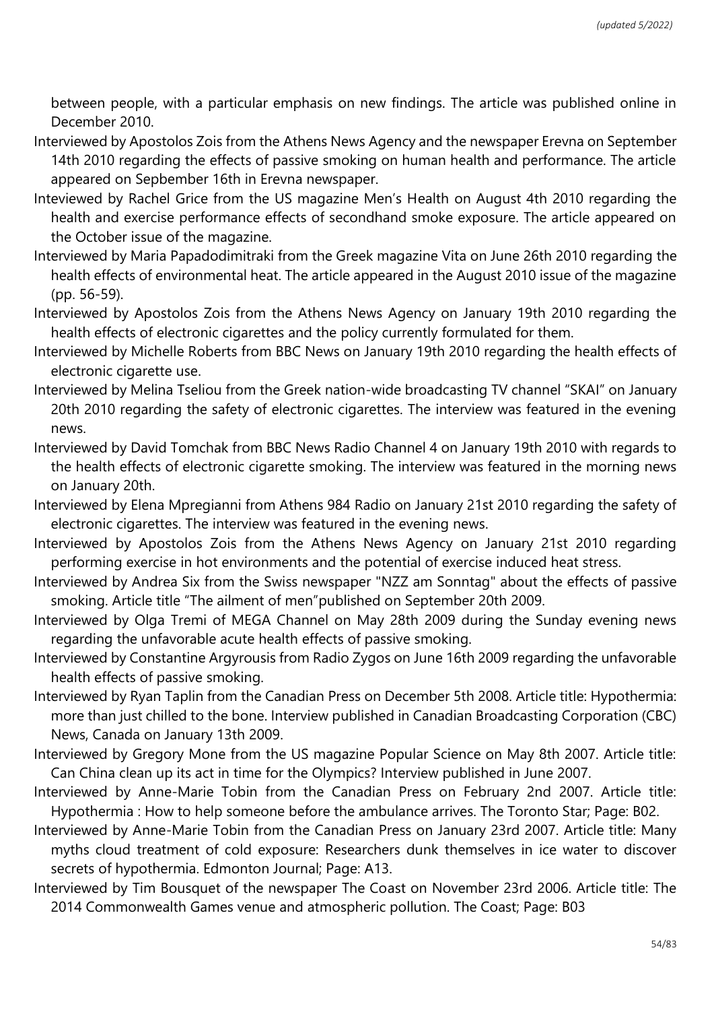between people, with a particular emphasis on new findings. The article was published online in December 2010.

- Interviewed by Apostolos Zois from the Athens News Agency and the newspaper Erevna on September 14th 2010 regarding the effects of passive smoking on human health and performance. The article appeared on Sepbember 16th in Erevna newspaper.
- Inteviewed by Rachel Grice from the US magazine Men's Health on August 4th 2010 regarding the health and exercise performance effects of secondhand smoke exposure. The article appeared on the October issue of the magazine.
- Interviewed by Maria Papadodimitraki from the Greek magazine Vita on June 26th 2010 regarding the health effects of environmental heat. The article appeared in the August 2010 issue of the magazine (pp. 56-59).
- Interviewed by Apostolos Zois from the Athens News Agency on January 19th 2010 regarding the health effects of electronic cigarettes and the policy currently formulated for them.
- Interviewed by Michelle Roberts from BBC News on January 19th 2010 regarding the health effects of electronic cigarette use.
- Interviewed by Melina Tseliou from the Greek nation-wide broadcasting TV channel "SKAI" on January 20th 2010 regarding the safety of electronic cigarettes. The interview was featured in the evening news.
- Interviewed by David Tomchak from BBC News Radio Channel 4 on January 19th 2010 with regards to the health effects of electronic cigarette smoking. The interview was featured in the morning news on January 20th.
- Interviewed by Elena Mpregianni from Athens 984 Radio on January 21st 2010 regarding the safety of electronic cigarettes. The interview was featured in the evening news.
- Interviewed by Apostolos Zois from the Athens News Agency on January 21st 2010 regarding performing exercise in hot environments and the potential of exercise induced heat stress.
- Interviewed by Andrea Six from the Swiss newspaper "NZZ am Sonntag" about the effects of passive smoking. Article title "The ailment of men"published on September 20th 2009.
- Interviewed by Olga Tremi of MEGA Channel on May 28th 2009 during the Sunday evening news regarding the unfavorable acute health effects of passive smoking.
- Interviewed by Constantine Argyrousis from Radio Zygos on June 16th 2009 regarding the unfavorable health effects of passive smoking.
- Interviewed by Ryan Taplin from the Canadian Press on December 5th 2008. Article title: Hypothermia: more than just chilled to the bone. Interview published in Canadian Broadcasting Corporation (CBC) News, Canada on January 13th 2009.
- Interviewed by Gregory Mone from the US magazine Popular Science on May 8th 2007. Article title: Can China clean up its act in time for the Olympics? Interview published in June 2007.
- Interviewed by Anne-Marie Tobin from the Canadian Press on February 2nd 2007. Article title: Hypothermia : How to help someone before the ambulance arrives. The Toronto Star; Page: B02.
- Interviewed by Anne-Marie Tobin from the Canadian Press on January 23rd 2007. Article title: Many myths cloud treatment of cold exposure: Researchers dunk themselves in ice water to discover secrets of hypothermia. Edmonton Journal; Page: A13.
- Interviewed by Tim Bousquet of the newspaper The Coast on November 23rd 2006. Article title: The 2014 Commonwealth Games venue and atmospheric pollution. The Coast; Page: B03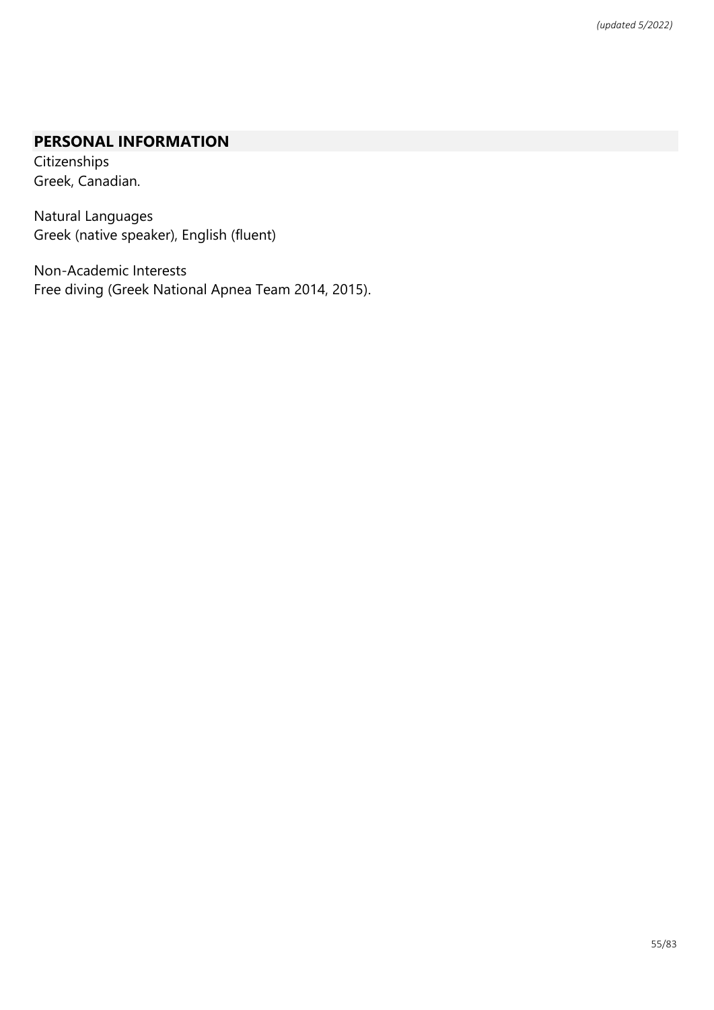# **PERSONAL INFORMATION**

**Citizenships** Greek, Canadian.

Natural Languages Greek (native speaker), English (fluent)

Non-Academic Interests Free diving (Greek National Apnea Team 2014, 2015).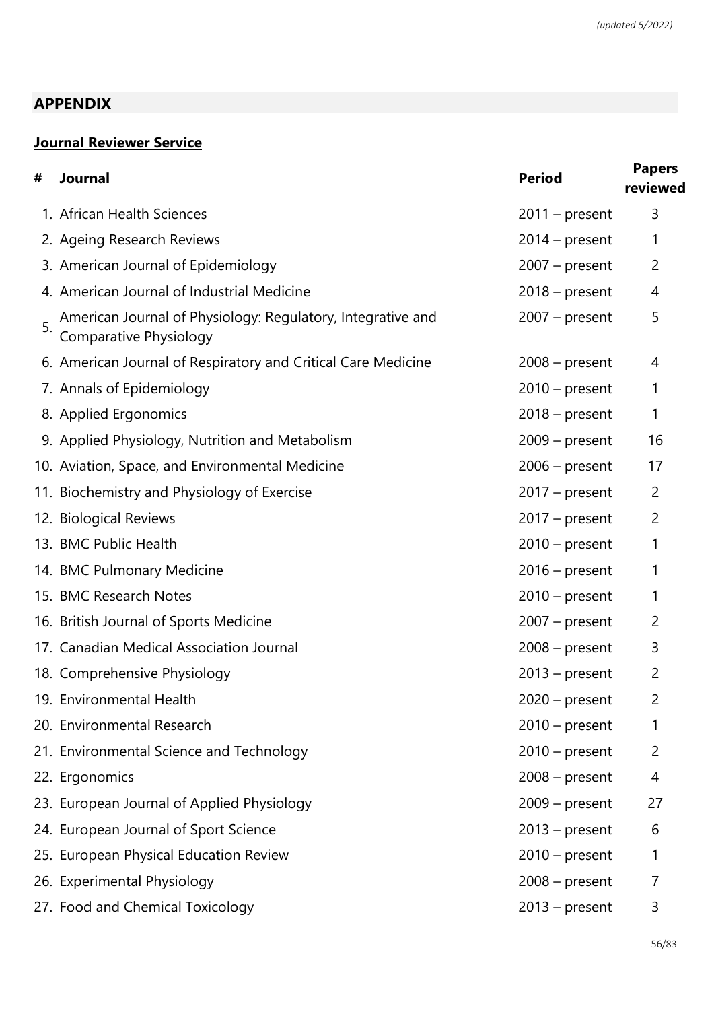## **APPENDIX**

# **Journal Reviewer Service**

| # | <b>Journal</b>                                                                        | <b>Period</b>    | <b>Papers</b><br>reviewed |
|---|---------------------------------------------------------------------------------------|------------------|---------------------------|
|   | 1. African Health Sciences                                                            | $2011$ – present | 3                         |
|   | 2. Ageing Research Reviews                                                            | $2014$ – present | 1                         |
|   | 3. American Journal of Epidemiology                                                   | $2007 - present$ | 2                         |
|   | 4. American Journal of Industrial Medicine                                            | $2018 - present$ | 4                         |
|   | American Journal of Physiology: Regulatory, Integrative and<br>Comparative Physiology | $2007 - present$ | 5                         |
|   | 6. American Journal of Respiratory and Critical Care Medicine                         | $2008 - present$ | 4                         |
|   | 7. Annals of Epidemiology                                                             | $2010$ – present | 1                         |
|   | 8. Applied Ergonomics                                                                 | $2018 - present$ | 1                         |
|   | 9. Applied Physiology, Nutrition and Metabolism                                       | $2009$ – present | 16                        |
|   | 10. Aviation, Space, and Environmental Medicine                                       | $2006$ – present | 17                        |
|   | 11. Biochemistry and Physiology of Exercise                                           | $2017$ – present | $\overline{2}$            |
|   | 12. Biological Reviews                                                                | $2017$ – present | $\overline{2}$            |
|   | 13. BMC Public Health                                                                 | $2010$ – present | 1                         |
|   | 14. BMC Pulmonary Medicine                                                            | $2016$ – present | 1                         |
|   | 15. BMC Research Notes                                                                | $2010$ – present | 1                         |
|   | 16. British Journal of Sports Medicine                                                | $2007$ – present | 2                         |
|   | 17. Canadian Medical Association Journal                                              | $2008 - present$ | 3                         |
|   | 18. Comprehensive Physiology                                                          | $2013$ – present | $\overline{2}$            |
|   | 19. Environmental Health                                                              | $2020$ – present | 2                         |
|   | 20. Environmental Research                                                            | $2010$ – present | 1                         |
|   | 21. Environmental Science and Technology                                              | $2010$ – present | 2                         |
|   | 22. Ergonomics                                                                        | $2008 - present$ | 4                         |
|   | 23. European Journal of Applied Physiology                                            | $2009$ – present | 27                        |
|   | 24. European Journal of Sport Science                                                 | $2013$ – present | 6                         |
|   | 25. European Physical Education Review                                                | $2010$ – present | 1                         |
|   | 26. Experimental Physiology                                                           | $2008 - present$ | 7                         |
|   | 27. Food and Chemical Toxicology                                                      | $2013$ – present | 3                         |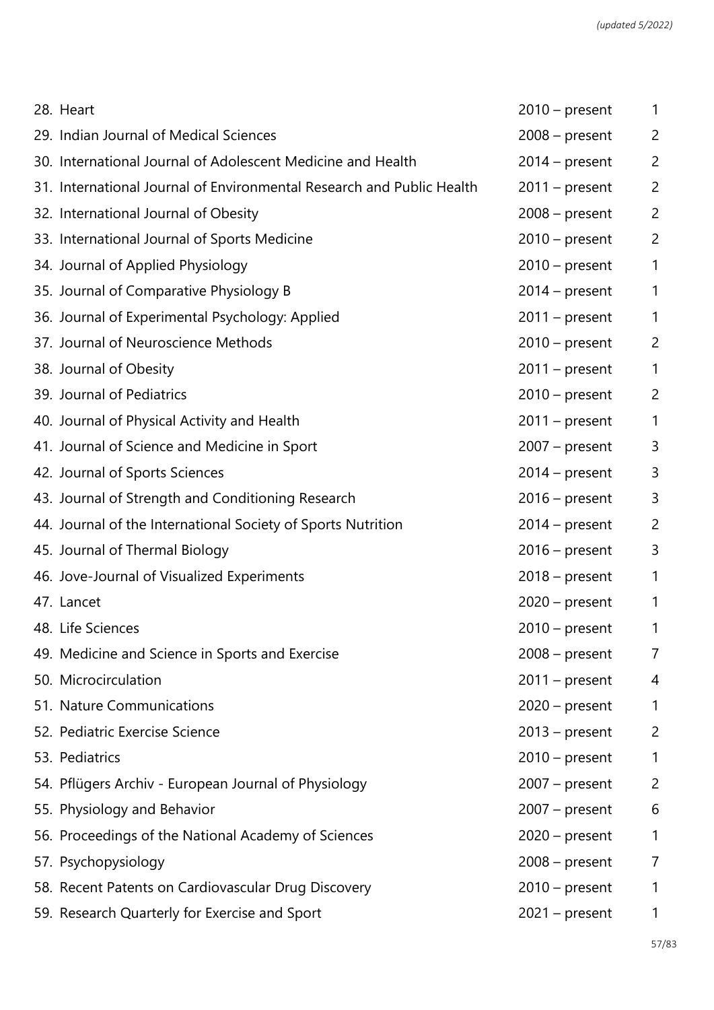| 28. Heart                                                             | $2010$ – present | 1              |
|-----------------------------------------------------------------------|------------------|----------------|
| 29. Indian Journal of Medical Sciences                                | $2008 - present$ | $\overline{c}$ |
| 30. International Journal of Adolescent Medicine and Health           | $2014$ – present | $\overline{c}$ |
| 31. International Journal of Environmental Research and Public Health | $2011$ – present | $\overline{c}$ |
| 32. International Journal of Obesity                                  | $2008 - present$ | $\overline{c}$ |
| 33. International Journal of Sports Medicine                          | $2010$ – present | $\overline{c}$ |
| 34. Journal of Applied Physiology                                     | $2010$ – present | $\mathbf{1}$   |
| 35. Journal of Comparative Physiology B                               | $2014$ – present | $\mathbf{1}$   |
| 36. Journal of Experimental Psychology: Applied                       | $2011$ – present | 1              |
| 37. Journal of Neuroscience Methods                                   | $2010$ – present | $\overline{c}$ |
| 38. Journal of Obesity                                                | $2011$ – present | 1              |
| 39. Journal of Pediatrics                                             | $2010$ – present | $\overline{c}$ |
| 40. Journal of Physical Activity and Health                           | $2011$ – present | $\mathbf{1}$   |
| 41. Journal of Science and Medicine in Sport                          | $2007 - present$ | 3              |
| 42. Journal of Sports Sciences                                        | $2014$ – present | 3              |
| 43. Journal of Strength and Conditioning Research                     | $2016$ – present | 3              |
| 44. Journal of the International Society of Sports Nutrition          | $2014$ – present | $\overline{c}$ |
| 45. Journal of Thermal Biology                                        | $2016$ – present | 3              |
| 46. Jove-Journal of Visualized Experiments                            | $2018 - present$ | 1              |
| 47. Lancet                                                            | $2020$ – present | 1              |
| 48. Life Sciences                                                     | $2010$ – present | $\mathbf{1}$   |
| 49. Medicine and Science in Sports and Exercise                       | $2008 - present$ | 7              |
| 50. Microcirculation                                                  | $2011$ – present | 4              |
| 51. Nature Communications                                             | $2020$ – present | 1              |
| 52. Pediatric Exercise Science                                        | $2013$ – present | $\overline{2}$ |
| 53. Pediatrics                                                        | $2010$ – present | 1              |
| 54. Pflügers Archiv - European Journal of Physiology                  | $2007 - present$ | $\overline{c}$ |
| 55. Physiology and Behavior                                           | $2007 - present$ | 6              |
| 56. Proceedings of the National Academy of Sciences                   | $2020$ – present | 1              |
| 57. Psychopysiology                                                   | $2008 - present$ | 7              |
| 58. Recent Patents on Cardiovascular Drug Discovery                   | $2010$ – present | 1              |
| 59. Research Quarterly for Exercise and Sport                         | $2021 - present$ | 1              |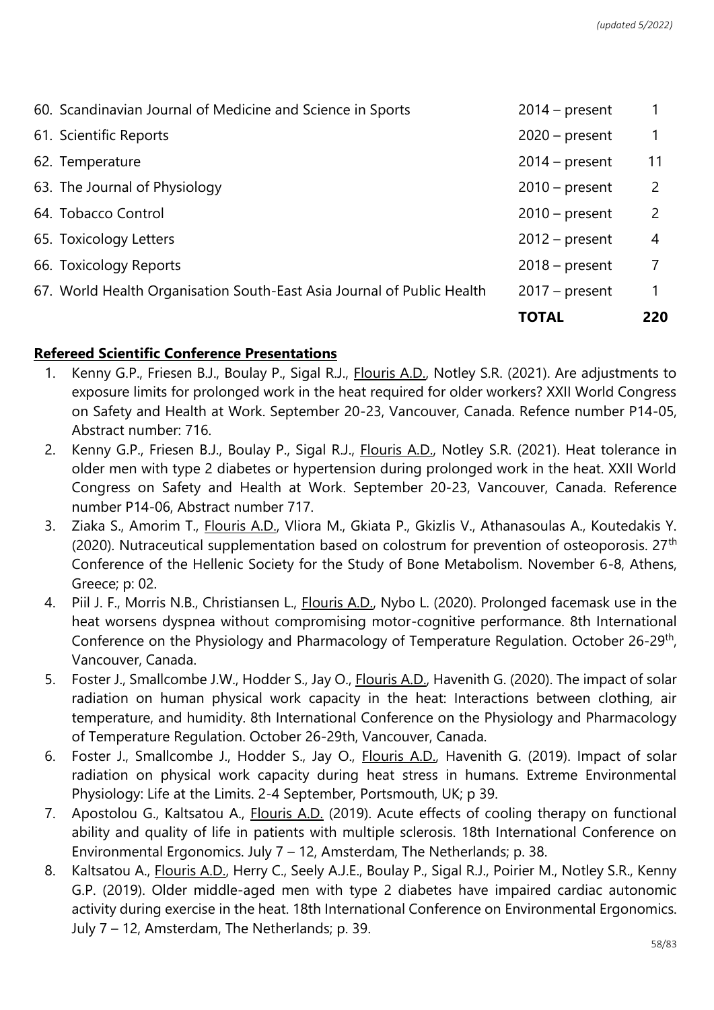|                                                                        | <b>TOTAL</b>     | 220            |
|------------------------------------------------------------------------|------------------|----------------|
| 67. World Health Organisation South-East Asia Journal of Public Health | $2017$ – present | $\mathbf 1$    |
| 66. Toxicology Reports                                                 | $2018 - present$ | 7              |
| 65. Toxicology Letters                                                 | $2012$ – present | 4              |
| 64. Tobacco Control                                                    | $2010$ – present | $\overline{2}$ |
| 63. The Journal of Physiology                                          | $2010$ – present | $\mathbf{2}$   |
| 62. Temperature                                                        | $2014$ – present | 11             |
| 61. Scientific Reports                                                 | $2020$ – present | 1              |
| 60. Scandinavian Journal of Medicine and Science in Sports             | $2014$ – present |                |

### **Refereed Scientific Conference Presentations**

- 1. Kenny G.P., Friesen B.J., Boulay P., Sigal R.J., Flouris A.D., Notley S.R. (2021). Are adjustments to exposure limits for prolonged work in the heat required for older workers? XXII World Congress on Safety and Health at Work. September 20-23, Vancouver, Canada. Refence number P14-05, Abstract number: 716.
- 2. Kenny G.P., Friesen B.J., Boulay P., Sigal R.J., Flouris A.D., Notley S.R. (2021). Heat tolerance in older men with type 2 diabetes or hypertension during prolonged work in the heat. XXII World Congress on Safety and Health at Work. September 20-23, Vancouver, Canada. Reference number P14-06, Abstract number 717.
- 3. Ziaka S., Amorim T., Flouris A.D., Vliora M., Gkiata P., Gkizlis V., Athanasoulas A., Koutedakis Y. (2020). Nutraceutical supplementation based on colostrum for prevention of osteoporosis.  $27<sup>th</sup>$ Conference of the Hellenic Society for the Study of Bone Metabolism. November 6-8, Athens, Greece; p: 02.
- 4. Piil J. F., Morris N.B., Christiansen L., Flouris A.D., Nybo L. (2020). Prolonged facemask use in the heat worsens dyspnea without compromising motor-cognitive performance. 8th International Conference on the Physiology and Pharmacology of Temperature Regulation. October 26-29<sup>th</sup>, Vancouver, Canada.
- 5. Foster J., Smallcombe J.W., Hodder S., Jay O., Flouris A.D., Havenith G. (2020). The impact of solar radiation on human physical work capacity in the heat: Interactions between clothing, air temperature, and humidity. 8th International Conference on the Physiology and Pharmacology of Temperature Regulation. October 26-29th, Vancouver, Canada.
- 6. Foster J., Smallcombe J., Hodder S., Jay O., Flouris A.D., Havenith G. (2019). Impact of solar radiation on physical work capacity during heat stress in humans. Extreme Environmental Physiology: Life at the Limits. 2-4 September, Portsmouth, UK; p 39.
- 7. Apostolou G., Kaltsatou A., Flouris A.D. (2019). Acute effects of cooling therapy on functional ability and quality of life in patients with multiple sclerosis. 18th International Conference on Environmental Ergonomics. July 7 – 12, Amsterdam, The Netherlands; p. 38.
- 8. Kaltsatou A., *Flouris A.D., Herry C., Seely A.J.E., Boulay P., Sigal R.J., Poirier M., Notley S.R., Kenny* G.P. (2019). Older middle-aged men with type 2 diabetes have impaired cardiac autonomic activity during exercise in the heat. 18th International Conference on Environmental Ergonomics. July 7 – 12, Amsterdam, The Netherlands; p. 39.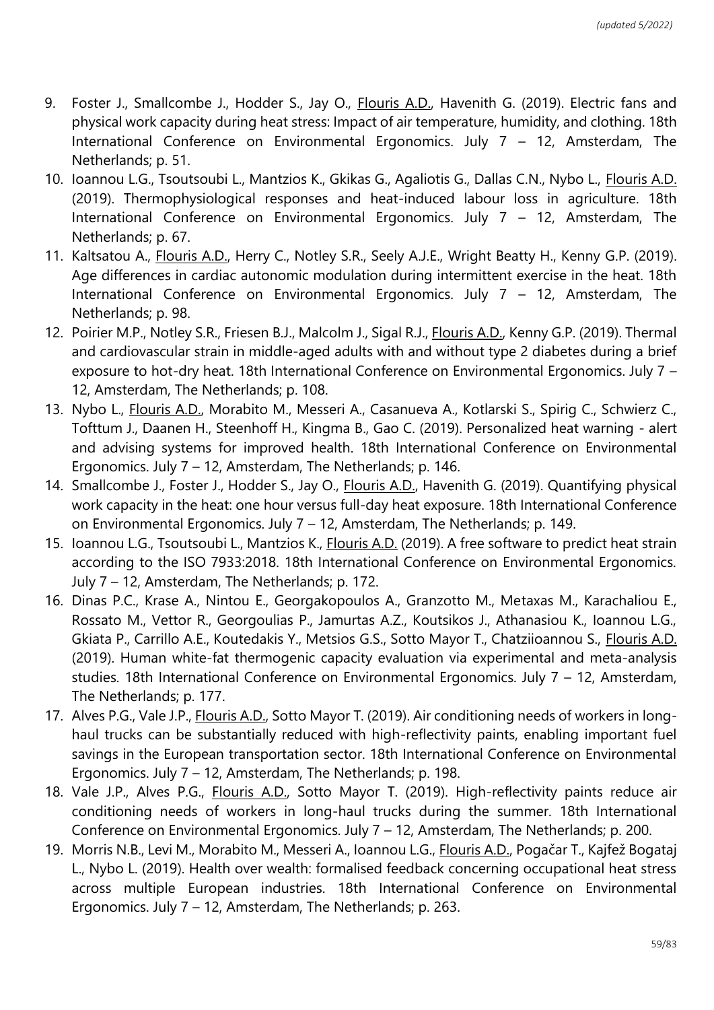- 9. Foster J., Smallcombe J., Hodder S., Jay O., Flouris A.D., Havenith G. (2019). Electric fans and physical work capacity during heat stress: Impact of air temperature, humidity, and clothing. 18th International Conference on Environmental Ergonomics. July 7 – 12, Amsterdam, The Netherlands; p. 51.
- 10. Ioannou L.G., Tsoutsoubi L., Mantzios K., Gkikas G., Agaliotis G., Dallas C.N., Nybo L., Flouris A.D. (2019). Thermophysiological responses and heat-induced labour loss in agriculture. 18th International Conference on Environmental Ergonomics. July 7 – 12, Amsterdam, The Netherlands; p. 67.
- 11. Kaltsatou A., Flouris A.D., Herry C., Notley S.R., Seely A.J.E., Wright Beatty H., Kenny G.P. (2019). Age differences in cardiac autonomic modulation during intermittent exercise in the heat. 18th International Conference on Environmental Ergonomics. July 7 – 12, Amsterdam, The Netherlands; p. 98.
- 12. Poirier M.P., Notley S.R., Friesen B.J., Malcolm J., Sigal R.J., Flouris A.D., Kenny G.P. (2019). Thermal and cardiovascular strain in middle-aged adults with and without type 2 diabetes during a brief exposure to hot-dry heat. 18th International Conference on Environmental Ergonomics. July 7 – 12, Amsterdam, The Netherlands; p. 108.
- 13. Nybo L., Flouris A.D., Morabito M., Messeri A., Casanueva A., Kotlarski S., Spirig C., Schwierz C., Tofttum J., Daanen H., Steenhoff H., Kingma B., Gao C. (2019). Personalized heat warning - alert and advising systems for improved health. 18th International Conference on Environmental Ergonomics. July 7 – 12, Amsterdam, The Netherlands; p. 146.
- 14. Smallcombe J., Foster J., Hodder S., Jay O., Flouris A.D., Havenith G. (2019). Quantifying physical work capacity in the heat: one hour versus full-day heat exposure. 18th International Conference on Environmental Ergonomics. July 7 – 12, Amsterdam, The Netherlands; p. 149.
- 15. Ioannou L.G., Tsoutsoubi L., Mantzios K., Flouris A.D. (2019). A free software to predict heat strain according to the ISO 7933:2018. 18th International Conference on Environmental Ergonomics. July 7 – 12, Amsterdam, The Netherlands; p. 172.
- 16. Dinas P.C., Krase A., Nintou E., Georgakopoulos A., Granzotto M., Metaxas M., Karachaliou E., Rossato M., Vettor R., Georgoulias P., Jamurtas A.Z., Koutsikos J., Athanasiou K., Ioannou L.G., Gkiata P., Carrillo A.E., Koutedakis Y., Metsios G.S., Sotto Mayor T., Chatziioannou S., Flouris A.D. (2019). Human white-fat thermogenic capacity evaluation via experimental and meta-analysis studies. 18th International Conference on Environmental Ergonomics. July 7 – 12, Amsterdam, The Netherlands; p. 177.
- 17. Alves P.G., Vale J.P., Flouris A.D., Sotto Mayor T. (2019). Air conditioning needs of workers in longhaul trucks can be substantially reduced with high-reflectivity paints, enabling important fuel savings in the European transportation sector. 18th International Conference on Environmental Ergonomics. July 7 – 12, Amsterdam, The Netherlands; p. 198.
- 18. Vale J.P., Alves P.G., Flouris A.D., Sotto Mayor T. (2019). High-reflectivity paints reduce air conditioning needs of workers in long-haul trucks during the summer. 18th International Conference on Environmental Ergonomics. July 7 – 12, Amsterdam, The Netherlands; p. 200.
- 19. Morris N.B., Levi M., Morabito M., Messeri A., Ioannou L.G., Flouris A.D., Pogačar T., Kajfež Bogataj L., Nybo L. (2019). Health over wealth: formalised feedback concerning occupational heat stress across multiple European industries. 18th International Conference on Environmental Ergonomics. July 7 – 12, Amsterdam, The Netherlands; p. 263.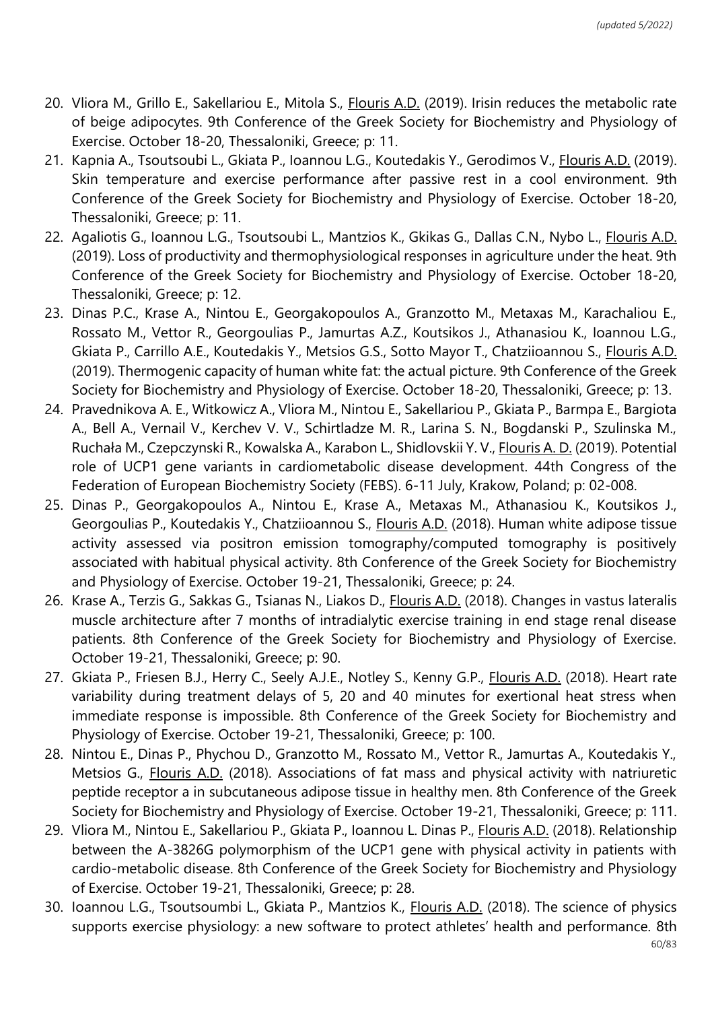- 20. Vliora M., Grillo E., Sakellariou E., Mitola S., Flouris A.D. (2019). Irisin reduces the metabolic rate of beige adipocytes. 9th Conference of the Greek Society for Biochemistry and Physiology of Exercise. October 18-20, Thessaloniki, Greece; p: 11.
- 21. Kapnia A., Tsoutsoubi L., Gkiata P., Ioannou L.G., Koutedakis Y., Gerodimos V., Flouris A.D. (2019). Skin temperature and exercise performance after passive rest in a cool environment. 9th Conference of the Greek Society for Biochemistry and Physiology of Exercise. October 18-20, Thessaloniki, Greece; p: 11.
- 22. Agaliotis G., Ioannou L.G., Tsoutsoubi L., Mantzios K., Gkikas G., Dallas C.N., Nybo L., Flouris A.D. (2019). Loss of productivity and thermophysiological responses in agriculture under the heat. 9th Conference of the Greek Society for Biochemistry and Physiology of Exercise. October 18-20, Thessaloniki, Greece; p: 12.
- 23. Dinas P.C., Krase A., Nintou E., Georgakopoulos A., Granzotto M., Metaxas M., Karachaliou E., Rossato M., Vettor R., Georgoulias P., Jamurtas A.Z., Koutsikos J., Athanasiou K., Ioannou L.G., Gkiata P., Carrillo A.E., Koutedakis Y., Metsios G.S., Sotto Mayor T., Chatziioannou S., Flouris A.D. (2019). Thermogenic capacity of human white fat: the actual picture. 9th Conference of the Greek Society for Biochemistry and Physiology of Exercise. October 18-20, Thessaloniki, Greece; p: 13.
- 24. Pravednikova A. E., Witkowicz A., Vliora M., Nintou E., Sakellariou P., Gkiata P., Barmpa E., Bargiota A., Bell A., Vernail V., Kerchev V. V., Schirtladze M. R., Larina S. N., Bogdanski P., Szulinska M., Ruchała M., Czepczynski R., Kowalska A., Karabon L., Shidlovskii Y. V., Flouris A. D. (2019). Potential role of UCP1 gene variants in cardiometabolic disease development. 44th Congress of the Federation of European Biochemistry Society (FEBS). 6-11 July, Krakow, Poland; p: 02-008.
- 25. Dinas P., Georgakopoulos A., Nintou E., Krase A., Metaxas M., Athanasiou K., Koutsikos J., Georgoulias P., Koutedakis Y., Chatziioannou S., Flouris A.D. (2018). Human white adipose tissue activity assessed via positron emission tomography/computed tomography is positively associated with habitual physical activity. 8th Conference of the Greek Society for Biochemistry and Physiology of Exercise. October 19-21, Thessaloniki, Greece; p: 24.
- 26. Krase A., Terzis G., Sakkas G., Tsianas N., Liakos D., Flouris A.D. (2018). Changes in vastus lateralis muscle architecture after 7 months of intradialytic exercise training in end stage renal disease patients. 8th Conference of the Greek Society for Biochemistry and Physiology of Exercise. October 19-21, Thessaloniki, Greece; p: 90.
- 27. Gkiata P., Friesen B.J., Herry C., Seely A.J.E., Notley S., Kenny G.P., Flouris A.D. (2018). Heart rate variability during treatment delays of 5, 20 and 40 minutes for exertional heat stress when immediate response is impossible. 8th Conference of the Greek Society for Biochemistry and Physiology of Exercise. October 19-21, Thessaloniki, Greece; p: 100.
- 28. Nintou E., Dinas P., Phychou D., Granzotto M., Rossato M., Vettor R., Jamurtas A., Koutedakis Y., Metsios G., Flouris A.D. (2018). Associations of fat mass and physical activity with natriuretic peptide receptor a in subcutaneous adipose tissue in healthy men. 8th Conference of the Greek Society for Biochemistry and Physiology of Exercise. October 19-21, Thessaloniki, Greece; p: 111.
- 29. Vliora M., Nintou E., Sakellariou P., Gkiata P., Ioannou L. Dinas P., Flouris A.D. (2018). Relationship between the A-3826G polymorphism of the UCP1 gene with physical activity in patients with cardio-metabolic disease. 8th Conference of the Greek Society for Biochemistry and Physiology of Exercise. October 19-21, Thessaloniki, Greece; p: 28.
- 30. Ioannou L.G., Tsoutsoumbi L., Gkiata P., Mantzios K., Flouris A.D. (2018). The science of physics supports exercise physiology: a new software to protect athletes' health and performance. 8th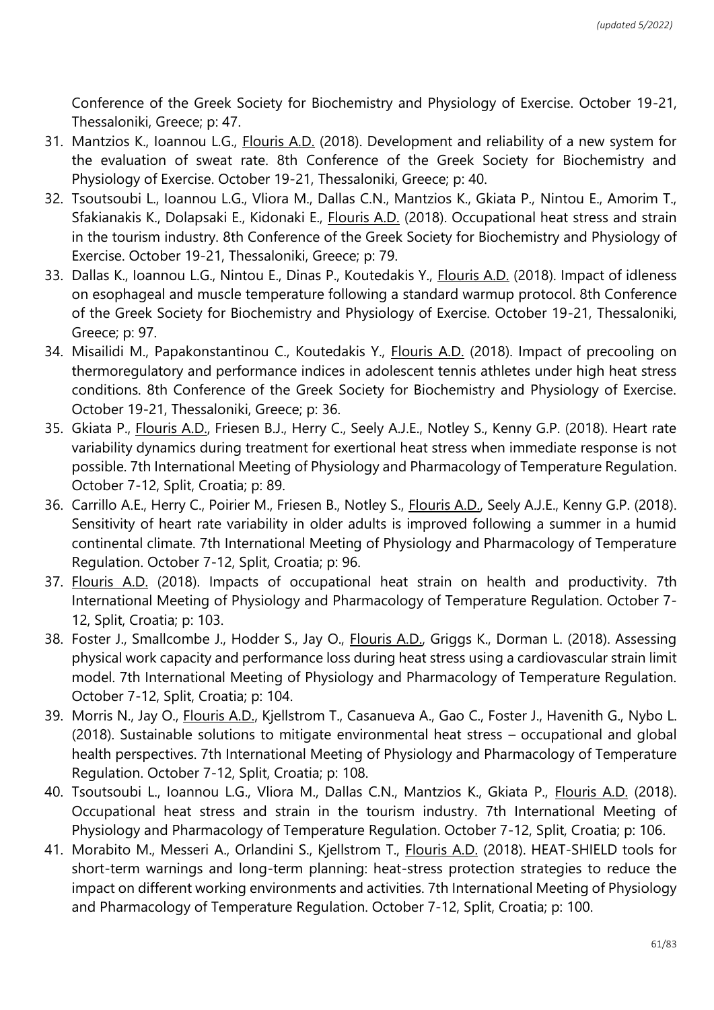Conference of the Greek Society for Biochemistry and Physiology of Exercise. October 19-21, Thessaloniki, Greece; p: 47.

- 31. Mantzios K., Ioannou L.G., Flouris A.D. (2018). Development and reliability of a new system for the evaluation of sweat rate. 8th Conference of the Greek Society for Biochemistry and Physiology of Exercise. October 19-21, Thessaloniki, Greece; p: 40.
- 32. Tsoutsoubi L., Ioannou L.G., Vliora M., Dallas C.N., Mantzios K., Gkiata P., Nintou E., Amorim T., Sfakianakis K., Dolapsaki E., Kidonaki E., *Flouris A.D.* (2018). Occupational heat stress and strain in the tourism industry. 8th Conference of the Greek Society for Biochemistry and Physiology of Exercise. October 19-21, Thessaloniki, Greece; p: 79.
- 33. Dallas K., Ioannou L.G., Nintou E., Dinas P., Koutedakis Y., *Flouris A.D.* (2018). Impact of idleness on esophageal and muscle temperature following a standard warmup protocol. 8th Conference of the Greek Society for Biochemistry and Physiology of Exercise. October 19-21, Thessaloniki, Greece; p: 97.
- 34. Misailidi M., Papakonstantinou C., Koutedakis Y., Flouris A.D. (2018). Impact of precooling on thermoregulatory and performance indices in adolescent tennis athletes under high heat stress conditions. 8th Conference of the Greek Society for Biochemistry and Physiology of Exercise. October 19-21, Thessaloniki, Greece; p: 36.
- 35. Gkiata P., Flouris A.D., Friesen B.J., Herry C., Seely A.J.E., Notley S., Kenny G.P. (2018). Heart rate variability dynamics during treatment for exertional heat stress when immediate response is not possible. 7th International Meeting of Physiology and Pharmacology of Temperature Regulation. October 7-12, Split, Croatia; p: 89.
- 36. Carrillo A.E., Herry C., Poirier M., Friesen B., Notley S., Flouris A.D., Seely A.J.E., Kenny G.P. (2018). Sensitivity of heart rate variability in older adults is improved following a summer in a humid continental climate. 7th International Meeting of Physiology and Pharmacology of Temperature Regulation. October 7-12, Split, Croatia; p: 96.
- 37. Flouris A.D. (2018). Impacts of occupational heat strain on health and productivity. 7th International Meeting of Physiology and Pharmacology of Temperature Regulation. October 7- 12, Split, Croatia; p: 103.
- 38. Foster J., Smallcombe J., Hodder S., Jay O., *Flouris A.D.*, Griggs K., Dorman L. (2018). Assessing physical work capacity and performance loss during heat stress using a cardiovascular strain limit model. 7th International Meeting of Physiology and Pharmacology of Temperature Regulation. October 7-12, Split, Croatia; p: 104.
- 39. Morris N., Jay O., Flouris A.D., Kjellstrom T., Casanueva A., Gao C., Foster J., Havenith G., Nybo L. (2018). Sustainable solutions to mitigate environmental heat stress – occupational and global health perspectives. 7th International Meeting of Physiology and Pharmacology of Temperature Regulation. October 7-12, Split, Croatia; p: 108.
- 40. Tsoutsoubi L., Ioannou L.G., Vliora M., Dallas C.N., Mantzios K., Gkiata P., Flouris A.D. (2018). Occupational heat stress and strain in the tourism industry. 7th International Meeting of Physiology and Pharmacology of Temperature Regulation. October 7-12, Split, Croatia; p: 106.
- 41. Morabito M., Messeri A., Orlandini S., Kjellstrom T., Flouris A.D. (2018). HEAT-SHIELD tools for short-term warnings and long-term planning: heat-stress protection strategies to reduce the impact on different working environments and activities. 7th International Meeting of Physiology and Pharmacology of Temperature Regulation. October 7-12, Split, Croatia; p: 100.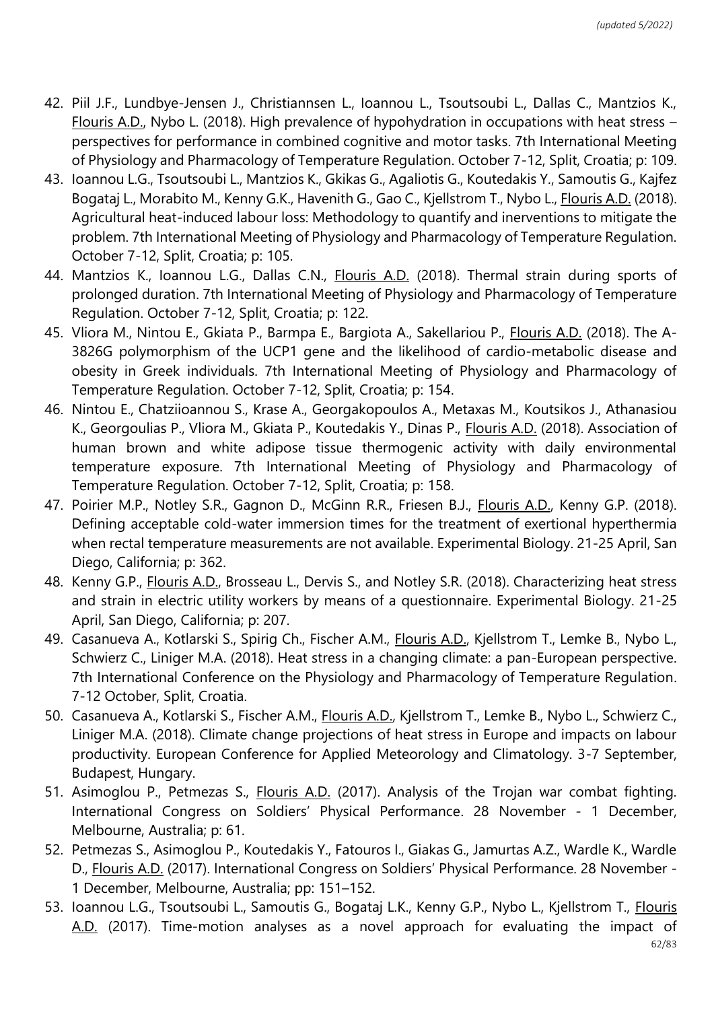- 42. Piil J.F., Lundbye-Jensen J., Christiannsen L., Ioannou L., Tsoutsoubi L., Dallas C., Mantzios K., Flouris A.D., Nybo L. (2018). High prevalence of hypohydration in occupations with heat stress – perspectives for performance in combined cognitive and motor tasks. 7th International Meeting of Physiology and Pharmacology of Temperature Regulation. October 7-12, Split, Croatia; p: 109.
- 43. Ioannou L.G., Tsoutsoubi L., Mantzios K., Gkikas G., Agaliotis G., Koutedakis Y., Samoutis G., Kajfez Bogataj L., Morabito M., Kenny G.K., Havenith G., Gao C., Kjellstrom T., Nybo L., Flouris A.D. (2018). Agricultural heat-induced labour loss: Methodology to quantify and inerventions to mitigate the problem. 7th International Meeting of Physiology and Pharmacology of Temperature Regulation. October 7-12, Split, Croatia; p: 105.
- 44. Mantzios K., Ioannou L.G., Dallas C.N., Flouris A.D. (2018). Thermal strain during sports of prolonged duration. 7th International Meeting of Physiology and Pharmacology of Temperature Regulation. October 7-12, Split, Croatia; p: 122.
- 45. Vliora M., Nintou E., Gkiata P., Barmpa E., Bargiota A., Sakellariou P., Flouris A.D. (2018). The A-3826G polymorphism of the UCP1 gene and the likelihood of cardio-metabolic disease and obesity in Greek individuals. 7th International Meeting of Physiology and Pharmacology of Temperature Regulation. October 7-12, Split, Croatia; p: 154.
- 46. Nintou E., Chatziioannou S., Krase A., Georgakopoulos A., Metaxas M., Koutsikos J., Athanasiou K., Georgoulias P., Vliora M., Gkiata P., Koutedakis Y., Dinas P., Flouris A.D. (2018). Association of human brown and white adipose tissue thermogenic activity with daily environmental temperature exposure. 7th International Meeting of Physiology and Pharmacology of Temperature Regulation. October 7-12, Split, Croatia; p: 158.
- 47. Poirier M.P., Notley S.R., Gagnon D., McGinn R.R., Friesen B.J., Flouris A.D., Kenny G.P. (2018). Defining acceptable cold-water immersion times for the treatment of exertional hyperthermia when rectal temperature measurements are not available. Experimental Biology. 21-25 April, San Diego, California; p: 362.
- 48. Kenny G.P., Flouris A.D., Brosseau L., Dervis S., and Notley S.R. (2018). Characterizing heat stress and strain in electric utility workers by means of a questionnaire. Experimental Biology. 21-25 April, San Diego, California; p: 207.
- 49. Casanueva A., Kotlarski S., Spirig Ch., Fischer A.M., Flouris A.D., Kjellstrom T., Lemke B., Nybo L., Schwierz C., Liniger M.A. (2018). Heat stress in a changing climate: a pan-European perspective. 7th International Conference on the Physiology and Pharmacology of Temperature Regulation. 7-12 October, Split, Croatia.
- 50. Casanueva A., Kotlarski S., Fischer A.M., *Flouris A.D., Kjellstrom T., Lemke B., Nybo L., Schwierz C.,* Liniger M.A. (2018). Climate change projections of heat stress in Europe and impacts on labour productivity. European Conference for Applied Meteorology and Climatology. 3-7 September, Budapest, Hungary.
- 51. Asimoglou P., Petmezas S., Flouris A.D. (2017). Analysis of the Trojan war combat fighting. International Congress on Soldiers' Physical Performance. 28 November - 1 December, Melbourne, Australia; p: 61.
- 52. Petmezas S., Asimoglou P., Koutedakis Y., Fatouros I., Giakas G., Jamurtas A.Z., Wardle K., Wardle D., Flouris A.D. (2017). International Congress on Soldiers' Physical Performance. 28 November - 1 December, Melbourne, Australia; pp: 151–152.
- 53. Ioannou L.G., Tsoutsoubi L., Samoutis G., Bogataj L.K., Kenny G.P., Nybo L., Kjellstrom T., *Flouris* A.D. (2017). Time-motion analyses as a novel approach for evaluating the impact of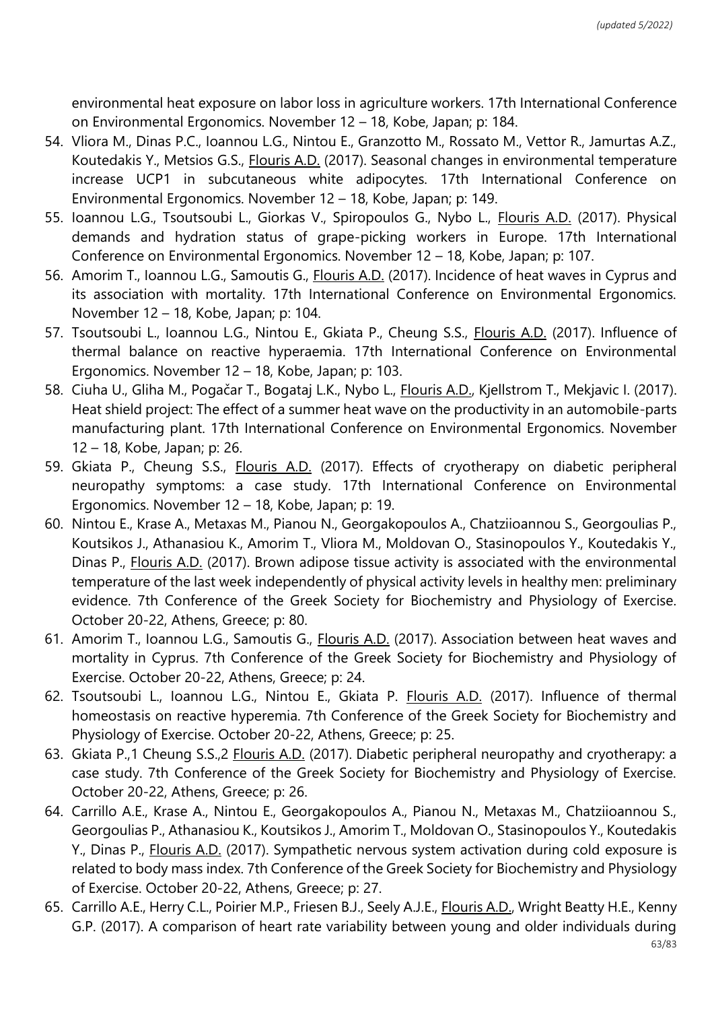environmental heat exposure on labor loss in agriculture workers. 17th International Conference on Environmental Ergonomics. November 12 – 18, Kobe, Japan; p: 184.

- 54. Vliora M., Dinas P.C., Ioannou L.G., Nintou E., Granzotto M., Rossato M., Vettor R., Jamurtas A.Z., Koutedakis Y., Metsios G.S., Flouris A.D. (2017). Seasonal changes in environmental temperature increase UCP1 in subcutaneous white adipocytes. 17th International Conference on Environmental Ergonomics. November 12 – 18, Kobe, Japan; p: 149.
- 55. Ioannou L.G., Tsoutsoubi L., Giorkas V., Spiropoulos G., Nybo L., Flouris A.D. (2017). Physical demands and hydration status of grape-picking workers in Europe. 17th International Conference on Environmental Ergonomics. November 12 – 18, Kobe, Japan; p: 107.
- 56. Amorim T., Ioannou L.G., Samoutis G., Flouris A.D. (2017). Incidence of heat waves in Cyprus and its association with mortality. 17th International Conference on Environmental Ergonomics. November 12 – 18, Kobe, Japan; p: 104.
- 57. Tsoutsoubi L., Ioannou L.G., Nintou E., Gkiata P., Cheung S.S., Flouris A.D. (2017). Influence of thermal balance on reactive hyperaemia. 17th International Conference on Environmental Ergonomics. November 12 – 18, Kobe, Japan; p: 103.
- 58. Ciuha U., Gliha M., Pogačar T., Bogataj L.K., Nybo L., Flouris A.D., Kjellstrom T., Mekjavic I. (2017). Heat shield project: The effect of a summer heat wave on the productivity in an automobile-parts manufacturing plant. 17th International Conference on Environmental Ergonomics. November 12 – 18, Kobe, Japan; p: 26.
- 59. Gkiata P., Cheung S.S., Flouris A.D. (2017). Effects of cryotherapy on diabetic peripheral neuropathy symptoms: a case study. 17th International Conference on Environmental Ergonomics. November 12 – 18, Kobe, Japan; p: 19.
- 60. Nintou E., Krase A., Metaxas M., Pianou N., Georgakopoulos A., Chatziioannou S., Georgoulias P., Koutsikos J., Athanasiou K., Amorim T., Vliora M., Moldovan O., Stasinopoulos Y., Koutedakis Y., Dinas P., Flouris A.D. (2017). Brown adipose tissue activity is associated with the environmental temperature of the last week independently of physical activity levels in healthy men: preliminary evidence. 7th Conference of the Greek Society for Biochemistry and Physiology of Exercise. October 20-22, Athens, Greece; p: 80.
- 61. Amorim T., Ioannou L.G., Samoutis G., Flouris A.D. (2017). Association between heat waves and mortality in Cyprus. 7th Conference of the Greek Society for Biochemistry and Physiology of Exercise. October 20-22, Athens, Greece; p: 24.
- 62. Tsoutsoubi L., Ioannou L.G., Nintou E., Gkiata P. Flouris A.D. (2017). Influence of thermal homeostasis on reactive hyperemia. 7th Conference of the Greek Society for Biochemistry and Physiology of Exercise. October 20-22, Athens, Greece; p: 25.
- 63. Gkiata P.,1 Cheung S.S.,2 Flouris A.D. (2017). Diabetic peripheral neuropathy and cryotherapy: a case study. 7th Conference of the Greek Society for Biochemistry and Physiology of Exercise. October 20-22, Athens, Greece; p: 26.
- 64. Carrillo A.E., Krase A., Nintou E., Georgakopoulos A., Pianou N., Metaxas M., Chatziioannou S., Georgoulias P., Athanasiou K., Koutsikos J., Amorim T., Moldovan O., Stasinopoulos Y., Koutedakis Y., Dinas P., Flouris A.D. (2017). Sympathetic nervous system activation during cold exposure is related to body mass index. 7th Conference of the Greek Society for Biochemistry and Physiology of Exercise. October 20-22, Athens, Greece; p: 27.
- 65. Carrillo A.E., Herry C.L., Poirier M.P., Friesen B.J., Seely A.J.E., Flouris A.D., Wright Beatty H.E., Kenny G.P. (2017). A comparison of heart rate variability between young and older individuals during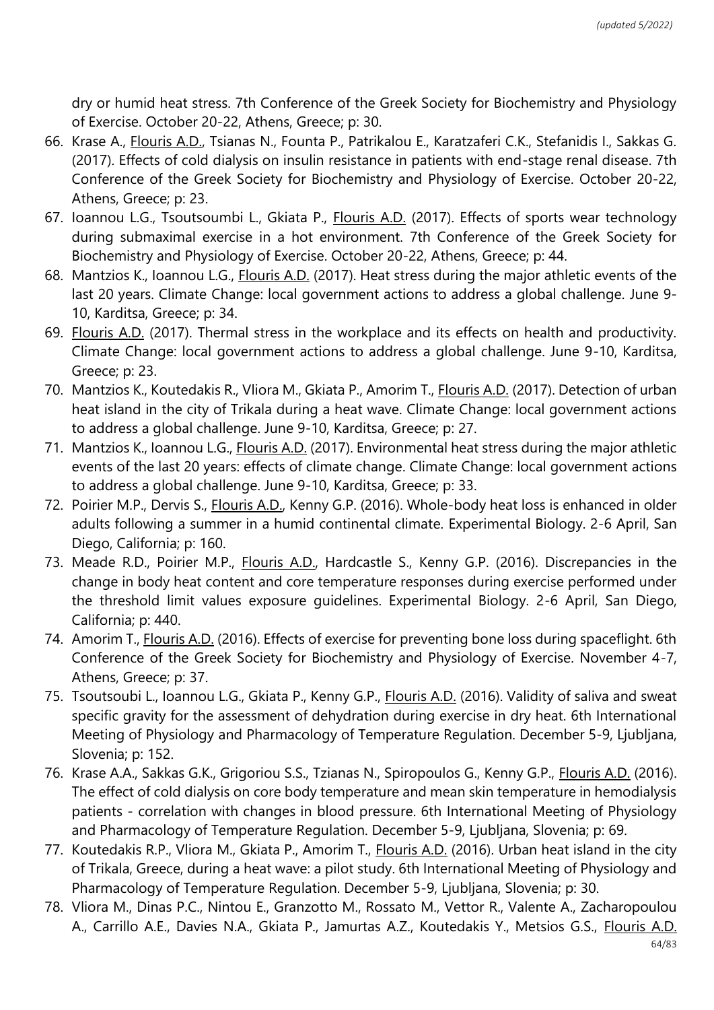dry or humid heat stress. 7th Conference of the Greek Society for Biochemistry and Physiology of Exercise. October 20-22, Athens, Greece; p: 30.

- 66. Krase A., Flouris A.D., Tsianas N., Founta P., Patrikalou E., Karatzaferi C.K., Stefanidis I., Sakkas G. (2017). Effects of cold dialysis on insulin resistance in patients with end-stage renal disease. 7th Conference of the Greek Society for Biochemistry and Physiology of Exercise. October 20-22, Athens, Greece; p: 23.
- 67. Ioannou L.G., Tsoutsoumbi L., Gkiata P., Flouris A.D. (2017). Effects of sports wear technology during submaximal exercise in a hot environment. 7th Conference of the Greek Society for Biochemistry and Physiology of Exercise. October 20-22, Athens, Greece; p: 44.
- 68. Mantzios K., Ioannou L.G., Flouris A.D. (2017). Heat stress during the major athletic events of the last 20 years. Climate Change: local government actions to address a global challenge. June 9- 10, Karditsa, Greece; p: 34.
- 69. Flouris A.D. (2017). Thermal stress in the workplace and its effects on health and productivity. Climate Change: local government actions to address a global challenge. June 9-10, Karditsa, Greece; p: 23.
- 70. Mantzios K., Koutedakis R., Vliora M., Gkiata P., Amorim T., *Flouris A.D.* (2017). Detection of urban heat island in the city of Trikala during a heat wave. Climate Change: local government actions to address a global challenge. June 9-10, Karditsa, Greece; p: 27.
- 71. Mantzios K., Ioannou L.G., *Flouris A.D.* (2017). Environmental heat stress during the major athletic events of the last 20 years: effects of climate change. Climate Change: local government actions to address a global challenge. June 9-10, Karditsa, Greece; p: 33.
- 72. Poirier M.P., Dervis S., Flouris A.D., Kenny G.P. (2016). Whole-body heat loss is enhanced in older adults following a summer in a humid continental climate. Experimental Biology. 2-6 April, San Diego, California; p: 160.
- 73. Meade R.D., Poirier M.P., Flouris A.D., Hardcastle S., Kenny G.P. (2016). Discrepancies in the change in body heat content and core temperature responses during exercise performed under the threshold limit values exposure guidelines. Experimental Biology. 2-6 April, San Diego, California; p: 440.
- 74. Amorim T., Flouris A.D. (2016). Effects of exercise for preventing bone loss during spaceflight. 6th Conference of the Greek Society for Biochemistry and Physiology of Exercise. November 4-7, Athens, Greece; p: 37.
- 75. Tsoutsoubi L., Ioannou L.G., Gkiata P., Kenny G.P., Flouris A.D. (2016). Validity of saliva and sweat specific gravity for the assessment of dehydration during exercise in dry heat. 6th International Meeting of Physiology and Pharmacology of Temperature Regulation. December 5-9, Ljubljana, Slovenia; p: 152.
- 76. Krase A.A., Sakkas G.K., Grigoriou S.S., Tzianas N., Spiropoulos G., Kenny G.P., Flouris A.D. (2016). The effect of cold dialysis on core body temperature and mean skin temperature in hemodialysis patients - correlation with changes in blood pressure. 6th International Meeting of Physiology and Pharmacology of Temperature Regulation. December 5-9, Ljubljana, Slovenia; p: 69.
- 77. Koutedakis R.P., Vliora M., Gkiata P., Amorim T., Flouris A.D. (2016). Urban heat island in the city of Trikala, Greece, during a heat wave: a pilot study. 6th International Meeting of Physiology and Pharmacology of Temperature Regulation. December 5-9, Ljubljana, Slovenia; p: 30.
- 78. Vliora Μ., Dinas P.C., Nintou E., Granzotto M., Rossato M., Vettor R., Valente A., Zacharopoulou A., Carrillo A.E., Davies N.A., Gkiata P., Jamurtas A.Z., Koutedakis Y., Metsios G.S., Flouris A.D.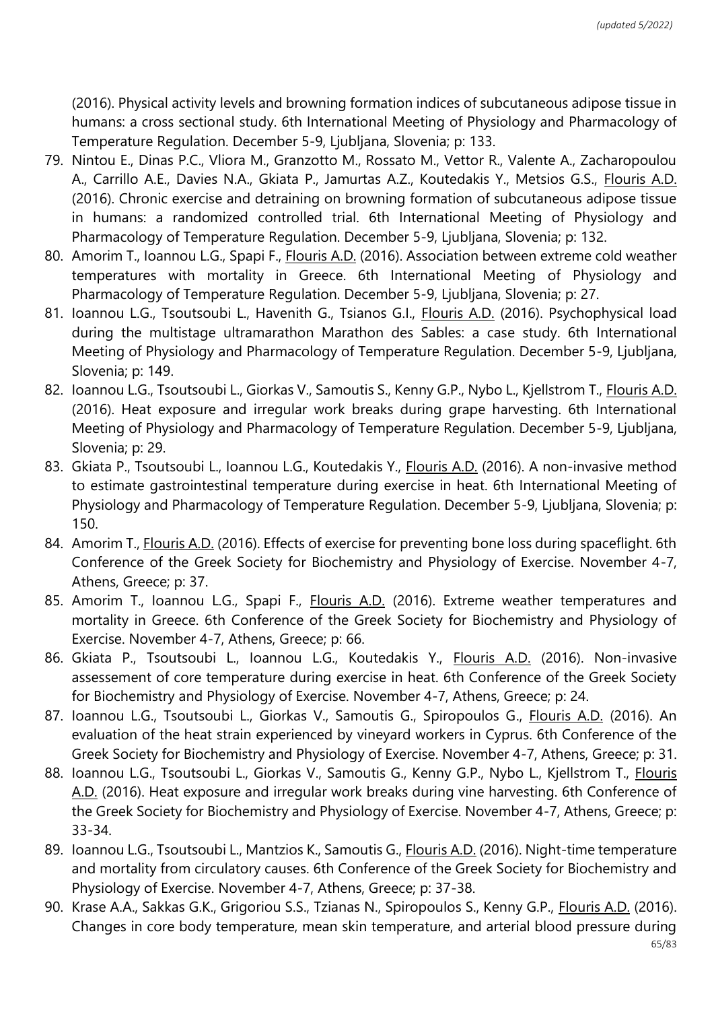(2016). Physical activity levels and browning formation indices of subcutaneous adipose tissue in humans: a cross sectional study. 6th International Meeting of Physiology and Pharmacology of Temperature Regulation. December 5-9, Ljubljana, Slovenia; p: 133.

- 79. Nintou E., Dinas P.C., Vliora Μ., Granzotto M., Rossato M., Vettor R., Valente A., Zacharopoulou A., Carrillo A.E., Davies N.A., Gkiata P., Jamurtas A.Z., Koutedakis Y., Metsios G.S., Flouris A.D. (2016). Chronic exercise and detraining on browning formation of subcutaneous adipose tissue in humans: a randomized controlled trial. 6th International Meeting of Physiology and Pharmacology of Temperature Regulation. December 5-9, Ljubljana, Slovenia; p: 132.
- 80. Amorim T., Ioannou L.G., Spapi F., Flouris A.D. (2016). Association between extreme cold weather temperatures with mortality in Greece. 6th International Meeting of Physiology and Pharmacology of Temperature Regulation. December 5-9, Ljubljana, Slovenia; p: 27.
- 81. Ioannou L.G., Tsoutsoubi L., Havenith G., Tsianos G.I., Flouris A.D. (2016). Psychophysical load during the multistage ultramarathon Marathon des Sables: a case study. 6th International Meeting of Physiology and Pharmacology of Temperature Regulation. December 5-9, Ljubljana, Slovenia; p: 149.
- 82. Ioannou L.G., Tsoutsoubi L., Giorkas V., Samoutis S., Kenny G.P., Nybo L., Kjellstrom T., Flouris A.D. (2016). Heat exposure and irregular work breaks during grape harvesting. 6th International Meeting of Physiology and Pharmacology of Temperature Regulation. December 5-9, Ljubljana, Slovenia; p: 29.
- 83. Gkiata P., Tsoutsoubi L., Ioannou L.G., Koutedakis Y., Flouris A.D. (2016). A non-invasive method to estimate gastrointestinal temperature during exercise in heat. 6th International Meeting of Physiology and Pharmacology of Temperature Regulation. December 5-9, Ljubljana, Slovenia; p: 150.
- 84. Amorim T., Flouris A.D. (2016). Effects of exercise for preventing bone loss during spaceflight. 6th Conference of the Greek Society for Biochemistry and Physiology of Exercise. November 4-7, Athens, Greece; p: 37.
- 85. Amorim T., Ioannou L.G., Spapi F., Flouris A.D. (2016). Extreme weather temperatures and mortality in Greece. 6th Conference of the Greek Society for Biochemistry and Physiology of Exercise. November 4-7, Athens, Greece; p: 66.
- 86. Gkiata P., Tsoutsoubi L., Ioannou L.G., Koutedakis Y., Flouris A.D. (2016). Non-invasive assessement of core temperature during exercise in heat. 6th Conference of the Greek Society for Biochemistry and Physiology of Exercise. November 4-7, Athens, Greece; p: 24.
- 87. Ioannou L.G., Tsoutsoubi L., Giorkas V., Samoutis G., Spiropoulos G., Flouris A.D. (2016). An evaluation of the heat strain experienced by vineyard workers in Cyprus. 6th Conference of the Greek Society for Biochemistry and Physiology of Exercise. November 4-7, Athens, Greece; p: 31.
- 88. Ioannou L.G., Tsoutsoubi L., Giorkas V., Samoutis G., Kenny G.P., Nybo L., Kjellstrom T., Flouris A.D. (2016). Heat exposure and irregular work breaks during vine harvesting. 6th Conference of the Greek Society for Biochemistry and Physiology of Exercise. November 4-7, Athens, Greece; p: 33-34.
- 89. Ioannou L.G., Tsoutsoubi L., Mantzios K., Samoutis G., *Flouris A.D.* (2016). Night-time temperature and mortality from circulatory causes. 6th Conference of the Greek Society for Biochemistry and Physiology of Exercise. November 4-7, Athens, Greece; p: 37-38.
- 90. Krase A.A., Sakkas G.K., Grigoriou S.S., Tzianas N., Spiropoulos S., Kenny G.P., Flouris A.D. (2016). Changes in core body temperature, mean skin temperature, and arterial blood pressure during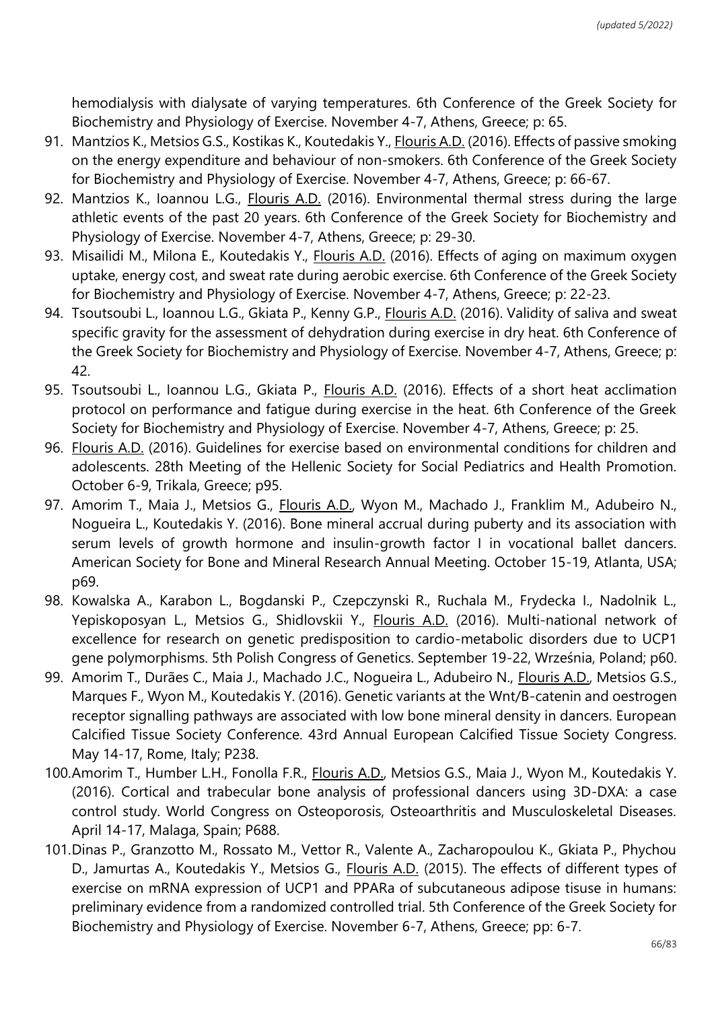hemodialysis with dialysate of varying temperatures. 6th Conference of the Greek Society for Biochemistry and Physiology of Exercise. November 4-7, Athens, Greece; p: 65.

- 91. Mantzios K., Metsios G.S., Kostikas K., Koutedakis Y., Flouris A.D. (2016). Effects of passive smoking on the energy expenditure and behaviour of non-smokers. 6th Conference of the Greek Society for Biochemistry and Physiology of Exercise. November 4-7, Athens, Greece; p: 66-67.
- 92. Mantzios K., Ioannou L.G., Flouris A.D. (2016). Environmental thermal stress during the large athletic events of the past 20 years. 6th Conference of the Greek Society for Biochemistry and Physiology of Exercise. November 4-7, Athens, Greece; p: 29-30.
- 93. Misailidi M., Milona E., Koutedakis Y., Flouris A.D. (2016). Effects of aging on maximum oxygen uptake, energy cost, and sweat rate during aerobic exercise. 6th Conference of the Greek Society for Biochemistry and Physiology of Exercise. November 4-7, Athens, Greece; p: 22-23.
- 94. Tsoutsoubi L., Ioannou L.G., Gkiata P., Kenny G.P., Flouris A.D. (2016). Validity of saliva and sweat specific gravity for the assessment of dehydration during exercise in dry heat. 6th Conference of the Greek Society for Biochemistry and Physiology of Exercise. November 4-7, Athens, Greece; p: 42.
- 95. Tsoutsoubi L., Ioannou L.G., Gkiata P., *Flouris A.D.* (2016). Effects of a short heat acclimation protocol on performance and fatigue during exercise in the heat. 6th Conference of the Greek Society for Biochemistry and Physiology of Exercise. November 4-7, Athens, Greece; p: 25.
- 96. Flouris A.D. (2016). Guidelines for exercise based on environmental conditions for children and adolescents. 28th Meeting of the Hellenic Society for Social Pediatrics and Health Promotion. October 6-9, Trikala, Greece; p95.
- 97. Amorim T., Maia J., Metsios G., *Flouris A.D.*, Wyon M., Machado J., Franklim M., Adubeiro N., Nogueira L., Koutedakis Y. (2016). Bone mineral accrual during puberty and its association with serum levels of growth hormone and insulin-growth factor I in vocational ballet dancers. American Society for Bone and Mineral Research Annual Meeting. October 15-19, Atlanta, USA; p69.
- 98. Kowalska A., Karabon L., Bogdanski P., Czepczynski R., Ruchala M., Frydecka I., Nadolnik L., Yepiskoposyan L., Metsios G., Shidlovskii Y., Flouris A.D. (2016). Multi-national network of excellence for research on genetic predisposition to cardio-metabolic disorders due to UCP1 gene polymorphisms. 5th Polish Congress of Genetics. September 19-22, Września, Poland; p60.
- 99. Amorim T., Durães C., Maia J., Machado J.C., Nogueira L., Adubeiro N., Flouris A.D., Metsios G.S., Marques F., Wyon M., Koutedakis Y. (2016). Genetic variants at the Wnt/B-catenin and oestrogen receptor signalling pathways are associated with low bone mineral density in dancers. European Calcified Tissue Society Conference. 43rd Annual European Calcified Tissue Society Congress. May 14-17, Rome, Italy; P238.
- 100.Amorim T., Humber L.H., Fonolla F.R., Flouris A.D., Metsios G.S., Maia J., Wyon M., Koutedakis Y. (2016). Cortical and trabecular bone analysis of professional dancers using 3D-DXA: a case control study. World Congress on Osteoporosis, Osteoarthritis and Musculoskeletal Diseases. April 14-17, Malaga, Spain; P688.
- 101.Dinas P., Granzotto M., Rossato M., Vettor R., Valente A., Zacharopoulou K., Gkiata P., Phychou D., Jamurtas A., Koutedakis Y., Metsios G., *Flouris A.D.* (2015). The effects of different types of exercise on mRNA expression of UCP1 and PPARa of subcutaneous adipose tisuse in humans: preliminary evidence from a randomized controlled trial. 5th Conference of the Greek Society for Biochemistry and Physiology of Exercise. November 6-7, Athens, Greece; pp: 6-7.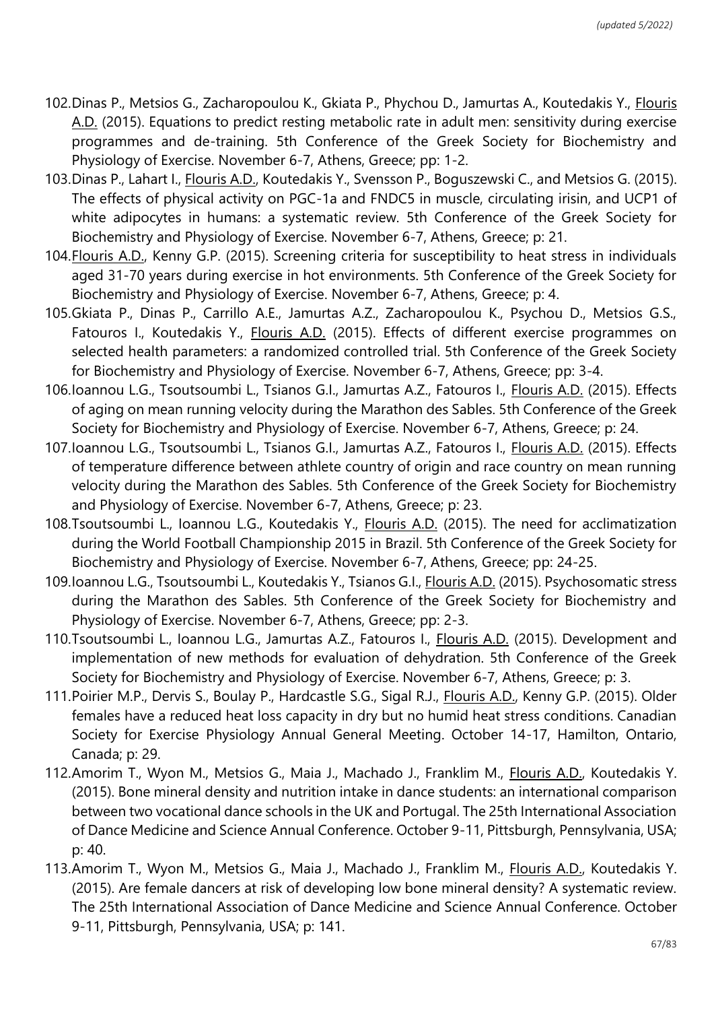- 102.Dinas P., Metsios G., Zacharopoulou K., Gkiata P., Phychou D., Jamurtas A., Koutedakis Y., Flouris A.D. (2015). Equations to predict resting metabolic rate in adult men: sensitivity during exercise programmes and de-training. 5th Conference of the Greek Society for Biochemistry and Physiology of Exercise. November 6-7, Athens, Greece; pp: 1-2.
- 103.Dinas P., Lahart I., Flouris A.D., Koutedakis Y., Svensson P., Boguszewski C., and Metsios G. (2015). The effects of physical activity on PGC-1a and FNDC5 in muscle, circulating irisin, and UCP1 of white adipocytes in humans: a systematic review. 5th Conference of the Greek Society for Biochemistry and Physiology of Exercise. November 6-7, Athens, Greece; p: 21.
- 104.Flouris A.D., Kenny G.P. (2015). Screening criteria for susceptibility to heat stress in individuals aged 31-70 years during exercise in hot environments. 5th Conference of the Greek Society for Biochemistry and Physiology of Exercise. November 6-7, Athens, Greece; p: 4.
- 105.Gkiata P., Dinas P., Carrillo A.E., Jamurtas A.Z., Zacharopoulou K., Psychou D., Metsios G.S., Fatouros I., Koutedakis Y., Flouris A.D. (2015). Effects of different exercise programmes on selected health parameters: a randomized controlled trial. 5th Conference of the Greek Society for Biochemistry and Physiology of Exercise. November 6-7, Athens, Greece; pp: 3-4.
- 106.Ioannou L.G., Tsoutsoumbi L., Tsianos G.I., Jamurtas A.Z., Fatouros I., Flouris A.D. (2015). Effects of aging on mean running velocity during the Marathon des Sables. 5th Conference of the Greek Society for Biochemistry and Physiology of Exercise. November 6-7, Athens, Greece; p: 24.
- 107.Ioannou L.G., Tsoutsoumbi L., Tsianos G.I., Jamurtas A.Z., Fatouros I., Flouris A.D. (2015). Effects of temperature difference between athlete country of origin and race country on mean running velocity during the Marathon des Sables. 5th Conference of the Greek Society for Biochemistry and Physiology of Exercise. November 6-7, Athens, Greece; p: 23.
- 108.Tsoutsoumbi L., Ioannou L.G., Koutedakis Y., *Flouris A.D.* (2015). The need for acclimatization during the World Football Championship 2015 in Brazil. 5th Conference of the Greek Society for Biochemistry and Physiology of Exercise. November 6-7, Athens, Greece; pp: 24-25.
- 109.Ioannou L.G., Tsoutsoumbi L., Koutedakis Y., Tsianos G.I., Flouris A.D. (2015). Psychosomatic stress during the Marathon des Sables. 5th Conference of the Greek Society for Biochemistry and Physiology of Exercise. November 6-7, Athens, Greece; pp: 2-3.
- 110.Tsoutsoumbi L., Ioannou L.G., Jamurtas A.Z., Fatouros I., *Flouris A.D.* (2015). Development and implementation of new methods for evaluation of dehydration. 5th Conference of the Greek Society for Biochemistry and Physiology of Exercise. November 6-7, Athens, Greece; p: 3.
- 111. Poirier M.P., Dervis S., Boulay P., Hardcastle S.G., Sigal R.J., *Flouris A.D., Kenny G.P. (2015). Older* females have a reduced heat loss capacity in dry but no humid heat stress conditions. Canadian Society for Exercise Physiology Annual General Meeting. October 14-17, Hamilton, Ontario, Canada; p: 29.
- 112.Amorim T., Wyon M., Metsios G., Maia J., Machado J., Franklim M., Flouris A.D., Koutedakis Y. (2015). Bone mineral density and nutrition intake in dance students: an international comparison between two vocational dance schools in the UK and Portugal. The 25th International Association of Dance Medicine and Science Annual Conference. October 9-11, Pittsburgh, Pennsylvania, USA; p: 40.
- 113.Amorim T., Wyon M., Metsios G., Maia J., Machado J., Franklim M., Flouris A.D., Koutedakis Y. (2015). Are female dancers at risk of developing low bone mineral density? A systematic review. The 25th International Association of Dance Medicine and Science Annual Conference. October 9-11, Pittsburgh, Pennsylvania, USA; p: 141.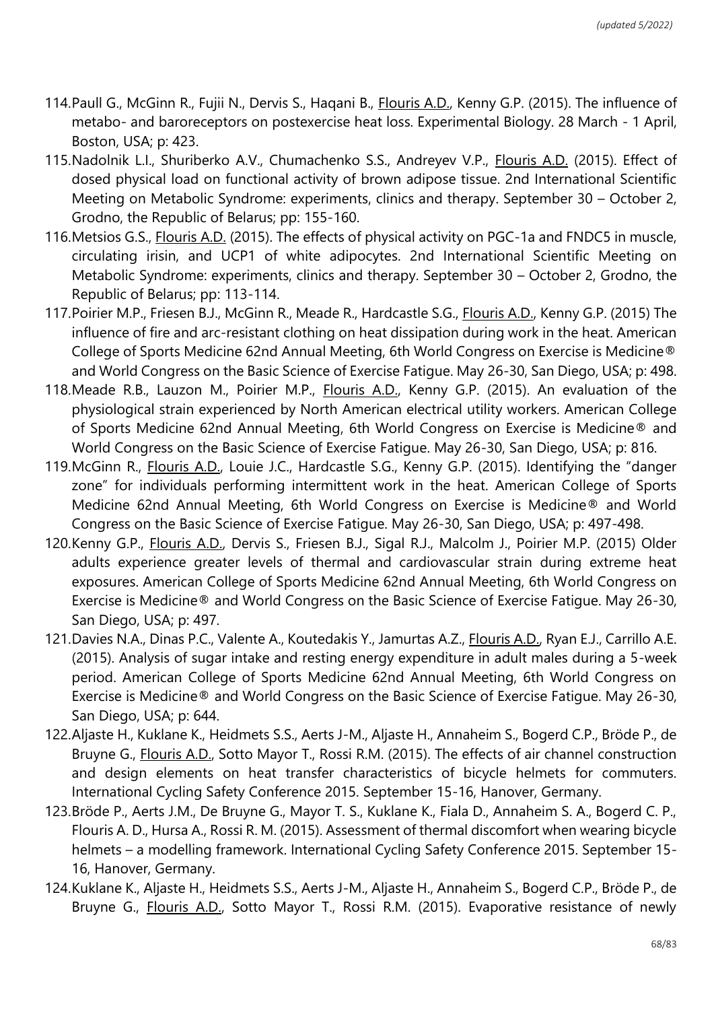- 114.Paull G., McGinn R., Fujii N., Dervis S., Haqani B., Flouris A.D., Kenny G.P. (2015). The influence of metabo- and baroreceptors on postexercise heat loss. Experimental Biology. 28 March - 1 April, Boston, USA; p: 423.
- 115. Nadolnik L.I., Shuriberko A.V., Chumachenko S.S., Andreyev V.P., Flouris A.D. (2015). Effect of dosed physical load on functional activity of brown adipose tissue. 2nd International Scientific Meeting on Metabolic Syndrome: experiments, clinics and therapy. September 30 – October 2, Grodno, the Republic of Belarus; pp: 155-160.
- 116.Metsios G.S., Flouris A.D. (2015). The effects of physical activity on PGC-1a and FNDC5 in muscle, circulating irisin, and UCP1 of white adipocytes. 2nd International Scientific Meeting on Metabolic Syndrome: experiments, clinics and therapy. September 30 – October 2, Grodno, the Republic of Belarus; pp: 113-114.
- 117.Poirier M.P., Friesen B.J., McGinn R., Meade R., Hardcastle S.G., Flouris A.D., Kenny G.P. (2015) The influence of fire and arc-resistant clothing on heat dissipation during work in the heat. American College of Sports Medicine 62nd Annual Meeting, 6th World Congress on Exercise is Medicine® and World Congress on the Basic Science of Exercise Fatigue. May 26-30, San Diego, USA; p: 498.
- 118.Meade R.B., Lauzon M., Poirier M.P., Flouris A.D., Kenny G.P. (2015). An evaluation of the physiological strain experienced by North American electrical utility workers. American College of Sports Medicine 62nd Annual Meeting, 6th World Congress on Exercise is Medicine® and World Congress on the Basic Science of Exercise Fatigue. May 26-30, San Diego, USA; p: 816.
- 119.McGinn R., Flouris A.D., Louie J.C., Hardcastle S.G., Kenny G.P. (2015). Identifying the "danger zone" for individuals performing intermittent work in the heat. American College of Sports Medicine 62nd Annual Meeting, 6th World Congress on Exercise is Medicine® and World Congress on the Basic Science of Exercise Fatigue. May 26-30, San Diego, USA; p: 497-498.
- 120.Kenny G.P., Flouris A.D., Dervis S., Friesen B.J., Sigal R.J., Malcolm J., Poirier M.P. (2015) Older adults experience greater levels of thermal and cardiovascular strain during extreme heat exposures. American College of Sports Medicine 62nd Annual Meeting, 6th World Congress on Exercise is Medicine® and World Congress on the Basic Science of Exercise Fatigue. May 26-30, San Diego, USA; p: 497.
- 121.Davies N.A., Dinas P.C., Valente A., Koutedakis Y., Jamurtas A.Z., Flouris A.D., Ryan E.J., Carrillo A.E. (2015). Analysis of sugar intake and resting energy expenditure in adult males during a 5-week period. American College of Sports Medicine 62nd Annual Meeting, 6th World Congress on Exercise is Medicine® and World Congress on the Basic Science of Exercise Fatigue. May 26-30, San Diego, USA; p: 644.
- 122.Aljaste H., Kuklane K., Heidmets S.S., Aerts J-M., Aljaste H., Annaheim S., Bogerd C.P., Bröde P., de Bruyne G., Flouris A.D., Sotto Mayor T., Rossi R.M. (2015). The effects of air channel construction and design elements on heat transfer characteristics of bicycle helmets for commuters. International Cycling Safety Conference 2015. September 15-16, Hanover, Germany.
- 123.Bröde P., Aerts J.M., De Bruyne G., Mayor T. S., Kuklane K., Fiala D., Annaheim S. A., Bogerd C. P., Flouris A. D., Hursa A., Rossi R. M. (2015). Assessment of thermal discomfort when wearing bicycle helmets – a modelling framework. International Cycling Safety Conference 2015. September 15- 16, Hanover, Germany.
- 124.Kuklane K., Aljaste H., Heidmets S.S., Aerts J-M., Aljaste H., Annaheim S., Bogerd C.P., Bröde P., de Bruyne G., Flouris A.D., Sotto Mayor T., Rossi R.M. (2015). Evaporative resistance of newly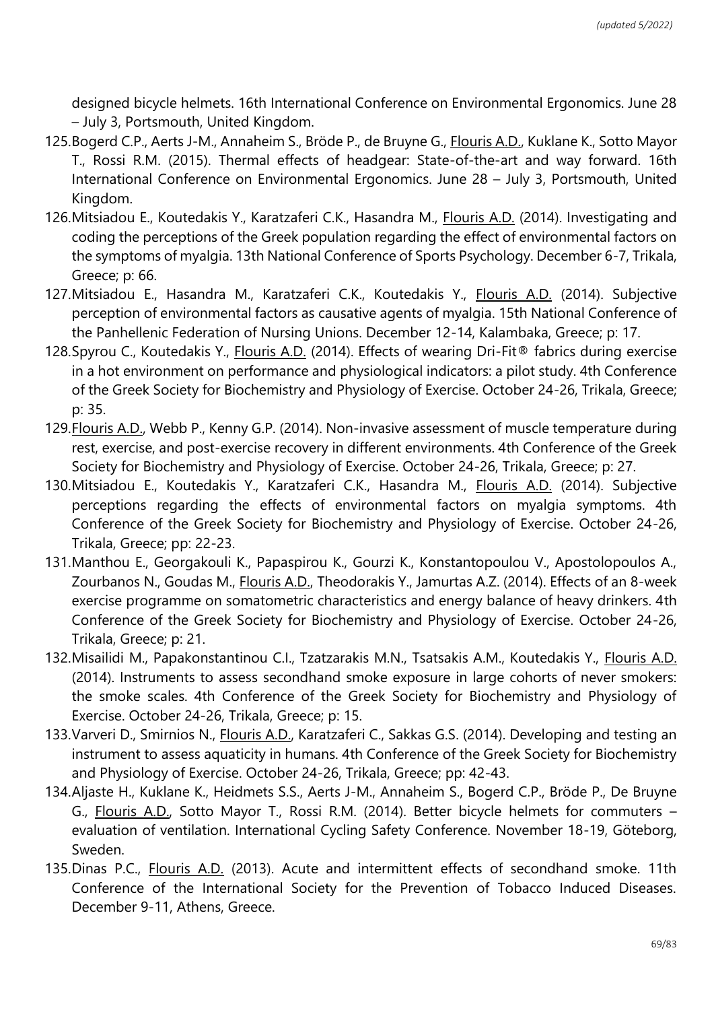designed bicycle helmets. 16th International Conference on Environmental Ergonomics. June 28 – July 3, Portsmouth, United Kingdom.

- 125.Bogerd C.P., Aerts J-M., Annaheim S., Bröde P., de Bruyne G., Flouris A.D., Kuklane K., Sotto Mayor T., Rossi R.M. (2015). Thermal effects of headgear: State-of-the-art and way forward. 16th International Conference on Environmental Ergonomics. June 28 – July 3, Portsmouth, United Kingdom.
- 126.Mitsiadou E., Koutedakis Y., Karatzaferi C.K., Hasandra M., Flouris A.D. (2014). Investigating and coding the perceptions of the Greek population regarding the effect of environmental factors on the symptoms of myalgia. 13th National Conference of Sports Psychology. December 6-7, Trikala, Greece; p: 66.
- 127.Mitsiadou E., Hasandra M., Karatzaferi C.K., Koutedakis Y., Flouris A.D. (2014). Subjective perception of environmental factors as causative agents of myalgia. 15th National Conference of the Panhellenic Federation of Nursing Unions. December 12-14, Kalambaka, Greece; p: 17.
- 128.Spyrou C., Koutedakis Y., Flouris A.D. (2014). Effects of wearing Dri-Fit® fabrics during exercise in a hot environment on performance and physiological indicators: a pilot study. 4th Conference of the Greek Society for Biochemistry and Physiology of Exercise. October 24-26, Trikala, Greece; p: 35.
- 129.Flouris A.D., Webb P., Kenny G.P. (2014). Non-invasive assessment of muscle temperature during rest, exercise, and post-exercise recovery in different environments. 4th Conference of the Greek Society for Biochemistry and Physiology of Exercise. October 24-26, Trikala, Greece; p: 27.
- 130.Mitsiadou E., Koutedakis Y., Karatzaferi C.K., Hasandra M., Flouris A.D. (2014). Subjective perceptions regarding the effects of environmental factors on myalgia symptoms. 4th Conference of the Greek Society for Biochemistry and Physiology of Exercise. October 24-26, Trikala, Greece; pp: 22-23.
- 131.Manthou E., Georgakouli K., Papaspirou K., Gourzi K., Konstantopoulou V., Apostolopoulos A., Zourbanos N., Goudas M., Flouris A.D., Theodorakis Y., Jamurtas A.Z. (2014). Effects of an 8-week exercise programme on somatometric characteristics and energy balance of heavy drinkers. 4th Conference of the Greek Society for Biochemistry and Physiology of Exercise. October 24-26, Trikala, Greece; p: 21.
- 132.Misailidi M., Papakonstantinou C.I., Tzatzarakis M.N., Tsatsakis A.M., Koutedakis Y., Flouris A.D. (2014). Instruments to assess secondhand smoke exposure in large cohorts of never smokers: the smoke scales. 4th Conference of the Greek Society for Biochemistry and Physiology of Exercise. October 24-26, Trikala, Greece; p: 15.
- 133.Varveri D., Smirnios N., Flouris A.D., Karatzaferi C., Sakkas G.S. (2014). Developing and testing an instrument to assess aquaticity in humans. 4th Conference of the Greek Society for Biochemistry and Physiology of Exercise. October 24-26, Trikala, Greece; pp: 42-43.
- 134.Aljaste H., Kuklane K., Heidmets S.S., Aerts J-M., Annaheim S., Bogerd C.P., Bröde P., De Bruyne G., Flouris A.D., Sotto Mayor T., Rossi R.M. (2014). Better bicycle helmets for commuters – evaluation of ventilation. International Cycling Safety Conference. November 18-19, Göteborg, Sweden.
- 135.Dinas P.C., Flouris A.D. (2013). Acute and intermittent effects of secondhand smoke. 11th Conference of the International Society for the Prevention of Tobacco Induced Diseases. December 9-11, Athens, Greece.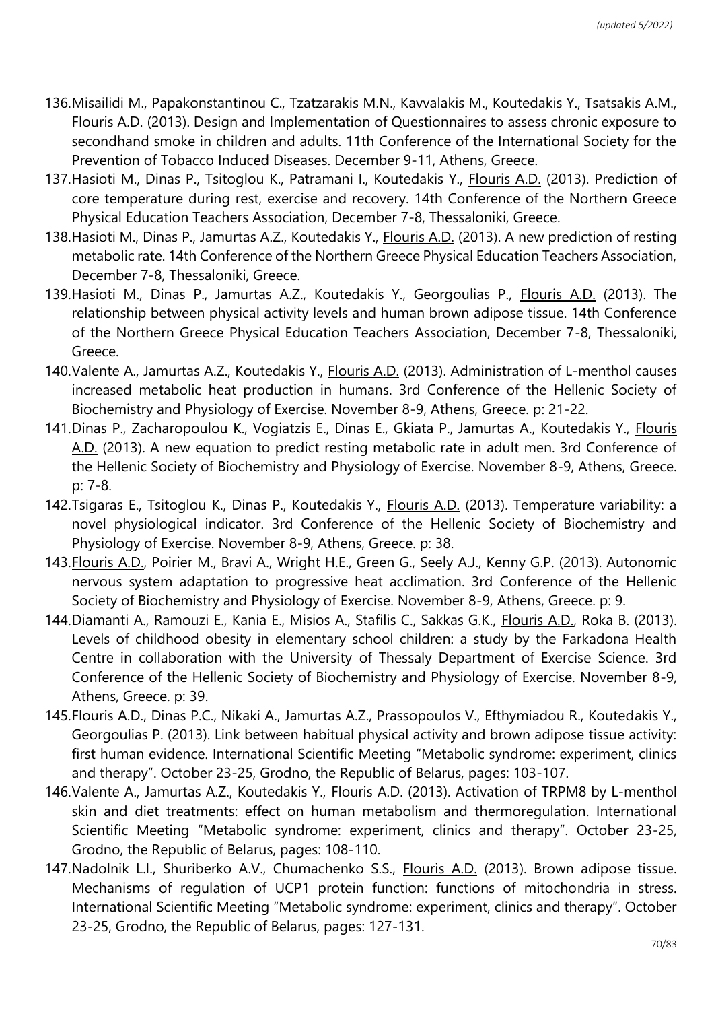- 136.Misailidi M., Papakonstantinou C., Tzatzarakis M.N., Kavvalakis M., Koutedakis Y., Tsatsakis A.M., Flouris A.D. (2013). Design and Implementation of Questionnaires to assess chronic exposure to secondhand smoke in children and adults. 11th Conference of the International Society for the Prevention of Tobacco Induced Diseases. December 9-11, Athens, Greece.
- 137.Hasioti M., Dinas P., Tsitoglou K., Patramani I., Koutedakis Y., Flouris A.D. (2013). Prediction of core temperature during rest, exercise and recovery. 14th Conference of the Northern Greece Physical Education Teachers Association, December 7-8, Thessaloniki, Greece.
- 138.Hasioti M., Dinas P., Jamurtas A.Z., Koutedakis Y., Flouris A.D. (2013). A new prediction of resting metabolic rate. 14th Conference of the Northern Greece Physical Education Teachers Association, December 7-8, Thessaloniki, Greece.
- 139.Hasioti M., Dinas P., Jamurtas A.Z., Koutedakis Y., Georgoulias P., Flouris A.D. (2013). The relationship between physical activity levels and human brown adipose tissue. 14th Conference of the Northern Greece Physical Education Teachers Association, December 7-8, Thessaloniki, Greece.
- 140.Valente A., Jamurtas A.Z., Koutedakis Y., Flouris A.D. (2013). Administration of L-menthol causes increased metabolic heat production in humans. 3rd Conference of the Hellenic Society of Biochemistry and Physiology of Exercise. November 8-9, Athens, Greece. p: 21-22.
- 141.Dinas P., Zacharopoulou K., Vogiatzis E., Dinas E., Gkiata P., Jamurtas A., Koutedakis Y., Flouris A.D. (2013). A new equation to predict resting metabolic rate in adult men. 3rd Conference of the Hellenic Society of Biochemistry and Physiology of Exercise. November 8-9, Athens, Greece. p: 7-8.
- 142.Tsigaras E., Tsitoglou K., Dinas P., Koutedakis Y., Flouris A.D. (2013). Temperature variability: a novel physiological indicator. 3rd Conference of the Hellenic Society of Biochemistry and Physiology of Exercise. November 8-9, Athens, Greece. p: 38.
- 143.Flouris A.D., Poirier M., Bravi A., Wright H.E., Green G., Seely A.J., Kenny G.P. (2013). Autonomic nervous system adaptation to progressive heat acclimation. 3rd Conference of the Hellenic Society of Biochemistry and Physiology of Exercise. November 8-9, Athens, Greece. p: 9.
- 144. Diamanti A., Ramouzi E., Kania E., Misios A., Stafilis C., Sakkas G.K., *Flouris A.D.*, Roka B. (2013). Levels of childhood obesity in elementary school children: a study by the Farkadona Health Centre in collaboration with the University of Thessaly Department of Exercise Science. 3rd Conference of the Hellenic Society of Biochemistry and Physiology of Exercise. November 8-9, Athens, Greece. p: 39.
- 145.Flouris A.D., Dinas P.C., Nikaki A., Jamurtas A.Z., Prassopoulos V., Efthymiadou R., Koutedakis Y., Georgoulias P. (2013). Link between habitual physical activity and brown adipose tissue activity: first human evidence. International Scientific Meeting "Metabolic syndrome: experiment, clinics and therapy". October 23-25, Grodno, the Republic of Belarus, pages: 103-107.
- 146.Valente A., Jamurtas A.Z., Koutedakis Y., Flouris A.D. (2013). Activation of TRPM8 by L-menthol skin and diet treatments: effect on human metabolism and thermoregulation. International Scientific Meeting "Metabolic syndrome: experiment, clinics and therapy". October 23-25, Grodno, the Republic of Belarus, pages: 108-110.
- 147. Nadolnik L.I., Shuriberko A.V., Chumachenko S.S., Flouris A.D. (2013). Brown adipose tissue. Mechanisms of regulation of UCP1 protein function: functions of mitochondria in stress. International Scientific Meeting "Metabolic syndrome: experiment, clinics and therapy". October 23-25, Grodno, the Republic of Belarus, pages: 127-131.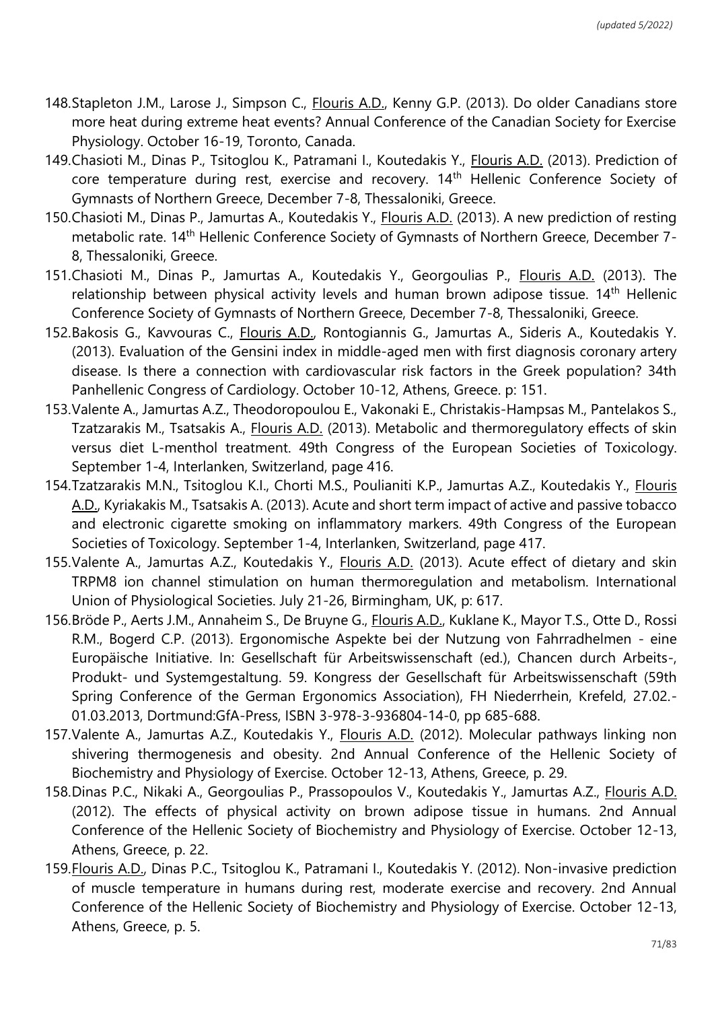- 148.Stapleton J.M., Larose J., Simpson C., Flouris A.D., Kenny G.P. (2013). Do older Canadians store more heat during extreme heat events? Annual Conference of the Canadian Society for Exercise Physiology. October 16-19, Toronto, Canada.
- 149. Chasioti M., Dinas P., Tsitoglou K., Patramani I., Koutedakis Y., *Flouris A.D.* (2013). Prediction of core temperature during rest, exercise and recovery. 14th Hellenic Conference Society of Gymnasts of Northern Greece, December 7-8, Thessaloniki, Greece.
- 150.Chasioti M., Dinas P., Jamurtas A., Koutedakis Y., Flouris A.D. (2013). A new prediction of resting metabolic rate. 14<sup>th</sup> Hellenic Conference Society of Gymnasts of Northern Greece, December 7-8, Thessaloniki, Greece.
- 151. Chasioti M., Dinas P., Jamurtas A., Koutedakis Y., Georgoulias P., Flouris A.D. (2013). The relationship between physical activity levels and human brown adipose tissue.  $14<sup>th</sup>$  Hellenic Conference Society of Gymnasts of Northern Greece, December 7-8, Thessaloniki, Greece.
- 152.Bakosis G., Kavvouras C., Flouris A.D., Rontogiannis G., Jamurtas A., Sideris A., Koutedakis Y. (2013). Evaluation of the Gensini index in middle-aged men with first diagnosis coronary artery disease. Is there a connection with cardiovascular risk factors in the Greek population? 34th Panhellenic Congress of Cardiology. October 10-12, Athens, Greece. p: 151.
- 153.Valente A., Jamurtas A.Z., Theodoropoulou E., Vakonaki E., Christakis-Hampsas M., Pantelakos S., Tzatzarakis M., Tsatsakis A., Flouris A.D. (2013). Metabolic and thermoregulatory effects of skin versus diet L-menthol treatment. 49th Congress of the European Societies of Toxicology. September 1-4, Interlanken, Switzerland, page 416.
- 154.Tzatzarakis M.N., Tsitoglou K.I., Chorti M.S., Poulianiti K.P., Jamurtas A.Z., Koutedakis Y., Flouris A.D., Kyriakakis M., Tsatsakis A. (2013). Acute and short term impact of active and passive tobacco and electronic cigarette smoking on inflammatory markers. 49th Congress of the European Societies of Toxicology. September 1-4, Interlanken, Switzerland, page 417.
- 155.Valente A., Jamurtas A.Z., Koutedakis Y., Flouris A.D. (2013). Acute effect of dietary and skin TRPM8 ion channel stimulation on human thermoregulation and metabolism. International Union of Physiological Societies. July 21-26, Birmingham, UK, p: 617.
- 156.Bröde P., Aerts J.M., Annaheim S., De Bruyne G., Flouris A.D., Kuklane K., Mayor T.S., Otte D., Rossi R.M., Bogerd C.P. (2013). Ergonomische Aspekte bei der Nutzung von Fahrradhelmen - eine Europäische Initiative. In: Gesellschaft für Arbeitswissenschaft (ed.), Chancen durch Arbeits-, Produkt- und Systemgestaltung. 59. Kongress der Gesellschaft für Arbeitswissenschaft (59th Spring Conference of the German Ergonomics Association), FH Niederrhein, Krefeld, 27.02.- 01.03.2013, Dortmund:GfA-Press, ISBN 3-978-3-936804-14-0, pp 685-688.
- 157.Valente A., Jamurtas A.Z., Koutedakis Y., Flouris A.D. (2012). Molecular pathways linking non shivering thermogenesis and obesity. 2nd Annual Conference of the Hellenic Society of Biochemistry and Physiology of Exercise. October 12-13, Athens, Greece, p. 29.
- 158.Dinas P.C., Nikaki A., Georgoulias P., Prassopoulos V., Koutedakis Y., Jamurtas A.Z., Flouris A.D. (2012). The effects of physical activity on brown adipose tissue in humans. 2nd Annual Conference of the Hellenic Society of Biochemistry and Physiology of Exercise. October 12-13, Athens, Greece, p. 22.
- 159.Flouris A.D., Dinas P.C., Tsitoglou K., Patramani I., Koutedakis Y. (2012). Non-invasive prediction of muscle temperature in humans during rest, moderate exercise and recovery. 2nd Annual Conference of the Hellenic Society of Biochemistry and Physiology of Exercise. October 12-13, Athens, Greece, p. 5.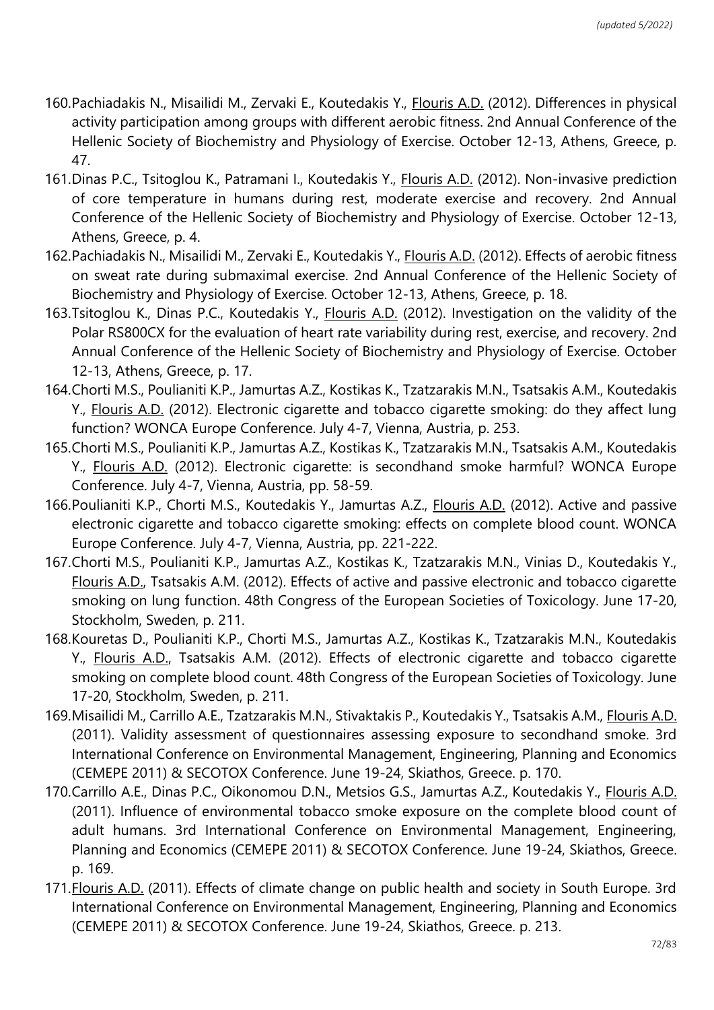- 160.Pachiadakis N., Misailidi M., Zervaki E., Koutedakis Y., Flouris A.D. (2012). Differences in physical activity participation among groups with different aerobic fitness. 2nd Annual Conference of the Hellenic Society of Biochemistry and Physiology of Exercise. October 12-13, Athens, Greece, p. 47.
- 161.Dinas P.C., Tsitoglou K., Patramani I., Koutedakis Y., Flouris A.D. (2012). Non-invasive prediction of core temperature in humans during rest, moderate exercise and recovery. 2nd Annual Conference of the Hellenic Society of Biochemistry and Physiology of Exercise. October 12-13, Athens, Greece, p. 4.
- 162.Pachiadakis N., Misailidi M., Zervaki E., Koutedakis Y., Flouris A.D. (2012). Effects of aerobic fitness on sweat rate during submaximal exercise. 2nd Annual Conference of the Hellenic Society of Biochemistry and Physiology of Exercise. October 12-13, Athens, Greece, p. 18.
- 163.Tsitoglou K., Dinas P.C., Koutedakis Y., Flouris A.D. (2012). Investigation on the validity of the Polar RS800CX for the evaluation of heart rate variability during rest, exercise, and recovery. 2nd Annual Conference of the Hellenic Society of Biochemistry and Physiology of Exercise. October 12-13, Athens, Greece, p. 17.
- 164.Chorti M.S., Poulianiti K.P., Jamurtas A.Z., Kostikas K., Tzatzarakis M.N., Tsatsakis A.M., Koutedakis Y., Flouris A.D. (2012). Electronic cigarette and tobacco cigarette smoking: do they affect lung function? WONCA Europe Conference. July 4-7, Vienna, Austria, p. 253.
- 165.Chorti M.S., Poulianiti K.P., Jamurtas A.Z., Kostikas K., Tzatzarakis M.N., Tsatsakis A.M., Koutedakis Y., Flouris A.D. (2012). Electronic cigarette: is secondhand smoke harmful? WONCA Europe Conference. July 4-7, Vienna, Austria, pp. 58-59.
- 166.Poulianiti K.P., Chorti M.S., Koutedakis Y., Jamurtas A.Z., Flouris A.D. (2012). Active and passive electronic cigarette and tobacco cigarette smoking: effects on complete blood count. WONCA Europe Conference. July 4-7, Vienna, Austria, pp. 221-222.
- 167.Chorti M.S., Poulianiti K.P., Jamurtas A.Z., Kostikas K., Tzatzarakis M.N., Vinias D., Koutedakis Y., Flouris A.D., Tsatsakis A.M. (2012). Effects of active and passive electronic and tobacco cigarette smoking on lung function. 48th Congress of the European Societies of Toxicology. June 17-20, Stockholm, Sweden, p. 211.
- 168.Kouretas D., Poulianiti K.P., Chorti M.S., Jamurtas A.Z., Kostikas K., Tzatzarakis M.N., Koutedakis Y., Flouris A.D., Tsatsakis A.M. (2012). Effects of electronic cigarette and tobacco cigarette smoking on complete blood count. 48th Congress of the European Societies of Toxicology. June 17-20, Stockholm, Sweden, p. 211.
- 169.Misailidi M., Carrillo A.E., Tzatzarakis M.N., Stivaktakis P., Koutedakis Y., Tsatsakis A.M., Flouris A.D. (2011). Validity assessment of questionnaires assessing exposure to secondhand smoke. 3rd International Conference on Environmental Management, Engineering, Planning and Economics (CEMEPE 2011) & SECOTOX Conference. June 19-24, Skiathos, Greece. p. 170.
- 170.Carrillo A.E., Dinas P.C., Oikonomou D.N., Metsios G.S., Jamurtas A.Z., Koutedakis Y., Flouris A.D. (2011). Influence of environmental tobacco smoke exposure on the complete blood count of adult humans. 3rd International Conference on Environmental Management, Engineering, Planning and Economics (CEMEPE 2011) & SECOTOX Conference. June 19-24, Skiathos, Greece. p. 169.
- 171.Flouris A.D. (2011). Effects of climate change on public health and society in South Europe. 3rd International Conference on Environmental Management, Engineering, Planning and Economics (CEMEPE 2011) & SECOTOX Conference. June 19-24, Skiathos, Greece. p. 213.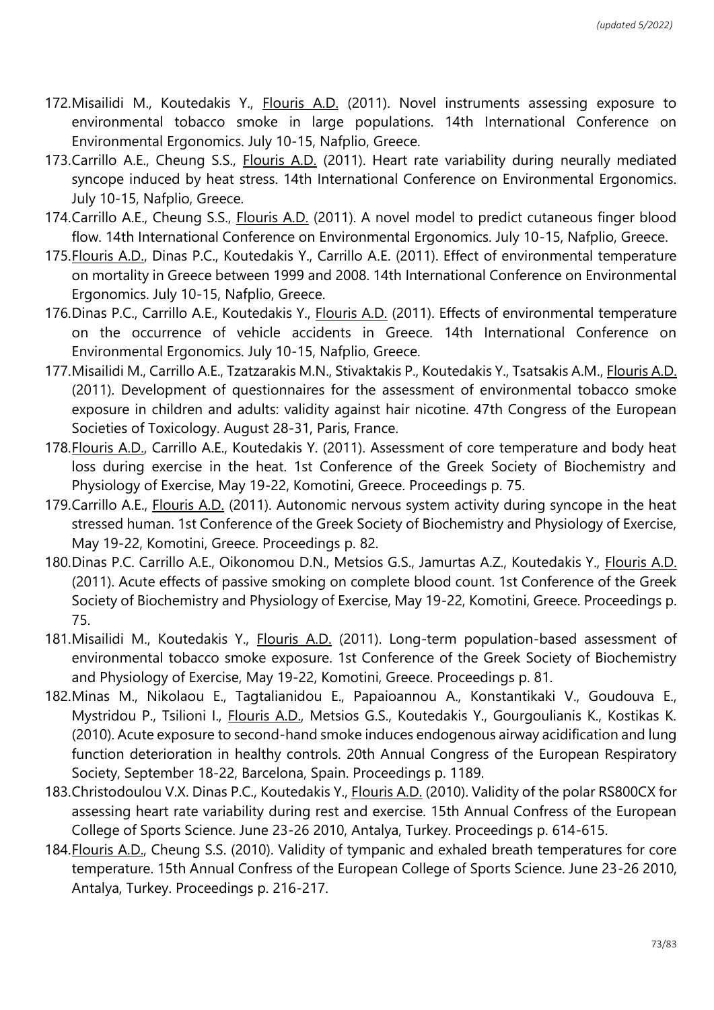- 172. Misailidi M., Koutedakis Y., Flouris A.D. (2011). Novel instruments assessing exposure to environmental tobacco smoke in large populations. 14th International Conference on Environmental Ergonomics. July 10-15, Nafplio, Greece.
- 173.Carrillo A.E., Cheung S.S., Flouris A.D. (2011). Heart rate variability during neurally mediated syncope induced by heat stress. 14th International Conference on Environmental Ergonomics. July 10-15, Nafplio, Greece.
- 174.Carrillo A.E., Cheung S.S., Flouris A.D. (2011). A novel model to predict cutaneous finger blood flow. 14th International Conference on Environmental Ergonomics. July 10-15, Nafplio, Greece.
- 175.Flouris A.D., Dinas P.C., Koutedakis Y., Carrillo A.E. (2011). Effect of environmental temperature on mortality in Greece between 1999 and 2008. 14th International Conference on Environmental Ergonomics. July 10-15, Nafplio, Greece.
- 176.Dinas P.C., Carrillo A.E., Koutedakis Y., Flouris A.D. (2011). Effects of environmental temperature on the occurrence of vehicle accidents in Greece. 14th International Conference on Environmental Ergonomics. July 10-15, Nafplio, Greece.
- 177.Misailidi M., Carrillo A.E., Tzatzarakis M.N., Stivaktakis P., Koutedakis Y., Tsatsakis A.M., Flouris A.D. (2011). Development of questionnaires for the assessment of environmental tobacco smoke exposure in children and adults: validity against hair nicotine. 47th Congress of the European Societies of Toxicology. August 28-31, Paris, France.
- 178.Flouris A.D., Carrillo A.E., Koutedakis Y. (2011). Assessment of core temperature and body heat loss during exercise in the heat. 1st Conference of the Greek Society of Biochemistry and Physiology of Exercise, May 19-22, Komotini, Greece. Proceedings p. 75.
- 179.Carrillo A.E., Flouris A.D. (2011). Autonomic nervous system activity during syncope in the heat stressed human. 1st Conference of the Greek Society of Biochemistry and Physiology of Exercise, May 19-22, Komotini, Greece. Proceedings p. 82.
- 180.Dinas P.C. Carrillo A.E., Oikonomou D.N., Metsios G.S., Jamurtas A.Z., Koutedakis Y., Flouris A.D. (2011). Acute effects of passive smoking on complete blood count. 1st Conference of the Greek Society of Biochemistry and Physiology of Exercise, May 19-22, Komotini, Greece. Proceedings p. 75.
- 181.Misailidi M., Koutedakis Y., Flouris A.D. (2011). Long-term population-based assessment of environmental tobacco smoke exposure. 1st Conference of the Greek Society of Biochemistry and Physiology of Exercise, May 19-22, Komotini, Greece. Proceedings p. 81.
- 182.Minas M., Nikolaou E., Tagtalianidou E., Papaioannou A., Konstantikaki V., Goudouva E., Mystridou P., Tsilioni I., Flouris A.D., Metsios G.S., Koutedakis Y., Gourgoulianis K., Kostikas K. (2010). Acute exposure to second-hand smoke induces endogenous airway acidification and lung function deterioration in healthy controls. 20th Annual Congress of the European Respiratory Society, September 18-22, Barcelona, Spain. Proceedings p. 1189.
- 183.Christodoulou V.Χ. Dinas P.C., Koutedakis Y., Flouris A.D. (2010). Validity of the polar RS800CX for assessing heart rate variability during rest and exercise. 15th Annual Confress of the European College of Sports Science. June 23-26 2010, Antalya, Turkey. Proceedings p. 614-615.
- 184.Flouris A.D., Cheung S.S. (2010). Validity of tympanic and exhaled breath temperatures for core temperature. 15th Annual Confress of the European College of Sports Science. June 23-26 2010, Antalya, Turkey. Proceedings p. 216-217.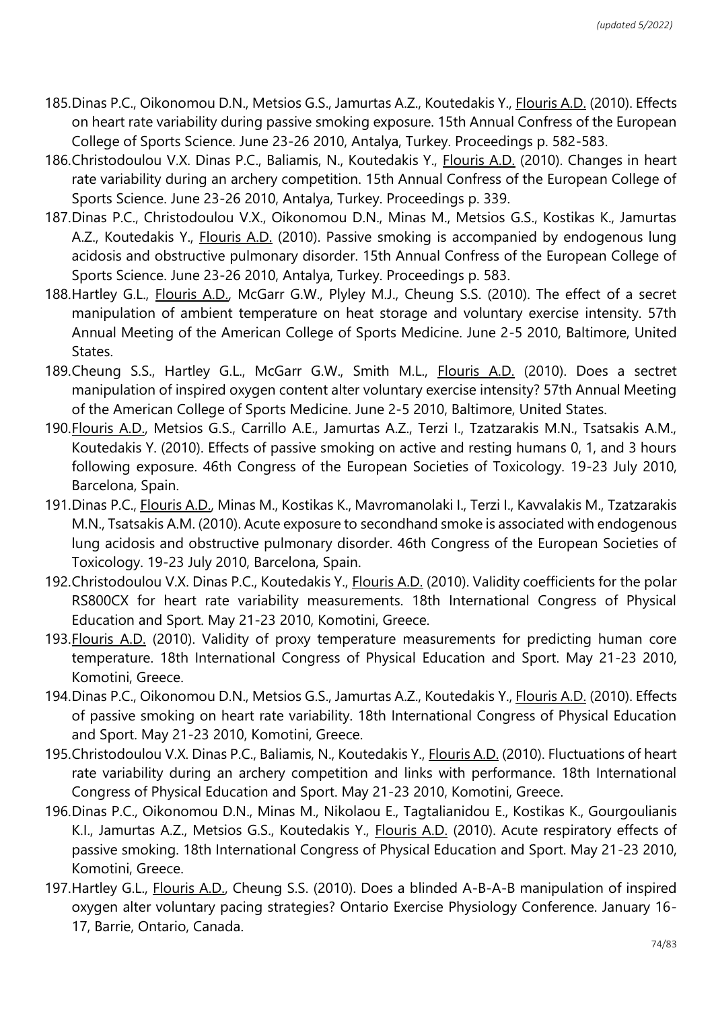- 185.Dinas P.C., Oikonomou D.N., Metsios G.S., Jamurtas A.Z., Koutedakis Y., Flouris A.D. (2010). Effects on heart rate variability during passive smoking exposure. 15th Annual Confress of the European College of Sports Science. June 23-26 2010, Antalya, Turkey. Proceedings p. 582-583.
- 186.Christodoulou V.Χ. Dinas P.C., Baliamis, N., Koutedakis Y., Flouris A.D. (2010). Changes in heart rate variability during an archery competition. 15th Annual Confress of the European College of Sports Science. June 23-26 2010, Antalya, Turkey. Proceedings p. 339.
- 187.Dinas P.C., Christodoulou V.X., Oikonomou D.N., Minas M., Metsios G.S., Kostikas K., Jamurtas A.Z., Koutedakis Y., Flouris A.D. (2010). Passive smoking is accompanied by endogenous lung acidosis and obstructive pulmonary disorder. 15th Annual Confress of the European College of Sports Science. June 23-26 2010, Antalya, Turkey. Proceedings p. 583.
- 188.Hartley G.L., Flouris A.D., McGarr G.W., Plyley M.J., Cheung S.S. (2010). The effect of a secret manipulation of ambient temperature on heat storage and voluntary exercise intensity. 57th Annual Meeting of the American College of Sports Medicine. June 2-5 2010, Baltimore, United States.
- 189.Cheung S.S., Hartley G.L., McGarr G.W., Smith M.L., Flouris A.D. (2010). Does a sectret manipulation of inspired oxygen content alter voluntary exercise intensity? 57th Annual Meeting of the American College of Sports Medicine. June 2-5 2010, Baltimore, United States.
- 190.Flouris A.D., Metsios G.S., Carrillo A.E., Jamurtas A.Z., Terzi I., Tzatzarakis M.N., Tsatsakis A.M., Koutedakis Y. (2010). Effects of passive smoking on active and resting humans 0, 1, and 3 hours following exposure. 46th Congress of the European Societies of Toxicology. 19-23 July 2010, Barcelona, Spain.
- 191.Dinas P.C., Flouris A.D., Minas M., Kostikas K., Mavromanolaki I., Terzi I., Kavvalakis M., Tzatzarakis M.N., Tsatsakis A.M. (2010). Acute exposure to secondhand smoke is associated with endogenous lung acidosis and obstructive pulmonary disorder. 46th Congress of the European Societies of Toxicology. 19-23 July 2010, Barcelona, Spain.
- 192.Christodoulou V.Χ. Dinas P.C., Koutedakis Y., Flouris A.D. (2010). Validity coefficients for the polar RS800CX for heart rate variability measurements. 18th International Congress of Physical Education and Sport. May 21-23 2010, Komotini, Greece.
- 193.Flouris A.D. (2010). Validity of proxy temperature measurements for predicting human core temperature. 18th International Congress of Physical Education and Sport. May 21-23 2010, Komotini, Greece.
- 194.Dinas P.C., Oikonomou D.N., Metsios G.S., Jamurtas A.Z., Koutedakis Y., Flouris A.D. (2010). Effects of passive smoking on heart rate variability. 18th International Congress of Physical Education and Sport. May 21-23 2010, Komotini, Greece.
- 195.Christodoulou V.Χ. Dinas P.C., Baliamis, N., Koutedakis Y., Flouris A.D. (2010). Fluctuations of heart rate variability during an archery competition and links with performance. 18th International Congress of Physical Education and Sport. May 21-23 2010, Komotini, Greece.
- 196.Dinas P.C., Oikonomou D.N., Minas M., Nikolaou E., Tagtalianidou E., Kostikas K., Gourgoulianis K.I., Jamurtas A.Z., Metsios G.S., Koutedakis Y., *Flouris A.D.* (2010). Acute respiratory effects of passive smoking. 18th International Congress of Physical Education and Sport. May 21-23 2010, Komotini, Greece.
- 197.Hartley G.L., Flouris A.D., Cheung S.S. (2010). Does a blinded A-B-A-B manipulation of inspired oxygen alter voluntary pacing strategies? Ontario Exercise Physiology Conference. January 16- 17, Barrie, Ontario, Canada.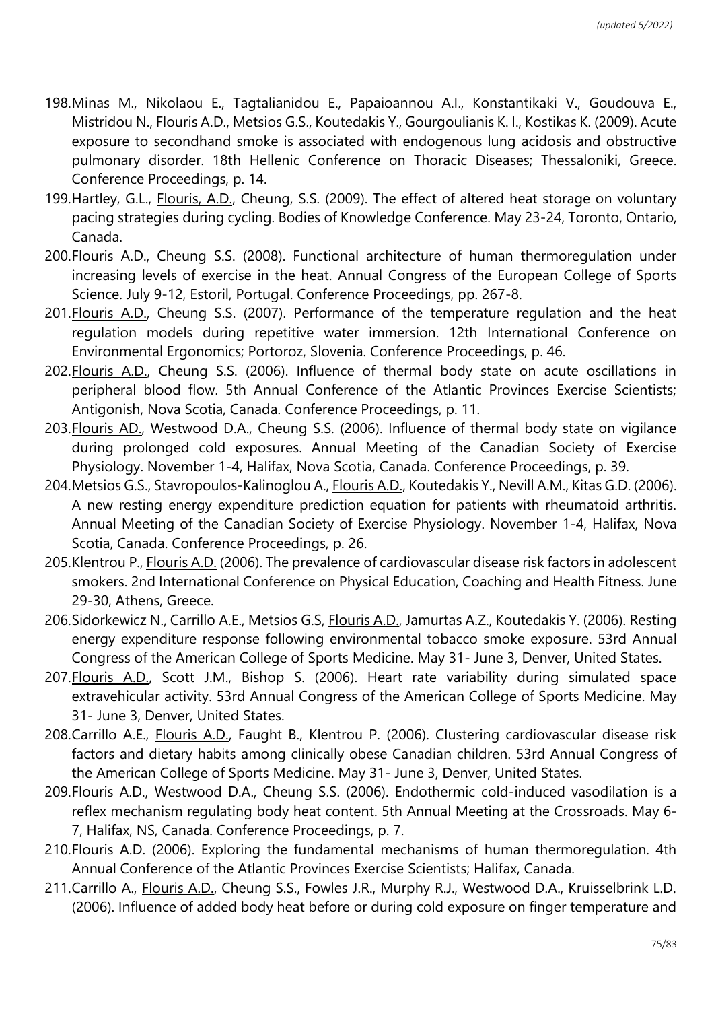- 198.Minas M., Nikolaou E., Tagtalianidou E., Papaioannou A.I., Konstantikaki V., Goudouva E., Mistridou N., Flouris A.D., Metsios G.S., Koutedakis Y., Gourgoulianis K. I., Kostikas K. (2009). Acute exposure to secondhand smoke is associated with endogenous lung acidosis and obstructive pulmonary disorder. 18th Hellenic Conference on Thoracic Diseases; Thessaloniki, Greece. Conference Proceedings, p. 14.
- 199.Hartley, G.L., Flouris, A.D., Cheung, S.S. (2009). The effect of altered heat storage on voluntary pacing strategies during cycling. Bodies of Knowledge Conference. May 23-24, Toronto, Ontario, Canada.
- 200.Flouris A.D., Cheung S.S. (2008). Functional architecture of human thermoregulation under increasing levels of exercise in the heat. Annual Congress of the European College of Sports Science. July 9-12, Estoril, Portugal. Conference Proceedings, pp. 267-8.
- 201.Flouris A.D., Cheung S.S. (2007). Performance of the temperature regulation and the heat regulation models during repetitive water immersion. 12th International Conference on Environmental Ergonomics; Portoroz, Slovenia. Conference Proceedings, p. 46.
- 202.Flouris A.D., Cheung S.S. (2006). Influence of thermal body state on acute oscillations in peripheral blood flow. 5th Annual Conference of the Atlantic Provinces Exercise Scientists; Antigonish, Nova Scotia, Canada. Conference Proceedings, p. 11.
- 203.Flouris AD., Westwood D.A., Cheung S.S. (2006). Influence of thermal body state on vigilance during prolonged cold exposures. Annual Meeting of the Canadian Society of Exercise Physiology. November 1-4, Halifax, Nova Scotia, Canada. Conference Proceedings, p. 39.
- 204.Metsios G.S., Stavropoulos-Kalinoglou A., Flouris A.D., Koutedakis Y., Nevill A.M., Kitas G.D. (2006). A new resting energy expenditure prediction equation for patients with rheumatoid arthritis. Annual Meeting of the Canadian Society of Exercise Physiology. November 1-4, Halifax, Nova Scotia, Canada. Conference Proceedings, p. 26.
- 205.Klentrou P., Flouris A.D. (2006). The prevalence of cardiovascular disease risk factors in adolescent smokers. 2nd International Conference on Physical Education, Coaching and Health Fitness. June 29-30, Athens, Greece.
- 206. Sidorkewicz N., Carrillo A.E., Metsios G.S, Flouris A.D., Jamurtas A.Z., Koutedakis Y. (2006). Resting energy expenditure response following environmental tobacco smoke exposure. 53rd Annual Congress of the American College of Sports Medicine. May 31- June 3, Denver, United States.
- 207.Flouris A.D., Scott J.M., Bishop S. (2006). Heart rate variability during simulated space extravehicular activity. 53rd Annual Congress of the American College of Sports Medicine. May 31- June 3, Denver, United States.
- 208.Carrillo A.E., Flouris A.D., Faught B., Klentrou P. (2006). Clustering cardiovascular disease risk factors and dietary habits among clinically obese Canadian children. 53rd Annual Congress of the American College of Sports Medicine. May 31- June 3, Denver, United States.
- 209.Flouris A.D., Westwood D.A., Cheung S.S. (2006). Endothermic cold-induced vasodilation is a reflex mechanism regulating body heat content. 5th Annual Meeting at the Crossroads. May 6- 7, Halifax, NS, Canada. Conference Proceedings, p. 7.
- 210.Flouris A.D. (2006). Exploring the fundamental mechanisms of human thermoregulation. 4th Annual Conference of the Atlantic Provinces Exercise Scientists; Halifax, Canada.
- 211.Carrillo A., *Flouris A.D.*, Cheung S.S., Fowles J.R., Murphy R.J., Westwood D.A., Kruisselbrink L.D. (2006). Influence of added body heat before or during cold exposure on finger temperature and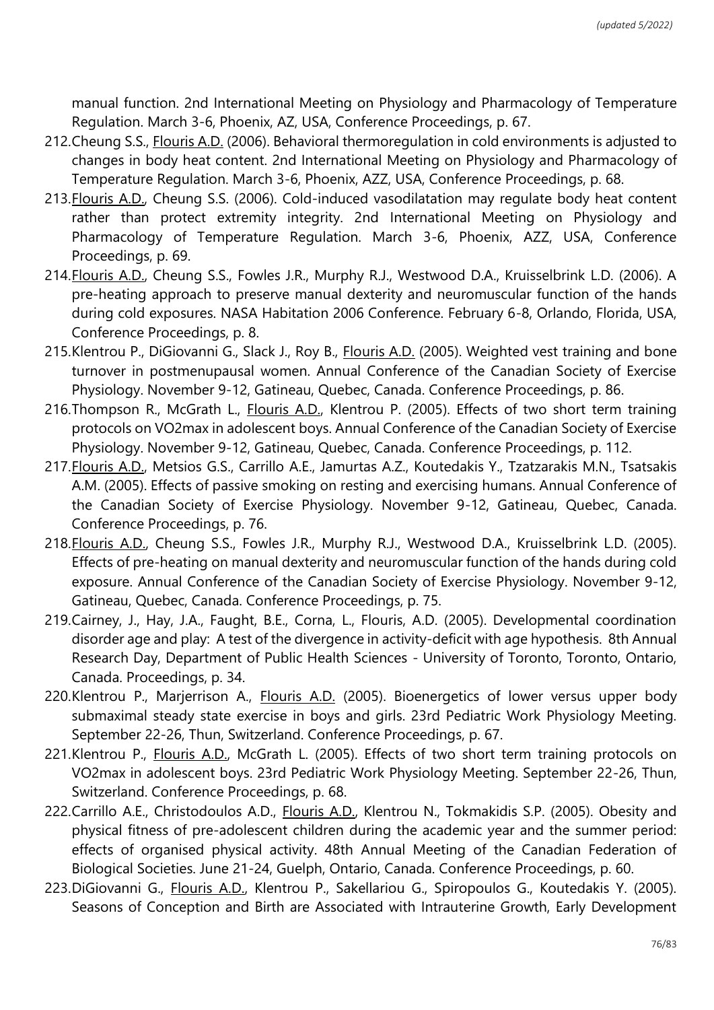manual function. 2nd International Meeting on Physiology and Pharmacology of Temperature Regulation. March 3-6, Phoenix, AZ, USA, Conference Proceedings, p. 67.

- 212.Cheung S.S., Flouris A.D. (2006). Behavioral thermoregulation in cold environments is adjusted to changes in body heat content. 2nd International Meeting on Physiology and Pharmacology of Temperature Regulation. March 3-6, Phoenix, AZZ, USA, Conference Proceedings, p. 68.
- 213.Flouris A.D., Cheung S.S. (2006). Cold-induced vasodilatation may regulate body heat content rather than protect extremity integrity. 2nd International Meeting on Physiology and Pharmacology of Temperature Regulation. March 3-6, Phoenix, AZZ, USA, Conference Proceedings, p. 69.
- 214.Flouris A.D., Cheung S.S., Fowles J.R., Murphy R.J., Westwood D.A., Kruisselbrink L.D. (2006). A pre-heating approach to preserve manual dexterity and neuromuscular function of the hands during cold exposures. NASA Habitation 2006 Conference. February 6-8, Orlando, Florida, USA, Conference Proceedings, p. 8.
- 215.Klentrou P., DiGiovanni G., Slack J., Roy B., Flouris A.D. (2005). Weighted vest training and bone turnover in postmenupausal women. Annual Conference of the Canadian Society of Exercise Physiology. November 9-12, Gatineau, Quebec, Canada. Conference Proceedings, p. 86.
- 216.Thompson R., McGrath L., Flouris A.D., Klentrou P. (2005). Effects of two short term training protocols on VO2max in adolescent boys. Annual Conference of the Canadian Society of Exercise Physiology. November 9-12, Gatineau, Quebec, Canada. Conference Proceedings, p. 112.
- 217.Flouris A.D., Metsios G.S., Carrillo A.E., Jamurtas A.Z., Koutedakis Y., Tzatzarakis M.N., Tsatsakis A.M. (2005). Effects of passive smoking on resting and exercising humans. Annual Conference of the Canadian Society of Exercise Physiology. November 9-12, Gatineau, Quebec, Canada. Conference Proceedings, p. 76.
- 218.Flouris A.D., Cheung S.S., Fowles J.R., Murphy R.J., Westwood D.A., Kruisselbrink L.D. (2005). Effects of pre-heating on manual dexterity and neuromuscular function of the hands during cold exposure. Annual Conference of the Canadian Society of Exercise Physiology. November 9-12, Gatineau, Quebec, Canada. Conference Proceedings, p. 75.
- 219.Cairney, J., Hay, J.A., Faught, B.E., Corna, L., Flouris, A.D. (2005). Developmental coordination disorder age and play: A test of the divergence in activity-deficit with age hypothesis. 8th Annual Research Day, Department of Public Health Sciences - University of Toronto, Toronto, Ontario, Canada. Proceedings, p. 34.
- 220.Klentrou P., Marjerrison A., Flouris A.D. (2005). Bioenergetics of lower versus upper body submaximal steady state exercise in boys and girls. 23rd Pediatric Work Physiology Meeting. September 22-26, Thun, Switzerland. Conference Proceedings, p. 67.
- 221.Klentrou P., Flouris A.D., McGrath L. (2005). Effects of two short term training protocols on VO2max in adolescent boys. 23rd Pediatric Work Physiology Meeting. September 22-26, Thun, Switzerland. Conference Proceedings, p. 68.
- 222.Carrillo A.E., Christodoulos A.D., *Flouris A.D., Klentrou N.*, Tokmakidis S.P. (2005). Obesity and physical fitness of pre-adolescent children during the academic year and the summer period: effects of organised physical activity. 48th Annual Meeting of the Canadian Federation of Biological Societies. June 21-24, Guelph, Ontario, Canada. Conference Proceedings, p. 60.
- 223.DiGiovanni G., Flouris A.D., Klentrou P., Sakellariou G., Spiropoulos G., Koutedakis Y. (2005). Seasons of Conception and Birth are Associated with Intrauterine Growth, Early Development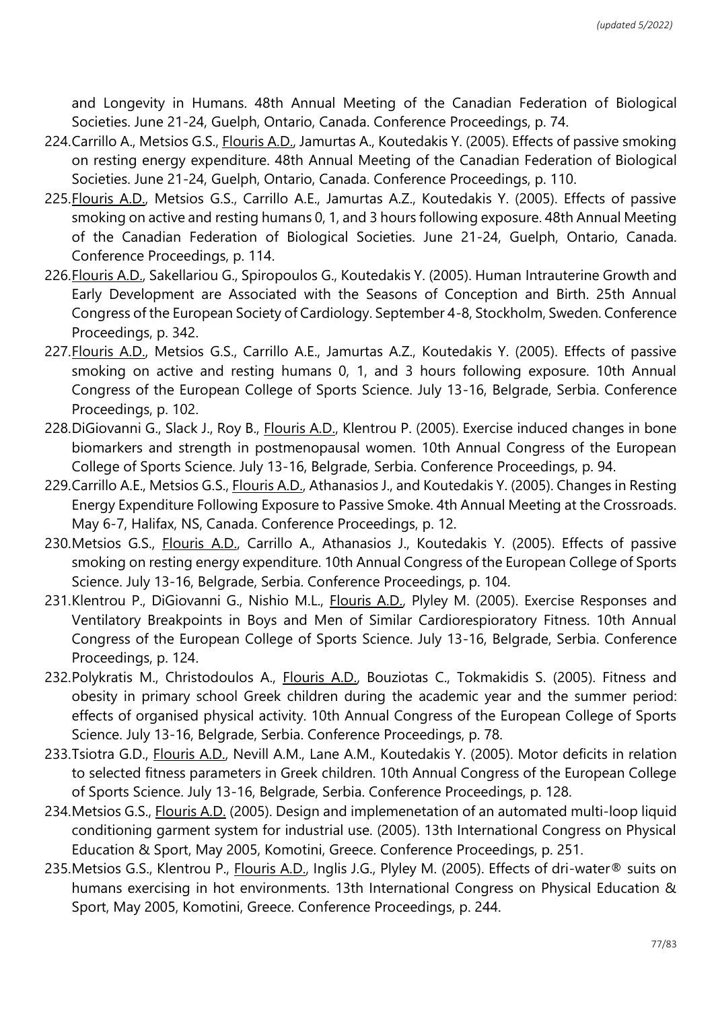and Longevity in Humans. 48th Annual Meeting of the Canadian Federation of Biological Societies. June 21-24, Guelph, Ontario, Canada. Conference Proceedings, p. 74.

- 224.Carrillo A., Metsios G.S., Flouris A.D., Jamurtas A., Koutedakis Y. (2005). Effects of passive smoking on resting energy expenditure. 48th Annual Meeting of the Canadian Federation of Biological Societies. June 21-24, Guelph, Ontario, Canada. Conference Proceedings, p. 110.
- 225.Flouris A.D., Metsios G.S., Carrillo A.E., Jamurtas A.Z., Koutedakis Y. (2005). Effects of passive smoking on active and resting humans 0, 1, and 3 hours following exposure. 48th Annual Meeting of the Canadian Federation of Biological Societies. June 21-24, Guelph, Ontario, Canada. Conference Proceedings, p. 114.
- 226.Flouris A.D., Sakellariou G., Spiropoulos G., Koutedakis Y. (2005). Human Intrauterine Growth and Early Development are Associated with the Seasons of Conception and Birth. 25th Annual Congress of the European Society of Cardiology. September 4-8, Stockholm, Sweden. Conference Proceedings, p. 342.
- 227.Flouris A.D., Metsios G.S., Carrillo A.E., Jamurtas A.Z., Koutedakis Y. (2005). Effects of passive smoking on active and resting humans 0, 1, and 3 hours following exposure. 10th Annual Congress of the European College of Sports Science. July 13-16, Belgrade, Serbia. Conference Proceedings, p. 102.
- 228.DiGiovanni G., Slack J., Roy B., *Flouris A.D., Klentrou P. (2005). Exercise induced changes in bone* biomarkers and strength in postmenopausal women. 10th Annual Congress of the European College of Sports Science. July 13-16, Belgrade, Serbia. Conference Proceedings, p. 94.
- 229.Carrillo A.E., Metsios G.S., Flouris A.D., Athanasios J., and Koutedakis Y. (2005). Changes in Resting Energy Expenditure Following Exposure to Passive Smoke. 4th Annual Meeting at the Crossroads. May 6-7, Halifax, NS, Canada. Conference Proceedings, p. 12.
- 230. Metsios G.S., Flouris A.D., Carrillo A., Athanasios J., Koutedakis Y. (2005). Effects of passive smoking on resting energy expenditure. 10th Annual Congress of the European College of Sports Science. July 13-16, Belgrade, Serbia. Conference Proceedings, p. 104.
- 231.Klentrou P., DiGiovanni G., Nishio M.L., Flouris A.D., Plyley M. (2005). Exercise Responses and Ventilatory Breakpoints in Boys and Men of Similar Cardiorespioratory Fitness. 10th Annual Congress of the European College of Sports Science. July 13-16, Belgrade, Serbia. Conference Proceedings, p. 124.
- 232.Polykratis M., Christodoulos A., Flouris A.D., Bouziotas C., Tokmakidis S. (2005). Fitness and obesity in primary school Greek children during the academic year and the summer period: effects of organised physical activity. 10th Annual Congress of the European College of Sports Science. July 13-16, Belgrade, Serbia. Conference Proceedings, p. 78.
- 233.Tsiotra G.D., Flouris A.D., Nevill A.M., Lane A.M., Koutedakis Y. (2005). Motor deficits in relation to selected fitness parameters in Greek children. 10th Annual Congress of the European College of Sports Science. July 13-16, Belgrade, Serbia. Conference Proceedings, p. 128.
- 234.Metsios G.S., Flouris A.D. (2005). Design and implemenetation of an automated multi-loop liquid conditioning garment system for industrial use. (2005). 13th International Congress on Physical Education & Sport, May 2005, Komotini, Greece. Conference Proceedings, p. 251.
- 235. Metsios G.S., Klentrou P., Flouris A.D., Inglis J.G., Plyley M. (2005). Effects of dri-water® suits on humans exercising in hot environments. 13th International Congress on Physical Education & Sport, May 2005, Komotini, Greece. Conference Proceedings, p. 244.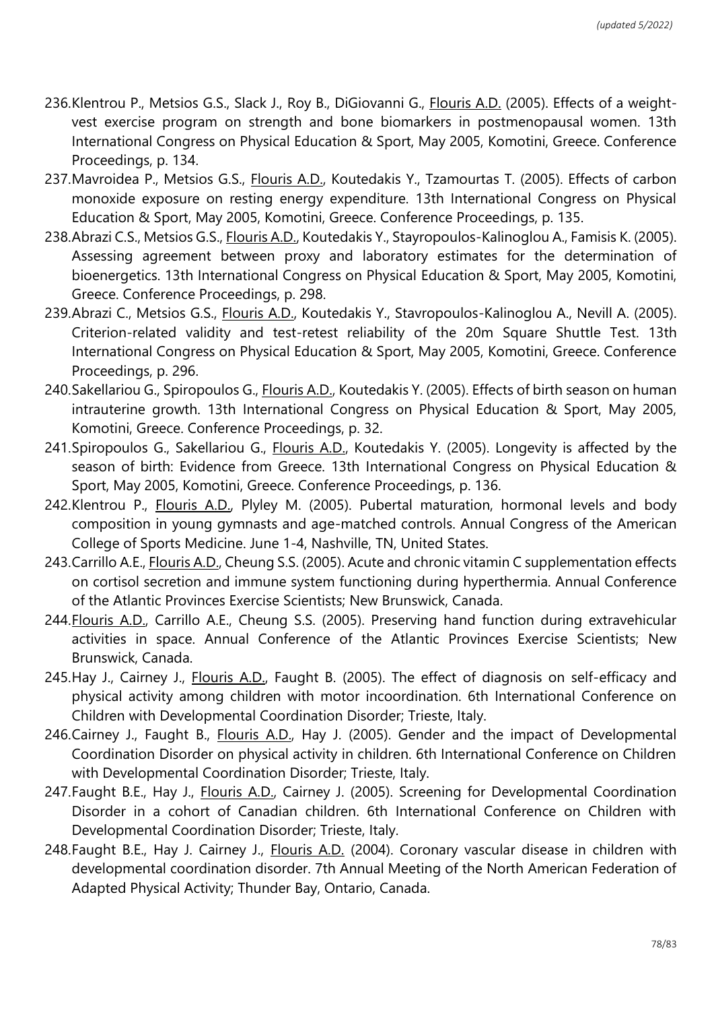- 236.Klentrou P., Metsios G.S., Slack J., Roy B., DiGiovanni G., *Flouris A.D.* (2005). Effects of a weightvest exercise program on strength and bone biomarkers in postmenopausal women. 13th International Congress on Physical Education & Sport, May 2005, Komotini, Greece. Conference Proceedings, p. 134.
- 237. Mavroidea P., Metsios G.S., *Flouris A.D.*, Koutedakis Y., Tzamourtas T. (2005). Effects of carbon monoxide exposure on resting energy expenditure. 13th International Congress on Physical Education & Sport, May 2005, Komotini, Greece. Conference Proceedings, p. 135.
- 238.Abrazi C.S., Metsios G.S., Flouris A.D., Koutedakis Y., Stayropoulos-Kalinoglou A., Famisis K. (2005). Assessing agreement between proxy and laboratory estimates for the determination of bioenergetics. 13th International Congress on Physical Education & Sport, May 2005, Komotini, Greece. Conference Proceedings, p. 298.
- 239.Abrazi C., Metsios G.S., Flouris A.D., Koutedakis Y., Stavropoulos-Kalinoglou A., Nevill A. (2005). Criterion-related validity and test-retest reliability of the 20m Square Shuttle Test. 13th International Congress on Physical Education & Sport, May 2005, Komotini, Greece. Conference Proceedings, p. 296.
- 240.Sakellariou G., Spiropoulos G., Flouris A.D., Koutedakis Y. (2005). Effects of birth season on human intrauterine growth. 13th International Congress on Physical Education & Sport, May 2005, Komotini, Greece. Conference Proceedings, p. 32.
- 241.Spiropoulos G., Sakellariou G., Flouris A.D., Koutedakis Y. (2005). Longevity is affected by the season of birth: Evidence from Greece. 13th International Congress on Physical Education & Sport, May 2005, Komotini, Greece. Conference Proceedings, p. 136.
- 242.Klentrou P., Flouris A.D., Plyley M. (2005). Pubertal maturation, hormonal levels and body composition in young gymnasts and age-matched controls. Annual Congress of the American College of Sports Medicine. June 1-4, Nashville, TN, United States.
- 243.Carrillo A.E., Flouris A.D., Cheung S.S. (2005). Acute and chronic vitamin C supplementation effects on cortisol secretion and immune system functioning during hyperthermia. Annual Conference of the Atlantic Provinces Exercise Scientists; New Brunswick, Canada.
- 244.Flouris A.D., Carrillo A.E., Cheung S.S. (2005). Preserving hand function during extravehicular activities in space. Annual Conference of the Atlantic Provinces Exercise Scientists; New Brunswick, Canada.
- 245.Hay J., Cairney J., Flouris A.D., Faught B. (2005). The effect of diagnosis on self-efficacy and physical activity among children with motor incoordination. 6th International Conference on Children with Developmental Coordination Disorder; Trieste, Italy.
- 246.Cairney J., Faught B., Flouris A.D., Hay J. (2005). Gender and the impact of Developmental Coordination Disorder on physical activity in children. 6th International Conference on Children with Developmental Coordination Disorder; Trieste, Italy.
- 247. Faught B.E., Hay J., Flouris A.D., Cairney J. (2005). Screening for Developmental Coordination Disorder in a cohort of Canadian children. 6th International Conference on Children with Developmental Coordination Disorder; Trieste, Italy.
- 248.Faught B.E., Hay J. Cairney J., Flouris A.D. (2004). Coronary vascular disease in children with developmental coordination disorder. 7th Annual Meeting of the North American Federation of Adapted Physical Activity; Thunder Bay, Ontario, Canada.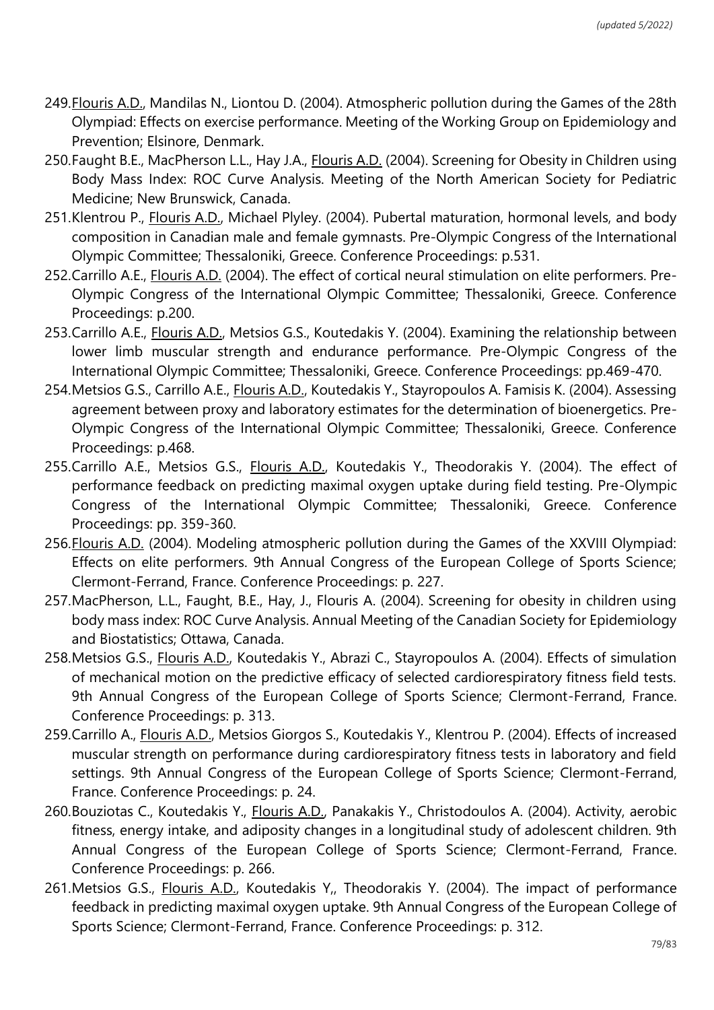- 249.Flouris A.D., Mandilas N., Liontou D. (2004). Atmospheric pollution during the Games of the 28th Olympiad: Effects on exercise performance. Meeting of the Working Group on Epidemiology and Prevention; Elsinore, Denmark.
- 250.Faught B.E., MacPherson L.L., Hay J.A., Flouris A.D. (2004). Screening for Obesity in Children using Body Mass Index: ROC Curve Analysis. Meeting of the North American Society for Pediatric Medicine; New Brunswick, Canada.
- 251.Klentrou P., Flouris A.D., Michael Plyley. (2004). Pubertal maturation, hormonal levels, and body composition in Canadian male and female gymnasts. Pre-Olympic Congress of the International Olympic Committee; Thessaloniki, Greece. Conference Proceedings: p.531.
- 252.Carrillo A.E., Flouris A.D. (2004). The effect of cortical neural stimulation on elite performers. Pre-Olympic Congress of the International Olympic Committee; Thessaloniki, Greece. Conference Proceedings: p.200.
- 253.Carrillo A.E., Flouris A.D., Metsios G.S., Koutedakis Y. (2004). Examining the relationship between lower limb muscular strength and endurance performance. Pre-Olympic Congress of the International Olympic Committee; Thessaloniki, Greece. Conference Proceedings: pp.469-470.
- 254.Metsios G.S., Carrillo A.E., Flouris A.D., Koutedakis Y., Stayropoulos A. Famisis K. (2004). Assessing agreement between proxy and laboratory estimates for the determination of bioenergetics. Pre-Olympic Congress of the International Olympic Committee; Thessaloniki, Greece. Conference Proceedings: p.468.
- 255.Carrillo A.E., Metsios G.S., Flouris A.D., Koutedakis Y., Theodorakis Y. (2004). The effect of performance feedback on predicting maximal oxygen uptake during field testing. Pre-Olympic Congress of the International Olympic Committee; Thessaloniki, Greece. Conference Proceedings: pp. 359-360.
- 256.Flouris A.D. (2004). Modeling atmospheric pollution during the Games of the XXVIII Olympiad: Effects on elite performers. 9th Annual Congress of the European College of Sports Science; Clermont-Ferrand, France. Conference Proceedings: p. 227.
- 257.MacPherson, L.L., Faught, B.E., Hay, J., Flouris A. (2004). Screening for obesity in children using body mass index: ROC Curve Analysis. Annual Meeting of the Canadian Society for Epidemiology and Biostatistics; Ottawa, Canada.
- 258.Metsios G.S., Flouris A.D., Koutedakis Y., Abrazi C., Stayropoulos A. (2004). Effects of simulation of mechanical motion on the predictive efficacy of selected cardiorespiratory fitness field tests. 9th Annual Congress of the European College of Sports Science; Clermont-Ferrand, France. Conference Proceedings: p. 313.
- 259.Carrillo A., Flouris A.D., Metsios Giorgos S., Koutedakis Y., Klentrou P. (2004). Effects of increased muscular strength on performance during cardiorespiratory fitness tests in laboratory and field settings. 9th Annual Congress of the European College of Sports Science; Clermont-Ferrand, France. Conference Proceedings: p. 24.
- 260.Bouziotas C., Koutedakis Y., Flouris A.D., Panakakis Y., Christodoulos A. (2004). Activity, aerobic fitness, energy intake, and adiposity changes in a longitudinal study of adolescent children. 9th Annual Congress of the European College of Sports Science; Clermont-Ferrand, France. Conference Proceedings: p. 266.
- 261.Metsios G.S., Flouris A.D., Koutedakis Y,, Theodorakis Y. (2004). The impact of performance feedback in predicting maximal oxygen uptake. 9th Annual Congress of the European College of Sports Science; Clermont-Ferrand, France. Conference Proceedings: p. 312.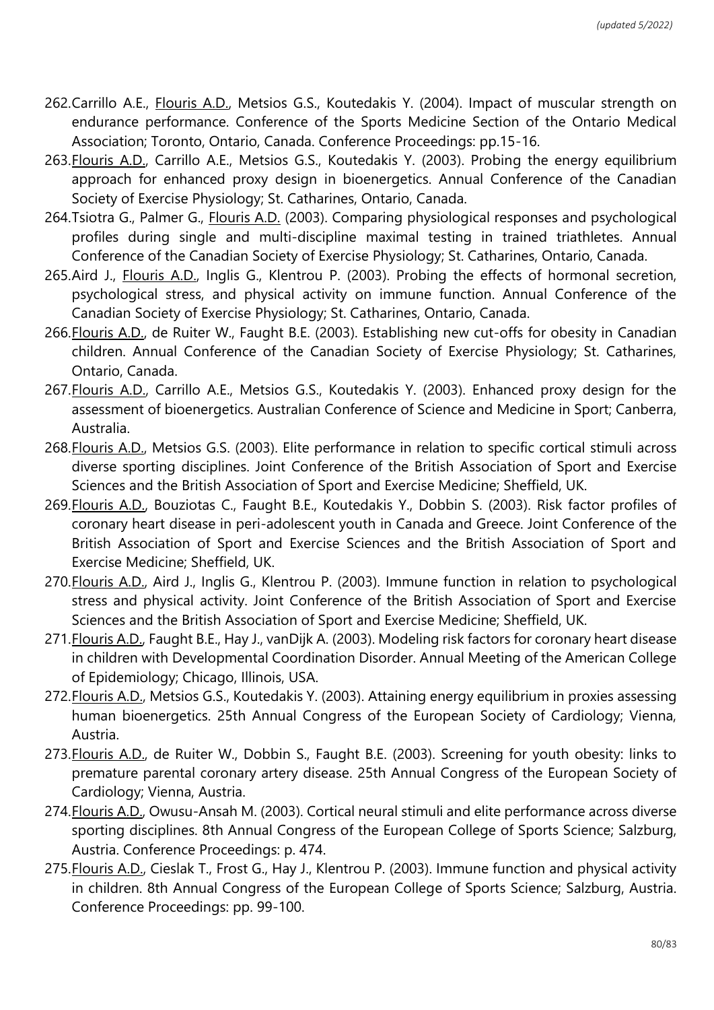- 262.Carrillo A.E., Flouris A.D., Metsios G.S., Koutedakis Y. (2004). Impact of muscular strength on endurance performance. Conference of the Sports Medicine Section of the Ontario Medical Association; Toronto, Ontario, Canada. Conference Proceedings: pp.15-16.
- 263.Flouris A.D., Carrillo A.E., Metsios G.S., Koutedakis Y. (2003). Probing the energy equilibrium approach for enhanced proxy design in bioenergetics. Annual Conference of the Canadian Society of Exercise Physiology; St. Catharines, Ontario, Canada.
- 264.Tsiotra G., Palmer G., Flouris A.D. (2003). Comparing physiological responses and psychological profiles during single and multi-discipline maximal testing in trained triathletes. Annual Conference of the Canadian Society of Exercise Physiology; St. Catharines, Ontario, Canada.
- 265.Aird J., Flouris A.D., Inglis G., Klentrou P. (2003). Probing the effects of hormonal secretion, psychological stress, and physical activity on immune function. Annual Conference of the Canadian Society of Exercise Physiology; St. Catharines, Ontario, Canada.
- 266.Flouris A.D., de Ruiter W., Faught B.E. (2003). Establishing new cut-offs for obesity in Canadian children. Annual Conference of the Canadian Society of Exercise Physiology; St. Catharines, Ontario, Canada.
- 267.Flouris A.D., Carrillo A.E., Metsios G.S., Koutedakis Y. (2003). Enhanced proxy design for the assessment of bioenergetics. Australian Conference of Science and Medicine in Sport; Canberra, Australia.
- 268.Flouris A.D., Metsios G.S. (2003). Elite performance in relation to specific cortical stimuli across diverse sporting disciplines. Joint Conference of the British Association of Sport and Exercise Sciences and the British Association of Sport and Exercise Medicine; Sheffield, UK.
- 269.Flouris A.D., Bouziotas C., Faught B.E., Koutedakis Y., Dobbin S. (2003). Risk factor profiles of coronary heart disease in peri-adolescent youth in Canada and Greece. Joint Conference of the British Association of Sport and Exercise Sciences and the British Association of Sport and Exercise Medicine; Sheffield, UK.
- 270.Flouris A.D., Aird J., Inglis G., Klentrou P. (2003). Immune function in relation to psychological stress and physical activity. Joint Conference of the British Association of Sport and Exercise Sciences and the British Association of Sport and Exercise Medicine; Sheffield, UK.
- 271.Flouris A.D., Faught B.E., Hay J., vanDijk A. (2003). Modeling risk factors for coronary heart disease in children with Developmental Coordination Disorder. Annual Meeting of the American College of Epidemiology; Chicago, Illinois, USA.
- 272.Flouris A.D., Metsios G.S., Koutedakis Y. (2003). Attaining energy equilibrium in proxies assessing human bioenergetics. 25th Annual Congress of the European Society of Cardiology; Vienna, Austria.
- 273.Flouris A.D., de Ruiter W., Dobbin S., Faught B.E. (2003). Screening for youth obesity: links to premature parental coronary artery disease. 25th Annual Congress of the European Society of Cardiology; Vienna, Austria.
- 274.Flouris A.D., Owusu-Ansah M. (2003). Cortical neural stimuli and elite performance across diverse sporting disciplines. 8th Annual Congress of the European College of Sports Science; Salzburg, Austria. Conference Proceedings: p. 474.
- 275. Flouris A.D., Cieslak T., Frost G., Hay J., Klentrou P. (2003). Immune function and physical activity in children. 8th Annual Congress of the European College of Sports Science; Salzburg, Austria. Conference Proceedings: pp. 99-100.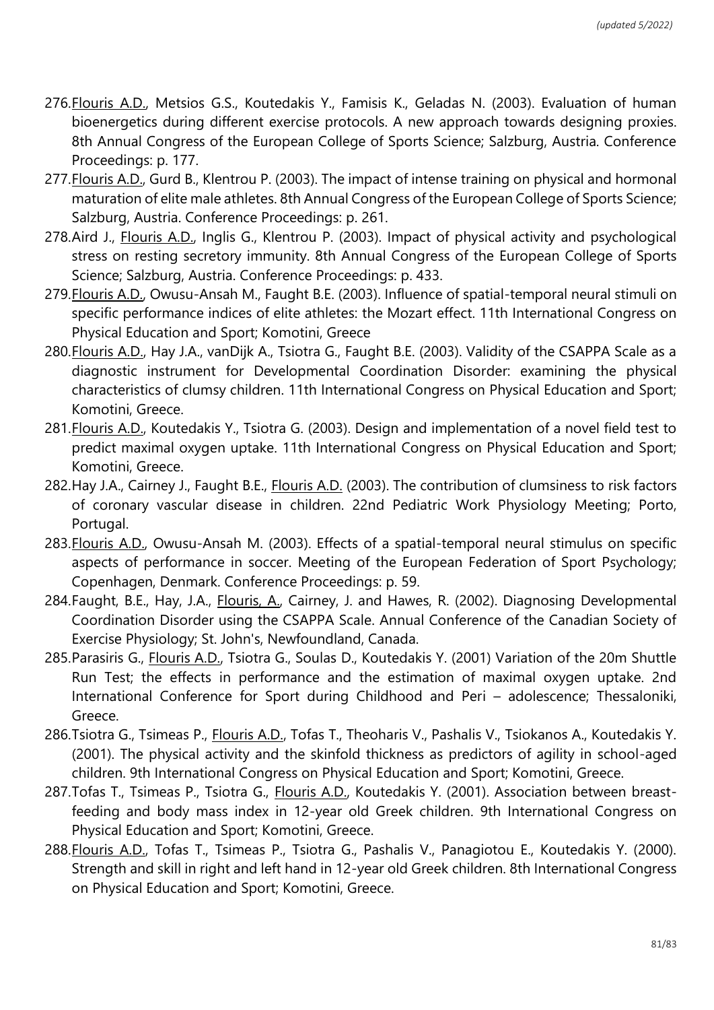- 276.Flouris A.D., Metsios G.S., Koutedakis Y., Famisis K., Geladas N. (2003). Evaluation of human bioenergetics during different exercise protocols. A new approach towards designing proxies. 8th Annual Congress of the European College of Sports Science; Salzburg, Austria. Conference Proceedings: p. 177.
- 277.Flouris A.D., Gurd B., Klentrou P. (2003). The impact of intense training on physical and hormonal maturation of elite male athletes. 8th Annual Congress of the European College of Sports Science; Salzburg, Austria. Conference Proceedings: p. 261.
- 278.Aird J., Flouris A.D., Inglis G., Klentrou P. (2003). Impact of physical activity and psychological stress on resting secretory immunity. 8th Annual Congress of the European College of Sports Science; Salzburg, Austria. Conference Proceedings: p. 433.
- 279.Flouris A.D., Owusu-Ansah M., Faught B.E. (2003). Influence of spatial-temporal neural stimuli on specific performance indices of elite athletes: the Mozart effect. 11th International Congress on Physical Education and Sport; Komotini, Greece
- 280.Flouris A.D., Hay J.A., vanDijk A., Tsiotra G., Faught B.E. (2003). Validity of the CSAPPA Scale as a diagnostic instrument for Developmental Coordination Disorder: examining the physical characteristics of clumsy children. 11th International Congress on Physical Education and Sport; Komotini, Greece.
- 281.Flouris A.D., Koutedakis Y., Tsiotra G. (2003). Design and implementation of a novel field test to predict maximal oxygen uptake. 11th International Congress on Physical Education and Sport; Komotini, Greece.
- 282.Hay J.A., Cairney J., Faught B.E., Flouris A.D. (2003). The contribution of clumsiness to risk factors of coronary vascular disease in children. 22nd Pediatric Work Physiology Meeting; Porto, Portugal.
- 283.Flouris A.D., Owusu-Ansah M. (2003). Effects of a spatial-temporal neural stimulus on specific aspects of performance in soccer. Meeting of the European Federation of Sport Psychology; Copenhagen, Denmark. Conference Proceedings: p. 59.
- 284.Faught, B.E., Hay, J.A., Flouris, A., Cairney, J. and Hawes, R. (2002). Diagnosing Developmental Coordination Disorder using the CSAPPA Scale. Annual Conference of the Canadian Society of Exercise Physiology; St. John's, Newfoundland, Canada.
- 285.Parasiris G., Flouris A.D., Tsiotra G., Soulas D., Koutedakis Y. (2001) Variation of the 20m Shuttle Run Test; the effects in performance and the estimation of maximal oxygen uptake. 2nd International Conference for Sport during Childhood and Peri – adolescence; Thessaloniki, Greece.
- 286.Tsiotra G., Tsimeas P., Flouris A.D., Tofas T., Theoharis V., Pashalis V., Tsiokanos A., Koutedakis Y. (2001). The physical activity and the skinfold thickness as predictors of agility in school-aged children. 9th International Congress on Physical Education and Sport; Komotini, Greece.
- 287.Tofas T., Tsimeas P., Tsiotra G., *Flouris A.D.*, Koutedakis Y. (2001). Association between breastfeeding and body mass index in 12-year old Greek children. 9th International Congress on Physical Education and Sport; Komotini, Greece.
- 288.Flouris A.D., Tofas T., Tsimeas P., Tsiotra G., Pashalis V., Panagiotou E., Koutedakis Y. (2000). Strength and skill in right and left hand in 12-year old Greek children. 8th International Congress on Physical Education and Sport; Komotini, Greece.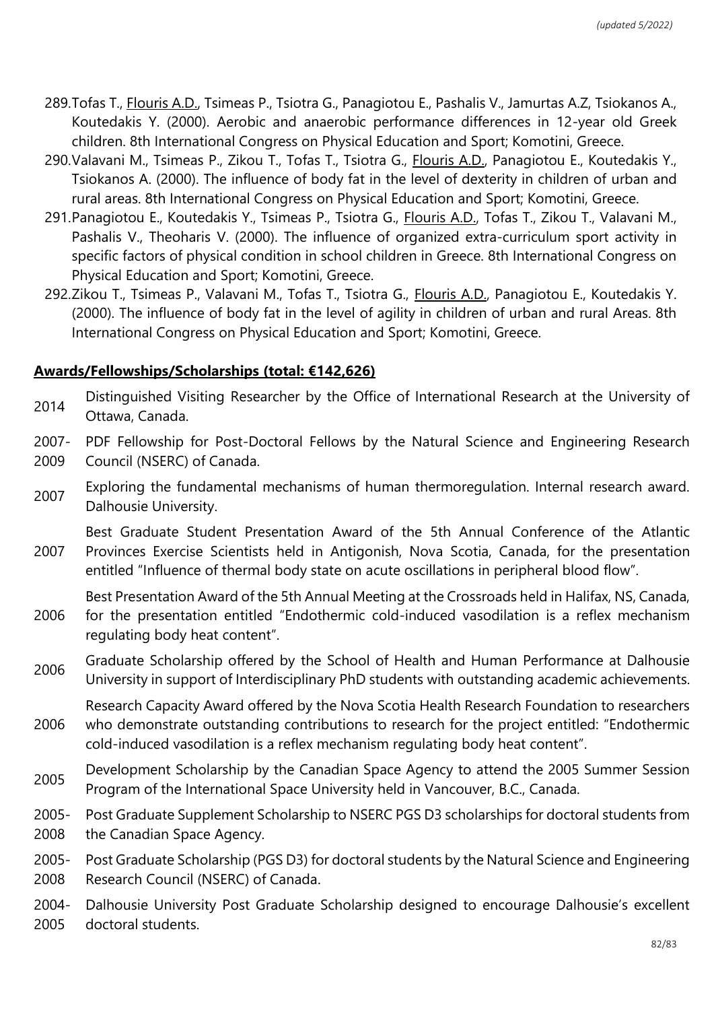- 289.Tofas T., Flouris A.D., Tsimeas P., Tsiotra G., Panagiotou E., Pashalis V., Jamurtas A.Z, Tsiokanos A., Koutedakis Y. (2000). Aerobic and anaerobic performance differences in 12-year old Greek children. 8th International Congress on Physical Education and Sport; Komotini, Greece.
- 290.Valavani M., Tsimeas P., Zikou T., Tofas T., Tsiotra G., Flouris A.D., Panagiotou E., Koutedakis Y., Tsiokanos A. (2000). The influence of body fat in the level of dexterity in children of urban and rural areas. 8th International Congress on Physical Education and Sport; Komotini, Greece.
- 291.Panagiotou E., Koutedakis Y., Tsimeas P., Tsiotra G., Flouris A.D., Tofas T., Zikou T., Valavani M., Pashalis V., Theoharis V. (2000). The influence of organized extra-curriculum sport activity in specific factors of physical condition in school children in Greece. 8th International Congress on Physical Education and Sport; Komotini, Greece.
- 292.Zikou T., Tsimeas P., Valavani M., Tofas T., Tsiotra G., Flouris A.D., Panagiotou E., Koutedakis Y. (2000). The influence of body fat in the level of agility in children of urban and rural Areas. 8th International Congress on Physical Education and Sport; Komotini, Greece.

## **Awards/Fellowships/Scholarships (total: €142,626)**

- <sup>2014</sup> Distinguished Visiting Researcher by the Office of International Research at the University of Ottawa, Canada.
- 2007- 2009 PDF Fellowship for Post-Doctoral Fellows by the Natural Science and Engineering Research Council (NSERC) of Canada.
- Exploring the fundamental mechanisms of human thermoregulation. Internal research award. Dalhousie University.

2007 Best Graduate Student Presentation Award of the 5th Annual Conference of the Atlantic Provinces Exercise Scientists held in Antigonish, Nova Scotia, Canada, for the presentation entitled "Influence of thermal body state on acute oscillations in peripheral blood flow".

2006 Best Presentation Award of the 5th Annual Meeting at the Crossroads held in Halifax, NS, Canada, for the presentation entitled "Endothermic cold-induced vasodilation is a reflex mechanism regulating body heat content".

2006 Graduate Scholarship offered by the School of Health and Human Performance at Dalhousie University in support of Interdisciplinary PhD students with outstanding academic achievements.

2006 Research Capacity Award offered by the Nova Scotia Health Research Foundation to researchers who demonstrate outstanding contributions to research for the project entitled: "Endothermic cold-induced vasodilation is a reflex mechanism regulating body heat content".

- <sup>2005</sup> Development Scholarship by the Canadian Space Agency to attend the 2005 Summer Session Program of the International Space University held in Vancouver, B.C., Canada.
- 2005- 2008 Post Graduate Supplement Scholarship to NSERC PGS D3 scholarships for doctoral students from the Canadian Space Agency.

2005- 2008 Post Graduate Scholarship (PGS D3) for doctoral students by the Natural Science and Engineering Research Council (NSERC) of Canada.

2004- 2005 Dalhousie University Post Graduate Scholarship designed to encourage Dalhousie's excellent doctoral students.